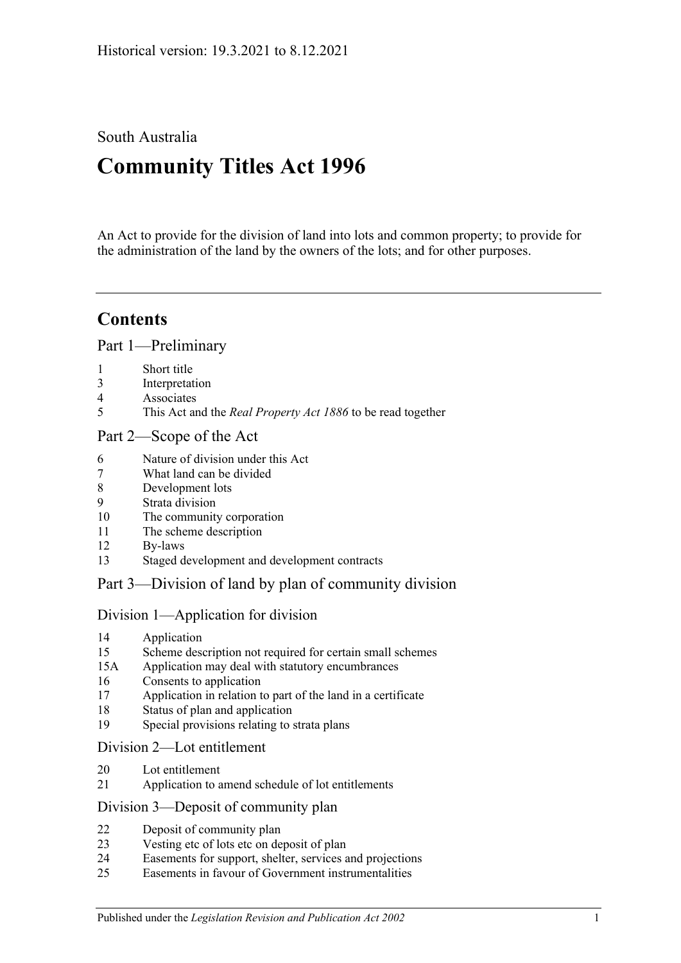South Australia

# **Community Titles Act 1996**

An Act to provide for the division of land into lots and common property; to provide for the administration of the land by the owners of the lots; and for other purposes.

## **Contents**

[Part 1—Preliminary](#page-6-0)

- [Short title](#page-6-1)
- [Interpretation](#page-6-2)
- [Associates](#page-13-0)
- This Act and the *Real Property Act 1886* [to be read together](#page-13-1)

## [Part 2—Scope of the Act](#page-14-0)

- [Nature of division under this Act](#page-14-1)
- [What land can be divided](#page-14-2)
- [Development lots](#page-14-3)
- [Strata division](#page-14-4)
- [The community corporation](#page-15-0)
- [The scheme description](#page-15-1)
- [By-laws](#page-15-2)
- [Staged development and development contracts](#page-15-3)

## [Part 3—Division of land by plan of community division](#page-18-0)

## [Division 1—Application for division](#page-18-1)

- [Application](#page-18-2)
- [Scheme description not required for certain small schemes](#page-19-0)
- 15A [Application may deal with statutory encumbrances](#page-20-0)
- [Consents to application](#page-20-1)
- [Application in relation to part of the land in a certificate](#page-21-0)
- [Status of plan and application](#page-21-1)
- [Special provisions relating to strata plans](#page-21-2)

## [Division 2—Lot entitlement](#page-22-0)

- [Lot entitlement](#page-22-1)
- [Application to amend schedule of lot entitlements](#page-22-2)

## [Division 3—Deposit of community plan](#page-24-0)

- [Deposit of community plan](#page-24-1)
- [Vesting etc of lots etc on deposit of plan](#page-25-0)
- [Easements for support, shelter, services and projections](#page-26-0)
- [Easements in favour of Government instrumentalities](#page-27-0)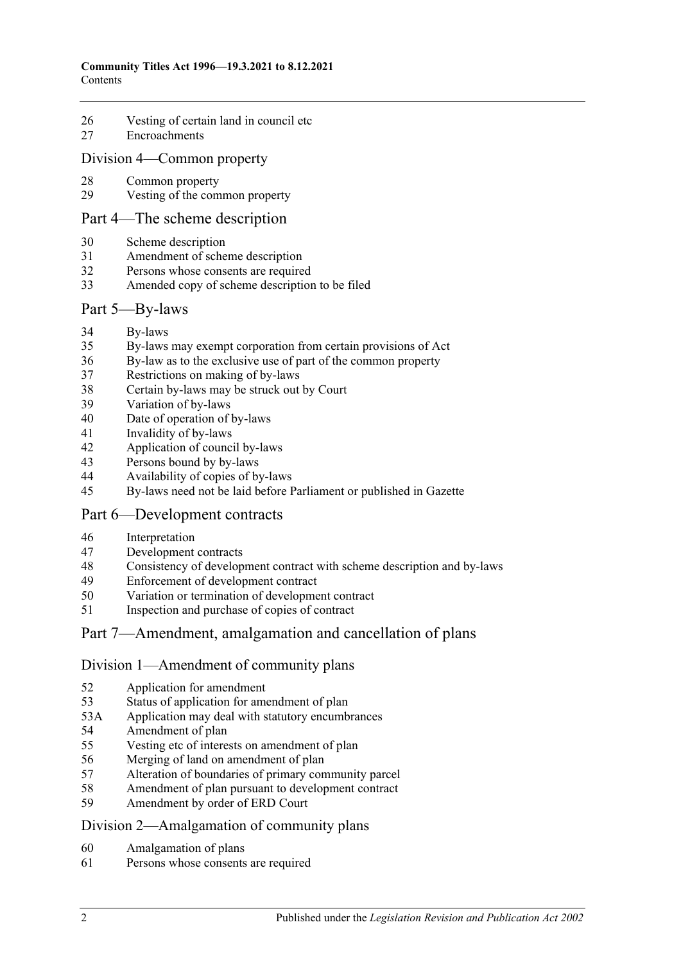- [Vesting of certain land in council etc](#page-27-1)
- [Encroachments](#page-28-0)

#### [Division 4—Common property](#page-29-0)

- [Common property](#page-29-1)
- [Vesting of the common property](#page-29-2)

#### [Part 4—The scheme description](#page-32-0)

- [Scheme description](#page-32-1)
- [Amendment of scheme description](#page-33-0)
- Persons whose [consents are required](#page-34-0)
- [Amended copy of scheme description to be filed](#page-35-0)

#### [Part 5—By-laws](#page-36-0)

- [By-laws](#page-36-1)
- [By-laws may exempt corporation from certain provisions of Act](#page-38-0)
- [By-law as to the exclusive use of part of the common property](#page-38-1)
- [Restrictions on making of by-laws](#page-39-0)
- [Certain by-laws may be struck out by Court](#page-40-0)
- [Variation of by-laws](#page-40-1)
- [Date of operation of by-laws](#page-41-0)
- [Invalidity of by-laws](#page-41-1)
- [Application of council by-laws](#page-41-2)
- [Persons bound by by-laws](#page-41-3)
- [Availability of copies of by-laws](#page-42-0)
- [By-laws need not be laid before Parliament or published in Gazette](#page-42-1)

## [Part 6—Development contracts](#page-44-0)

- [Interpretation](#page-44-1)
- [Development contracts](#page-44-2)
- [Consistency of development contract with scheme description and by-laws](#page-46-0)
- [Enforcement of development contract](#page-46-1)
- [Variation or termination of development contract](#page-47-0)
- [Inspection and purchase of copies of contract](#page-48-0)

## [Part 7—Amendment, amalgamation and cancellation of plans](#page-50-0)

#### [Division 1—Amendment of community plans](#page-50-1)

- [Application for amendment](#page-50-2)
- [Status of application for amendment of plan](#page-52-0)
- 53A [Application may deal with statutory encumbrances](#page-52-1)
- [Amendment of plan](#page-53-0)
- [Vesting etc of interests on amendment of plan](#page-53-1)
- [Merging of land on amendment of plan](#page-54-0)
- [Alteration of boundaries of primary community parcel](#page-54-1)
- [Amendment of plan pursuant to development contract](#page-55-0)
- [Amendment by order of ERD Court](#page-56-0)

#### [Division 2—Amalgamation of community plans](#page-57-0)

- [Amalgamation of plans](#page-57-1)
- [Persons whose consents are required](#page-58-0)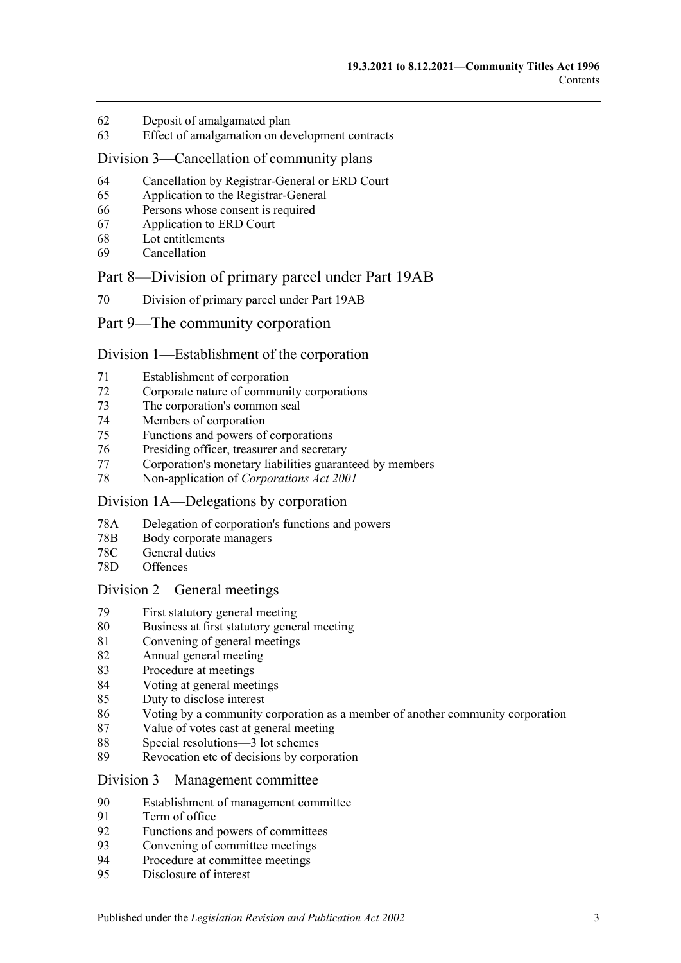- [Deposit of amalgamated plan](#page-60-0)
- [Effect of amalgamation on development contracts](#page-61-0)

#### [Division 3—Cancellation of community plans](#page-61-1)

- [Cancellation by Registrar-General or ERD Court](#page-61-2)
- [Application to the Registrar-General](#page-61-3)
- [Persons whose consent is required](#page-61-4)
- [Application to ERD Court](#page-62-0)
- [Lot entitlements](#page-63-0)
- [Cancellation](#page-63-1)

#### [Part 8—Division of primary parcel under Part 19AB](#page-66-0)

[Division of primary parcel under Part 19AB](#page-66-1)

#### [Part 9—The community corporation](#page-68-0)

#### [Division 1—Establishment of the corporation](#page-68-1)

- [Establishment of corporation](#page-68-2)
- [Corporate nature of community corporations](#page-68-3)
- [The corporation's common seal](#page-68-4)
- [Members of corporation](#page-68-5)
- Functions [and powers of corporations](#page-69-0)
- [Presiding officer, treasurer and secretary](#page-69-1)
- [Corporation's monetary liabilities guaranteed by members](#page-70-0)
- [Non-application of](#page-71-0) *Corporations Act 2001*

#### [Division 1A—Delegations by corporation](#page-71-1)

- 78A [Delegation of corporation's functions and powers](#page-71-2)
- 78B [Body corporate managers](#page-72-0)
- 78C [General duties](#page-74-0)
- 78D [Offences](#page-74-1)

#### [Division 2—General meetings](#page-75-0)

- [First statutory general meeting](#page-75-1)
- [Business at first statutory general meeting](#page-75-2)
- [Convening of general meetings](#page-76-0)
- [Annual general meeting](#page-77-0)
- [Procedure at meetings](#page-77-1)
- [Voting at general meetings](#page-78-0)
- [Duty to disclose interest](#page-81-0)
- [Voting by a community corporation as a member of another community corporation](#page-82-0)
- [Value of votes cast at general meeting](#page-82-1)
- [Special resolutions—3 lot schemes](#page-83-0)
- [Revocation etc of decisions by corporation](#page-83-1)

#### [Division 3—Management committee](#page-84-0)

- [Establishment of management committee](#page-84-1)
- [Term of office](#page-84-2)
- [Functions and powers of committees](#page-85-0)
- [Convening of committee meetings](#page-85-1)
- [Procedure at committee meetings](#page-85-2)
- [Disclosure of interest](#page-86-0)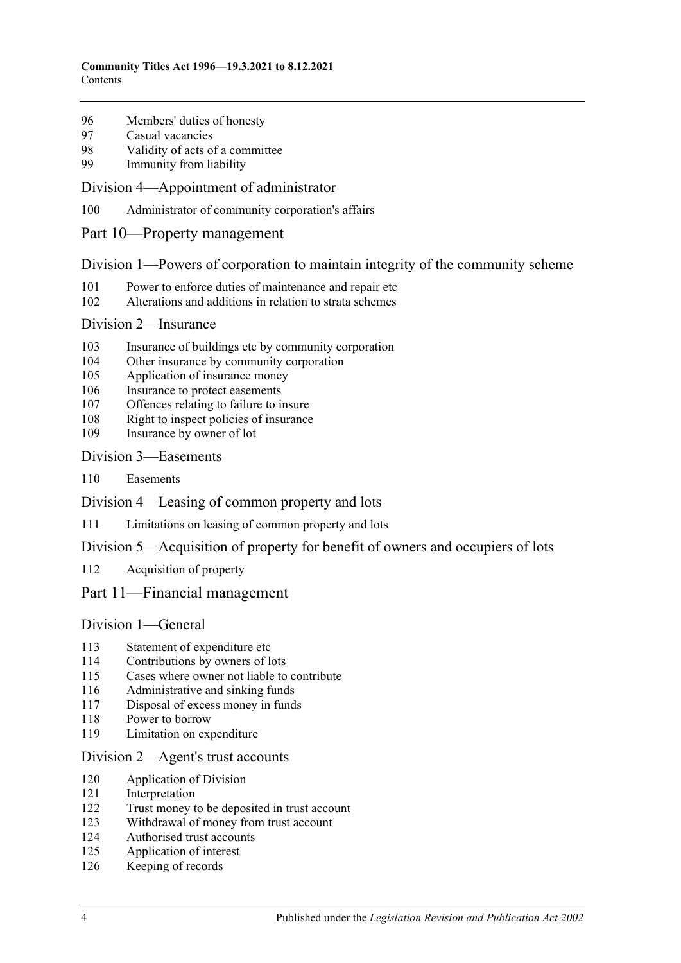- [Members' duties of honesty](#page-86-1)
- [Casual vacancies](#page-86-2)
- [Validity of acts of a committee](#page-87-0)
- [Immunity from liability](#page-87-1)

#### [Division 4—Appointment of administrator](#page-87-2)

- [Administrator of community corporation's affairs](#page-87-3)
- [Part 10—Property management](#page-90-0)

#### [Division 1—Powers of corporation to maintain integrity of the community scheme](#page-90-1)

- [Power to enforce duties of maintenance and repair etc](#page-90-2)
- [Alterations and additions in relation to strata schemes](#page-91-0)

#### [Division 2—Insurance](#page-91-1)

- [Insurance of buildings etc by community corporation](#page-91-2)
- [Other insurance by community corporation](#page-92-0)
- [Application of insurance money](#page-92-1)
- [Insurance to protect easements](#page-93-0)
- [Offences relating to failure to insure](#page-93-1)
- [Right to inspect policies of insurance](#page-94-0)
- [Insurance by owner of lot](#page-94-1)

#### [Division 3—Easements](#page-95-0)

[Easements](#page-95-1)

[Division 4—Leasing of common property and lots](#page-95-2)

[Limitations on leasing of common property and lots](#page-95-3)

## [Division 5—Acquisition of property for benefit of owners and occupiers of lots](#page-96-0)

[Acquisition of property](#page-96-1)

## [Part 11—Financial management](#page-98-0)

## [Division 1—General](#page-98-1)

- [Statement of expenditure etc](#page-98-2)
- [Contributions by owners of lots](#page-98-3)
- [Cases where owner not liable to contribute](#page-99-0)
- [Administrative and sinking funds](#page-99-1)
- [Disposal of excess money in funds](#page-100-0)
- [Power to borrow](#page-100-1)
- [Limitation on expenditure](#page-100-2)

#### [Division 2—Agent's trust accounts](#page-101-0)

- [Application of Division](#page-101-1)
- [Interpretation](#page-101-2)
- [Trust money to be deposited in trust account](#page-101-3)
- [Withdrawal of money from trust account](#page-101-4)
- [Authorised trust accounts](#page-102-0)
- [Application of interest](#page-102-1)
- [Keeping of records](#page-102-2)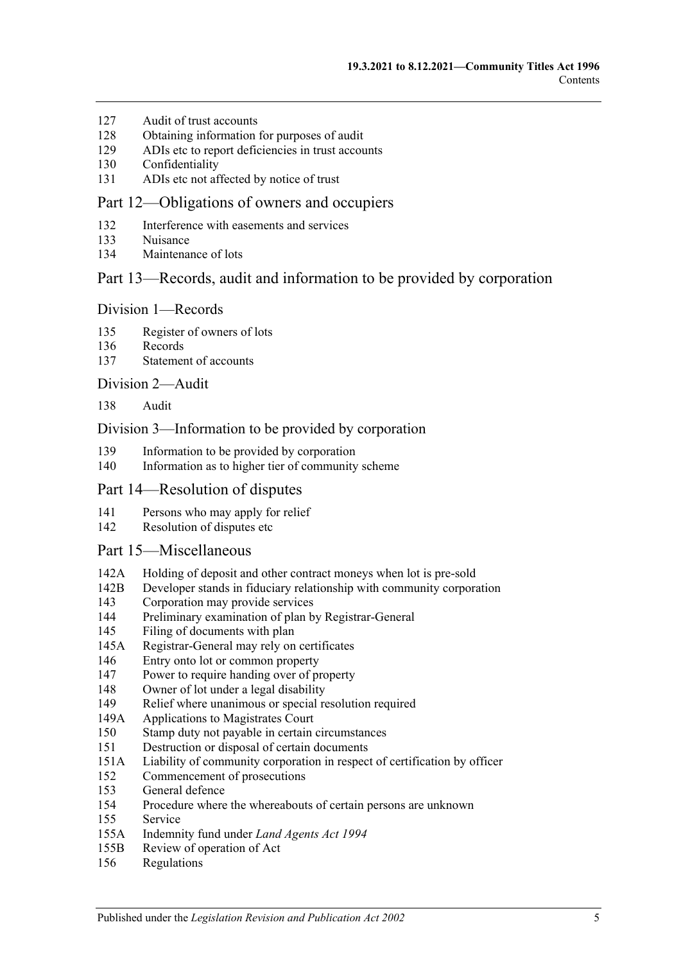- [Audit of trust accounts](#page-102-3)
- [Obtaining information for purposes of audit](#page-103-0)
- [ADIs etc to report deficiencies in trust accounts](#page-103-1)
- [Confidentiality](#page-103-2)
- [ADIs etc not affected by notice of trust](#page-104-0)

#### [Part 12—Obligations of owners and occupiers](#page-106-0)

- [Interference with easements and services](#page-106-1)
- [Nuisance](#page-106-2)
- [Maintenance of lots](#page-106-3)

## [Part 13—Records, audit and information to be provided by corporation](#page-108-0)

#### [Division 1—Records](#page-108-1)

- [Register of owners of lots](#page-108-2)
- [Records](#page-108-3)
- [Statement of accounts](#page-108-4)

#### [Division 2—Audit](#page-109-0)

[Audit](#page-109-1)

#### [Division 3—Information to be provided by corporation](#page-109-2)

- [Information to be provided by corporation](#page-109-3)
- [Information as to higher tier of community scheme](#page-111-0)

#### [Part 14—Resolution of disputes](#page-112-0)

- [Persons who may apply for relief](#page-112-1)
- [Resolution of disputes etc](#page-112-2)

#### [Part 15—Miscellaneous](#page-116-0)

- 142A [Holding of deposit and other contract moneys when lot is pre-sold](#page-116-1)
- 142B [Developer stands in fiduciary relationship with community corporation](#page-117-0)
- [Corporation may provide services](#page-117-1)
- [Preliminary examination of plan by Registrar-General](#page-117-2)
- [Filing of documents with plan](#page-117-3)
- 145A [Registrar-General may rely on certificates](#page-117-4)
- [Entry onto lot or common property](#page-118-0)
- [Power to require handing over of property](#page-118-1)
- [Owner of lot under a legal disability](#page-119-0)
- [Relief where unanimous or special resolution required](#page-119-1)
- 149A [Applications to Magistrates Court](#page-120-0)
- [Stamp duty not payable in certain circumstances](#page-120-1)
- [Destruction or disposal of certain documents](#page-120-2)
- 151A [Liability of community corporation in respect of certification by officer](#page-120-3)
- [Commencement of prosecutions](#page-120-4)
- [General defence](#page-121-0)
- [Procedure where the whereabouts of certain persons are unknown](#page-121-1)
- [Service](#page-121-2)
- 155A [Indemnity fund under](#page-122-0) *Land Agents Act 1994*
- 155B [Review of operation of Act](#page-122-1)
- [Regulations](#page-122-2)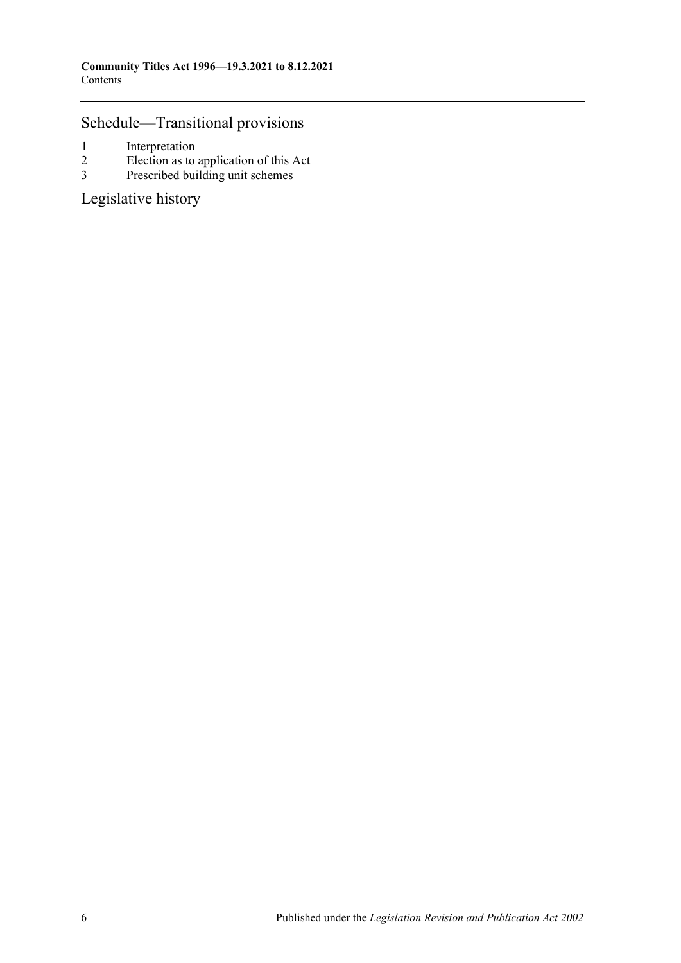## [Schedule—Transitional provisions](#page-124-0)

- 1 [Interpretation](#page-124-1)<br>2 Election as to
- $\frac{1}{2}$  [Election as to application of this Act](#page-124-2)<br>3 Prescribed building unit schemes
- [Prescribed building unit schemes](#page-125-0)

[Legislative history](#page-128-0)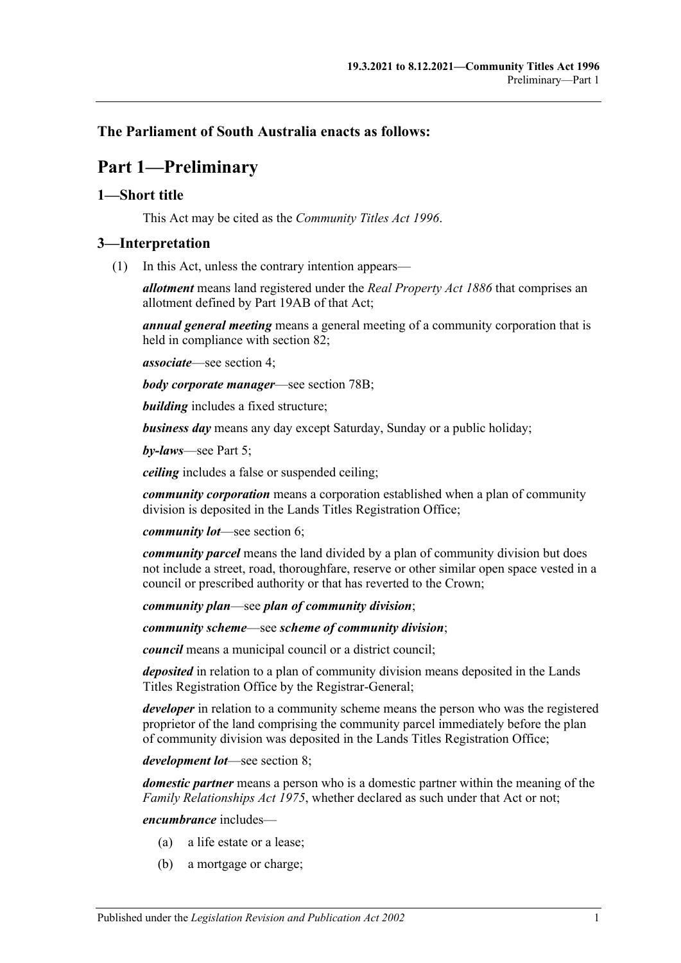## <span id="page-6-0"></span>**The Parliament of South Australia enacts as follows:**

## **Part 1—Preliminary**

## <span id="page-6-1"></span>**1—Short title**

This Act may be cited as the *Community Titles Act 1996*.

## <span id="page-6-2"></span>**3—Interpretation**

(1) In this Act, unless the contrary intention appears—

*allotment* means land registered under the *[Real Property Act](http://www.legislation.sa.gov.au/index.aspx?action=legref&type=act&legtitle=Real%20Property%20Act%201886) 1886* that comprises an allotment defined by Part 19AB of that Act;

*annual general meeting* means a general meeting of a community corporation that is held in compliance with [section](#page-77-0) 82;

*associate*—see [section](#page-13-0) 4;

*body corporate manager*—see [section](#page-72-0) 78B;

*building* includes a fixed structure;

*business day* means any day except Saturday, Sunday or a public holiday;

*by-laws*—see [Part 5;](#page-36-0)

*ceiling* includes a false or suspended ceiling;

*community corporation* means a corporation established when a plan of community division is deposited in the Lands Titles Registration Office;

*community lot*—see [section](#page-14-1) 6;

*community parcel* means the land divided by a plan of community division but does not include a street, road, thoroughfare, reserve or other similar open space vested in a council or prescribed authority or that has reverted to the Crown;

*community plan*—see *plan of community division*;

*community scheme*—see *scheme of community division*;

*council* means a municipal council or a district council;

*deposited* in relation to a plan of community division means deposited in the Lands Titles Registration Office by the Registrar-General;

*developer* in relation to a community scheme means the person who was the registered proprietor of the land comprising the community parcel immediately before the plan of community division was deposited in the Lands Titles Registration Office;

*development lot*—see [section](#page-14-3) 8;

*domestic partner* means a person who is a domestic partner within the meaning of the *[Family Relationships Act](http://www.legislation.sa.gov.au/index.aspx?action=legref&type=act&legtitle=Family%20Relationships%20Act%201975) 1975*, whether declared as such under that Act or not;

*encumbrance* includes—

- (a) a life estate or a lease;
- (b) a mortgage or charge;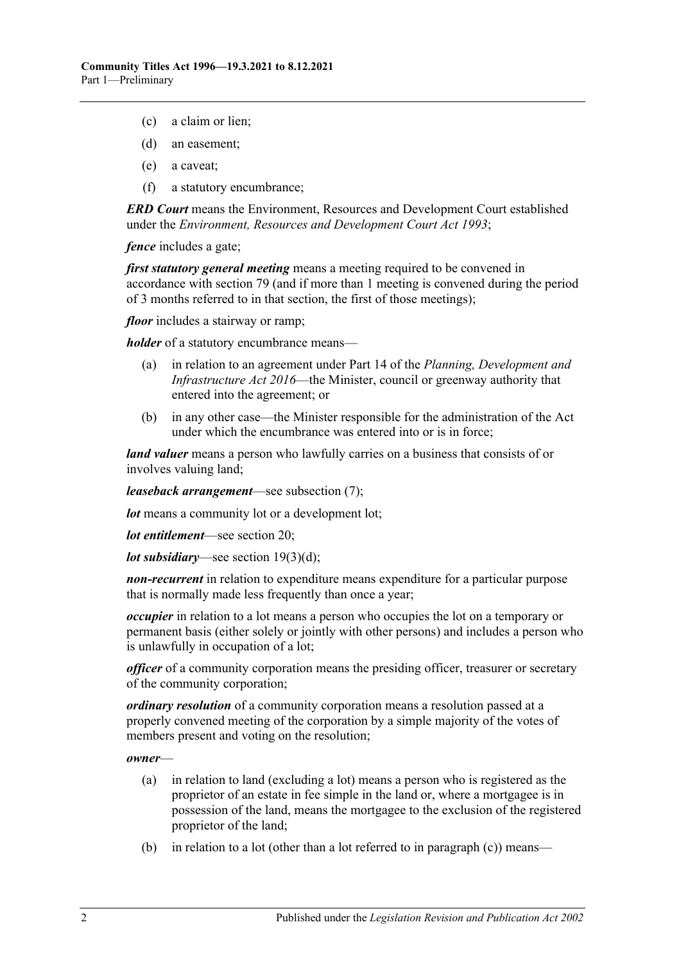- (c) a claim or lien;
- (d) an easement;
- (e) a caveat;
- (f) a statutory encumbrance;

*ERD Court* means the Environment, Resources and Development Court established under the *[Environment, Resources and Development Court Act](http://www.legislation.sa.gov.au/index.aspx?action=legref&type=act&legtitle=Environment%20Resources%20and%20Development%20Court%20Act%201993) 1993*;

*fence* includes a gate;

*first statutory general meeting* means a meeting required to be convened in accordance with [section](#page-75-1) 79 (and if more than 1 meeting is convened during the period of 3 months referred to in that section, the first of those meetings);

*floor* includes a stairway or ramp;

*holder* of a statutory encumbrance means—

- (a) in relation to an agreement under Part 14 of the *[Planning, Development and](http://www.legislation.sa.gov.au/index.aspx?action=legref&type=act&legtitle=Planning%20Development%20and%20Infrastructure%20Act%202016)  [Infrastructure Act](http://www.legislation.sa.gov.au/index.aspx?action=legref&type=act&legtitle=Planning%20Development%20and%20Infrastructure%20Act%202016) 2016*—the Minister, council or greenway authority that entered into the agreement; or
- (b) in any other case—the Minister responsible for the administration of the Act under which the encumbrance was entered into or is in force;

*land valuer* means a person who lawfully carries on a business that consists of or involves valuing land;

*leaseback arrangement*—see [subsection](#page-11-0) (7);

*lot* means a community lot or a development lot;

*lot entitlement*—see [section](#page-22-1) 20;

*lot subsidiary*—see section [19\(3\)\(d\);](#page-22-3)

*non-recurrent* in relation to expenditure means expenditure for a particular purpose that is normally made less frequently than once a year;

*occupier* in relation to a lot means a person who occupies the lot on a temporary or permanent basis (either solely or jointly with other persons) and includes a person who is unlawfully in occupation of a lot;

*officer* of a community corporation means the presiding officer, treasurer or secretary of the community corporation;

*ordinary resolution* of a community corporation means a resolution passed at a properly convened meeting of the corporation by a simple majority of the votes of members present and voting on the resolution;

*owner*—

- (a) in relation to land (excluding a lot) means a person who is registered as the proprietor of an estate in fee simple in the land or, where a mortgagee is in possession of the land, means the mortgagee to the exclusion of the registered proprietor of the land;
- (b) in relation to a lot (other than a lot referred to in [paragraph](#page-8-0)  $(c)$ ) means—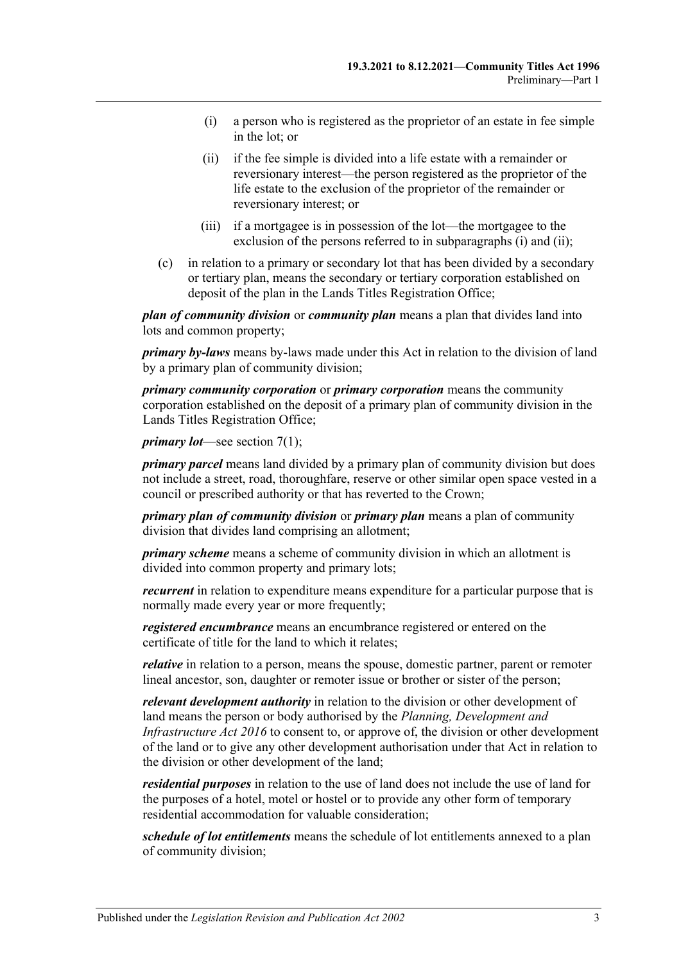- <span id="page-8-1"></span>(i) a person who is registered as the proprietor of an estate in fee simple in the lot; or
- <span id="page-8-2"></span>(ii) if the fee simple is divided into a life estate with a remainder or reversionary interest—the person registered as the proprietor of the life estate to the exclusion of the proprietor of the remainder or reversionary interest; or
- (iii) if a mortgagee is in possession of the lot—the mortgagee to the exclusion of the persons referred to in [subparagraphs](#page-8-1) (i) and [\(ii\);](#page-8-2)
- <span id="page-8-0"></span>(c) in relation to a primary or secondary lot that has been divided by a secondary or tertiary plan, means the secondary or tertiary corporation established on deposit of the plan in the Lands Titles Registration Office;

*plan of community division* or *community plan* means a plan that divides land into lots and common property;

*primary by-laws* means by-laws made under this Act in relation to the division of land by a primary plan of community division;

*primary community corporation* or *primary corporation* means the community corporation established on the deposit of a primary plan of community division in the Lands Titles Registration Office;

*primary lot*—see [section](#page-14-5) 7(1);

*primary parcel* means land divided by a primary plan of community division but does not include a street, road, thoroughfare, reserve or other similar open space vested in a council or prescribed authority or that has reverted to the Crown;

*primary plan of community division* or *primary plan* means a plan of community division that divides land comprising an allotment;

*primary scheme* means a scheme of community division in which an allotment is divided into common property and primary lots;

*recurrent* in relation to expenditure means expenditure for a particular purpose that is normally made every year or more frequently;

*registered encumbrance* means an encumbrance registered or entered on the certificate of title for the land to which it relates;

*relative* in relation to a person, means the spouse, domestic partner, parent or remoter lineal ancestor, son, daughter or remoter issue or brother or sister of the person;

*relevant development authority* in relation to the division or other development of land means the person or body authorised by the *[Planning, Development and](http://www.legislation.sa.gov.au/index.aspx?action=legref&type=act&legtitle=Planning%20Development%20and%20Infrastructure%20Act%202016)  [Infrastructure Act](http://www.legislation.sa.gov.au/index.aspx?action=legref&type=act&legtitle=Planning%20Development%20and%20Infrastructure%20Act%202016) 2016* to consent to, or approve of, the division or other development of the land or to give any other development authorisation under that Act in relation to the division or other development of the land;

*residential purposes* in relation to the use of land does not include the use of land for the purposes of a hotel, motel or hostel or to provide any other form of temporary residential accommodation for valuable consideration;

*schedule of lot entitlements* means the schedule of lot entitlements annexed to a plan of community division;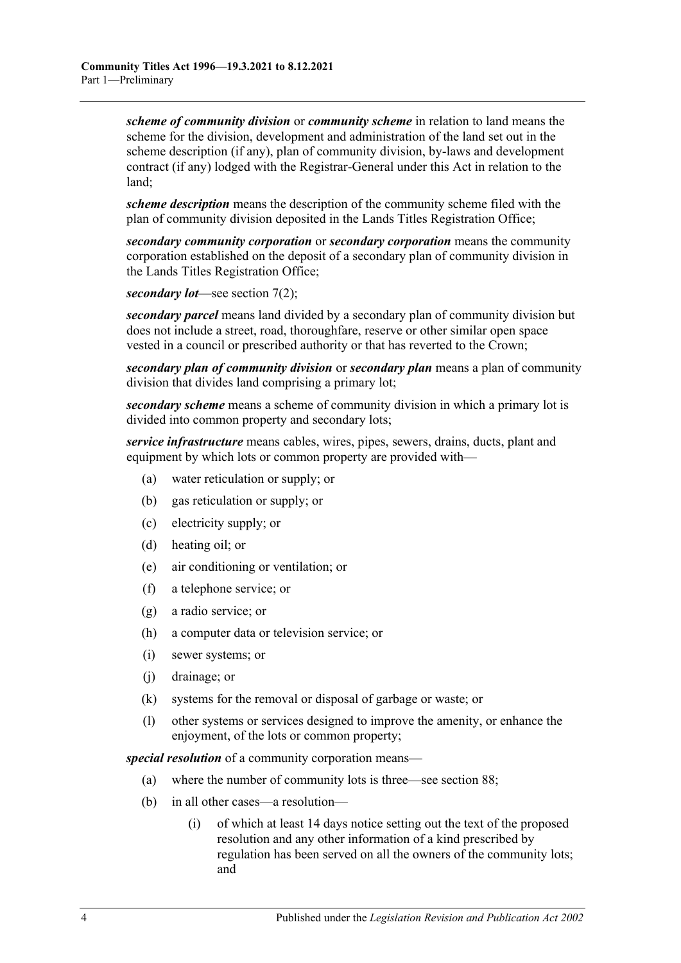*scheme of community division* or *community scheme* in relation to land means the scheme for the division, development and administration of the land set out in the scheme description (if any), plan of community division, by-laws and development contract (if any) lodged with the Registrar-General under this Act in relation to the land;

*scheme description* means the description of the community scheme filed with the plan of community division deposited in the Lands Titles Registration Office;

*secondary community corporation* or *secondary corporation* means the community corporation established on the deposit of a secondary plan of community division in the Lands Titles Registration Office;

*secondary lot*—see [section](#page-14-6) 7(2);

*secondary parcel* means land divided by a secondary plan of community division but does not include a street, road, thoroughfare, reserve or other similar open space vested in a council or prescribed authority or that has reverted to the Crown;

*secondary plan of community division* or *secondary plan* means a plan of community division that divides land comprising a primary lot;

*secondary scheme* means a scheme of community division in which a primary lot is divided into common property and secondary lots;

*service infrastructure* means cables, wires, pipes, sewers, drains, ducts, plant and equipment by which lots or common property are provided with—

- (a) water reticulation or supply; or
- (b) gas reticulation or supply; or
- (c) electricity supply; or
- (d) heating oil; or
- (e) air conditioning or ventilation; or
- (f) a telephone service; or
- (g) a radio service; or
- (h) a computer data or television service; or
- (i) sewer systems; or
- (j) drainage; or
- (k) systems for the removal or disposal of garbage or waste; or
- (l) other systems or services designed to improve the amenity, or enhance the enjoyment, of the lots or common property;

*special resolution* of a community corporation means—

- (a) where the number of community lots is three—see [section](#page-83-0) 88;
- (b) in all other cases—a resolution—
	- (i) of which at least 14 days notice setting out the text of the proposed resolution and any other information of a kind prescribed by regulation has been served on all the owners of the community lots; and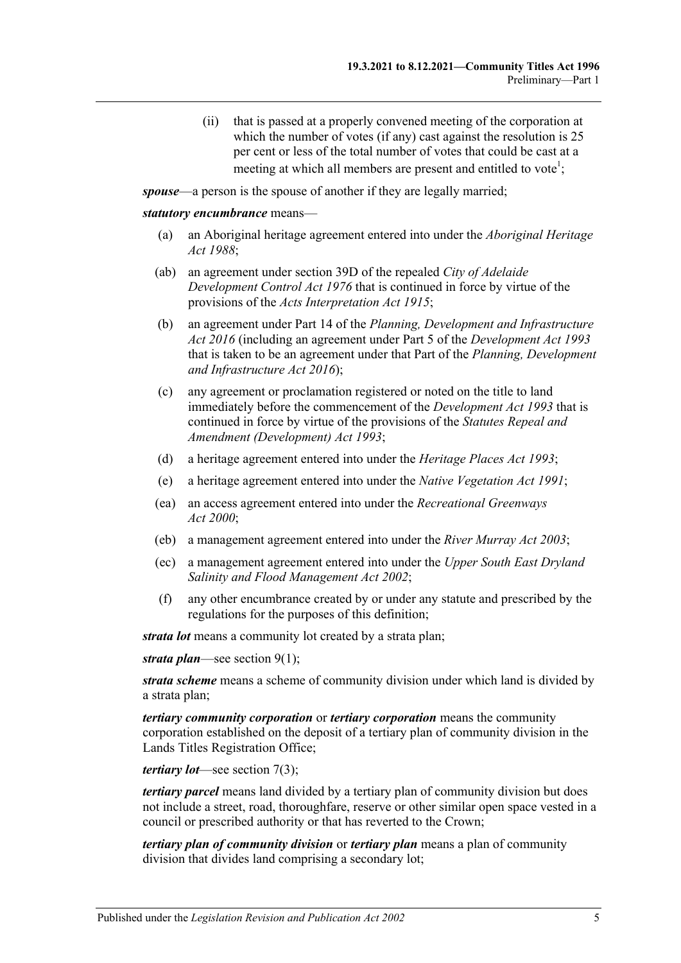(ii) that is passed at a properly convened meeting of the corporation at which the number of votes (if any) cast against the resolution is 25 per cent or less of the total number of votes that could be cast at a meeting at which all members are present and entitled to vote<sup>1</sup>;

<span id="page-10-0"></span>*spouse*—a person is the spouse of another if they are legally married;

#### *statutory encumbrance* means—

- (a) an Aboriginal heritage agreement entered into under the *[Aboriginal Heritage](http://www.legislation.sa.gov.au/index.aspx?action=legref&type=act&legtitle=Aboriginal%20Heritage%20Act%201988)  Act [1988](http://www.legislation.sa.gov.au/index.aspx?action=legref&type=act&legtitle=Aboriginal%20Heritage%20Act%201988)*;
- (ab) an agreement under section 39D of the repealed *[City of Adelaide](http://www.legislation.sa.gov.au/index.aspx?action=legref&type=act&legtitle=City%20of%20Adelaide%20Development%20Control%20Act%201976)  [Development Control Act](http://www.legislation.sa.gov.au/index.aspx?action=legref&type=act&legtitle=City%20of%20Adelaide%20Development%20Control%20Act%201976) 1976* that is continued in force by virtue of the provisions of the *[Acts Interpretation Act](http://www.legislation.sa.gov.au/index.aspx?action=legref&type=act&legtitle=Acts%20Interpretation%20Act%201915) 1915*;
- (b) an agreement under Part 14 of the *[Planning, Development and Infrastructure](http://www.legislation.sa.gov.au/index.aspx?action=legref&type=act&legtitle=Planning%20Development%20and%20Infrastructure%20Act%202016)  Act [2016](http://www.legislation.sa.gov.au/index.aspx?action=legref&type=act&legtitle=Planning%20Development%20and%20Infrastructure%20Act%202016)* (including an agreement under Part 5 of the *[Development Act](http://www.legislation.sa.gov.au/index.aspx?action=legref&type=act&legtitle=Development%20Act%201993) 1993* that is taken to be an agreement under that Part of the *[Planning, Development](http://www.legislation.sa.gov.au/index.aspx?action=legref&type=act&legtitle=Planning%20Development%20and%20Infrastructure%20Act%202016)  [and Infrastructure Act](http://www.legislation.sa.gov.au/index.aspx?action=legref&type=act&legtitle=Planning%20Development%20and%20Infrastructure%20Act%202016) 2016*);
- (c) any agreement or proclamation registered or noted on the title to land immediately before the commencement of the *[Development Act](http://www.legislation.sa.gov.au/index.aspx?action=legref&type=act&legtitle=Development%20Act%201993) 1993* that is continued in force by virtue of the provisions of the *[Statutes Repeal and](http://www.legislation.sa.gov.au/index.aspx?action=legref&type=act&legtitle=Statutes%20Repeal%20and%20Amendment%20(Development)%20Act%201993)  [Amendment \(Development\) Act](http://www.legislation.sa.gov.au/index.aspx?action=legref&type=act&legtitle=Statutes%20Repeal%20and%20Amendment%20(Development)%20Act%201993) 1993*;
- (d) a heritage agreement entered into under the *[Heritage Places Act](http://www.legislation.sa.gov.au/index.aspx?action=legref&type=act&legtitle=Heritage%20Places%20Act%201993) 1993*;
- (e) a heritage agreement entered into under the *[Native Vegetation Act](http://www.legislation.sa.gov.au/index.aspx?action=legref&type=act&legtitle=Native%20Vegetation%20Act%201991) 1991*;
- (ea) an access agreement entered into under the *[Recreational Greenways](http://www.legislation.sa.gov.au/index.aspx?action=legref&type=act&legtitle=Recreational%20Greenways%20Act%202000)  Act [2000](http://www.legislation.sa.gov.au/index.aspx?action=legref&type=act&legtitle=Recreational%20Greenways%20Act%202000)*;
- (eb) a management agreement entered into under the *[River Murray Act](http://www.legislation.sa.gov.au/index.aspx?action=legref&type=act&legtitle=River%20Murray%20Act%202003) 2003*;
- (ec) a management agreement entered into under the *[Upper South East](http://www.legislation.sa.gov.au/index.aspx?action=legref&type=act&legtitle=Upper%20South%20East%20Dryland%20Salinity%20and%20Flood%20Management%20Act%202002) Dryland [Salinity and Flood Management Act](http://www.legislation.sa.gov.au/index.aspx?action=legref&type=act&legtitle=Upper%20South%20East%20Dryland%20Salinity%20and%20Flood%20Management%20Act%202002) 2002*;
- (f) any other encumbrance created by or under any statute and prescribed by the regulations for the purposes of this definition;

*strata lot* means a community lot created by a strata plan;

*strata plan*—see [section](#page-14-7) 9(1);

*strata scheme* means a scheme of community division under which land is divided by a strata plan;

*tertiary community corporation* or *tertiary corporation* means the community corporation established on the deposit of a tertiary plan of community division in the Lands Titles Registration Office;

*tertiary lot*—see [section](#page-14-8) 7(3);

*tertiary parcel* means land divided by a tertiary plan of community division but does not include a street, road, thoroughfare, reserve or other similar open space vested in a council or prescribed authority or that has reverted to the Crown;

*tertiary plan of community division* or *tertiary plan* means a plan of community division that divides land comprising a secondary lot;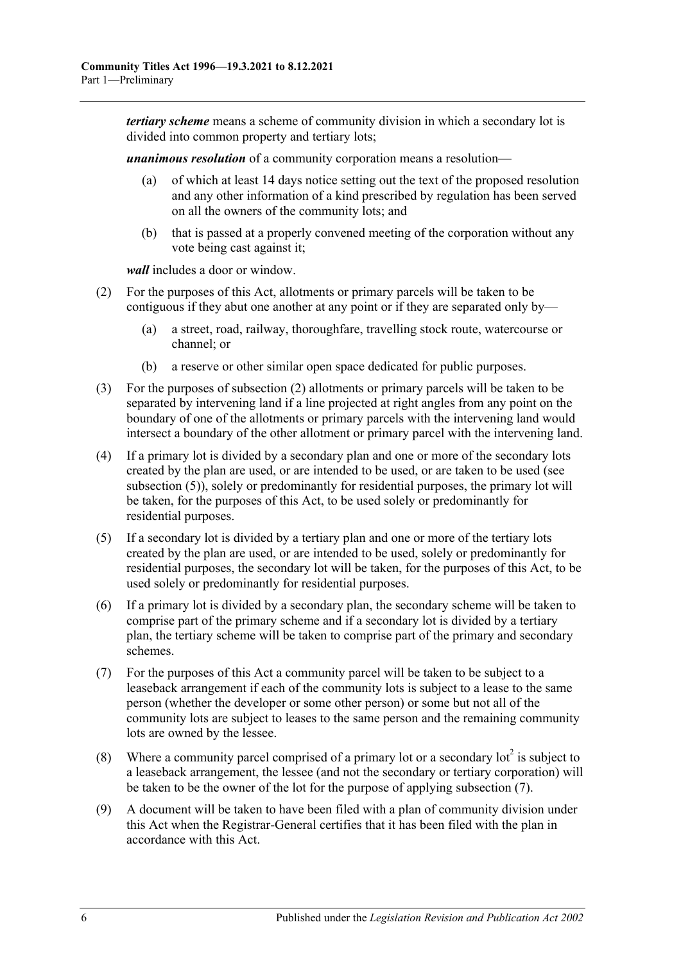*tertiary scheme* means a scheme of community division in which a secondary lot is divided into common property and tertiary lots;

*unanimous resolution* of a community corporation means a resolution—

- (a) of which at least 14 days notice setting out the text of the proposed resolution and any other information of a kind prescribed by regulation has been served on all the owners of the community lots; and
- (b) that is passed at a properly convened meeting of the corporation without any vote being cast against it;

*wall* includes a door or window.

- <span id="page-11-1"></span>(2) For the purposes of this Act, allotments or primary parcels will be taken to be contiguous if they abut one another at any point or if they are separated only by—
	- (a) a street, road, railway, thoroughfare, travelling stock route, watercourse or channel; or
	- (b) a reserve or other similar open space dedicated for public purposes.
- (3) For the purposes of [subsection](#page-11-1) (2) allotments or primary parcels will be taken to be separated by intervening land if a line projected at right angles from any point on the boundary of one of the allotments or primary parcels with the intervening land would intersect a boundary of the other allotment or primary parcel with the intervening land.
- (4) If a primary lot is divided by a secondary plan and one or more of the secondary lots created by the plan are used, or are intended to be used, or are taken to be used (see [subsection](#page-11-2) (5)), solely or predominantly for residential purposes, the primary lot will be taken, for the purposes of this Act, to be used solely or predominantly for residential purposes.
- <span id="page-11-2"></span>(5) If a secondary lot is divided by a tertiary plan and one or more of the tertiary lots created by the plan are used, or are intended to be used, solely or predominantly for residential purposes, the secondary lot will be taken, for the purposes of this Act, to be used solely or predominantly for residential purposes.
- (6) If a primary lot is divided by a secondary plan, the secondary scheme will be taken to comprise part of the primary scheme and if a secondary lot is divided by a tertiary plan, the tertiary scheme will be taken to comprise part of the primary and secondary schemes.
- <span id="page-11-0"></span>(7) For the purposes of this Act a community parcel will be taken to be subject to a leaseback arrangement if each of the community lots is subject to a lease to the same person (whether the developer or some other person) or some but not all of the community lots are subject to leases to the same person and the remaining community lots are owned by the lessee.
- (8) Where a community parcel comprised of a primary lot or a secondary lot<sup>2</sup> is subject to a leaseback arrangement, the lessee (and not the secondary or tertiary corporation) will be taken to be the owner of the lot for the purpose of applying [subsection](#page-11-0) (7).
- (9) A document will be taken to have been filed with a plan of community division under this Act when the Registrar-General certifies that it has been filed with the plan in accordance with this Act.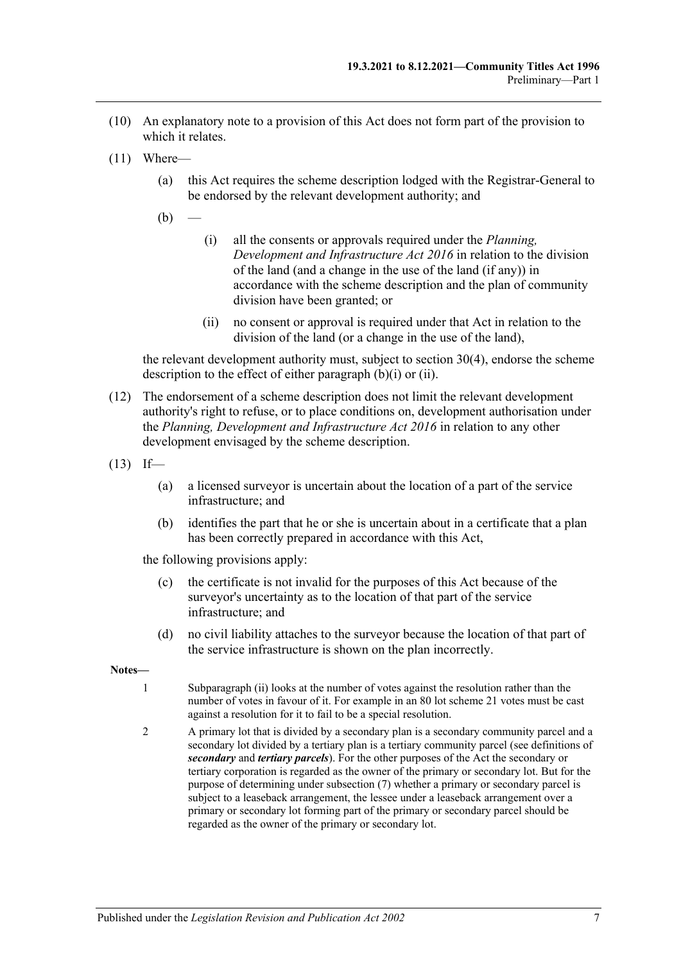- (10) An explanatory note to a provision of this Act does not form part of the provision to which it relates.
- <span id="page-12-0"></span>(11) Where—
	- (a) this Act requires the scheme description lodged with the Registrar-General to be endorsed by the relevant development authority; and
	- $(b)$
- (i) all the consents or approvals required under the *[Planning,](http://www.legislation.sa.gov.au/index.aspx?action=legref&type=act&legtitle=Planning%20Development%20and%20Infrastructure%20Act%202016)  [Development and Infrastructure Act](http://www.legislation.sa.gov.au/index.aspx?action=legref&type=act&legtitle=Planning%20Development%20and%20Infrastructure%20Act%202016) 2016* in relation to the division of the land (and a change in the use of the land (if any)) in accordance with the scheme description and the plan of community division have been granted; or
- (ii) no consent or approval is required under that Act in relation to the division of the land (or a change in the use of the land),

<span id="page-12-1"></span>the relevant development authority must, subject to [section](#page-33-1) 30(4), endorse the scheme description to the effect of either [paragraph](#page-12-0) (b)(i) or [\(ii\).](#page-12-1)

- (12) The endorsement of a scheme description does not limit the relevant development authority's right to refuse, or to place conditions on, development authorisation under the *[Planning, Development and Infrastructure Act](http://www.legislation.sa.gov.au/index.aspx?action=legref&type=act&legtitle=Planning%20Development%20and%20Infrastructure%20Act%202016) 2016* in relation to any other development envisaged by the scheme description.
- $(13)$  If—
	- (a) a licensed surveyor is uncertain about the location of a part of the service infrastructure; and
	- (b) identifies the part that he or she is uncertain about in a certificate that a plan has been correctly prepared in accordance with this Act,

the following provisions apply:

- (c) the certificate is not invalid for the purposes of this Act because of the surveyor's uncertainty as to the location of that part of the service infrastructure; and
- (d) no civil liability attaches to the surveyor because the location of that part of the service infrastructure is shown on the plan incorrectly.
- **Notes—**
	- 1 [Subparagraph](#page-10-0) (ii) looks at the number of votes against the resolution rather than the number of votes in favour of it. For example in an 80 lot scheme 21 votes must be cast against a resolution for it to fail to be a special resolution.
	- 2 A primary lot that is divided by a secondary plan is a secondary community parcel and a secondary lot divided by a tertiary plan is a tertiary community parcel (see definitions of *secondary* and *tertiary parcels*). For the other purposes of the Act the secondary or tertiary corporation is regarded as the owner of the primary or secondary lot. But for the purpose of determining unde[r subsection](#page-11-0) (7) whether a primary or secondary parcel is subject to a leaseback arrangement, the lessee under a leaseback arrangement over a primary or secondary lot forming part of the primary or secondary parcel should be regarded as the owner of the primary or secondary lot.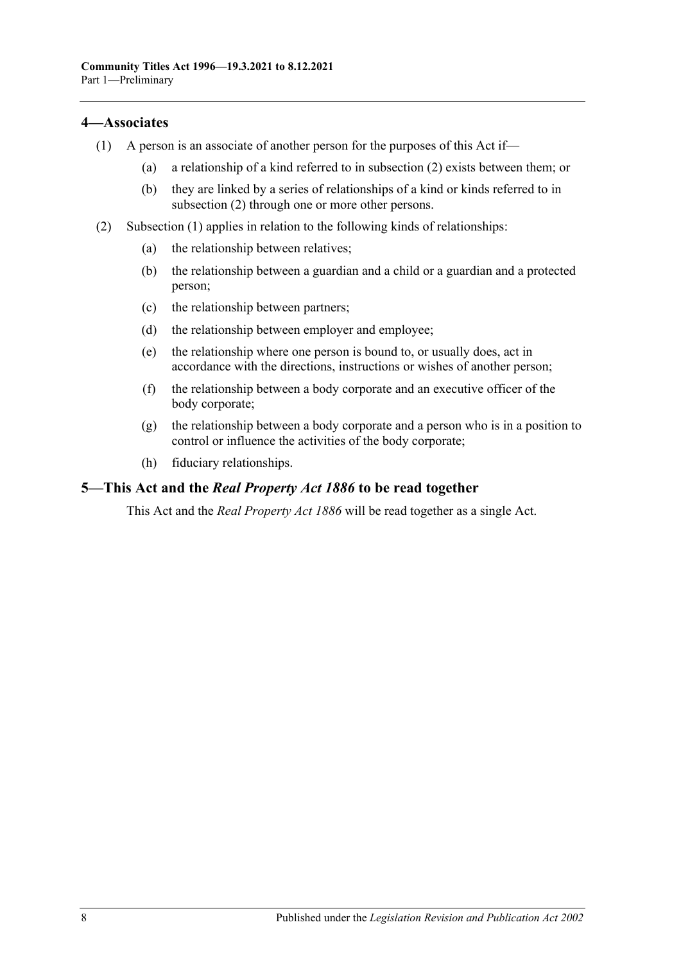## <span id="page-13-3"></span><span id="page-13-0"></span>**4—Associates**

- (1) A person is an associate of another person for the purposes of this Act if—
	- (a) a relationship of a kind referred to in [subsection](#page-13-2) (2) exists between them; or
	- (b) they are linked by a series of relationships of a kind or kinds referred to in [subsection](#page-13-2) (2) through one or more other persons.
- <span id="page-13-2"></span>(2) [Subsection](#page-13-3) (1) applies in relation to the following kinds of relationships:
	- (a) the relationship between relatives;
	- (b) the relationship between a guardian and a child or a guardian and a protected person;
	- (c) the relationship between partners;
	- (d) the relationship between employer and employee;
	- (e) the relationship where one person is bound to, or usually does, act in accordance with the directions, instructions or wishes of another person;
	- (f) the relationship between a body corporate and an executive officer of the body corporate;
	- (g) the relationship between a body corporate and a person who is in a position to control or influence the activities of the body corporate;
	- (h) fiduciary relationships.

## <span id="page-13-1"></span>**5—This Act and the** *Real Property Act 1886* **to be read together**

This Act and the *[Real Property Act](http://www.legislation.sa.gov.au/index.aspx?action=legref&type=act&legtitle=Real%20Property%20Act%201886) 1886* will be read together as a single Act.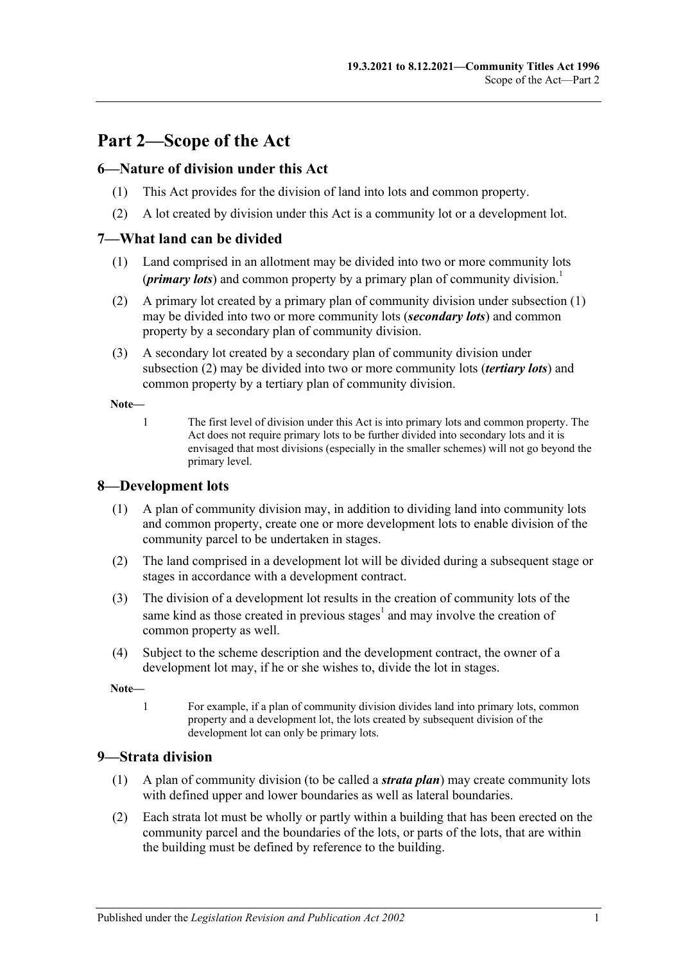## <span id="page-14-0"></span>**Part 2—Scope of the Act**

## <span id="page-14-1"></span>**6—Nature of division under this Act**

- (1) This Act provides for the division of land into lots and common property.
- (2) A lot created by division under this Act is a community lot or a development lot.

## <span id="page-14-5"></span><span id="page-14-2"></span>**7—What land can be divided**

- (1) Land comprised in an allotment may be divided into two or more community lots (*primary lots*) and common property by a primary plan of community division.<sup>1</sup>
- <span id="page-14-6"></span>(2) A primary lot created by a primary plan of community division under [subsection](#page-14-5) (1) may be divided into two or more community lots (*secondary lots*) and common property by a secondary plan of community division.
- <span id="page-14-8"></span>(3) A secondary lot created by a secondary plan of community division under [subsection](#page-14-6) (2) may be divided into two or more community lots (*tertiary lots*) and common property by a tertiary plan of community division.

**Note—**

1 The first level of division under this Act is into primary lots and common property. The Act does not require primary lots to be further divided into secondary lots and it is envisaged that most divisions (especially in the smaller schemes) will not go beyond the primary level.

## <span id="page-14-3"></span>**8—Development lots**

- (1) A plan of community division may, in addition to dividing land into community lots and common property, create one or more development lots to enable division of the community parcel to be undertaken in stages.
- (2) The land comprised in a development lot will be divided during a subsequent stage or stages in accordance with a development contract.
- (3) The division of a development lot results in the creation of community lots of the same kind as those created in previous stages<sup>1</sup> and may involve the creation of common property as well.
- (4) Subject to the scheme description and the development contract, the owner of a development lot may, if he or she wishes to, divide the lot in stages.

**Note—**

1 For example, if a plan of community division divides land into primary lots, common property and a development lot, the lots created by subsequent division of the development lot can only be primary lots.

## <span id="page-14-7"></span><span id="page-14-4"></span>**9—Strata division**

- (1) A plan of community division (to be called a *strata plan*) may create community lots with defined upper and lower boundaries as well as lateral boundaries.
- (2) Each strata lot must be wholly or partly within a building that has been erected on the community parcel and the boundaries of the lots, or parts of the lots, that are within the building must be defined by reference to the building.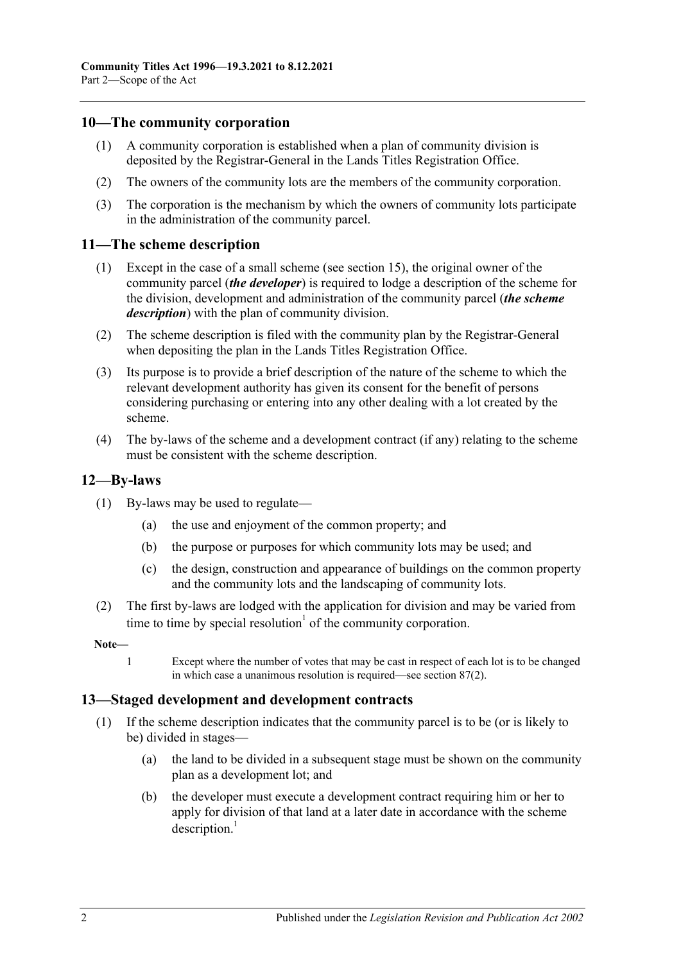## <span id="page-15-0"></span>**10—The community corporation**

- (1) A community corporation is established when a plan of community division is deposited by the Registrar-General in the Lands Titles Registration Office.
- (2) The owners of the community lots are the members of the community corporation.
- (3) The corporation is the mechanism by which the owners of community lots participate in the administration of the community parcel.

#### <span id="page-15-1"></span>**11—The scheme description**

- (1) Except in the case of a small scheme (see [section](#page-19-0) 15), the original owner of the community parcel (*the developer*) is required to lodge a description of the scheme for the division, development and administration of the community parcel (*the scheme description*) with the plan of community division.
- (2) The scheme description is filed with the community plan by the Registrar-General when depositing the plan in the Lands Titles Registration Office.
- (3) Its purpose is to provide a brief description of the nature of the scheme to which the relevant development authority has given its consent for the benefit of persons considering purchasing or entering into any other dealing with a lot created by the scheme.
- (4) The by-laws of the scheme and a development contract (if any) relating to the scheme must be consistent with the scheme description.

#### <span id="page-15-2"></span>**12—By-laws**

- (1) By-laws may be used to regulate—
	- (a) the use and enjoyment of the common property; and
	- (b) the purpose or purposes for which community lots may be used; and
	- (c) the design, construction and appearance of buildings on the common property and the community lots and the landscaping of community lots.
- (2) The first by-laws are lodged with the application for division and may be varied from time to time by special resolution<sup> $1$ </sup> of the community corporation.

#### **Note—**

1 Except where the number of votes that may be cast in respect of each lot is to be changed in which case a unanimous resolution is required—see [section](#page-82-2) 87(2).

#### <span id="page-15-3"></span>**13—Staged development and development contracts**

- (1) If the scheme description indicates that the community parcel is to be (or is likely to be) divided in stages—
	- (a) the land to be divided in a subsequent stage must be shown on the community plan as a development lot; and
	- (b) the developer must execute a development contract requiring him or her to apply for division of that land at a later date in accordance with the scheme  $description.<sup>1</sup>$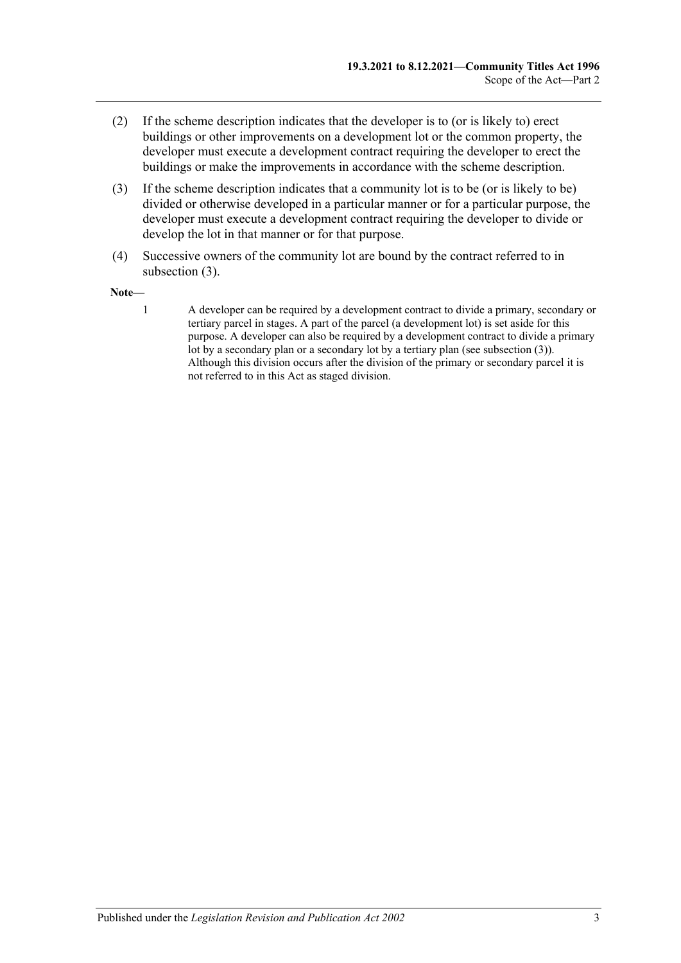- (2) If the scheme description indicates that the developer is to (or is likely to) erect buildings or other improvements on a development lot or the common property, the developer must execute a development contract requiring the developer to erect the buildings or make the improvements in accordance with the scheme description.
- <span id="page-16-0"></span>(3) If the scheme description indicates that a community lot is to be (or is likely to be) divided or otherwise developed in a particular manner or for a particular purpose, the developer must execute a development contract requiring the developer to divide or develop the lot in that manner or for that purpose.
- (4) Successive owners of the community lot are bound by the contract referred to in [subsection](#page-16-0) (3).

#### **Note—**

1 A developer can be required by a development contract to divide a primary, secondary or tertiary parcel in stages. A part of the parcel (a development lot) is set aside for this purpose. A developer can also be required by a development contract to divide a primary lot by a secondary plan or a secondary lot by a tertiary plan (se[e subsection](#page-16-0) (3)). Although this division occurs after the division of the primary or secondary parcel it is not referred to in this Act as staged division.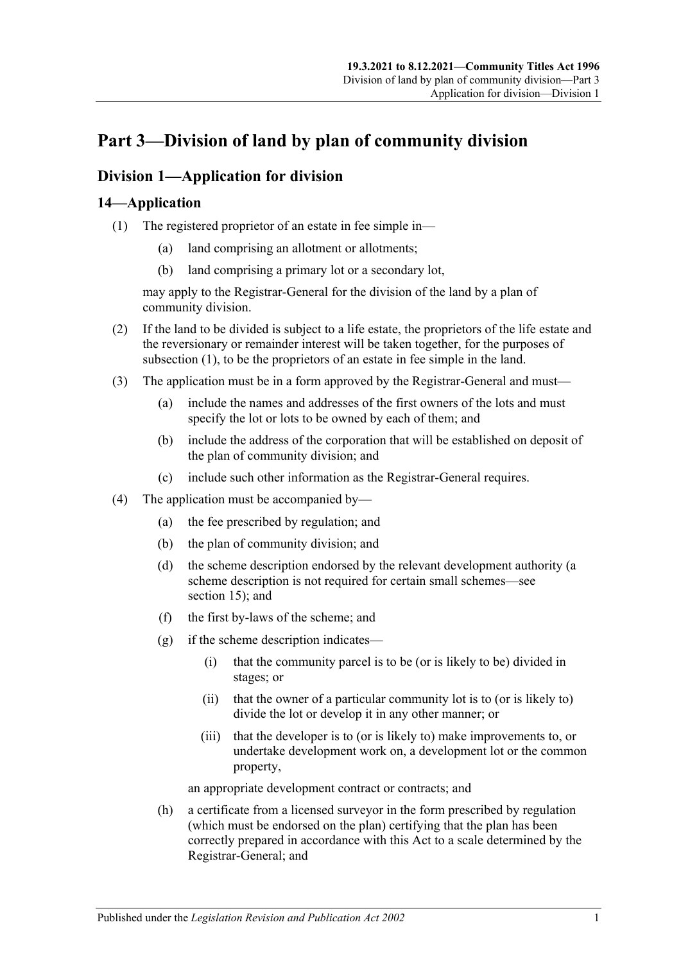## <span id="page-18-0"></span>**Part 3—Division of land by plan of community division**

## <span id="page-18-1"></span>**Division 1—Application for division**

## <span id="page-18-3"></span><span id="page-18-2"></span>**14—Application**

- (1) The registered proprietor of an estate in fee simple in—
	- (a) land comprising an allotment or allotments;
	- (b) land comprising a primary lot or a secondary lot,

may apply to the Registrar-General for the division of the land by a plan of community division.

- (2) If the land to be divided is subject to a life estate, the proprietors of the life estate and the reversionary or remainder interest will be taken together, for the purposes of [subsection](#page-18-3) (1), to be the proprietors of an estate in fee simple in the land.
- (3) The application must be in a form approved by the Registrar-General and must—
	- (a) include the names and addresses of the first owners of the lots and must specify the lot or lots to be owned by each of them; and
	- (b) include the address of the corporation that will be established on deposit of the plan of community division; and
	- (c) include such other information as the Registrar-General requires.
- (4) The application must be accompanied by—
	- (a) the fee prescribed by regulation; and
	- (b) the plan of community division; and
	- (d) the scheme description endorsed by the relevant development authority (a scheme description is not required for certain small schemes—see [section](#page-19-0) 15); and
	- (f) the first by-laws of the scheme; and
	- (g) if the scheme description indicates—
		- (i) that the community parcel is to be (or is likely to be) divided in stages; or
		- (ii) that the owner of a particular community lot is to (or is likely to) divide the lot or develop it in any other manner; or
		- (iii) that the developer is to (or is likely to) make improvements to, or undertake development work on, a development lot or the common property,

an appropriate development contract or contracts; and

(h) a certificate from a licensed surveyor in the form prescribed by regulation (which must be endorsed on the plan) certifying that the plan has been correctly prepared in accordance with this Act to a scale determined by the Registrar-General; and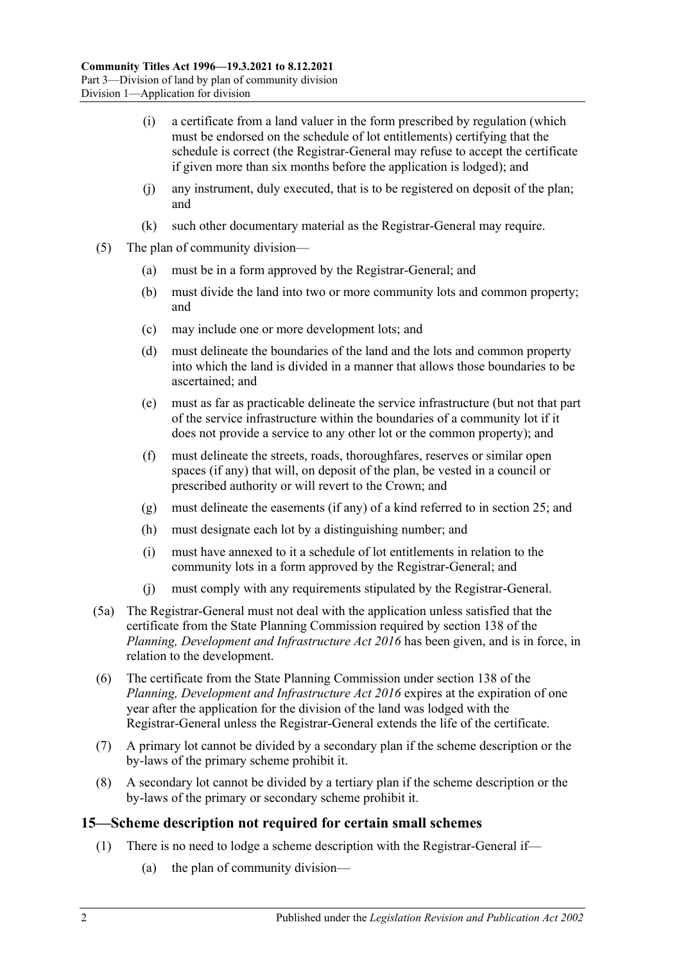- (i) a certificate from a land valuer in the form prescribed by regulation (which must be endorsed on the schedule of lot entitlements) certifying that the schedule is correct (the Registrar-General may refuse to accept the certificate if given more than six months before the application is lodged); and
- (j) any instrument, duly executed, that is to be registered on deposit of the plan; and
- (k) such other documentary material as the Registrar-General may require.
- (5) The plan of community division—
	- (a) must be in a form approved by the Registrar-General; and
	- (b) must divide the land into two or more community lots and common property; and
	- (c) may include one or more development lots; and
	- (d) must delineate the boundaries of the land and the lots and common property into which the land is divided in a manner that allows those boundaries to be ascertained; and
	- (e) must as far as practicable delineate the service infrastructure (but not that part of the service infrastructure within the boundaries of a community lot if it does not provide a service to any other lot or the common property); and
	- (f) must delineate the streets, roads, thoroughfares, reserves or similar open spaces (if any) that will, on deposit of the plan, be vested in a council or prescribed authority or will revert to the Crown; and
	- (g) must delineate the easements (if any) of a kind referred to in [section](#page-27-0) 25; and
	- (h) must designate each lot by a distinguishing number; and
	- (i) must have annexed to it a schedule of lot entitlements in relation to the community lots in a form approved by the Registrar-General; and
	- (j) must comply with any requirements stipulated by the Registrar-General.
- (5a) The Registrar-General must not deal with the application unless satisfied that the certificate from the State Planning Commission required by section 138 of the *[Planning, Development and Infrastructure Act](http://www.legislation.sa.gov.au/index.aspx?action=legref&type=act&legtitle=Planning%20Development%20and%20Infrastructure%20Act%202016) 2016* has been given, and is in force, in relation to the development.
- (6) The certificate from the State Planning Commission under section 138 of the *[Planning, Development and Infrastructure Act](http://www.legislation.sa.gov.au/index.aspx?action=legref&type=act&legtitle=Planning%20Development%20and%20Infrastructure%20Act%202016) 2016* expires at the expiration of one year after the application for the division of the land was lodged with the Registrar-General unless the Registrar-General extends the life of the certificate.
- (7) A primary lot cannot be divided by a secondary plan if the scheme description or the by-laws of the primary scheme prohibit it.
- (8) A secondary lot cannot be divided by a tertiary plan if the scheme description or the by-laws of the primary or secondary scheme prohibit it.

## <span id="page-19-0"></span>**15—Scheme description not required for certain small schemes**

- (1) There is no need to lodge a scheme description with the Registrar-General if—
	- (a) the plan of community division—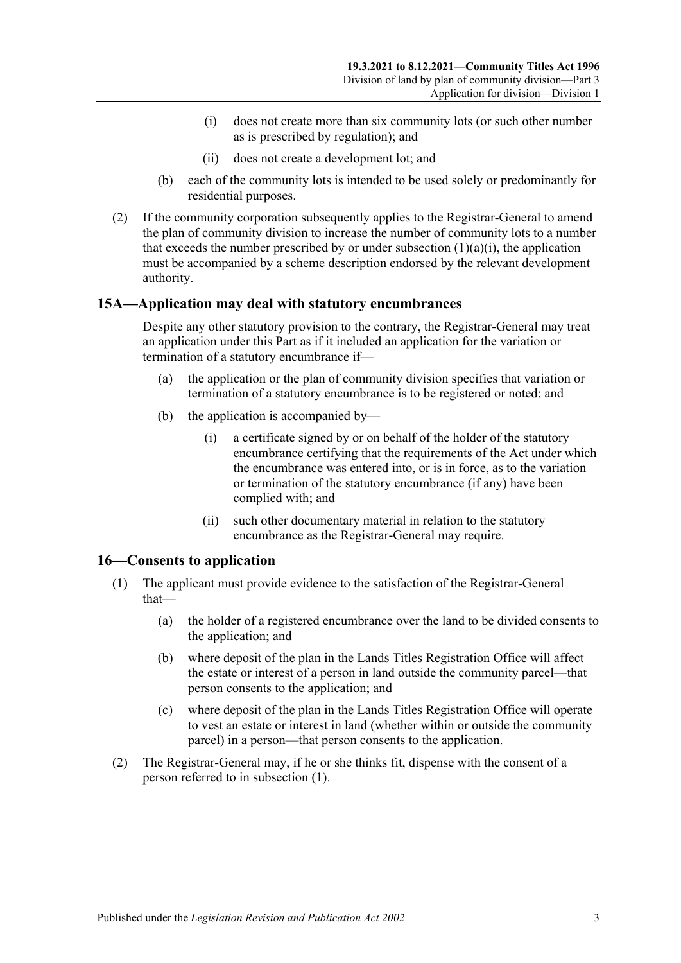- (i) does not create more than six community lots (or such other number as is prescribed by regulation); and
- (ii) does not create a development lot; and
- <span id="page-20-2"></span>(b) each of the community lots is intended to be used solely or predominantly for residential purposes.
- (2) If the community corporation subsequently applies to the Registrar-General to amend the plan of community division to increase the number of community lots to a number that exceeds the number prescribed by or under [subsection](#page-20-2)  $(1)(a)(i)$ , the application must be accompanied by a scheme description endorsed by the relevant development authority.

## <span id="page-20-0"></span>**15A—Application may deal with statutory encumbrances**

Despite any other statutory provision to the contrary, the Registrar-General may treat an application under this Part as if it included an application for the variation or termination of a statutory encumbrance if—

- (a) the application or the plan of community division specifies that variation or termination of a statutory encumbrance is to be registered or noted; and
- (b) the application is accompanied by—
	- (i) a certificate signed by or on behalf of the holder of the statutory encumbrance certifying that the requirements of the Act under which the encumbrance was entered into, or is in force, as to the variation or termination of the statutory encumbrance (if any) have been complied with; and
	- (ii) such other documentary material in relation to the statutory encumbrance as the Registrar-General may require.

## <span id="page-20-3"></span><span id="page-20-1"></span>**16—Consents to application**

- (1) The applicant must provide evidence to the satisfaction of the Registrar-General that—
	- (a) the holder of a registered encumbrance over the land to be divided consents to the application; and
	- (b) where deposit of the plan in the Lands Titles Registration Office will affect the estate or interest of a person in land outside the community parcel—that person consents to the application; and
	- (c) where deposit of the plan in the Lands Titles Registration Office will operate to vest an estate or interest in land (whether within or outside the community parcel) in a person—that person consents to the application.
- (2) The Registrar-General may, if he or she thinks fit, dispense with the consent of a person referred to in [subsection](#page-20-3) (1).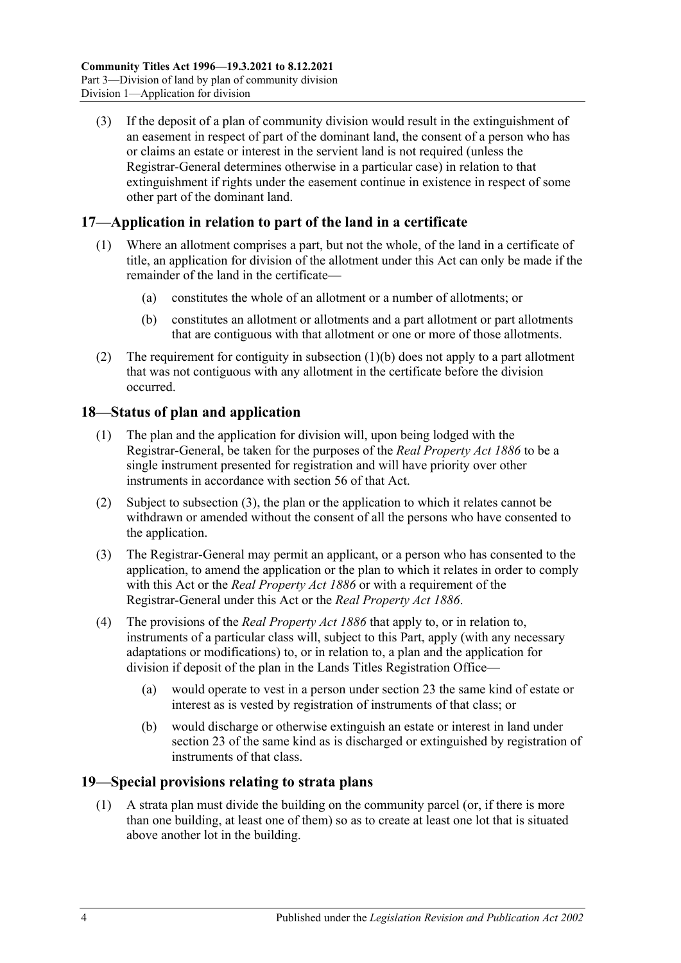(3) If the deposit of a plan of community division would result in the extinguishment of an easement in respect of part of the dominant land, the consent of a person who has or claims an estate or interest in the servient land is not required (unless the Registrar-General determines otherwise in a particular case) in relation to that extinguishment if rights under the easement continue in existence in respect of some other part of the dominant land.

## <span id="page-21-0"></span>**17—Application in relation to part of the land in a certificate**

- (1) Where an allotment comprises a part, but not the whole, of the land in a certificate of title, an application for division of the allotment under this Act can only be made if the remainder of the land in the certificate—
	- (a) constitutes the whole of an allotment or a number of allotments; or
	- (b) constitutes an allotment or allotments and a part allotment or part allotments that are contiguous with that allotment or one or more of those allotments.
- <span id="page-21-3"></span>(2) The requirement for contiguity in [subsection](#page-21-3) (1)(b) does not apply to a part allotment that was not contiguous with any allotment in the certificate before the division occurred.

## <span id="page-21-1"></span>**18—Status of plan and application**

- (1) The plan and the application for division will, upon being lodged with the Registrar-General, be taken for the purposes of the *[Real Property Act](http://www.legislation.sa.gov.au/index.aspx?action=legref&type=act&legtitle=Real%20Property%20Act%201886) 1886* to be a single instrument presented for registration and will have priority over other instruments in accordance with section 56 of that Act.
- (2) Subject to [subsection](#page-21-4) (3), the plan or the application to which it relates cannot be withdrawn or amended without the consent of all the persons who have consented to the application.
- <span id="page-21-4"></span>(3) The Registrar-General may permit an applicant, or a person who has consented to the application, to amend the application or the plan to which it relates in order to comply with this Act or the *[Real Property Act](http://www.legislation.sa.gov.au/index.aspx?action=legref&type=act&legtitle=Real%20Property%20Act%201886) 1886* or with a requirement of the Registrar-General under this Act or the *[Real Property Act](http://www.legislation.sa.gov.au/index.aspx?action=legref&type=act&legtitle=Real%20Property%20Act%201886) 1886*.
- (4) The provisions of the *[Real Property Act](http://www.legislation.sa.gov.au/index.aspx?action=legref&type=act&legtitle=Real%20Property%20Act%201886) 1886* that apply to, or in relation to, instruments of a particular class will, subject to this Part, apply (with any necessary adaptations or modifications) to, or in relation to, a plan and the application for division if deposit of the plan in the Lands Titles Registration Office—
	- (a) would operate to vest in a person under [section](#page-25-0) 23 the same kind of estate or interest as is vested by registration of instruments of that class; or
	- (b) would discharge or otherwise extinguish an estate or interest in land under [section](#page-25-0) 23 of the same kind as is discharged or extinguished by registration of instruments of that class.

## <span id="page-21-5"></span><span id="page-21-2"></span>**19—Special provisions relating to strata plans**

(1) A strata plan must divide the building on the community parcel (or, if there is more than one building, at least one of them) so as to create at least one lot that is situated above another lot in the building.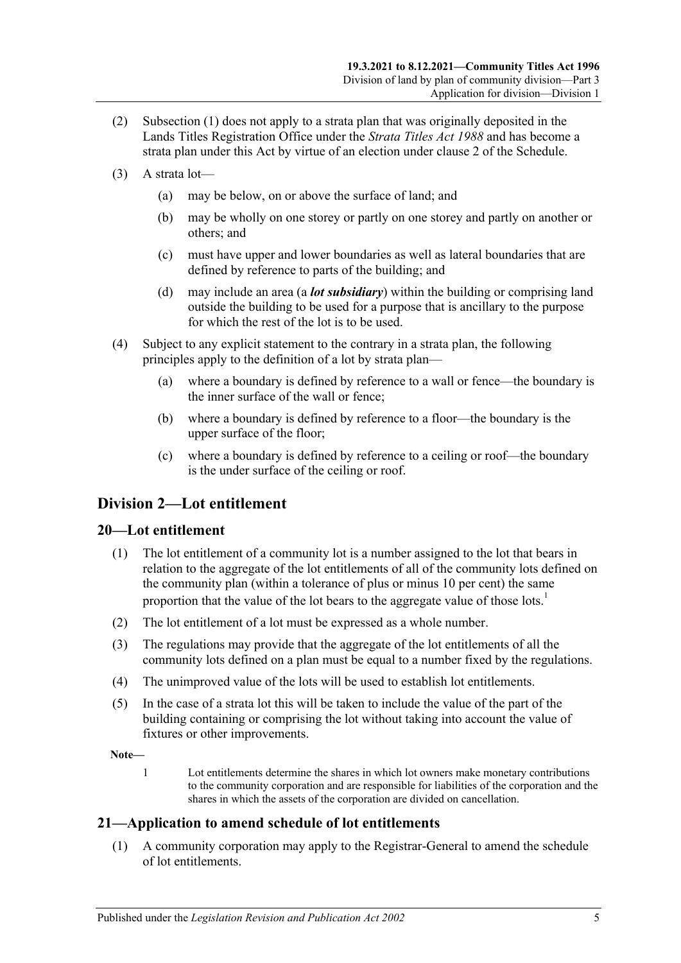- (2) [Subsection](#page-21-5) (1) does not apply to a strata plan that was originally deposited in the Lands Titles Registration Office under the *[Strata Titles Act](http://www.legislation.sa.gov.au/index.aspx?action=legref&type=act&legtitle=Strata%20Titles%20Act%201988) 1988* and has become a strata plan under this Act by virtue of an election under [clause](#page-124-2) 2 of the [Schedule.](#page-124-0)
- (3) A strata lot—
	- (a) may be below, on or above the surface of land; and
	- (b) may be wholly on one storey or partly on one storey and partly on another or others; and
	- (c) must have upper and lower boundaries as well as lateral boundaries that are defined by reference to parts of the building; and
	- (d) may include an area (a *lot subsidiary*) within the building or comprising land outside the building to be used for a purpose that is ancillary to the purpose for which the rest of the lot is to be used.
- <span id="page-22-3"></span>(4) Subject to any explicit statement to the contrary in a strata plan, the following principles apply to the definition of a lot by strata plan—
	- (a) where a boundary is defined by reference to a wall or fence—the boundary is the inner surface of the wall or fence;
	- (b) where a boundary is defined by reference to a floor—the boundary is the upper surface of the floor;
	- (c) where a boundary is defined by reference to a ceiling or roof—the boundary is the under surface of the ceiling or roof.

## <span id="page-22-0"></span>**Division 2—Lot entitlement**

## <span id="page-22-1"></span>**20—Lot entitlement**

- (1) The lot entitlement of a community lot is a number assigned to the lot that bears in relation to the aggregate of the lot entitlements of all of the community lots defined on the community plan (within a tolerance of plus or minus 10 per cent) the same proportion that the value of the lot bears to the aggregate value of those lots.<sup>1</sup>
- (2) The lot entitlement of a lot must be expressed as a whole number.
- (3) The regulations may provide that the aggregate of the lot entitlements of all the community lots defined on a plan must be equal to a number fixed by the regulations.
- (4) The unimproved value of the lots will be used to establish lot entitlements.
- (5) In the case of a strata lot this will be taken to include the value of the part of the building containing or comprising the lot without taking into account the value of fixtures or other improvements.

**Note—**

1 Lot entitlements determine the shares in which lot owners make monetary contributions to the community corporation and are responsible for liabilities of the corporation and the shares in which the assets of the corporation are divided on cancellation.

## <span id="page-22-2"></span>**21—Application to amend schedule of lot entitlements**

(1) A community corporation may apply to the Registrar-General to amend the schedule of lot entitlements.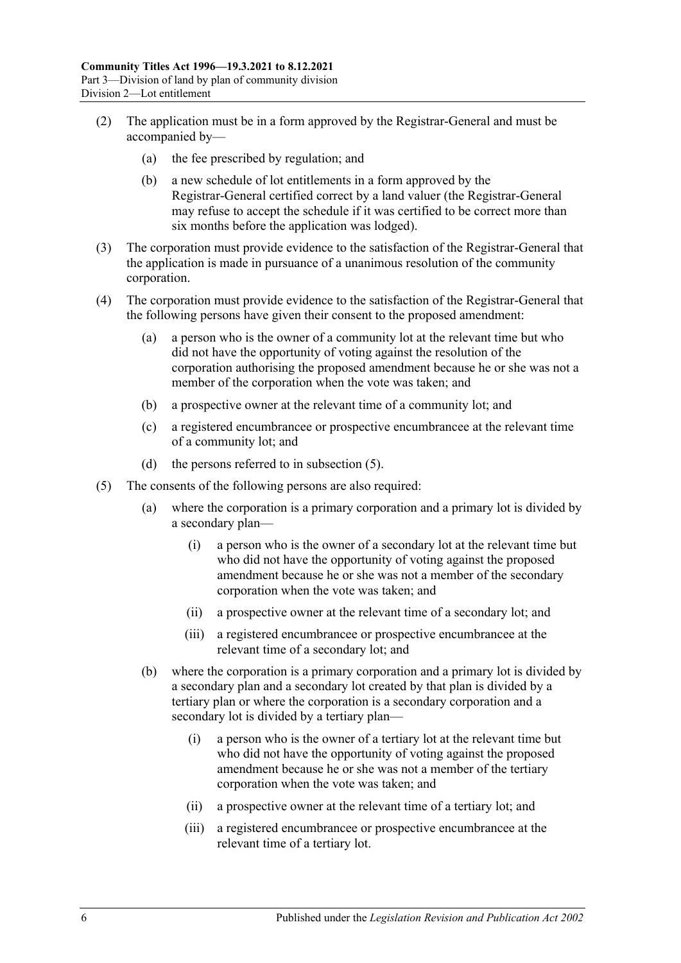- (2) The application must be in a form approved by the Registrar-General and must be accompanied by—
	- (a) the fee prescribed by regulation; and
	- (b) a new schedule of lot entitlements in a form approved by the Registrar-General certified correct by a land valuer (the Registrar-General may refuse to accept the schedule if it was certified to be correct more than six months before the application was lodged).
- (3) The corporation must provide evidence to the satisfaction of the Registrar-General that the application is made in pursuance of a unanimous resolution of the community corporation.
- (4) The corporation must provide evidence to the satisfaction of the Registrar-General that the following persons have given their consent to the proposed amendment:
	- (a) a person who is the owner of a community lot at the relevant time but who did not have the opportunity of voting against the resolution of the corporation authorising the proposed amendment because he or she was not a member of the corporation when the vote was taken; and
	- (b) a prospective owner at the relevant time of a community lot; and
	- (c) a registered encumbrancee or prospective encumbrancee at the relevant time of a community lot; and
	- (d) the persons referred to in [subsection](#page-23-0) (5).
- <span id="page-23-0"></span>(5) The consents of the following persons are also required:
	- (a) where the corporation is a primary corporation and a primary lot is divided by a secondary plan—
		- (i) a person who is the owner of a secondary lot at the relevant time but who did not have the opportunity of voting against the proposed amendment because he or she was not a member of the secondary corporation when the vote was taken; and
		- (ii) a prospective owner at the relevant time of a secondary lot; and
		- (iii) a registered encumbrancee or prospective encumbrancee at the relevant time of a secondary lot; and
	- (b) where the corporation is a primary corporation and a primary lot is divided by a secondary plan and a secondary lot created by that plan is divided by a tertiary plan or where the corporation is a secondary corporation and a secondary lot is divided by a tertiary plan—
		- (i) a person who is the owner of a tertiary lot at the relevant time but who did not have the opportunity of voting against the proposed amendment because he or she was not a member of the tertiary corporation when the vote was taken; and
		- (ii) a prospective owner at the relevant time of a tertiary lot; and
		- (iii) a registered encumbrancee or prospective encumbrancee at the relevant time of a tertiary lot.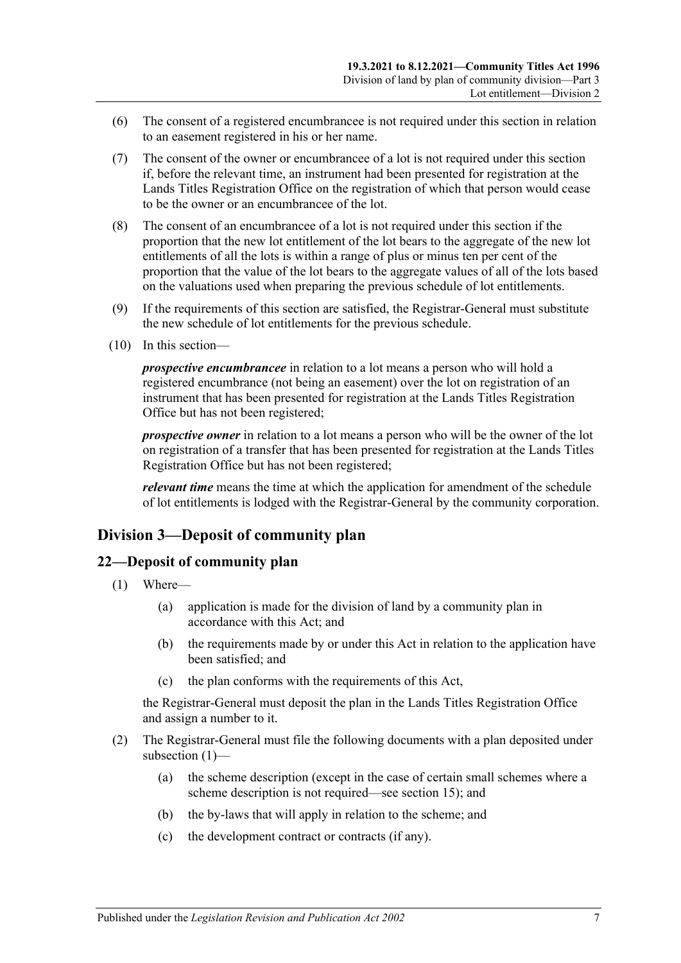- (6) The consent of a registered encumbrancee is not required under this section in relation to an easement registered in his or her name.
- (7) The consent of the owner or encumbrancee of a lot is not required under this section if, before the relevant time, an instrument had been presented for registration at the Lands Titles Registration Office on the registration of which that person would cease to be the owner or an encumbrancee of the lot.
- (8) The consent of an encumbrancee of a lot is not required under this section if the proportion that the new lot entitlement of the lot bears to the aggregate of the new lot entitlements of all the lots is within a range of plus or minus ten per cent of the proportion that the value of the lot bears to the aggregate values of all of the lots based on the valuations used when preparing the previous schedule of lot entitlements.
- (9) If the requirements of this section are satisfied, the Registrar-General must substitute the new schedule of lot entitlements for the previous schedule.
- (10) In this section—

*prospective encumbrancee* in relation to a lot means a person who will hold a registered encumbrance (not being an easement) over the lot on registration of an instrument that has been presented for registration at the Lands Titles Registration Office but has not been registered;

*prospective owner* in relation to a lot means a person who will be the owner of the lot on registration of a transfer that has been presented for registration at the Lands Titles Registration Office but has not been registered;

*relevant time* means the time at which the application for amendment of the schedule of lot entitlements is lodged with the Registrar-General by the community corporation.

## <span id="page-24-0"></span>**Division 3—Deposit of community plan**

## <span id="page-24-2"></span><span id="page-24-1"></span>**22—Deposit of community plan**

- (1) Where—
	- (a) application is made for the division of land by a community plan in accordance with this Act; and
	- (b) the requirements made by or under this Act in relation to the application have been satisfied; and
	- (c) the plan conforms with the requirements of this Act,

the Registrar-General must deposit the plan in the Lands Titles Registration Office and assign a number to it.

- (2) The Registrar-General must file the following documents with a plan deposited under [subsection](#page-24-2) (1)—
	- (a) the scheme description (except in the case of certain small schemes where a scheme description is not required—see [section](#page-19-0) 15); and
	- (b) the by-laws that will apply in relation to the scheme; and
	- (c) the development contract or contracts (if any).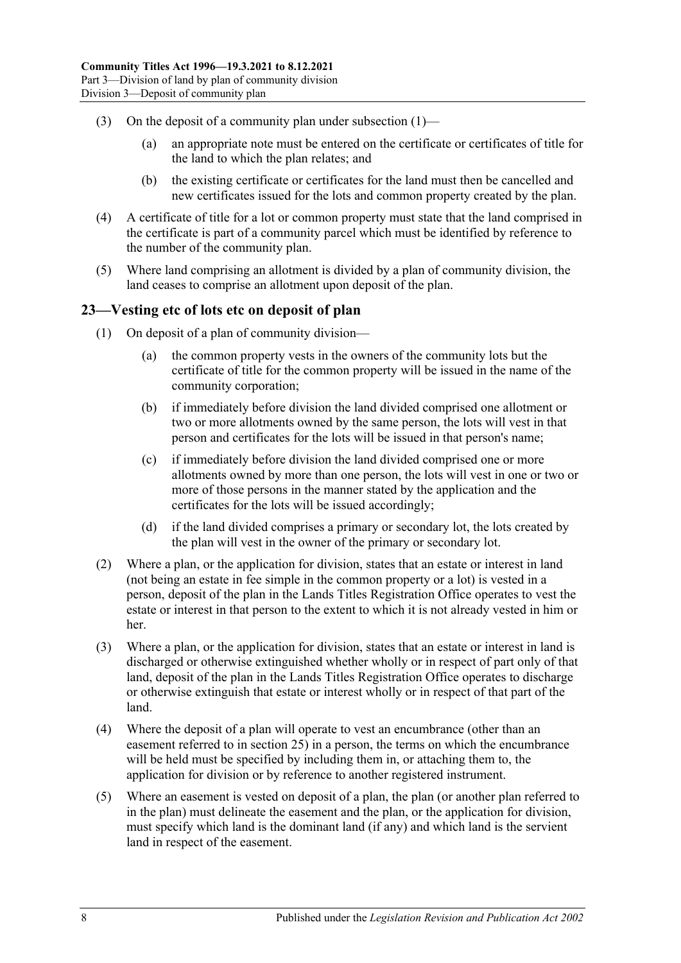- (3) On the deposit of a community plan under [subsection](#page-24-2)  $(1)$ 
	- (a) an appropriate note must be entered on the certificate or certificates of title for the land to which the plan relates; and
	- (b) the existing certificate or certificates for the land must then be cancelled and new certificates issued for the lots and common property created by the plan.
- (4) A certificate of title for a lot or common property must state that the land comprised in the certificate is part of a community parcel which must be identified by reference to the number of the community plan.
- (5) Where land comprising an allotment is divided by a plan of community division, the land ceases to comprise an allotment upon deposit of the plan.

## <span id="page-25-0"></span>**23—Vesting etc of lots etc on deposit of plan**

- (1) On deposit of a plan of community division—
	- (a) the common property vests in the owners of the community lots but the certificate of title for the common property will be issued in the name of the community corporation;
	- (b) if immediately before division the land divided comprised one allotment or two or more allotments owned by the same person, the lots will vest in that person and certificates for the lots will be issued in that person's name;
	- (c) if immediately before division the land divided comprised one or more allotments owned by more than one person, the lots will vest in one or two or more of those persons in the manner stated by the application and the certificates for the lots will be issued accordingly;
	- (d) if the land divided comprises a primary or secondary lot, the lots created by the plan will vest in the owner of the primary or secondary lot.
- (2) Where a plan, or the application for division, states that an estate or interest in land (not being an estate in fee simple in the common property or a lot) is vested in a person, deposit of the plan in the Lands Titles Registration Office operates to vest the estate or interest in that person to the extent to which it is not already vested in him or her.
- (3) Where a plan, or the application for division, states that an estate or interest in land is discharged or otherwise extinguished whether wholly or in respect of part only of that land, deposit of the plan in the Lands Titles Registration Office operates to discharge or otherwise extinguish that estate or interest wholly or in respect of that part of the land.
- (4) Where the deposit of a plan will operate to vest an encumbrance (other than an easement referred to in [section](#page-27-0) 25) in a person, the terms on which the encumbrance will be held must be specified by including them in, or attaching them to, the application for division or by reference to another registered instrument.
- (5) Where an easement is vested on deposit of a plan, the plan (or another plan referred to in the plan) must delineate the easement and the plan, or the application for division, must specify which land is the dominant land (if any) and which land is the servient land in respect of the easement.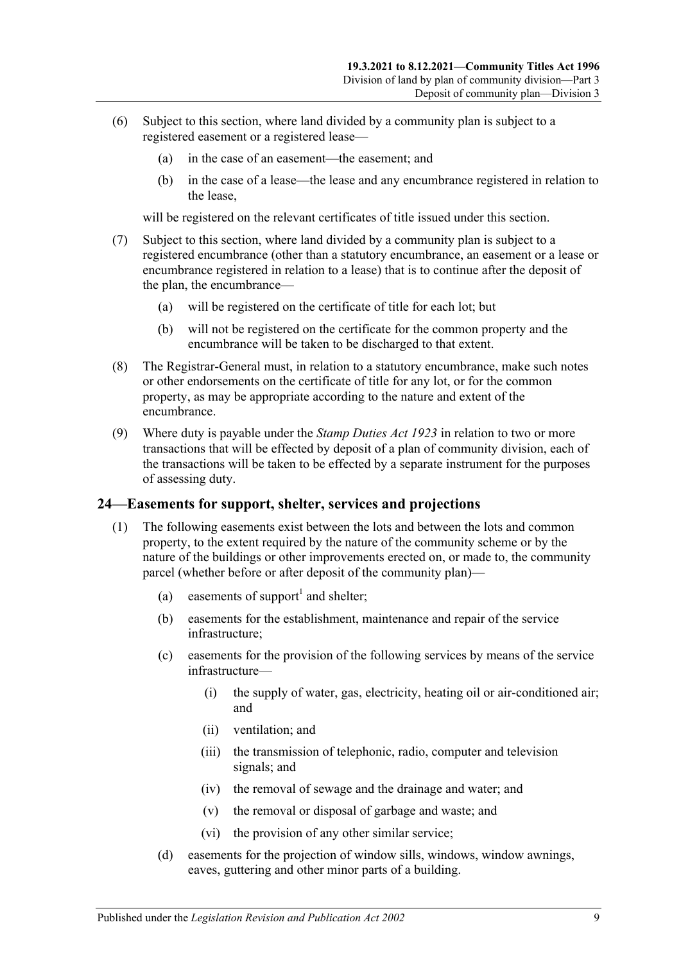- (6) Subject to this section, where land divided by a community plan is subject to a registered easement or a registered lease—
	- (a) in the case of an easement—the easement; and
	- (b) in the case of a lease—the lease and any encumbrance registered in relation to the lease,

will be registered on the relevant certificates of title issued under this section.

- (7) Subject to this section, where land divided by a community plan is subject to a registered encumbrance (other than a statutory encumbrance, an easement or a lease or encumbrance registered in relation to a lease) that is to continue after the deposit of the plan, the encumbrance—
	- (a) will be registered on the certificate of title for each lot; but
	- (b) will not be registered on the certificate for the common property and the encumbrance will be taken to be discharged to that extent.
- (8) The Registrar-General must, in relation to a statutory encumbrance, make such notes or other endorsements on the certificate of title for any lot, or for the common property, as may be appropriate according to the nature and extent of the encumbrance.
- (9) Where duty is payable under the *[Stamp Duties Act](http://www.legislation.sa.gov.au/index.aspx?action=legref&type=act&legtitle=Stamp%20Duties%20Act%201923) 1923* in relation to two or more transactions that will be effected by deposit of a plan of community division, each of the transactions will be taken to be effected by a separate instrument for the purposes of assessing duty.

## <span id="page-26-1"></span><span id="page-26-0"></span>**24—Easements for support, shelter, services and projections**

- <span id="page-26-2"></span>(1) The following easements exist between the lots and between the lots and common property, to the extent required by the nature of the community scheme or by the nature of the buildings or other improvements erected on, or made to, the community parcel (whether before or after deposit of the community plan)—
	- (a) easements of support<sup>1</sup> and shelter;
	- (b) easements for the establishment, maintenance and repair of the service infrastructure;
	- (c) easements for the provision of the following services by means of the service infrastructure—
		- (i) the supply of water, gas, electricity, heating oil or air-conditioned air; and
		- (ii) ventilation; and
		- (iii) the transmission of telephonic, radio, computer and television signals; and
		- (iv) the removal of sewage and the drainage and water; and
		- (v) the removal or disposal of garbage and waste; and
		- (vi) the provision of any other similar service;
	- (d) easements for the projection of window sills, windows, window awnings, eaves, guttering and other minor parts of a building.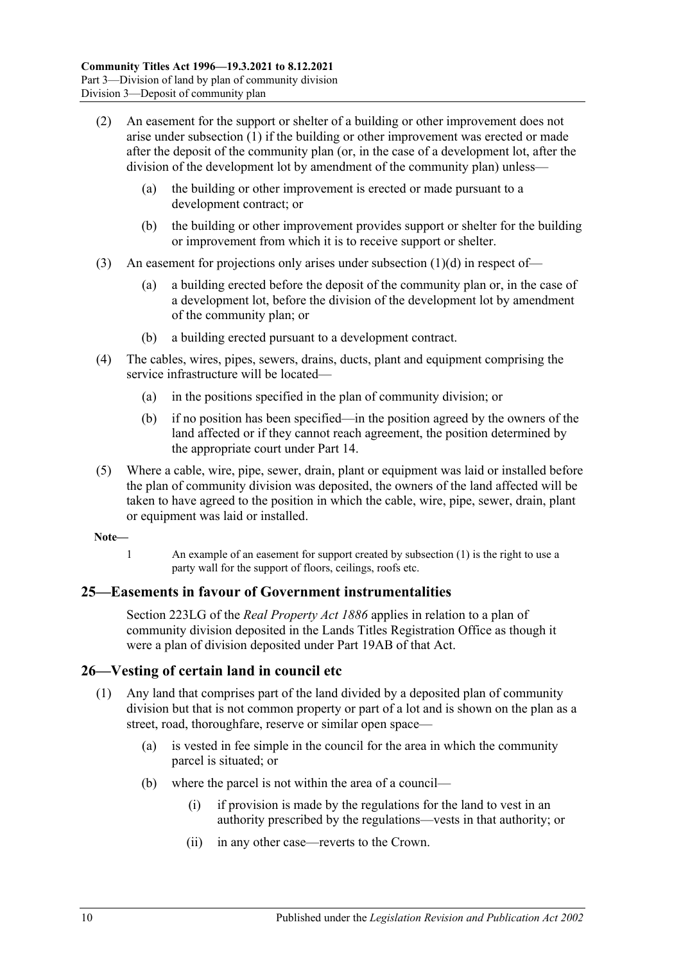- (2) An easement for the support or shelter of a building or other improvement does not arise under [subsection](#page-26-1) (1) if the building or other improvement was erected or made after the deposit of the community plan (or, in the case of a development lot, after the division of the development lot by amendment of the community plan) unless—
	- (a) the building or other improvement is erected or made pursuant to a development contract; or
	- (b) the building or other improvement provides support or shelter for the building or improvement from which it is to receive support or shelter.
- (3) An easement for projections only arises under [subsection](#page-26-2) (1)(d) in respect of—
	- (a) a building erected before the deposit of the community plan or, in the case of a development lot, before the division of the development lot by amendment of the community plan; or
	- (b) a building erected pursuant to a development contract.
- (4) The cables, wires, pipes, sewers, drains, ducts, plant and equipment comprising the service infrastructure will be located—
	- (a) in the positions specified in the plan of community division; or
	- (b) if no position has been specified—in the position agreed by the owners of the land affected or if they cannot reach agreement, the position determined by the appropriate court under [Part 14.](#page-112-0)
- (5) Where a cable, wire, pipe, sewer, drain, plant or equipment was laid or installed before the plan of community division was deposited, the owners of the land affected will be taken to have agreed to the position in which the cable, wire, pipe, sewer, drain, plant or equipment was laid or installed.

#### **Note—**

1 An example of an easement for support created by [subsection](#page-26-1) (1) is the right to use a party wall for the support of floors, ceilings, roofs etc.

## <span id="page-27-0"></span>**25—Easements in favour of Government instrumentalities**

Section 223LG of the *[Real Property Act](http://www.legislation.sa.gov.au/index.aspx?action=legref&type=act&legtitle=Real%20Property%20Act%201886) 1886* applies in relation to a plan of community division deposited in the Lands Titles Registration Office as though it were a plan of division deposited under Part 19AB of that Act.

#### <span id="page-27-1"></span>**26—Vesting of certain land in council etc**

- (1) Any land that comprises part of the land divided by a deposited plan of community division but that is not common property or part of a lot and is shown on the plan as a street, road, thoroughfare, reserve or similar open space—
	- (a) is vested in fee simple in the council for the area in which the community parcel is situated; or
	- (b) where the parcel is not within the area of a council—
		- (i) if provision is made by the regulations for the land to vest in an authority prescribed by the regulations—vests in that authority; or
		- (ii) in any other case—reverts to the Crown.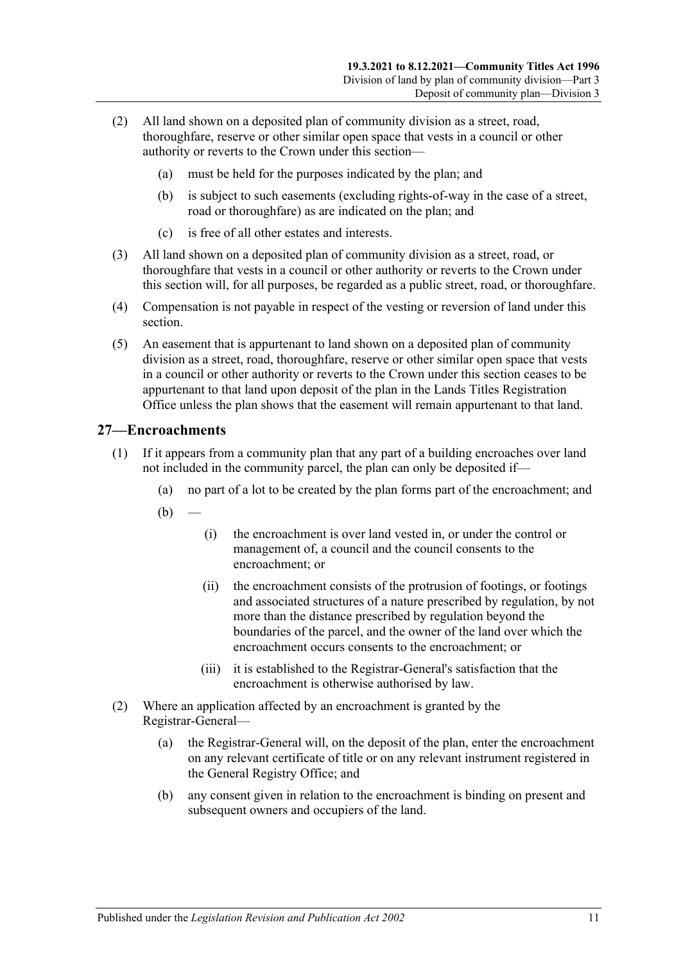- (2) All land shown on a deposited plan of community division as a street, road, thoroughfare, reserve or other similar open space that vests in a council or other authority or reverts to the Crown under this section—
	- (a) must be held for the purposes indicated by the plan; and
	- (b) is subject to such easements (excluding rights-of-way in the case of a street, road or thoroughfare) as are indicated on the plan; and
	- (c) is free of all other estates and interests.
- (3) All land shown on a deposited plan of community division as a street, road, or thoroughfare that vests in a council or other authority or reverts to the Crown under this section will, for all purposes, be regarded as a public street, road, or thoroughfare.
- (4) Compensation is not payable in respect of the vesting or reversion of land under this section.
- (5) An easement that is appurtenant to land shown on a deposited plan of community division as a street, road, thoroughfare, reserve or other similar open space that vests in a council or other authority or reverts to the Crown under this section ceases to be appurtenant to that land upon deposit of the plan in the Lands Titles Registration Office unless the plan shows that the easement will remain appurtenant to that land.

## <span id="page-28-0"></span>**27—Encroachments**

- (1) If it appears from a community plan that any part of a building encroaches over land not included in the community parcel, the plan can only be deposited if—
	- (a) no part of a lot to be created by the plan forms part of the encroachment; and
	- $(b)$ 
		- (i) the encroachment is over land vested in, or under the control or management of, a council and the council consents to the encroachment; or
		- (ii) the encroachment consists of the protrusion of footings, or footings and associated structures of a nature prescribed by regulation, by not more than the distance prescribed by regulation beyond the boundaries of the parcel, and the owner of the land over which the encroachment occurs consents to the encroachment; or
		- (iii) it is established to the Registrar-General's satisfaction that the encroachment is otherwise authorised by law.
- (2) Where an application affected by an encroachment is granted by the Registrar-General—
	- (a) the Registrar-General will, on the deposit of the plan, enter the encroachment on any relevant certificate of title or on any relevant instrument registered in the General Registry Office; and
	- (b) any consent given in relation to the encroachment is binding on present and subsequent owners and occupiers of the land.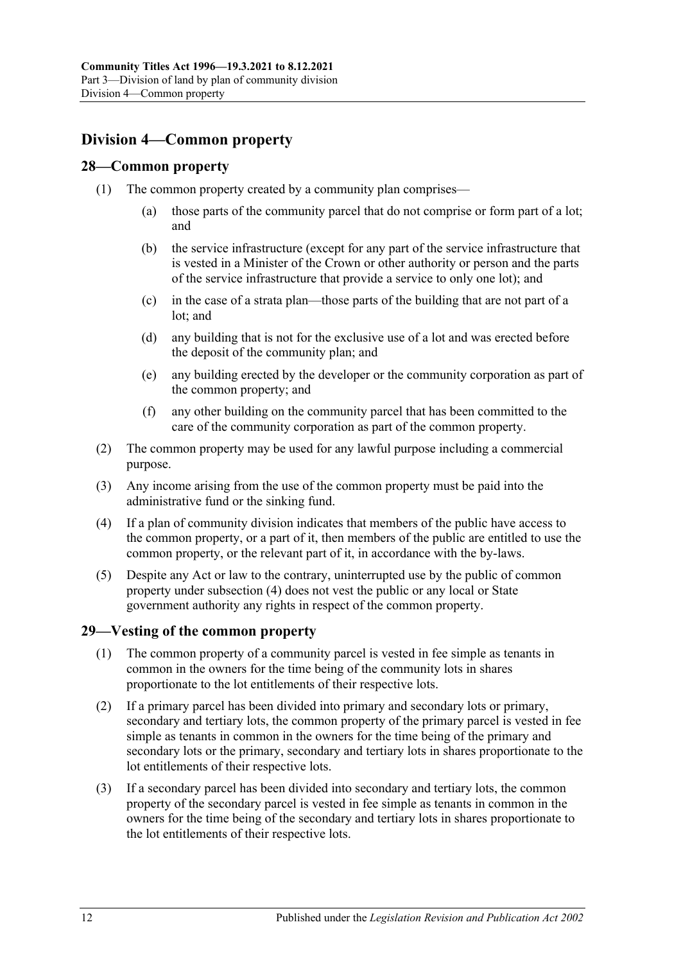## <span id="page-29-0"></span>**Division 4—Common property**

#### <span id="page-29-1"></span>**28—Common property**

- (1) The common property created by a community plan comprises—
	- (a) those parts of the community parcel that do not comprise or form part of a lot; and
	- (b) the service infrastructure (except for any part of the service infrastructure that is vested in a Minister of the Crown or other authority or person and the parts of the service infrastructure that provide a service to only one lot); and
	- (c) in the case of a strata plan—those parts of the building that are not part of a lot; and
	- (d) any building that is not for the exclusive use of a lot and was erected before the deposit of the community plan; and
	- (e) any building erected by the developer or the community corporation as part of the common property; and
	- (f) any other building on the community parcel that has been committed to the care of the community corporation as part of the common property.
- (2) The common property may be used for any lawful purpose including a commercial purpose.
- (3) Any income arising from the use of the common property must be paid into the administrative fund or the sinking fund.
- <span id="page-29-3"></span>(4) If a plan of community division indicates that members of the public have access to the common property, or a part of it, then members of the public are entitled to use the common property, or the relevant part of it, in accordance with the by-laws.
- (5) Despite any Act or law to the contrary, uninterrupted use by the public of common property under [subsection](#page-29-3) (4) does not vest the public or any local or State government authority any rights in respect of the common property.

## <span id="page-29-2"></span>**29—Vesting of the common property**

- (1) The common property of a community parcel is vested in fee simple as tenants in common in the owners for the time being of the community lots in shares proportionate to the lot entitlements of their respective lots.
- (2) If a primary parcel has been divided into primary and secondary lots or primary, secondary and tertiary lots, the common property of the primary parcel is vested in fee simple as tenants in common in the owners for the time being of the primary and secondary lots or the primary, secondary and tertiary lots in shares proportionate to the lot entitlements of their respective lots.
- (3) If a secondary parcel has been divided into secondary and tertiary lots, the common property of the secondary parcel is vested in fee simple as tenants in common in the owners for the time being of the secondary and tertiary lots in shares proportionate to the lot entitlements of their respective lots.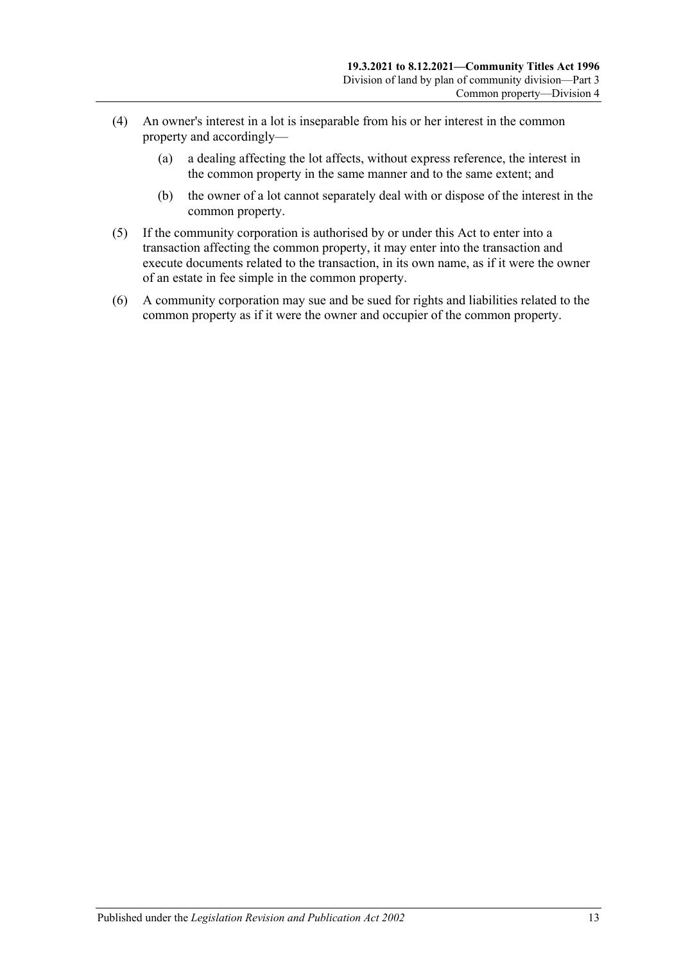- (4) An owner's interest in a lot is inseparable from his or her interest in the common property and accordingly—
	- (a) a dealing affecting the lot affects, without express reference, the interest in the common property in the same manner and to the same extent; and
	- (b) the owner of a lot cannot separately deal with or dispose of the interest in the common property.
- (5) If the community corporation is authorised by or under this Act to enter into a transaction affecting the common property, it may enter into the transaction and execute documents related to the transaction, in its own name, as if it were the owner of an estate in fee simple in the common property.
- (6) A community corporation may sue and be sued for rights and liabilities related to the common property as if it were the owner and occupier of the common property.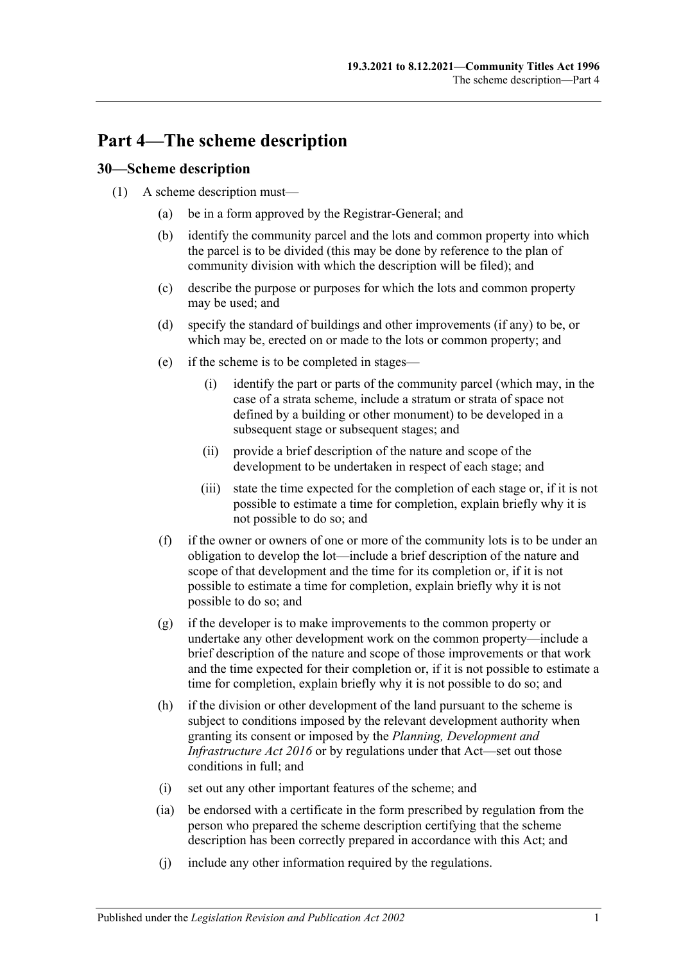## <span id="page-32-0"></span>**Part 4—The scheme description**

## <span id="page-32-1"></span>**30—Scheme description**

- (1) A scheme description must—
	- (a) be in a form approved by the Registrar-General; and
	- (b) identify the community parcel and the lots and common property into which the parcel is to be divided (this may be done by reference to the plan of community division with which the description will be filed); and
	- (c) describe the purpose or purposes for which the lots and common property may be used; and
	- (d) specify the standard of buildings and other improvements (if any) to be, or which may be, erected on or made to the lots or common property; and
	- (e) if the scheme is to be completed in stages—
		- (i) identify the part or parts of the community parcel (which may, in the case of a strata scheme, include a stratum or strata of space not defined by a building or other monument) to be developed in a subsequent stage or subsequent stages; and
		- (ii) provide a brief description of the nature and scope of the development to be undertaken in respect of each stage; and
		- (iii) state the time expected for the completion of each stage or, if it is not possible to estimate a time for completion, explain briefly why it is not possible to do so; and
	- (f) if the owner or owners of one or more of the community lots is to be under an obligation to develop the lot—include a brief description of the nature and scope of that development and the time for its completion or, if it is not possible to estimate a time for completion, explain briefly why it is not possible to do so; and
	- (g) if the developer is to make improvements to the common property or undertake any other development work on the common property—include a brief description of the nature and scope of those improvements or that work and the time expected for their completion or, if it is not possible to estimate a time for completion, explain briefly why it is not possible to do so; and
	- (h) if the division or other development of the land pursuant to the scheme is subject to conditions imposed by the relevant development authority when granting its consent or imposed by the *[Planning, Development and](http://www.legislation.sa.gov.au/index.aspx?action=legref&type=act&legtitle=Planning%20Development%20and%20Infrastructure%20Act%202016)  [Infrastructure Act](http://www.legislation.sa.gov.au/index.aspx?action=legref&type=act&legtitle=Planning%20Development%20and%20Infrastructure%20Act%202016) 2016* or by regulations under that Act—set out those conditions in full; and
	- (i) set out any other important features of the scheme; and
	- (ia) be endorsed with a certificate in the form prescribed by regulation from the person who prepared the scheme description certifying that the scheme description has been correctly prepared in accordance with this Act; and
	- (j) include any other information required by the regulations.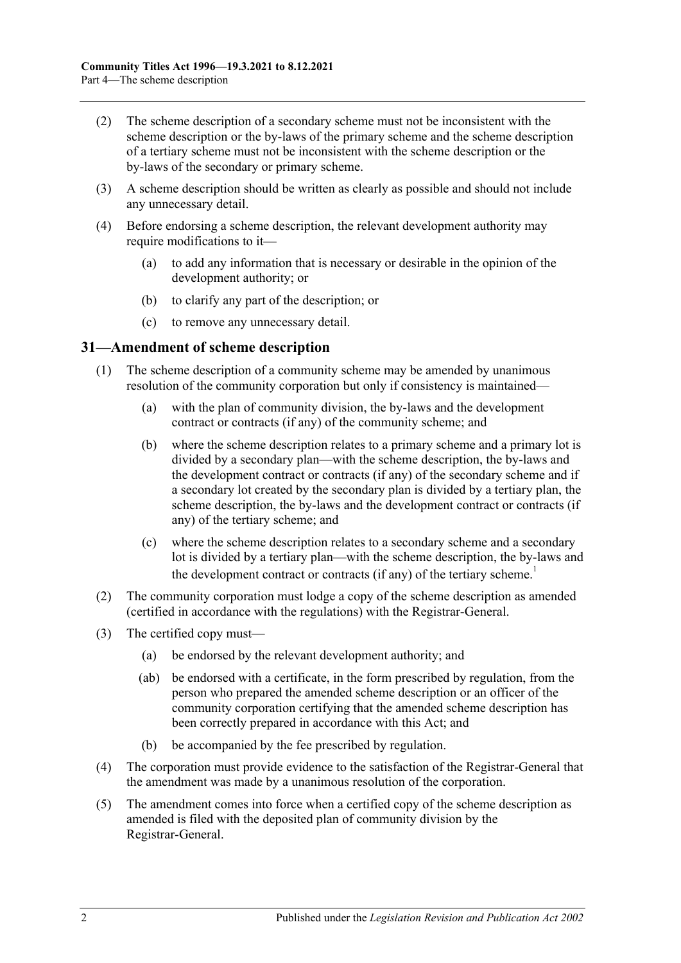- (2) The scheme description of a secondary scheme must not be inconsistent with the scheme description or the by-laws of the primary scheme and the scheme description of a tertiary scheme must not be inconsistent with the scheme description or the by-laws of the secondary or primary scheme.
- (3) A scheme description should be written as clearly as possible and should not include any unnecessary detail.
- <span id="page-33-1"></span>(4) Before endorsing a scheme description, the relevant development authority may require modifications to it—
	- (a) to add any information that is necessary or desirable in the opinion of the development authority; or
	- (b) to clarify any part of the description; or
	- (c) to remove any unnecessary detail.

#### <span id="page-33-0"></span>**31—Amendment of scheme description**

- (1) The scheme description of a community scheme may be amended by unanimous resolution of the community corporation but only if consistency is maintained—
	- (a) with the plan of community division, the by-laws and the development contract or contracts (if any) of the community scheme; and
	- (b) where the scheme description relates to a primary scheme and a primary lot is divided by a secondary plan—with the scheme description, the by-laws and the development contract or contracts (if any) of the secondary scheme and if a secondary lot created by the secondary plan is divided by a tertiary plan, the scheme description, the by-laws and the development contract or contracts (if any) of the tertiary scheme; and
	- (c) where the scheme description relates to a secondary scheme and a secondary lot is divided by a tertiary plan—with the scheme description, the by-laws and the development contract or contracts (if any) of the tertiary scheme.<sup>1</sup>
- (2) The community corporation must lodge a copy of the scheme description as amended (certified in accordance with the regulations) with the Registrar-General.
- (3) The certified copy must—
	- (a) be endorsed by the relevant development authority; and
	- (ab) be endorsed with a certificate, in the form prescribed by regulation, from the person who prepared the amended scheme description or an officer of the community corporation certifying that the amended scheme description has been correctly prepared in accordance with this Act; and
	- (b) be accompanied by the fee prescribed by regulation.
- (4) The corporation must provide evidence to the satisfaction of the Registrar-General that the amendment was made by a unanimous resolution of the corporation.
- (5) The amendment comes into force when a certified copy of the scheme description as amended is filed with the deposited plan of community division by the Registrar-General.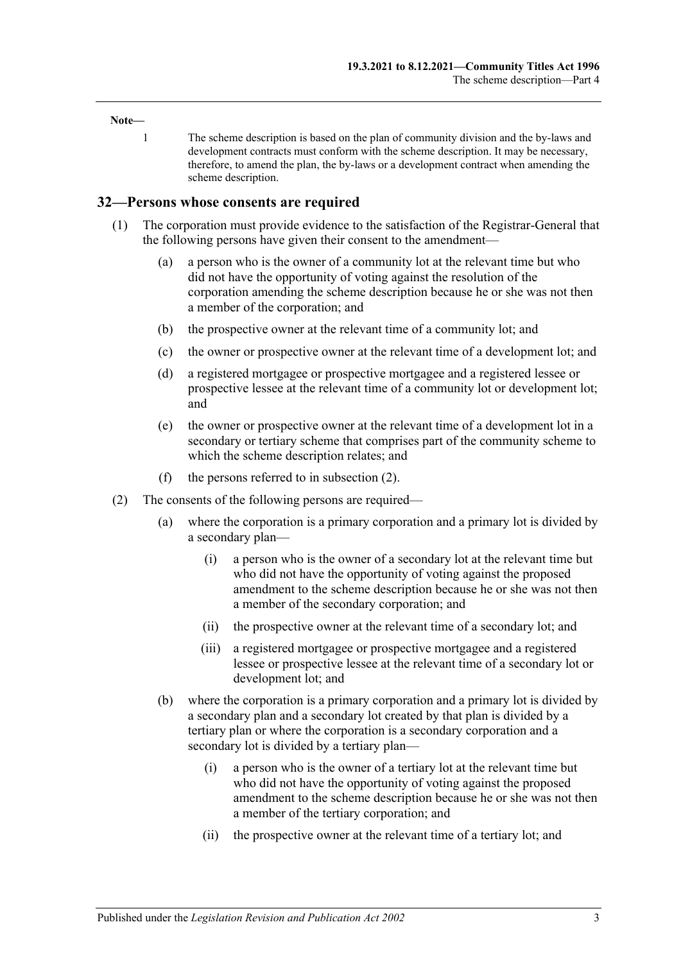#### **Note—**

1 The scheme description is based on the plan of community division and the by-laws and development contracts must conform with the scheme description. It may be necessary, therefore, to amend the plan, the by-laws or a development contract when amending the scheme description.

#### <span id="page-34-0"></span>**32—Persons whose consents are required**

- (1) The corporation must provide evidence to the satisfaction of the Registrar-General that the following persons have given their consent to the amendment—
	- (a) a person who is the owner of a community lot at the relevant time but who did not have the opportunity of voting against the resolution of the corporation amending the scheme description because he or she was not then a member of the corporation; and
	- (b) the prospective owner at the relevant time of a community lot; and
	- (c) the owner or prospective owner at the relevant time of a development lot; and
	- (d) a registered mortgagee or prospective mortgagee and a registered lessee or prospective lessee at the relevant time of a community lot or development lot; and
	- (e) the owner or prospective owner at the relevant time of a development lot in a secondary or tertiary scheme that comprises part of the community scheme to which the scheme description relates; and
	- (f) the persons referred to in [subsection](#page-34-1) (2).
- <span id="page-34-1"></span>(2) The consents of the following persons are required—
	- (a) where the corporation is a primary corporation and a primary lot is divided by a secondary plan—
		- (i) a person who is the owner of a secondary lot at the relevant time but who did not have the opportunity of voting against the proposed amendment to the scheme description because he or she was not then a member of the secondary corporation; and
		- (ii) the prospective owner at the relevant time of a secondary lot; and
		- (iii) a registered mortgagee or prospective mortgagee and a registered lessee or prospective lessee at the relevant time of a secondary lot or development lot; and
	- (b) where the corporation is a primary corporation and a primary lot is divided by a secondary plan and a secondary lot created by that plan is divided by a tertiary plan or where the corporation is a secondary corporation and a secondary lot is divided by a tertiary plan—
		- (i) a person who is the owner of a tertiary lot at the relevant time but who did not have the opportunity of voting against the proposed amendment to the scheme description because he or she was not then a member of the tertiary corporation; and
		- (ii) the prospective owner at the relevant time of a tertiary lot; and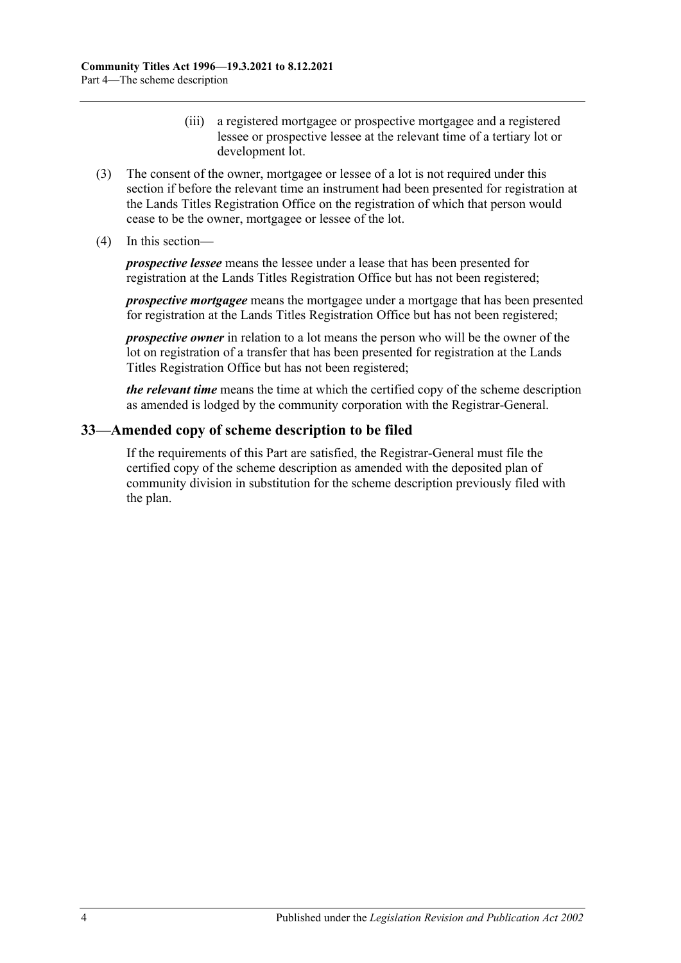- (iii) a registered mortgagee or prospective mortgagee and a registered lessee or prospective lessee at the relevant time of a tertiary lot or development lot.
- (3) The consent of the owner, mortgagee or lessee of a lot is not required under this section if before the relevant time an instrument had been presented for registration at the Lands Titles Registration Office on the registration of which that person would cease to be the owner, mortgagee or lessee of the lot.
- (4) In this section—

*prospective lessee* means the lessee under a lease that has been presented for registration at the Lands Titles Registration Office but has not been registered;

*prospective mortgagee* means the mortgagee under a mortgage that has been presented for registration at the Lands Titles Registration Office but has not been registered;

*prospective owner* in relation to a lot means the person who will be the owner of the lot on registration of a transfer that has been presented for registration at the Lands Titles Registration Office but has not been registered;

*the relevant time* means the time at which the certified copy of the scheme description as amended is lodged by the community corporation with the Registrar-General.

## <span id="page-35-0"></span>**33—Amended copy of scheme description to be filed**

If the requirements of this Part are satisfied, the Registrar-General must file the certified copy of the scheme description as amended with the deposited plan of community division in substitution for the scheme description previously filed with the plan.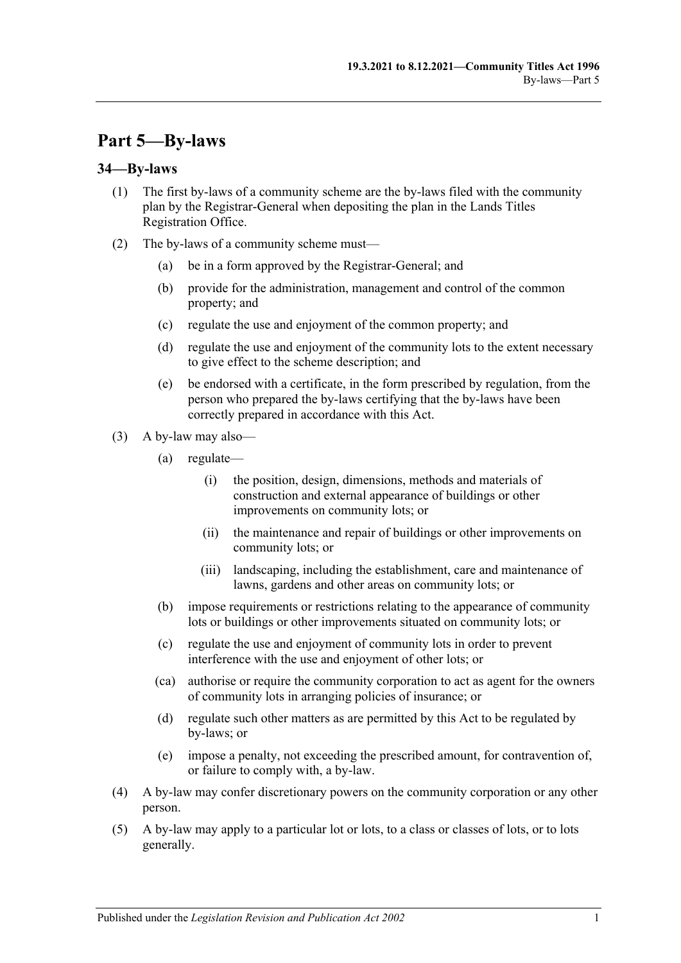# **Part 5—By-laws**

## **34—By-laws**

- (1) The first by-laws of a community scheme are the by-laws filed with the community plan by the Registrar-General when depositing the plan in the Lands Titles Registration Office.
- (2) The by-laws of a community scheme must—
	- (a) be in a form approved by the Registrar-General; and
	- (b) provide for the administration, management and control of the common property; and
	- (c) regulate the use and enjoyment of the common property; and
	- (d) regulate the use and enjoyment of the community lots to the extent necessary to give effect to the scheme description; and
	- (e) be endorsed with a certificate, in the form prescribed by regulation, from the person who prepared the by-laws certifying that the by-laws have been correctly prepared in accordance with this Act.
- (3) A by-law may also—
	- (a) regulate—
		- (i) the position, design, dimensions, methods and materials of construction and external appearance of buildings or other improvements on community lots; or
		- (ii) the maintenance and repair of buildings or other improvements on community lots; or
		- (iii) landscaping, including the establishment, care and maintenance of lawns, gardens and other areas on community lots; or
	- (b) impose requirements or restrictions relating to the appearance of community lots or buildings or other improvements situated on community lots; or
	- (c) regulate the use and enjoyment of community lots in order to prevent interference with the use and enjoyment of other lots; or
	- (ca) authorise or require the community corporation to act as agent for the owners of community lots in arranging policies of insurance; or
	- (d) regulate such other matters as are permitted by this Act to be regulated by by-laws; or
	- (e) impose a penalty, not exceeding the prescribed amount, for contravention of, or failure to comply with, a by-law.
- (4) A by-law may confer discretionary powers on the community corporation or any other person.
- (5) A by-law may apply to a particular lot or lots, to a class or classes of lots, or to lots generally.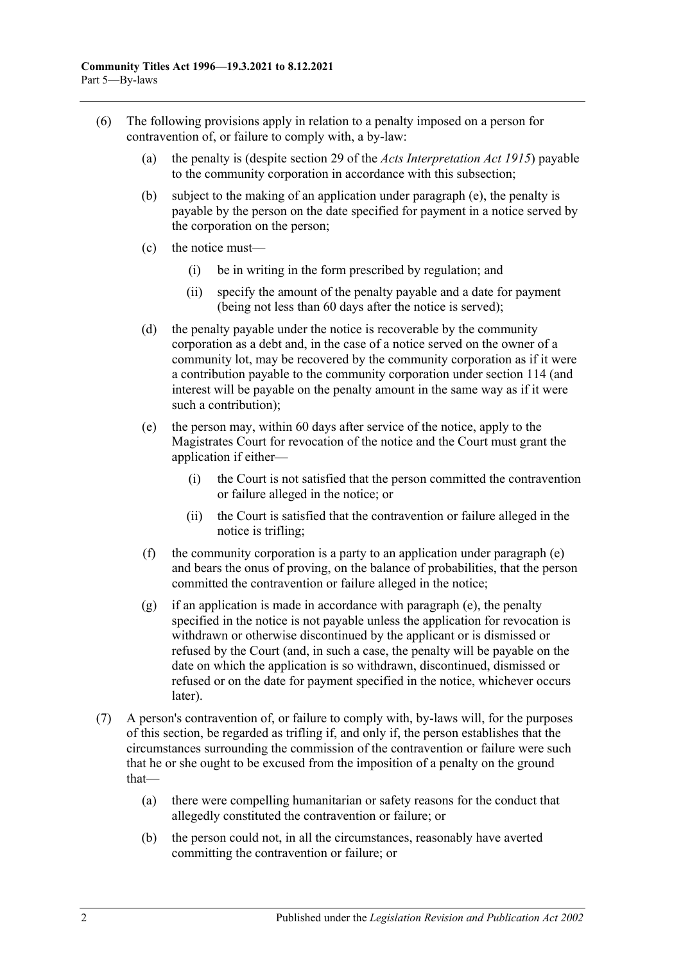- <span id="page-37-0"></span>(6) The following provisions apply in relation to a penalty imposed on a person for contravention of, or failure to comply with, a by-law:
	- (a) the penalty is (despite section 29 of the *[Acts Interpretation Act](http://www.legislation.sa.gov.au/index.aspx?action=legref&type=act&legtitle=Acts%20Interpretation%20Act%201915) 1915*) payable to the community corporation in accordance with this subsection;
	- (b) subject to the making of an application under [paragraph](#page-37-0) (e), the penalty is payable by the person on the date specified for payment in a notice served by the corporation on the person;
	- (c) the notice must—
		- (i) be in writing in the form prescribed by regulation; and
		- (ii) specify the amount of the penalty payable and a date for payment (being not less than 60 days after the notice is served);
	- (d) the penalty payable under the notice is recoverable by the community corporation as a debt and, in the case of a notice served on the owner of a community lot, may be recovered by the community corporation as if it were a contribution payable to the community corporation under [section](#page-98-0) 114 (and interest will be payable on the penalty amount in the same way as if it were such a contribution);
	- (e) the person may, within 60 days after service of the notice, apply to the Magistrates Court for revocation of the notice and the Court must grant the application if either—
		- (i) the Court is not satisfied that the person committed the contravention or failure alleged in the notice; or
		- (ii) the Court is satisfied that the contravention or failure alleged in the notice is trifling;
	- (f) the community corporation is a party to an application under [paragraph](#page-37-0) (e) and bears the onus of proving, on the balance of probabilities, that the person committed the contravention or failure alleged in the notice;
	- (g) if an application is made in accordance with [paragraph](#page-37-0) (e), the penalty specified in the notice is not payable unless the application for revocation is withdrawn or otherwise discontinued by the applicant or is dismissed or refused by the Court (and, in such a case, the penalty will be payable on the date on which the application is so withdrawn, discontinued, dismissed or refused or on the date for payment specified in the notice, whichever occurs later).
- (7) A person's contravention of, or failure to comply with, by-laws will, for the purposes of this section, be regarded as trifling if, and only if, the person establishes that the circumstances surrounding the commission of the contravention or failure were such that he or she ought to be excused from the imposition of a penalty on the ground that—
	- (a) there were compelling humanitarian or safety reasons for the conduct that allegedly constituted the contravention or failure; or
	- (b) the person could not, in all the circumstances, reasonably have averted committing the contravention or failure; or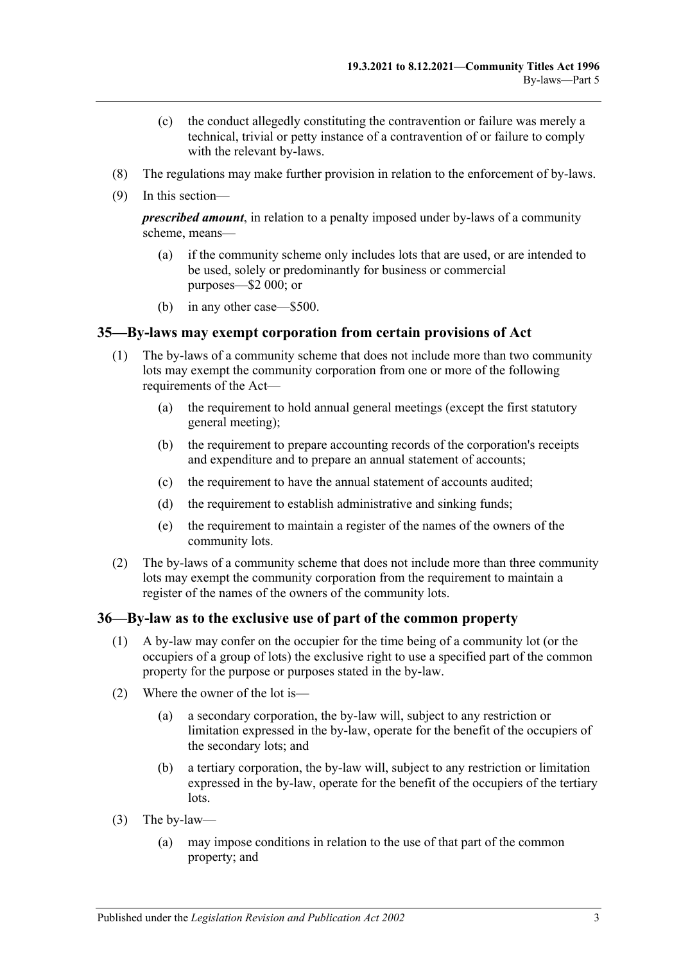- (c) the conduct allegedly constituting the contravention or failure was merely a technical, trivial or petty instance of a contravention of or failure to comply with the relevant by-laws.
- (8) The regulations may make further provision in relation to the enforcement of by-laws.
- (9) In this section—

*prescribed amount*, in relation to a penalty imposed under by-laws of a community scheme, means—

- (a) if the community scheme only includes lots that are used, or are intended to be used, solely or predominantly for business or commercial purposes—\$2 000; or
- (b) in any other case—\$500.

### **35—By-laws may exempt corporation from certain provisions of Act**

- (1) The by-laws of a community scheme that does not include more than two community lots may exempt the community corporation from one or more of the following requirements of the Act—
	- (a) the requirement to hold annual general meetings (except the first statutory general meeting);
	- (b) the requirement to prepare accounting records of the corporation's receipts and expenditure and to prepare an annual statement of accounts;
	- (c) the requirement to have the annual statement of accounts audited;
	- (d) the requirement to establish administrative and sinking funds;
	- (e) the requirement to maintain a register of the names of the owners of the community lots.
- (2) The by-laws of a community scheme that does not include more than three community lots may exempt the community corporation from the requirement to maintain a register of the names of the owners of the community lots.

### **36—By-law as to the exclusive use of part of the common property**

- (1) A by-law may confer on the occupier for the time being of a community lot (or the occupiers of a group of lots) the exclusive right to use a specified part of the common property for the purpose or purposes stated in the by-law.
- (2) Where the owner of the lot is—
	- (a) a secondary corporation, the by-law will, subject to any restriction or limitation expressed in the by-law, operate for the benefit of the occupiers of the secondary lots; and
	- (b) a tertiary corporation, the by-law will, subject to any restriction or limitation expressed in the by-law, operate for the benefit of the occupiers of the tertiary lots.
- (3) The by-law—
	- (a) may impose conditions in relation to the use of that part of the common property; and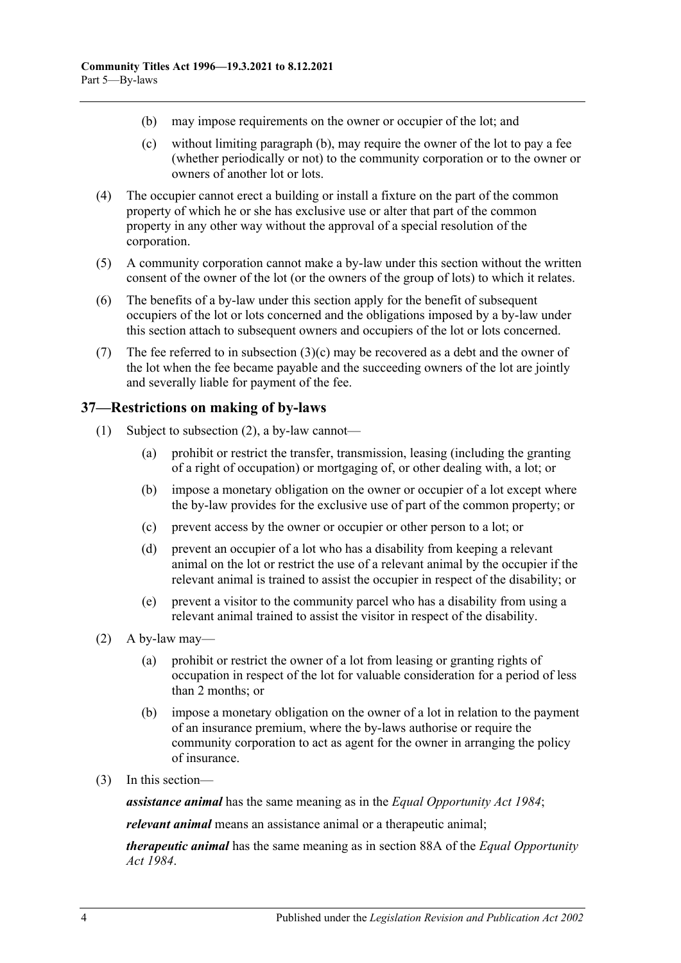- <span id="page-39-1"></span><span id="page-39-0"></span>(b) may impose requirements on the owner or occupier of the lot; and
- (c) without limiting [paragraph](#page-39-0) (b), may require the owner of the lot to pay a fee (whether periodically or not) to the community corporation or to the owner or owners of another lot or lots.
- (4) The occupier cannot erect a building or install a fixture on the part of the common property of which he or she has exclusive use or alter that part of the common property in any other way without the approval of a special resolution of the corporation.
- (5) A community corporation cannot make a by-law under this section without the written consent of the owner of the lot (or the owners of the group of lots) to which it relates.
- (6) The benefits of a by-law under this section apply for the benefit of subsequent occupiers of the lot or lots concerned and the obligations imposed by a by-law under this section attach to subsequent owners and occupiers of the lot or lots concerned.
- (7) The fee referred to in [subsection](#page-39-1)  $(3)(c)$  may be recovered as a debt and the owner of the lot when the fee became payable and the succeeding owners of the lot are jointly and severally liable for payment of the fee.

## **37—Restrictions on making of by-laws**

- (1) Subject to [subsection](#page-39-2) (2), a by-law cannot—
	- (a) prohibit or restrict the transfer, transmission, leasing (including the granting of a right of occupation) or mortgaging of, or other dealing with, a lot; or
	- (b) impose a monetary obligation on the owner or occupier of a lot except where the by-law provides for the exclusive use of part of the common property; or
	- (c) prevent access by the owner or occupier or other person to a lot; or
	- (d) prevent an occupier of a lot who has a disability from keeping a relevant animal on the lot or restrict the use of a relevant animal by the occupier if the relevant animal is trained to assist the occupier in respect of the disability; or
	- (e) prevent a visitor to the community parcel who has a disability from using a relevant animal trained to assist the visitor in respect of the disability.
- <span id="page-39-2"></span> $(2)$  A by-law may—
	- (a) prohibit or restrict the owner of a lot from leasing or granting rights of occupation in respect of the lot for valuable consideration for a period of less than 2 months; or
	- (b) impose a monetary obligation on the owner of a lot in relation to the payment of an insurance premium, where the by-laws authorise or require the community corporation to act as agent for the owner in arranging the policy of insurance.
- (3) In this section—

*assistance animal* has the same meaning as in the *[Equal Opportunity Act](http://www.legislation.sa.gov.au/index.aspx?action=legref&type=act&legtitle=Equal%20Opportunity%20Act%201984) 1984*;

*relevant animal* means an assistance animal or a therapeutic animal;

*therapeutic animal* has the same meaning as in section 88A of the *[Equal Opportunity](http://www.legislation.sa.gov.au/index.aspx?action=legref&type=act&legtitle=Equal%20Opportunity%20Act%201984)  Act [1984](http://www.legislation.sa.gov.au/index.aspx?action=legref&type=act&legtitle=Equal%20Opportunity%20Act%201984)*.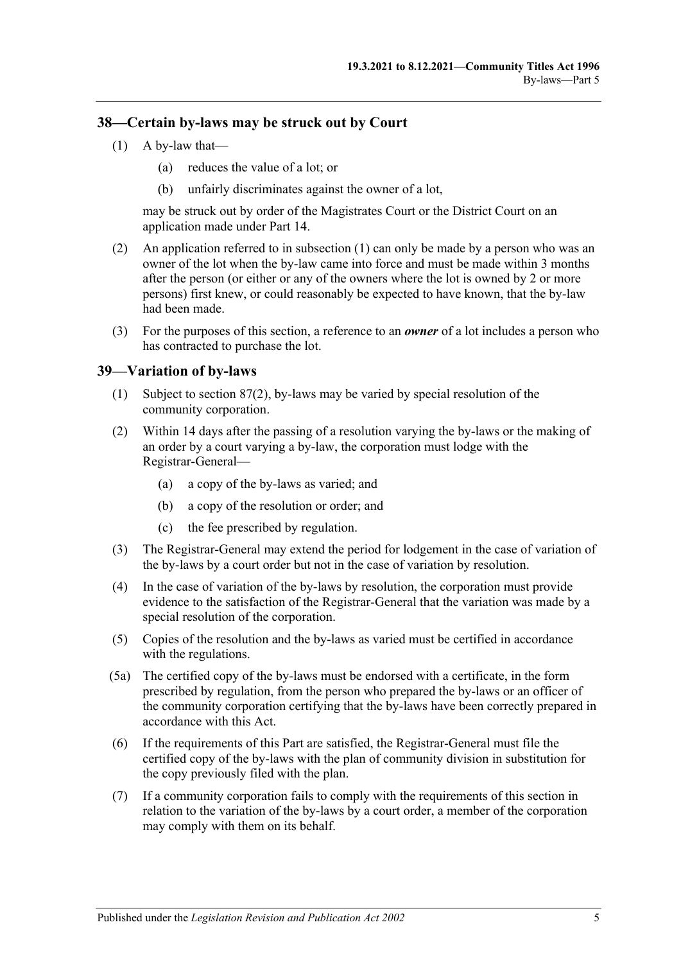## <span id="page-40-0"></span>**38—Certain by-laws may be struck out by Court**

- $(1)$  A by-law that—
	- (a) reduces the value of a lot; or
	- (b) unfairly discriminates against the owner of a lot,

may be struck out by order of the Magistrates Court or the District Court on an application made under [Part 14.](#page-112-0)

- (2) An application referred to in [subsection](#page-40-0) (1) can only be made by a person who was an owner of the lot when the by-law came into force and must be made within 3 months after the person (or either or any of the owners where the lot is owned by 2 or more persons) first knew, or could reasonably be expected to have known, that the by-law had been made.
- (3) For the purposes of this section, a reference to an *owner* of a lot includes a person who has contracted to purchase the lot.

## **39—Variation of by-laws**

- (1) Subject to [section](#page-82-0) 87(2), by-laws may be varied by special resolution of the community corporation.
- (2) Within 14 days after the passing of a resolution varying the by-laws or the making of an order by a court varying a by-law, the corporation must lodge with the Registrar-General—
	- (a) a copy of the by-laws as varied; and
	- (b) a copy of the resolution or order; and
	- (c) the fee prescribed by regulation.
- (3) The Registrar-General may extend the period for lodgement in the case of variation of the by-laws by a court order but not in the case of variation by resolution.
- (4) In the case of variation of the by-laws by resolution, the corporation must provide evidence to the satisfaction of the Registrar-General that the variation was made by a special resolution of the corporation.
- (5) Copies of the resolution and the by-laws as varied must be certified in accordance with the regulations.
- (5a) The certified copy of the by-laws must be endorsed with a certificate, in the form prescribed by regulation, from the person who prepared the by-laws or an officer of the community corporation certifying that the by-laws have been correctly prepared in accordance with this Act.
- (6) If the requirements of this Part are satisfied, the Registrar-General must file the certified copy of the by-laws with the plan of community division in substitution for the copy previously filed with the plan.
- (7) If a community corporation fails to comply with the requirements of this section in relation to the variation of the by-laws by a court order, a member of the corporation may comply with them on its behalf.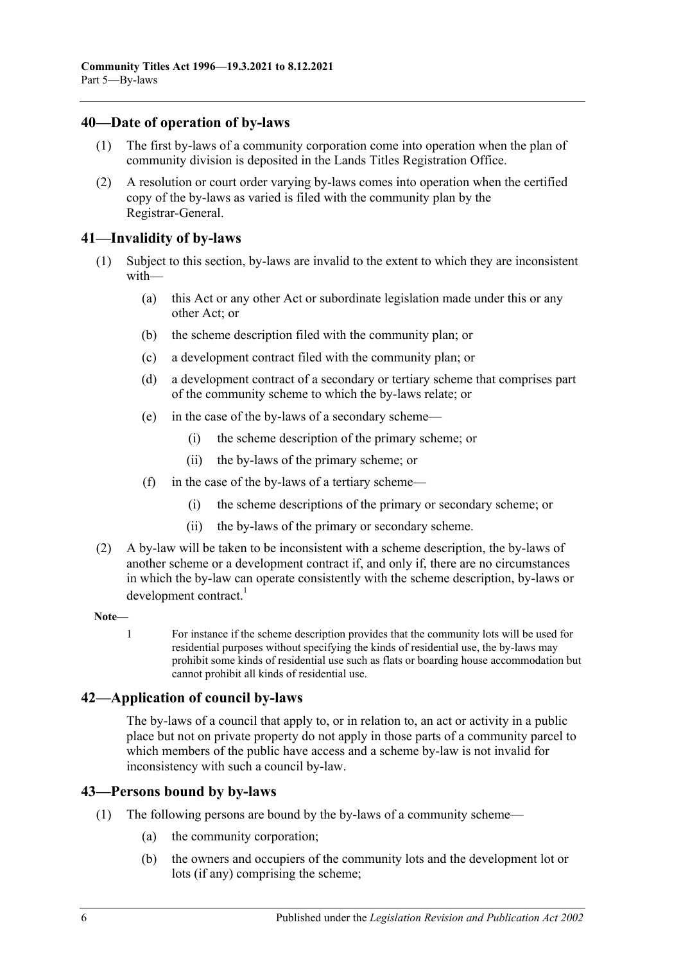## **40—Date of operation of by-laws**

- (1) The first by-laws of a community corporation come into operation when the plan of community division is deposited in the Lands Titles Registration Office.
- (2) A resolution or court order varying by-laws comes into operation when the certified copy of the by-laws as varied is filed with the community plan by the Registrar-General.

## **41—Invalidity of by-laws**

- (1) Subject to this section, by-laws are invalid to the extent to which they are inconsistent with—
	- (a) this Act or any other Act or subordinate legislation made under this or any other Act; or
	- (b) the scheme description filed with the community plan; or
	- (c) a development contract filed with the community plan; or
	- (d) a development contract of a secondary or tertiary scheme that comprises part of the community scheme to which the by-laws relate; or
	- (e) in the case of the by-laws of a secondary scheme—
		- (i) the scheme description of the primary scheme; or
		- (ii) the by-laws of the primary scheme; or
	- (f) in the case of the by-laws of a tertiary scheme—
		- (i) the scheme descriptions of the primary or secondary scheme; or
		- (ii) the by-laws of the primary or secondary scheme.
- (2) A by-law will be taken to be inconsistent with a scheme description, the by-laws of another scheme or a development contract if, and only if, there are no circumstances in which the by-law can operate consistently with the scheme description, by-laws or development contract.<sup>1</sup>

### **Note—**

1 For instance if the scheme description provides that the community lots will be used for residential purposes without specifying the kinds of residential use, the by-laws may prohibit some kinds of residential use such as flats or boarding house accommodation but cannot prohibit all kinds of residential use.

## **42—Application of council by-laws**

The by-laws of a council that apply to, or in relation to, an act or activity in a public place but not on private property do not apply in those parts of a community parcel to which members of the public have access and a scheme by-law is not invalid for inconsistency with such a council by-law.

## **43—Persons bound by by-laws**

- (1) The following persons are bound by the by-laws of a community scheme—
	- (a) the community corporation;
	- (b) the owners and occupiers of the community lots and the development lot or lots (if any) comprising the scheme;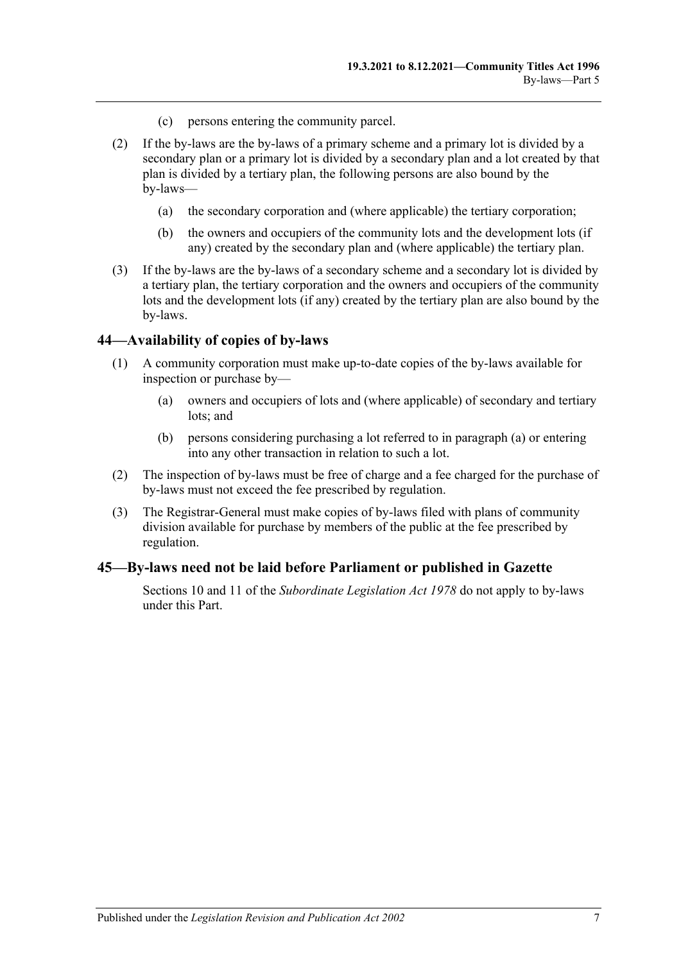- (c) persons entering the community parcel.
- (2) If the by-laws are the by-laws of a primary scheme and a primary lot is divided by a secondary plan or a primary lot is divided by a secondary plan and a lot created by that plan is divided by a tertiary plan, the following persons are also bound by the by-laws—
	- (a) the secondary corporation and (where applicable) the tertiary corporation;
	- (b) the owners and occupiers of the community lots and the development lots (if any) created by the secondary plan and (where applicable) the tertiary plan.
- (3) If the by-laws are the by-laws of a secondary scheme and a secondary lot is divided by a tertiary plan, the tertiary corporation and the owners and occupiers of the community lots and the development lots (if any) created by the tertiary plan are also bound by the by-laws.

### **44—Availability of copies of by-laws**

- <span id="page-42-0"></span>(1) A community corporation must make up-to-date copies of the by-laws available for inspection or purchase by—
	- (a) owners and occupiers of lots and (where applicable) of secondary and tertiary lots; and
	- (b) persons considering purchasing a lot referred to in [paragraph](#page-42-0) (a) or entering into any other transaction in relation to such a lot.
- (2) The inspection of by-laws must be free of charge and a fee charged for the purchase of by-laws must not exceed the fee prescribed by regulation.
- (3) The Registrar-General must make copies of by-laws filed with plans of community division available for purchase by members of the public at the fee prescribed by regulation.

### **45—By-laws need not be laid before Parliament or published in Gazette**

Sections 10 and 11 of the *[Subordinate Legislation Act](http://www.legislation.sa.gov.au/index.aspx?action=legref&type=act&legtitle=Subordinate%20Legislation%20Act%201978) 1978* do not apply to by-laws under this Part.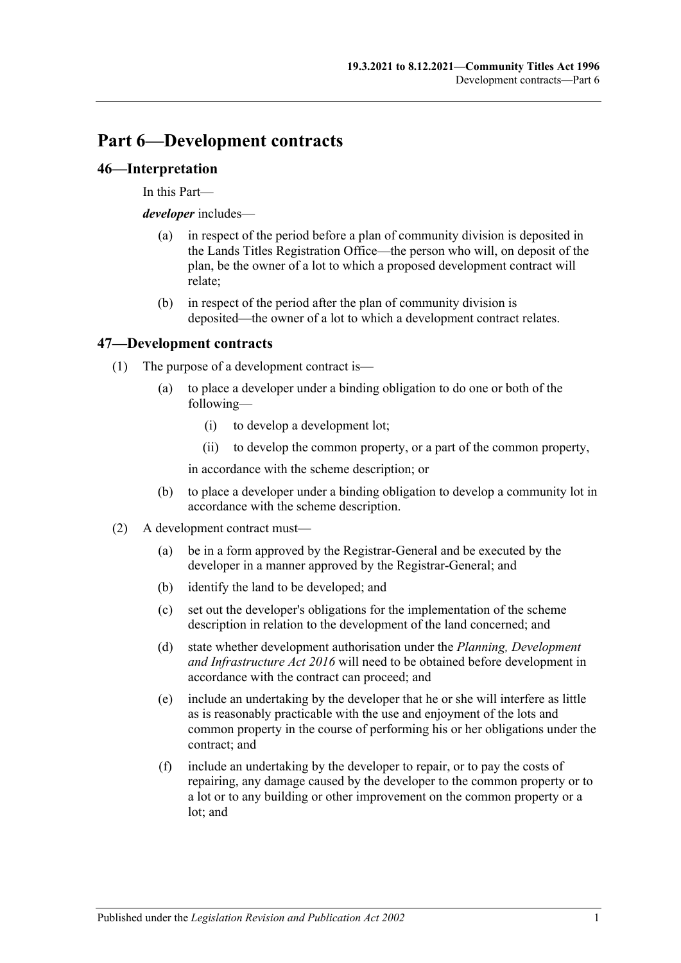# **Part 6—Development contracts**

## **46—Interpretation**

In this Part—

*developer* includes—

- (a) in respect of the period before a plan of community division is deposited in the Lands Titles Registration Office—the person who will, on deposit of the plan, be the owner of a lot to which a proposed development contract will relate;
- (b) in respect of the period after the plan of community division is deposited—the owner of a lot to which a development contract relates.

## **47—Development contracts**

- (1) The purpose of a development contract is—
	- (a) to place a developer under a binding obligation to do one or both of the following—
		- (i) to develop a development lot;
		- (ii) to develop the common property, or a part of the common property,

in accordance with the scheme description; or

- (b) to place a developer under a binding obligation to develop a community lot in accordance with the scheme description.
- (2) A development contract must—
	- (a) be in a form approved by the Registrar-General and be executed by the developer in a manner approved by the Registrar-General; and
	- (b) identify the land to be developed; and
	- (c) set out the developer's obligations for the implementation of the scheme description in relation to the development of the land concerned; and
	- (d) state whether development authorisation under the *[Planning, Development](http://www.legislation.sa.gov.au/index.aspx?action=legref&type=act&legtitle=Planning%20Development%20and%20Infrastructure%20Act%202016)  [and Infrastructure Act](http://www.legislation.sa.gov.au/index.aspx?action=legref&type=act&legtitle=Planning%20Development%20and%20Infrastructure%20Act%202016) 2016* will need to be obtained before development in accordance with the contract can proceed; and
	- (e) include an undertaking by the developer that he or she will interfere as little as is reasonably practicable with the use and enjoyment of the lots and common property in the course of performing his or her obligations under the contract; and
	- (f) include an undertaking by the developer to repair, or to pay the costs of repairing, any damage caused by the developer to the common property or to a lot or to any building or other improvement on the common property or a lot; and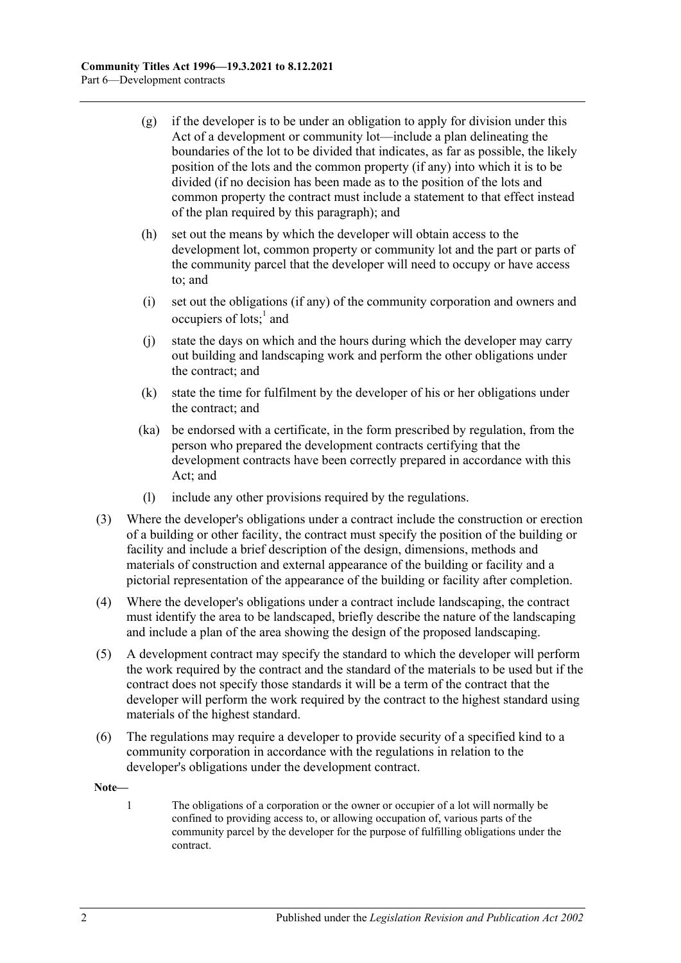- (g) if the developer is to be under an obligation to apply for division under this Act of a development or community lot—include a plan delineating the boundaries of the lot to be divided that indicates, as far as possible, the likely position of the lots and the common property (if any) into which it is to be divided (if no decision has been made as to the position of the lots and common property the contract must include a statement to that effect instead of the plan required by this paragraph); and
- (h) set out the means by which the developer will obtain access to the development lot, common property or community lot and the part or parts of the community parcel that the developer will need to occupy or have access to; and
- (i) set out the obligations (if any) of the community corporation and owners and occupiers of lots;<sup>1</sup> and
- (j) state the days on which and the hours during which the developer may carry out building and landscaping work and perform the other obligations under the contract; and
- (k) state the time for fulfilment by the developer of his or her obligations under the contract; and
- (ka) be endorsed with a certificate, in the form prescribed by regulation, from the person who prepared the development contracts certifying that the development contracts have been correctly prepared in accordance with this Act; and
- (l) include any other provisions required by the regulations.
- (3) Where the developer's obligations under a contract include the construction or erection of a building or other facility, the contract must specify the position of the building or facility and include a brief description of the design, dimensions, methods and materials of construction and external appearance of the building or facility and a pictorial representation of the appearance of the building or facility after completion.
- (4) Where the developer's obligations under a contract include landscaping, the contract must identify the area to be landscaped, briefly describe the nature of the landscaping and include a plan of the area showing the design of the proposed landscaping.
- (5) A development contract may specify the standard to which the developer will perform the work required by the contract and the standard of the materials to be used but if the contract does not specify those standards it will be a term of the contract that the developer will perform the work required by the contract to the highest standard using materials of the highest standard.
- (6) The regulations may require a developer to provide security of a specified kind to a community corporation in accordance with the regulations in relation to the developer's obligations under the development contract.

**Note—**

1 The obligations of a corporation or the owner or occupier of a lot will normally be confined to providing access to, or allowing occupation of, various parts of the community parcel by the developer for the purpose of fulfilling obligations under the contract.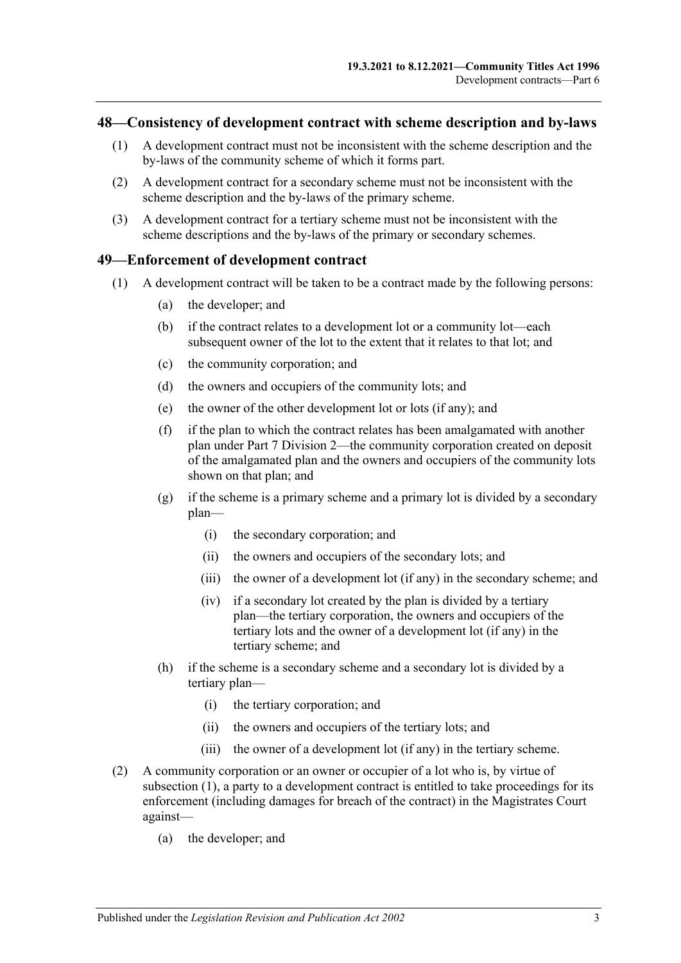### <span id="page-46-2"></span>**48—Consistency of development contract with scheme description and by-laws**

- (1) A development contract must not be inconsistent with the scheme description and the by-laws of the community scheme of which it forms part.
- (2) A development contract for a secondary scheme must not be inconsistent with the scheme description and the by-laws of the primary scheme.
- (3) A development contract for a tertiary scheme must not be inconsistent with the scheme descriptions and the by-laws of the primary or secondary schemes.

### <span id="page-46-0"></span>**49—Enforcement of development contract**

- (1) A development contract will be taken to be a contract made by the following persons:
	- (a) the developer; and
	- (b) if the contract relates to a development lot or a community lot—each subsequent owner of the lot to the extent that it relates to that lot; and
	- (c) the community corporation; and
	- (d) the owners and occupiers of the community lots; and
	- (e) the owner of the other development lot or lots (if any); and
	- (f) if the plan to which the contract relates has been amalgamated with another plan under [Part 7 Division 2—](#page-57-0)the community corporation created on deposit of the amalgamated plan and the owners and occupiers of the community lots shown on that plan; and
	- (g) if the scheme is a primary scheme and a primary lot is divided by a secondary plan—
		- (i) the secondary corporation; and
		- (ii) the owners and occupiers of the secondary lots; and
		- (iii) the owner of a development lot (if any) in the secondary scheme; and
		- (iv) if a secondary lot created by the plan is divided by a tertiary plan—the tertiary corporation, the owners and occupiers of the tertiary lots and the owner of a development lot (if any) in the tertiary scheme; and
	- (h) if the scheme is a secondary scheme and a secondary lot is divided by a tertiary plan—
		- (i) the tertiary corporation; and
		- (ii) the owners and occupiers of the tertiary lots; and
		- (iii) the owner of a development lot (if any) in the tertiary scheme.
- <span id="page-46-1"></span>(2) A community corporation or an owner or occupier of a lot who is, by virtue of [subsection](#page-46-0) (1), a party to a development contract is entitled to take proceedings for its enforcement (including damages for breach of the contract) in the Magistrates Court against—
	- (a) the developer; and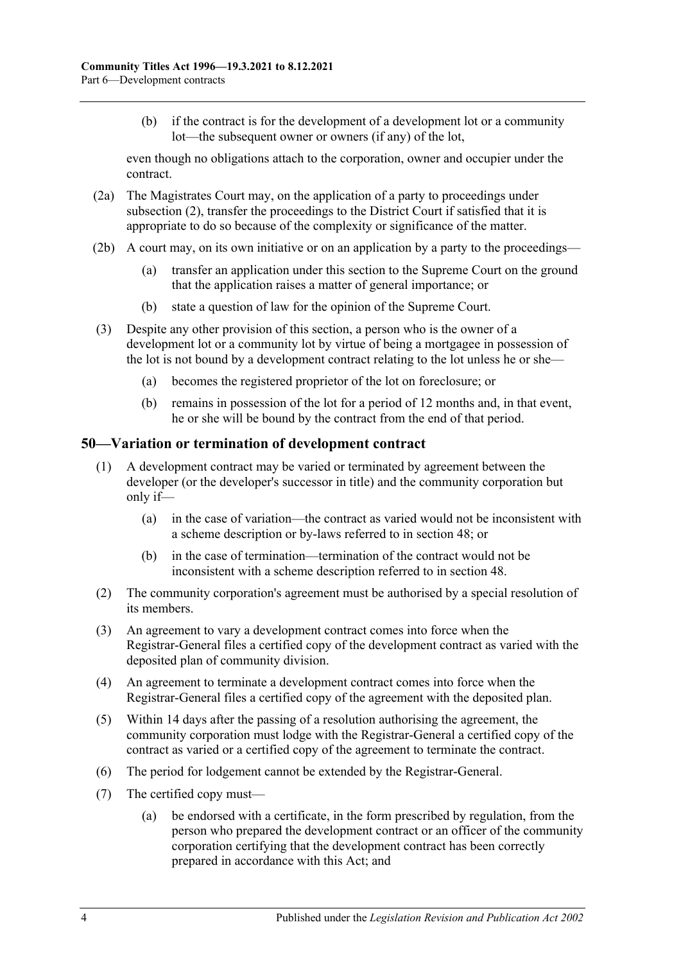(b) if the contract is for the development of a development lot or a community lot—the subsequent owner or owners (if any) of the lot,

even though no obligations attach to the corporation, owner and occupier under the contract.

- (2a) The Magistrates Court may, on the application of a party to proceedings under [subsection](#page-46-1) (2), transfer the proceedings to the District Court if satisfied that it is appropriate to do so because of the complexity or significance of the matter.
- (2b) A court may, on its own initiative or on an application by a party to the proceedings—
	- (a) transfer an application under this section to the Supreme Court on the ground that the application raises a matter of general importance; or
	- (b) state a question of law for the opinion of the Supreme Court.
- (3) Despite any other provision of this section, a person who is the owner of a development lot or a community lot by virtue of being a mortgagee in possession of the lot is not bound by a development contract relating to the lot unless he or she—
	- (a) becomes the registered proprietor of the lot on foreclosure; or
	- (b) remains in possession of the lot for a period of 12 months and, in that event, he or she will be bound by the contract from the end of that period.

## **50—Variation or termination of development contract**

- (1) A development contract may be varied or terminated by agreement between the developer (or the developer's successor in title) and the community corporation but only if—
	- (a) in the case of variation—the contract as varied would not be inconsistent with a scheme description or by-laws referred to in [section](#page-46-2) 48; or
	- (b) in the case of termination—termination of the contract would not be inconsistent with a scheme description referred to in [section](#page-46-2) 48.
- (2) The community corporation's agreement must be authorised by a special resolution of its members.
- (3) An agreement to vary a development contract comes into force when the Registrar-General files a certified copy of the development contract as varied with the deposited plan of community division.
- (4) An agreement to terminate a development contract comes into force when the Registrar-General files a certified copy of the agreement with the deposited plan.
- (5) Within 14 days after the passing of a resolution authorising the agreement, the community corporation must lodge with the Registrar-General a certified copy of the contract as varied or a certified copy of the agreement to terminate the contract.
- (6) The period for lodgement cannot be extended by the Registrar-General.
- (7) The certified copy must—
	- (a) be endorsed with a certificate, in the form prescribed by regulation, from the person who prepared the development contract or an officer of the community corporation certifying that the development contract has been correctly prepared in accordance with this Act; and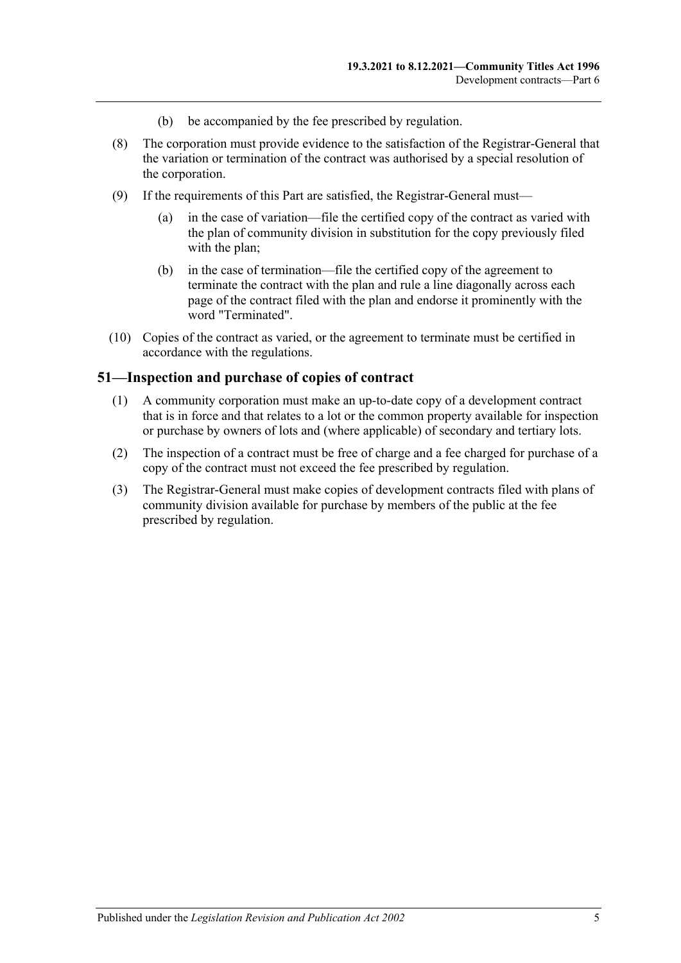- (b) be accompanied by the fee prescribed by regulation.
- (8) The corporation must provide evidence to the satisfaction of the Registrar-General that the variation or termination of the contract was authorised by a special resolution of the corporation.
- (9) If the requirements of this Part are satisfied, the Registrar-General must—
	- (a) in the case of variation—file the certified copy of the contract as varied with the plan of community division in substitution for the copy previously filed with the plan;
	- (b) in the case of termination—file the certified copy of the agreement to terminate the contract with the plan and rule a line diagonally across each page of the contract filed with the plan and endorse it prominently with the word "Terminated".
- (10) Copies of the contract as varied, or the agreement to terminate must be certified in accordance with the regulations.

### **51—Inspection and purchase of copies of contract**

- (1) A community corporation must make an up-to-date copy of a development contract that is in force and that relates to a lot or the common property available for inspection or purchase by owners of lots and (where applicable) of secondary and tertiary lots.
- (2) The inspection of a contract must be free of charge and a fee charged for purchase of a copy of the contract must not exceed the fee prescribed by regulation.
- (3) The Registrar-General must make copies of development contracts filed with plans of community division available for purchase by members of the public at the fee prescribed by regulation.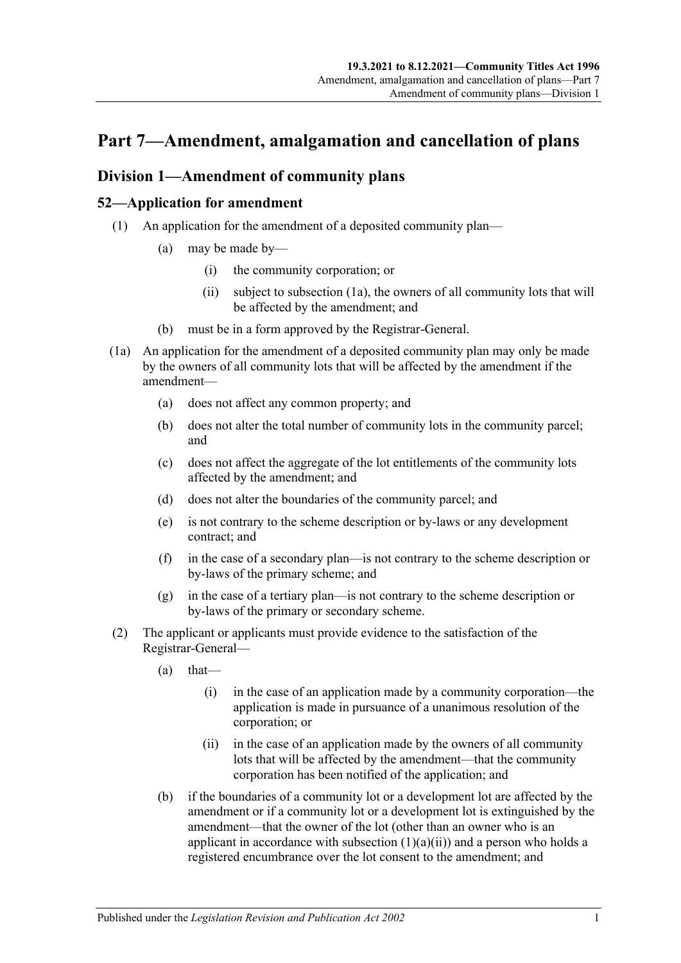# **Part 7—Amendment, amalgamation and cancellation of plans**

## <span id="page-50-4"></span>**Division 1—Amendment of community plans**

## <span id="page-50-3"></span>**52—Application for amendment**

- <span id="page-50-1"></span>(1) An application for the amendment of a deposited community plan—
	- (a) may be made by—
		- (i) the community corporation; or
		- (ii) subject to [subsection](#page-50-0) (1a), the owners of all community lots that will be affected by the amendment; and
	- (b) must be in a form approved by the Registrar-General.
- <span id="page-50-0"></span>(1a) An application for the amendment of a deposited community plan may only be made by the owners of all community lots that will be affected by the amendment if the amendment—
	- (a) does not affect any common property; and
	- (b) does not alter the total number of community lots in the community parcel; and
	- (c) does not affect the aggregate of the lot entitlements of the community lots affected by the amendment; and
	- (d) does not alter the boundaries of the community parcel; and
	- (e) is not contrary to the scheme description or by-laws or any development contract; and
	- (f) in the case of a secondary plan—is not contrary to the scheme description or by-laws of the primary scheme; and
	- (g) in the case of a tertiary plan—is not contrary to the scheme description or by-laws of the primary or secondary scheme.
- <span id="page-50-2"></span>(2) The applicant or applicants must provide evidence to the satisfaction of the Registrar-General—
	- $(a)$  that—
		- (i) in the case of an application made by a community corporation—the application is made in pursuance of a unanimous resolution of the corporation; or
		- (ii) in the case of an application made by the owners of all community lots that will be affected by the amendment—that the community corporation has been notified of the application; and
	- (b) if the boundaries of a community lot or a development lot are affected by the amendment or if a community lot or a development lot is extinguished by the amendment—that the owner of the lot (other than an owner who is an applicant in accordance with [subsection](#page-50-1)  $(1)(a)(ii)$  and a person who holds a registered encumbrance over the lot consent to the amendment; and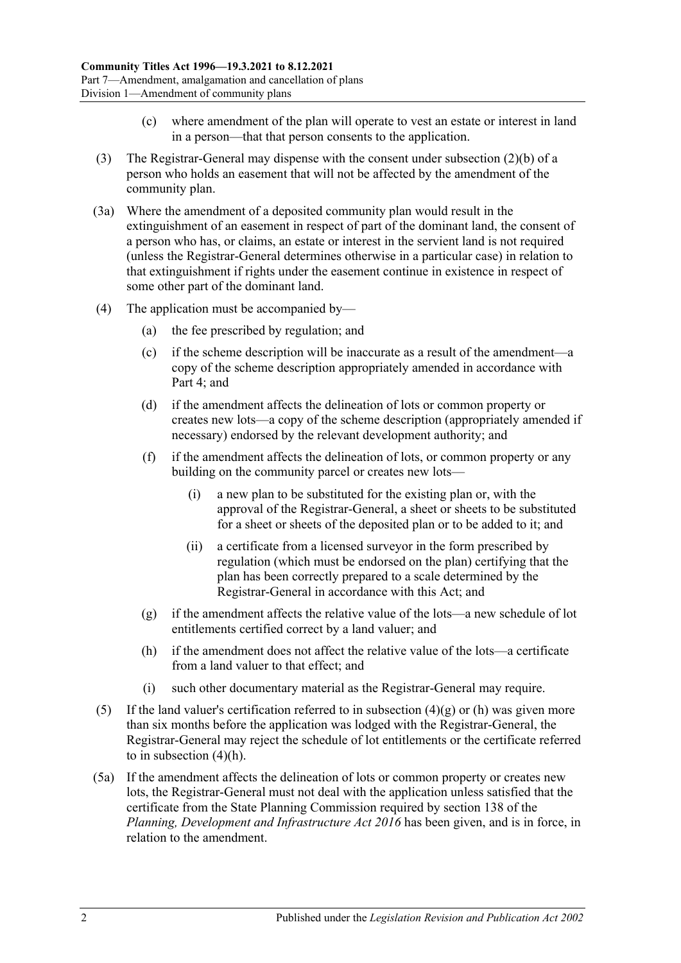- (c) where amendment of the plan will operate to vest an estate or interest in land in a person—that that person consents to the application.
- (3) The Registrar-General may dispense with the consent under [subsection](#page-50-2) (2)(b) of a person who holds an easement that will not be affected by the amendment of the community plan.
- (3a) Where the amendment of a deposited community plan would result in the extinguishment of an easement in respect of part of the dominant land, the consent of a person who has, or claims, an estate or interest in the servient land is not required (unless the Registrar-General determines otherwise in a particular case) in relation to that extinguishment if rights under the easement continue in existence in respect of some other part of the dominant land.
- (4) The application must be accompanied by—
	- (a) the fee prescribed by regulation; and
	- (c) if the scheme description will be inaccurate as a result of the amendment—a copy of the scheme description appropriately amended in accordance with [Part 4;](#page-32-0) and
	- (d) if the amendment affects the delineation of lots or common property or creates new lots—a copy of the scheme description (appropriately amended if necessary) endorsed by the relevant development authority; and
	- (f) if the amendment affects the delineation of lots, or common property or any building on the community parcel or creates new lots—
		- (i) a new plan to be substituted for the existing plan or, with the approval of the Registrar-General, a sheet or sheets to be substituted for a sheet or sheets of the deposited plan or to be added to it; and
		- (ii) a certificate from a licensed surveyor in the form prescribed by regulation (which must be endorsed on the plan) certifying that the plan has been correctly prepared to a scale determined by the Registrar-General in accordance with this Act; and
	- (g) if the amendment affects the relative value of the lots—a new schedule of lot entitlements certified correct by a land valuer; and
	- (h) if the amendment does not affect the relative value of the lots—a certificate from a land valuer to that effect; and
	- (i) such other documentary material as the Registrar-General may require.
- <span id="page-51-1"></span><span id="page-51-0"></span>(5) If the land valuer's certification referred to in [subsection](#page-51-0)  $(4)(g)$  or [\(h\)](#page-51-1) was given more than six months before the application was lodged with the Registrar-General, the Registrar-General may reject the schedule of lot entitlements or the certificate referred to in [subsection](#page-51-1) (4)(h).
- (5a) If the amendment affects the delineation of lots or common property or creates new lots, the Registrar-General must not deal with the application unless satisfied that the certificate from the State Planning Commission required by section 138 of the *[Planning, Development and Infrastructure Act](http://www.legislation.sa.gov.au/index.aspx?action=legref&type=act&legtitle=Planning%20Development%20and%20Infrastructure%20Act%202016) 2016* has been given, and is in force, in relation to the amendment.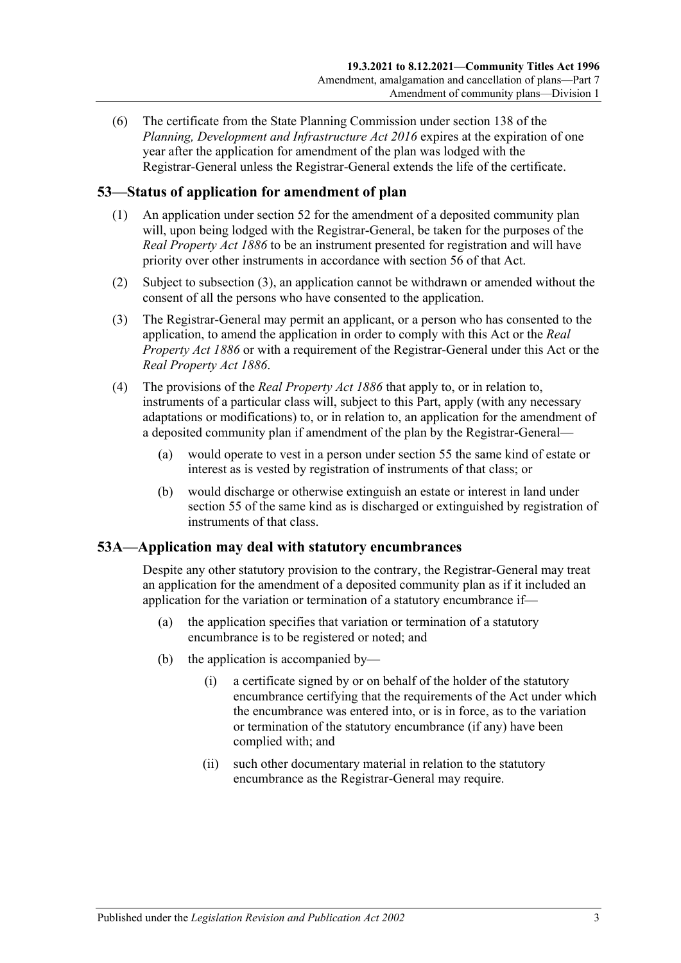(6) The certificate from the State Planning Commission under section 138 of the *[Planning, Development and Infrastructure Act](http://www.legislation.sa.gov.au/index.aspx?action=legref&type=act&legtitle=Planning%20Development%20and%20Infrastructure%20Act%202016) 2016* expires at the expiration of one year after the application for amendment of the plan was lodged with the Registrar-General unless the Registrar-General extends the life of the certificate.

## **53—Status of application for amendment of plan**

- (1) An application under [section](#page-50-3) 52 for the amendment of a deposited community plan will, upon being lodged with the Registrar-General, be taken for the purposes of the *[Real Property Act](http://www.legislation.sa.gov.au/index.aspx?action=legref&type=act&legtitle=Real%20Property%20Act%201886) 1886* to be an instrument presented for registration and will have priority over other instruments in accordance with section 56 of that Act.
- (2) Subject to [subsection](#page-52-0) (3), an application cannot be withdrawn or amended without the consent of all the persons who have consented to the application.
- <span id="page-52-0"></span>(3) The Registrar-General may permit an applicant, or a person who has consented to the application, to amend the application in order to comply with this Act or the *[Real](http://www.legislation.sa.gov.au/index.aspx?action=legref&type=act&legtitle=Real%20Property%20Act%201886)  [Property Act](http://www.legislation.sa.gov.au/index.aspx?action=legref&type=act&legtitle=Real%20Property%20Act%201886) 1886* or with a requirement of the Registrar-General under this Act or the *[Real Property Act](http://www.legislation.sa.gov.au/index.aspx?action=legref&type=act&legtitle=Real%20Property%20Act%201886) 1886*.
- (4) The provisions of the *[Real Property Act](http://www.legislation.sa.gov.au/index.aspx?action=legref&type=act&legtitle=Real%20Property%20Act%201886) 1886* that apply to, or in relation to, instruments of a particular class will, subject to this Part, apply (with any necessary adaptations or modifications) to, or in relation to, an application for the amendment of a deposited community plan if amendment of the plan by the Registrar-General—
	- (a) would operate to vest in a person under [section](#page-53-0) 55 the same kind of estate or interest as is vested by registration of instruments of that class; or
	- (b) would discharge or otherwise extinguish an estate or interest in land under [section](#page-53-0) 55 of the same kind as is discharged or extinguished by registration of instruments of that class.

## **53A—Application may deal with statutory encumbrances**

Despite any other statutory provision to the contrary, the Registrar-General may treat an application for the amendment of a deposited community plan as if it included an application for the variation or termination of a statutory encumbrance if—

- (a) the application specifies that variation or termination of a statutory encumbrance is to be registered or noted; and
- (b) the application is accompanied by—
	- (i) a certificate signed by or on behalf of the holder of the statutory encumbrance certifying that the requirements of the Act under which the encumbrance was entered into, or is in force, as to the variation or termination of the statutory encumbrance (if any) have been complied with; and
	- (ii) such other documentary material in relation to the statutory encumbrance as the Registrar-General may require.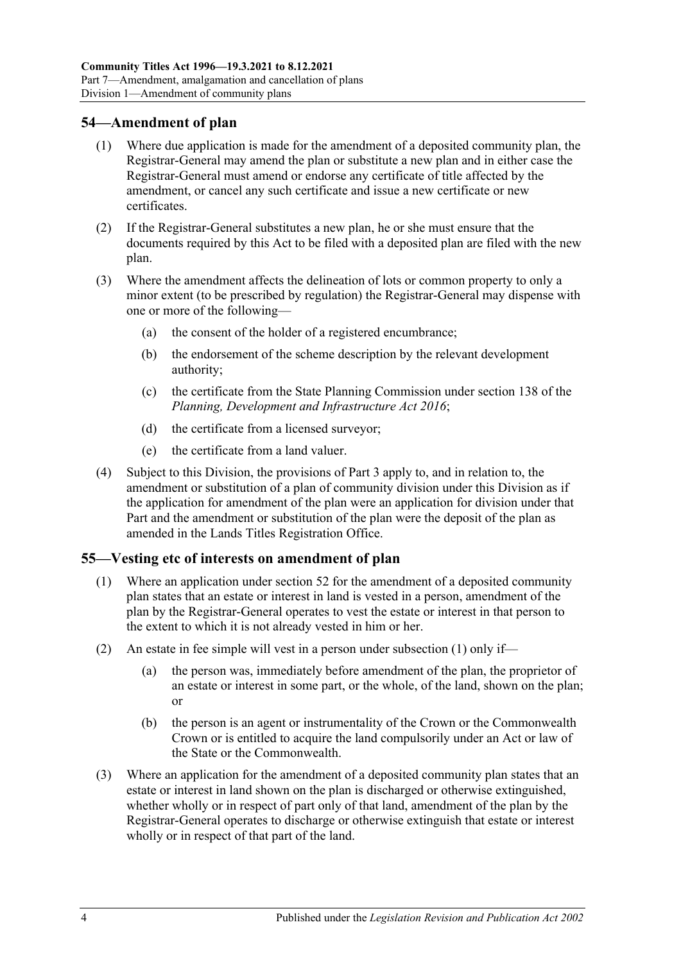## **54—Amendment of plan**

- (1) Where due application is made for the amendment of a deposited community plan, the Registrar-General may amend the plan or substitute a new plan and in either case the Registrar-General must amend or endorse any certificate of title affected by the amendment, or cancel any such certificate and issue a new certificate or new certificates.
- (2) If the Registrar-General substitutes a new plan, he or she must ensure that the documents required by this Act to be filed with a deposited plan are filed with the new plan.
- (3) Where the amendment affects the delineation of lots or common property to only a minor extent (to be prescribed by regulation) the Registrar-General may dispense with one or more of the following—
	- (a) the consent of the holder of a registered encumbrance;
	- (b) the endorsement of the scheme description by the relevant development authority;
	- (c) the certificate from the State Planning Commission under section 138 of the *[Planning, Development and Infrastructure Act](http://www.legislation.sa.gov.au/index.aspx?action=legref&type=act&legtitle=Planning%20Development%20and%20Infrastructure%20Act%202016) 2016*;
	- (d) the certificate from a licensed surveyor;
	- (e) the certificate from a land valuer.
- (4) Subject to this Division, the provisions of [Part 3](#page-18-0) apply to, and in relation to, the amendment or substitution of a plan of community division under this Division as if the application for amendment of the plan were an application for division under that Part and the amendment or substitution of the plan were the deposit of the plan as amended in the Lands Titles Registration Office.

## <span id="page-53-1"></span><span id="page-53-0"></span>**55—Vesting etc of interests on amendment of plan**

- (1) Where an application under [section](#page-50-3) 52 for the amendment of a deposited community plan states that an estate or interest in land is vested in a person, amendment of the plan by the Registrar-General operates to vest the estate or interest in that person to the extent to which it is not already vested in him or her.
- (2) An estate in fee simple will vest in a person under [subsection](#page-53-1) (1) only if
	- the person was, immediately before amendment of the plan, the proprietor of an estate or interest in some part, or the whole, of the land, shown on the plan; or
	- (b) the person is an agent or instrumentality of the Crown or the Commonwealth Crown or is entitled to acquire the land compulsorily under an Act or law of the State or the Commonwealth.
- (3) Where an application for the amendment of a deposited community plan states that an estate or interest in land shown on the plan is discharged or otherwise extinguished, whether wholly or in respect of part only of that land, amendment of the plan by the Registrar-General operates to discharge or otherwise extinguish that estate or interest wholly or in respect of that part of the land.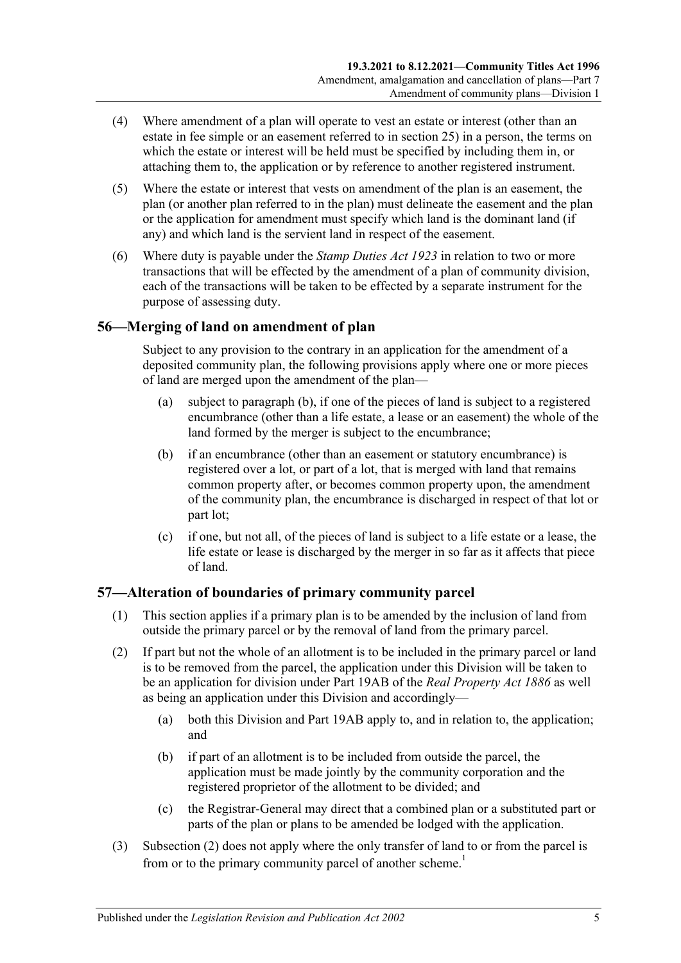- (4) Where amendment of a plan will operate to vest an estate or interest (other than an estate in fee simple or an easement referred to in [section](#page-27-0) 25) in a person, the terms on which the estate or interest will be held must be specified by including them in, or attaching them to, the application or by reference to another registered instrument.
- (5) Where the estate or interest that vests on amendment of the plan is an easement, the plan (or another plan referred to in the plan) must delineate the easement and the plan or the application for amendment must specify which land is the dominant land (if any) and which land is the servient land in respect of the easement.
- (6) Where duty is payable under the *[Stamp Duties Act](http://www.legislation.sa.gov.au/index.aspx?action=legref&type=act&legtitle=Stamp%20Duties%20Act%201923) 1923* in relation to two or more transactions that will be effected by the amendment of a plan of community division, each of the transactions will be taken to be effected by a separate instrument for the purpose of assessing duty.

## **56—Merging of land on amendment of plan**

Subject to any provision to the contrary in an application for the amendment of a deposited community plan, the following provisions apply where one or more pieces of land are merged upon the amendment of the plan—

- (a) subject to [paragraph](#page-54-0) (b), if one of the pieces of land is subject to a registered encumbrance (other than a life estate, a lease or an easement) the whole of the land formed by the merger is subject to the encumbrance;
- <span id="page-54-0"></span>(b) if an encumbrance (other than an easement or statutory encumbrance) is registered over a lot, or part of a lot, that is merged with land that remains common property after, or becomes common property upon, the amendment of the community plan, the encumbrance is discharged in respect of that lot or part lot;
- (c) if one, but not all, of the pieces of land is subject to a life estate or a lease, the life estate or lease is discharged by the merger in so far as it affects that piece of land.

## **57—Alteration of boundaries of primary community parcel**

- (1) This section applies if a primary plan is to be amended by the inclusion of land from outside the primary parcel or by the removal of land from the primary parcel.
- <span id="page-54-1"></span>(2) If part but not the whole of an allotment is to be included in the primary parcel or land is to be removed from the parcel, the application under this Division will be taken to be an application for division under Part 19AB of the *[Real Property Act](http://www.legislation.sa.gov.au/index.aspx?action=legref&type=act&legtitle=Real%20Property%20Act%201886) 1886* as well as being an application under this Division and accordingly—
	- (a) both this Division and Part 19AB apply to, and in relation to, the application; and
	- (b) if part of an allotment is to be included from outside the parcel, the application must be made jointly by the community corporation and the registered proprietor of the allotment to be divided; and
	- (c) the Registrar-General may direct that a combined plan or a substituted part or parts of the plan or plans to be amended be lodged with the application.
- (3) [Subsection](#page-54-1) (2) does not apply where the only transfer of land to or from the parcel is from or to the primary community parcel of another scheme.<sup>1</sup>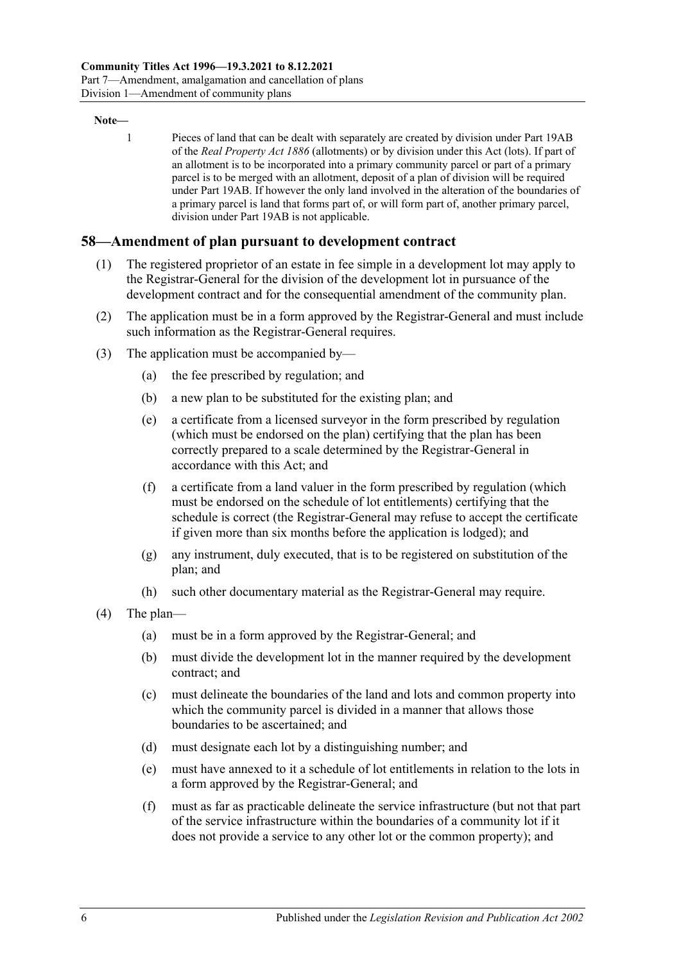#### **Note—**

1 Pieces of land that can be dealt with separately are created by division under Part 19AB of the *[Real Property Act](http://www.legislation.sa.gov.au/index.aspx?action=legref&type=act&legtitle=Real%20Property%20Act%201886) 1886* (allotments) or by division under this Act (lots). If part of an allotment is to be incorporated into a primary community parcel or part of a primary parcel is to be merged with an allotment, deposit of a plan of division will be required under Part 19AB. If however the only land involved in the alteration of the boundaries of a primary parcel is land that forms part of, or will form part of, another primary parcel, division under Part 19AB is not applicable.

### **58—Amendment of plan pursuant to development contract**

- (1) The registered proprietor of an estate in fee simple in a development lot may apply to the Registrar-General for the division of the development lot in pursuance of the development contract and for the consequential amendment of the community plan.
- (2) The application must be in a form approved by the Registrar-General and must include such information as the Registrar-General requires.
- (3) The application must be accompanied by—
	- (a) the fee prescribed by regulation; and
	- (b) a new plan to be substituted for the existing plan; and
	- (e) a certificate from a licensed surveyor in the form prescribed by regulation (which must be endorsed on the plan) certifying that the plan has been correctly prepared to a scale determined by the Registrar-General in accordance with this Act; and
	- (f) a certificate from a land valuer in the form prescribed by regulation (which must be endorsed on the schedule of lot entitlements) certifying that the schedule is correct (the Registrar-General may refuse to accept the certificate if given more than six months before the application is lodged); and
	- (g) any instrument, duly executed, that is to be registered on substitution of the plan; and
	- (h) such other documentary material as the Registrar-General may require.
- (4) The plan—
	- (a) must be in a form approved by the Registrar-General; and
	- (b) must divide the development lot in the manner required by the development contract; and
	- (c) must delineate the boundaries of the land and lots and common property into which the community parcel is divided in a manner that allows those boundaries to be ascertained; and
	- (d) must designate each lot by a distinguishing number; and
	- (e) must have annexed to it a schedule of lot entitlements in relation to the lots in a form approved by the Registrar-General; and
	- (f) must as far as practicable delineate the service infrastructure (but not that part of the service infrastructure within the boundaries of a community lot if it does not provide a service to any other lot or the common property); and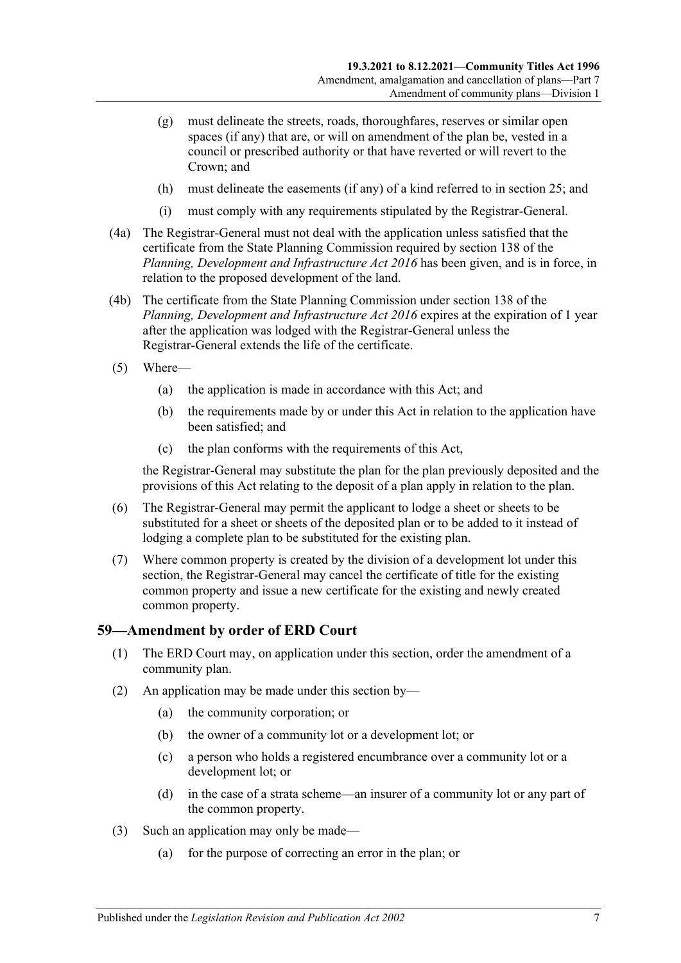- (g) must delineate the streets, roads, thoroughfares, reserves or similar open spaces (if any) that are, or will on amendment of the plan be, vested in a council or prescribed authority or that have reverted or will revert to the Crown; and
- (h) must delineate the easements (if any) of a kind referred to in [section](#page-27-0) 25; and
- (i) must comply with any requirements stipulated by the Registrar-General.
- (4a) The Registrar-General must not deal with the application unless satisfied that the certificate from the State Planning Commission required by section 138 of the *[Planning, Development and Infrastructure Act](http://www.legislation.sa.gov.au/index.aspx?action=legref&type=act&legtitle=Planning%20Development%20and%20Infrastructure%20Act%202016) 2016* has been given, and is in force, in relation to the proposed development of the land.
- (4b) The certificate from the State Planning Commission under section 138 of the *[Planning, Development and Infrastructure Act](http://www.legislation.sa.gov.au/index.aspx?action=legref&type=act&legtitle=Planning%20Development%20and%20Infrastructure%20Act%202016) 2016* expires at the expiration of 1 year after the application was lodged with the Registrar-General unless the Registrar-General extends the life of the certificate.
- (5) Where—
	- (a) the application is made in accordance with this Act; and
	- (b) the requirements made by or under this Act in relation to the application have been satisfied; and
	- (c) the plan conforms with the requirements of this Act,

the Registrar-General may substitute the plan for the plan previously deposited and the provisions of this Act relating to the deposit of a plan apply in relation to the plan.

- (6) The Registrar-General may permit the applicant to lodge a sheet or sheets to be substituted for a sheet or sheets of the deposited plan or to be added to it instead of lodging a complete plan to be substituted for the existing plan.
- (7) Where common property is created by the division of a development lot under this section, the Registrar-General may cancel the certificate of title for the existing common property and issue a new certificate for the existing and newly created common property.

#### **59—Amendment by order of ERD Court**

- (1) The ERD Court may, on application under this section, order the amendment of a community plan.
- (2) An application may be made under this section by—
	- (a) the community corporation; or
	- (b) the owner of a community lot or a development lot; or
	- (c) a person who holds a registered encumbrance over a community lot or a development lot; or
	- (d) in the case of a strata scheme—an insurer of a community lot or any part of the common property.
- (3) Such an application may only be made—
	- (a) for the purpose of correcting an error in the plan; or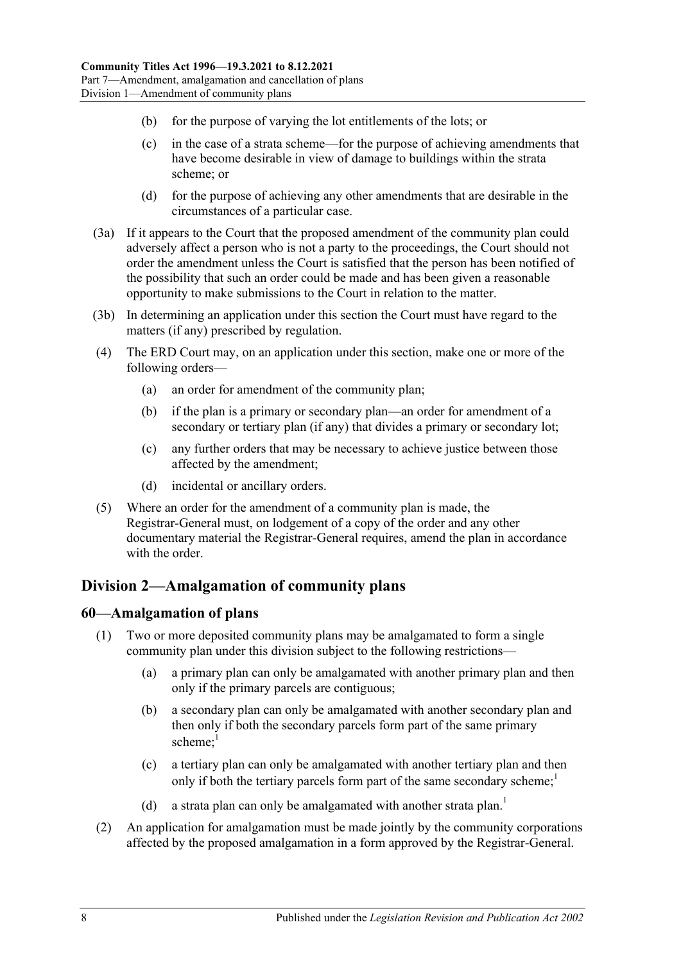- (b) for the purpose of varying the lot entitlements of the lots; or
- (c) in the case of a strata scheme—for the purpose of achieving amendments that have become desirable in view of damage to buildings within the strata scheme; or
- (d) for the purpose of achieving any other amendments that are desirable in the circumstances of a particular case.
- (3a) If it appears to the Court that the proposed amendment of the community plan could adversely affect a person who is not a party to the proceedings, the Court should not order the amendment unless the Court is satisfied that the person has been notified of the possibility that such an order could be made and has been given a reasonable opportunity to make submissions to the Court in relation to the matter.
- (3b) In determining an application under this section the Court must have regard to the matters (if any) prescribed by regulation.
- (4) The ERD Court may, on an application under this section, make one or more of the following orders—
	- (a) an order for amendment of the community plan;
	- (b) if the plan is a primary or secondary plan—an order for amendment of a secondary or tertiary plan (if any) that divides a primary or secondary lot;
	- (c) any further orders that may be necessary to achieve justice between those affected by the amendment;
	- (d) incidental or ancillary orders.
- (5) Where an order for the amendment of a community plan is made, the Registrar-General must, on lodgement of a copy of the order and any other documentary material the Registrar-General requires, amend the plan in accordance with the order.

## <span id="page-57-0"></span>**Division 2—Amalgamation of community plans**

## **60—Amalgamation of plans**

- (1) Two or more deposited community plans may be amalgamated to form a single community plan under this division subject to the following restrictions—
	- (a) a primary plan can only be amalgamated with another primary plan and then only if the primary parcels are contiguous;
	- (b) a secondary plan can only be amalgamated with another secondary plan and then only if both the secondary parcels form part of the same primary scheme: $1$
	- (c) a tertiary plan can only be amalgamated with another tertiary plan and then only if both the tertiary parcels form part of the same secondary scheme;<sup>1</sup>
	- (d) a strata plan can only be amalgamated with another strata plan.<sup>1</sup>
- (2) An application for amalgamation must be made jointly by the community corporations affected by the proposed amalgamation in a form approved by the Registrar-General.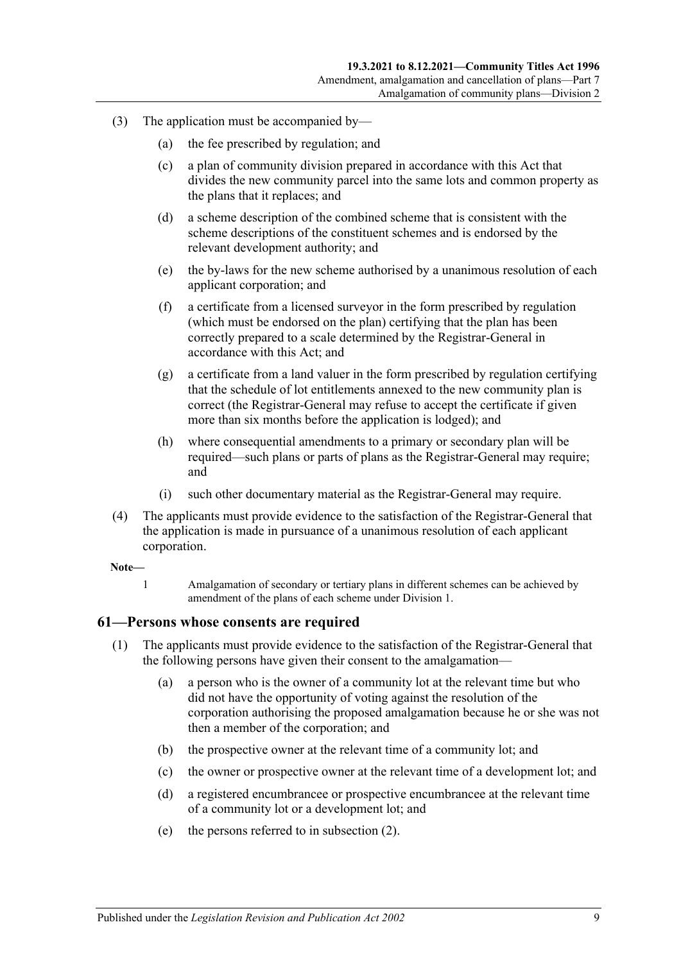- (3) The application must be accompanied by—
	- (a) the fee prescribed by regulation; and
	- (c) a plan of community division prepared in accordance with this Act that divides the new community parcel into the same lots and common property as the plans that it replaces; and
	- (d) a scheme description of the combined scheme that is consistent with the scheme descriptions of the constituent schemes and is endorsed by the relevant development authority; and
	- (e) the by-laws for the new scheme authorised by a unanimous resolution of each applicant corporation; and
	- (f) a certificate from a licensed surveyor in the form prescribed by regulation (which must be endorsed on the plan) certifying that the plan has been correctly prepared to a scale determined by the Registrar-General in accordance with this Act; and
	- (g) a certificate from a land valuer in the form prescribed by regulation certifying that the schedule of lot entitlements annexed to the new community plan is correct (the Registrar-General may refuse to accept the certificate if given more than six months before the application is lodged); and
	- (h) where consequential amendments to a primary or secondary plan will be required—such plans or parts of plans as the Registrar-General may require; and
	- (i) such other documentary material as the Registrar-General may require.
- (4) The applicants must provide evidence to the satisfaction of the Registrar-General that the application is made in pursuance of a unanimous resolution of each applicant corporation.

#### **Note—**

1 Amalgamation of secondary or tertiary plans in different schemes can be achieved by amendment of the plans of each scheme under [Division 1.](#page-50-4)

### **61—Persons whose consents are required**

- (1) The applicants must provide evidence to the satisfaction of the Registrar-General that the following persons have given their consent to the amalgamation—
	- (a) a person who is the owner of a community lot at the relevant time but who did not have the opportunity of voting against the resolution of the corporation authorising the proposed amalgamation because he or she was not then a member of the corporation; and
	- (b) the prospective owner at the relevant time of a community lot; and
	- (c) the owner or prospective owner at the relevant time of a development lot; and
	- (d) a registered encumbrancee or prospective encumbrancee at the relevant time of a community lot or a development lot; and
	- (e) the persons referred to in [subsection](#page-59-0) (2).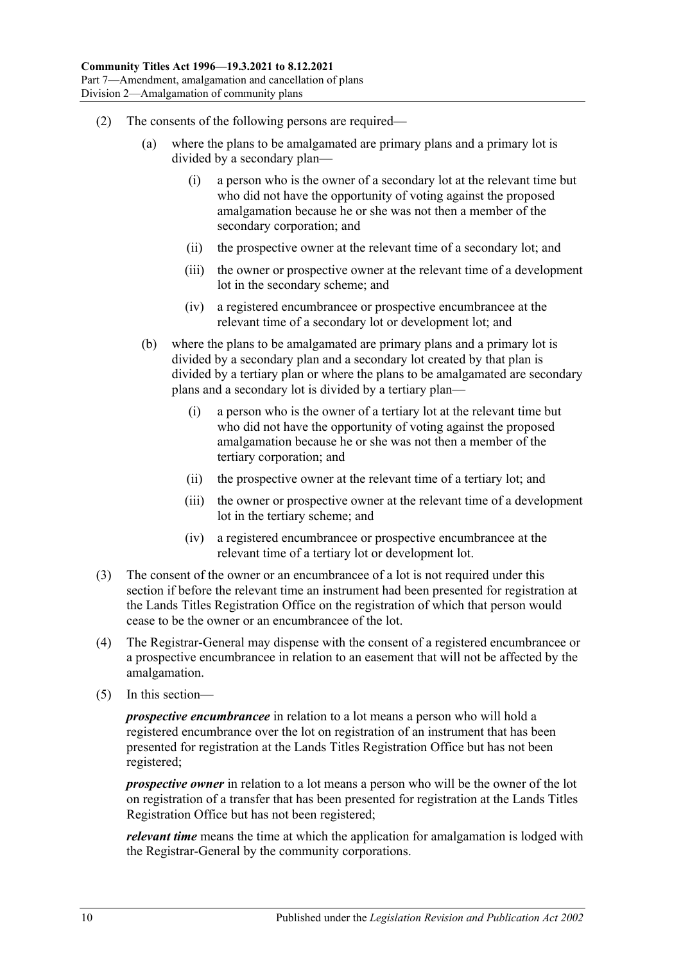- <span id="page-59-0"></span>(2) The consents of the following persons are required—
	- (a) where the plans to be amalgamated are primary plans and a primary lot is divided by a secondary plan—
		- (i) a person who is the owner of a secondary lot at the relevant time but who did not have the opportunity of voting against the proposed amalgamation because he or she was not then a member of the secondary corporation; and
		- (ii) the prospective owner at the relevant time of a secondary lot; and
		- (iii) the owner or prospective owner at the relevant time of a development lot in the secondary scheme; and
		- (iv) a registered encumbrancee or prospective encumbrancee at the relevant time of a secondary lot or development lot; and
	- (b) where the plans to be amalgamated are primary plans and a primary lot is divided by a secondary plan and a secondary lot created by that plan is divided by a tertiary plan or where the plans to be amalgamated are secondary plans and a secondary lot is divided by a tertiary plan—
		- (i) a person who is the owner of a tertiary lot at the relevant time but who did not have the opportunity of voting against the proposed amalgamation because he or she was not then a member of the tertiary corporation; and
		- (ii) the prospective owner at the relevant time of a tertiary lot; and
		- (iii) the owner or prospective owner at the relevant time of a development lot in the tertiary scheme; and
		- (iv) a registered encumbrancee or prospective encumbrancee at the relevant time of a tertiary lot or development lot.
- (3) The consent of the owner or an encumbrancee of a lot is not required under this section if before the relevant time an instrument had been presented for registration at the Lands Titles Registration Office on the registration of which that person would cease to be the owner or an encumbrancee of the lot.
- (4) The Registrar-General may dispense with the consent of a registered encumbrancee or a prospective encumbrancee in relation to an easement that will not be affected by the amalgamation.
- (5) In this section—

*prospective encumbrancee* in relation to a lot means a person who will hold a registered encumbrance over the lot on registration of an instrument that has been presented for registration at the Lands Titles Registration Office but has not been registered;

*prospective owner* in relation to a lot means a person who will be the owner of the lot on registration of a transfer that has been presented for registration at the Lands Titles Registration Office but has not been registered;

*relevant time* means the time at which the application for amalgamation is lodged with the Registrar-General by the community corporations.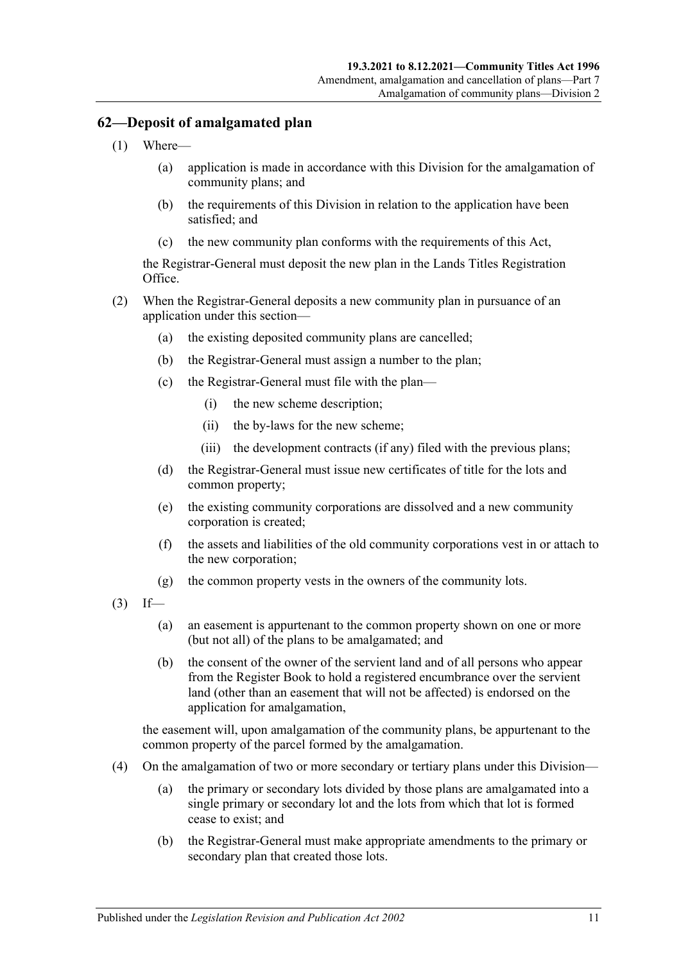## **62—Deposit of amalgamated plan**

- (1) Where—
	- (a) application is made in accordance with this Division for the amalgamation of community plans; and
	- (b) the requirements of this Division in relation to the application have been satisfied; and
	- (c) the new community plan conforms with the requirements of this Act,

the Registrar-General must deposit the new plan in the Lands Titles Registration Office.

- (2) When the Registrar-General deposits a new community plan in pursuance of an application under this section—
	- (a) the existing deposited community plans are cancelled;
	- (b) the Registrar-General must assign a number to the plan;
	- (c) the Registrar-General must file with the plan—
		- (i) the new scheme description;
		- (ii) the by-laws for the new scheme;
		- (iii) the development contracts (if any) filed with the previous plans;
	- (d) the Registrar-General must issue new certificates of title for the lots and common property;
	- (e) the existing community corporations are dissolved and a new community corporation is created;
	- (f) the assets and liabilities of the old community corporations vest in or attach to the new corporation;
	- (g) the common property vests in the owners of the community lots.
- $(3)$  If—
	- (a) an easement is appurtenant to the common property shown on one or more (but not all) of the plans to be amalgamated; and
	- (b) the consent of the owner of the servient land and of all persons who appear from the Register Book to hold a registered encumbrance over the servient land (other than an easement that will not be affected) is endorsed on the application for amalgamation,

the easement will, upon amalgamation of the community plans, be appurtenant to the common property of the parcel formed by the amalgamation.

- (4) On the amalgamation of two or more secondary or tertiary plans under this Division—
	- (a) the primary or secondary lots divided by those plans are amalgamated into a single primary or secondary lot and the lots from which that lot is formed cease to exist; and
	- (b) the Registrar-General must make appropriate amendments to the primary or secondary plan that created those lots.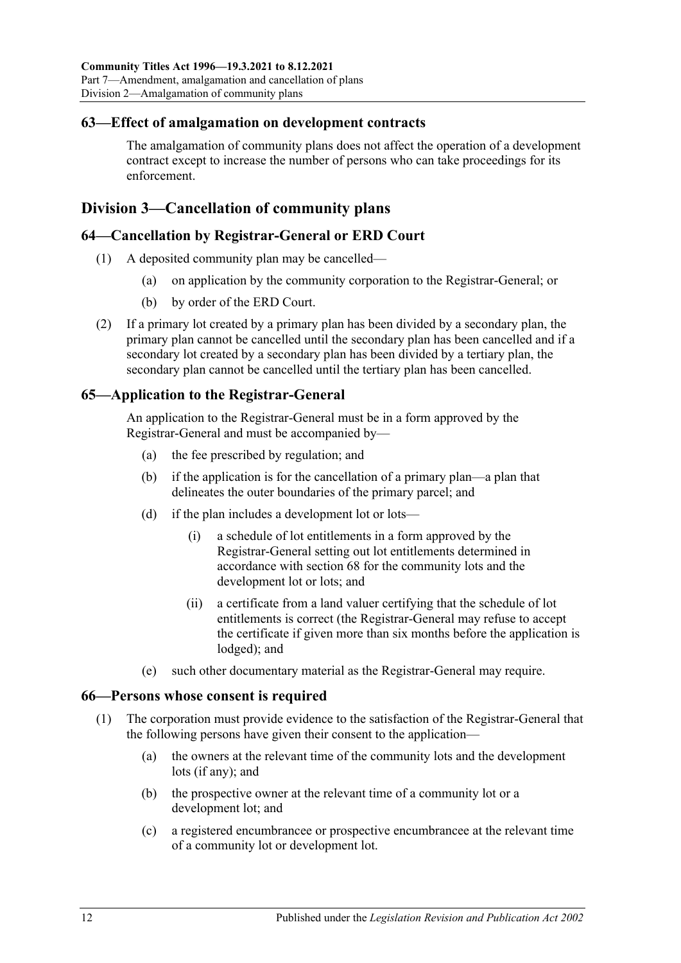## **63—Effect of amalgamation on development contracts**

The amalgamation of community plans does not affect the operation of a development contract except to increase the number of persons who can take proceedings for its enforcement.

## <span id="page-61-1"></span>**Division 3—Cancellation of community plans**

## **64—Cancellation by Registrar-General or ERD Court**

- (1) A deposited community plan may be cancelled—
	- (a) on application by the community corporation to the Registrar-General; or
	- (b) by order of the ERD Court.
- (2) If a primary lot created by a primary plan has been divided by a secondary plan, the primary plan cannot be cancelled until the secondary plan has been cancelled and if a secondary lot created by a secondary plan has been divided by a tertiary plan, the secondary plan cannot be cancelled until the tertiary plan has been cancelled.

## **65—Application to the Registrar-General**

An application to the Registrar-General must be in a form approved by the Registrar-General and must be accompanied by—

- (a) the fee prescribed by regulation; and
- (b) if the application is for the cancellation of a primary plan—a plan that delineates the outer boundaries of the primary parcel; and
- <span id="page-61-0"></span>(d) if the plan includes a development lot or lots—
	- (i) a schedule of lot entitlements in a form approved by the Registrar-General setting out lot entitlements determined in accordance with [section](#page-63-0) 68 for the community lots and the development lot or lots; and
	- (ii) a certificate from a land valuer certifying that the schedule of lot entitlements is correct (the Registrar-General may refuse to accept the certificate if given more than six months before the application is lodged); and
- (e) such other documentary material as the Registrar-General may require.

## **66—Persons whose consent is required**

- (1) The corporation must provide evidence to the satisfaction of the Registrar-General that the following persons have given their consent to the application—
	- (a) the owners at the relevant time of the community lots and the development lots (if any); and
	- (b) the prospective owner at the relevant time of a community lot or a development lot; and
	- (c) a registered encumbrancee or prospective encumbrancee at the relevant time of a community lot or development lot.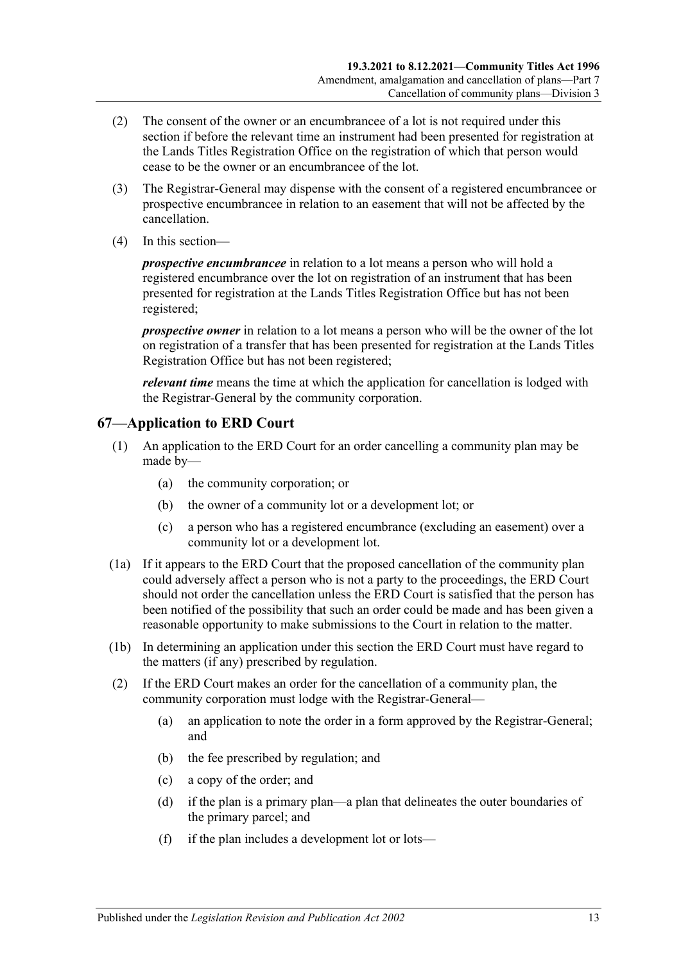- (2) The consent of the owner or an encumbrancee of a lot is not required under this section if before the relevant time an instrument had been presented for registration at the Lands Titles Registration Office on the registration of which that person would cease to be the owner or an encumbrancee of the lot.
- (3) The Registrar-General may dispense with the consent of a registered encumbrancee or prospective encumbrancee in relation to an easement that will not be affected by the cancellation.
- (4) In this section—

*prospective encumbrancee* in relation to a lot means a person who will hold a registered encumbrance over the lot on registration of an instrument that has been presented for registration at the Lands Titles Registration Office but has not been registered;

*prospective owner* in relation to a lot means a person who will be the owner of the lot on registration of a transfer that has been presented for registration at the Lands Titles Registration Office but has not been registered;

*relevant time* means the time at which the application for cancellation is lodged with the Registrar-General by the community corporation.

## **67—Application to ERD Court**

- (1) An application to the ERD Court for an order cancelling a community plan may be made by—
	- (a) the community corporation; or
	- (b) the owner of a community lot or a development lot; or
	- (c) a person who has a registered encumbrance (excluding an easement) over a community lot or a development lot.
- (1a) If it appears to the ERD Court that the proposed cancellation of the community plan could adversely affect a person who is not a party to the proceedings, the ERD Court should not order the cancellation unless the ERD Court is satisfied that the person has been notified of the possibility that such an order could be made and has been given a reasonable opportunity to make submissions to the Court in relation to the matter.
- (1b) In determining an application under this section the ERD Court must have regard to the matters (if any) prescribed by regulation.
- <span id="page-62-0"></span>(2) If the ERD Court makes an order for the cancellation of a community plan, the community corporation must lodge with the Registrar-General—
	- (a) an application to note the order in a form approved by the Registrar-General; and
	- (b) the fee prescribed by regulation; and
	- (c) a copy of the order; and
	- (d) if the plan is a primary plan—a plan that delineates the outer boundaries of the primary parcel; and
	- (f) if the plan includes a development lot or lots—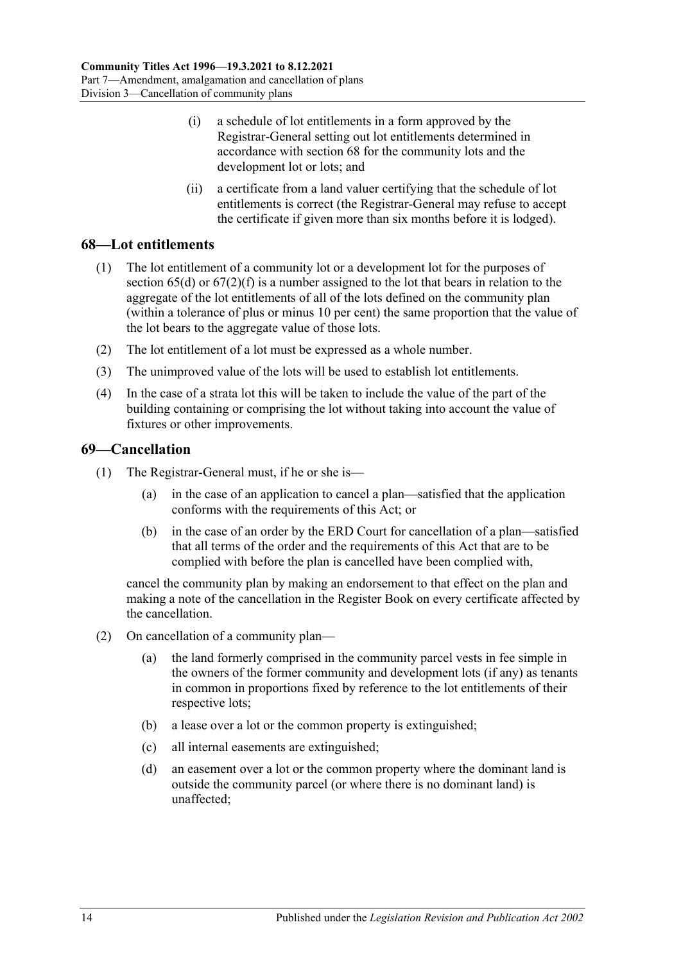- (i) a schedule of lot entitlements in a form approved by the Registrar-General setting out lot entitlements determined in accordance with [section](#page-63-0) 68 for the community lots and the development lot or lots; and
- (ii) a certificate from a land valuer certifying that the schedule of lot entitlements is correct (the Registrar-General may refuse to accept the certificate if given more than six months before it is lodged).

## <span id="page-63-0"></span>**68—Lot entitlements**

- (1) The lot entitlement of a community lot or a development lot for the purposes of [section](#page-61-0)  $65(d)$  or  $67(2)(f)$  is a number assigned to the lot that bears in relation to the aggregate of the lot entitlements of all of the lots defined on the community plan (within a tolerance of plus or minus 10 per cent) the same proportion that the value of the lot bears to the aggregate value of those lots.
- (2) The lot entitlement of a lot must be expressed as a whole number.
- (3) The unimproved value of the lots will be used to establish lot entitlements.
- (4) In the case of a strata lot this will be taken to include the value of the part of the building containing or comprising the lot without taking into account the value of fixtures or other improvements.

## **69—Cancellation**

- (1) The Registrar-General must, if he or she is—
	- (a) in the case of an application to cancel a plan—satisfied that the application conforms with the requirements of this Act; or
	- (b) in the case of an order by the ERD Court for cancellation of a plan—satisfied that all terms of the order and the requirements of this Act that are to be complied with before the plan is cancelled have been complied with,

cancel the community plan by making an endorsement to that effect on the plan and making a note of the cancellation in the Register Book on every certificate affected by the cancellation.

- <span id="page-63-2"></span><span id="page-63-1"></span>(2) On cancellation of a community plan—
	- (a) the land formerly comprised in the community parcel vests in fee simple in the owners of the former community and development lots (if any) as tenants in common in proportions fixed by reference to the lot entitlements of their respective lots;
	- (b) a lease over a lot or the common property is extinguished;
	- (c) all internal easements are extinguished;
	- (d) an easement over a lot or the common property where the dominant land is outside the community parcel (or where there is no dominant land) is unaffected;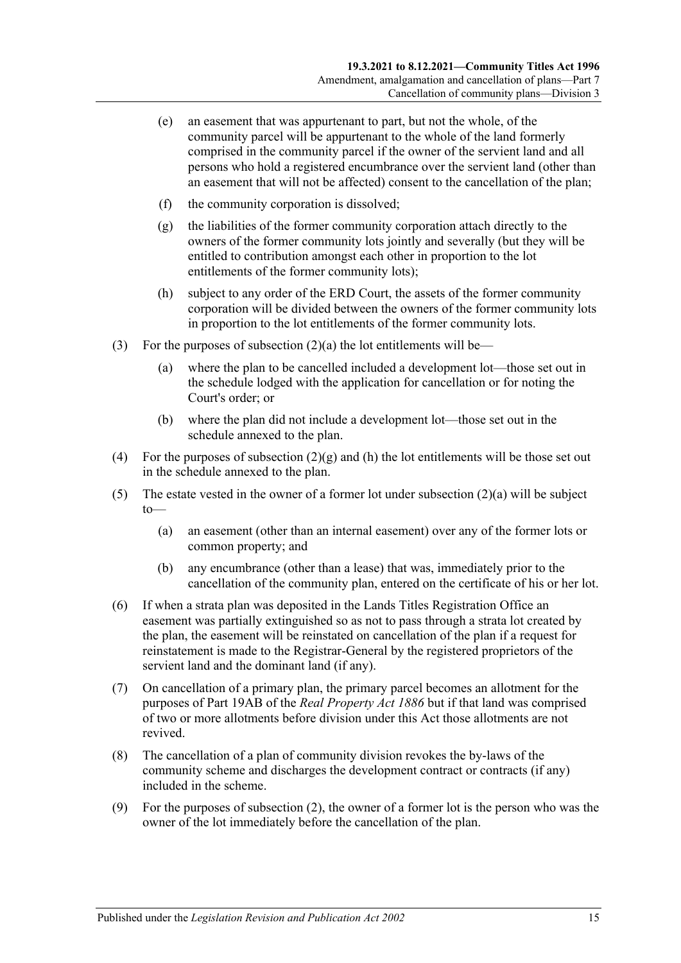- (e) an easement that was appurtenant to part, but not the whole, of the community parcel will be appurtenant to the whole of the land formerly comprised in the community parcel if the owner of the servient land and all persons who hold a registered encumbrance over the servient land (other than an easement that will not be affected) consent to the cancellation of the plan;
- (f) the community corporation is dissolved;
- <span id="page-64-0"></span>(g) the liabilities of the former community corporation attach directly to the owners of the former community lots jointly and severally (but they will be entitled to contribution amongst each other in proportion to the lot entitlements of the former community lots);
- <span id="page-64-1"></span>(h) subject to any order of the ERD Court, the assets of the former community corporation will be divided between the owners of the former community lots in proportion to the lot entitlements of the former community lots.
- (3) For the purposes of [subsection](#page-63-1)  $(2)(a)$  the lot entitlements will be—
	- (a) where the plan to be cancelled included a development lot—those set out in the schedule lodged with the application for cancellation or for noting the Court's order; or
	- (b) where the plan did not include a development lot—those set out in the schedule annexed to the plan.
- (4) For the purposes of [subsection](#page-64-0)  $(2)(g)$  and [\(h\)](#page-64-1) the lot entitlements will be those set out in the schedule annexed to the plan.
- (5) The estate vested in the owner of a former lot under [subsection](#page-63-1)  $(2)(a)$  will be subject  $to$ —
	- (a) an easement (other than an internal easement) over any of the former lots or common property; and
	- (b) any encumbrance (other than a lease) that was, immediately prior to the cancellation of the community plan, entered on the certificate of his or her lot.
- (6) If when a strata plan was deposited in the Lands Titles Registration Office an easement was partially extinguished so as not to pass through a strata lot created by the plan, the easement will be reinstated on cancellation of the plan if a request for reinstatement is made to the Registrar-General by the registered proprietors of the servient land and the dominant land (if any).
- (7) On cancellation of a primary plan, the primary parcel becomes an allotment for the purposes of Part 19AB of the *[Real Property Act](http://www.legislation.sa.gov.au/index.aspx?action=legref&type=act&legtitle=Real%20Property%20Act%201886) 1886* but if that land was comprised of two or more allotments before division under this Act those allotments are not revived.
- (8) The cancellation of a plan of community division revokes the by-laws of the community scheme and discharges the development contract or contracts (if any) included in the scheme.
- (9) For the purposes of [subsection](#page-63-2) (2), the owner of a former lot is the person who was the owner of the lot immediately before the cancellation of the plan.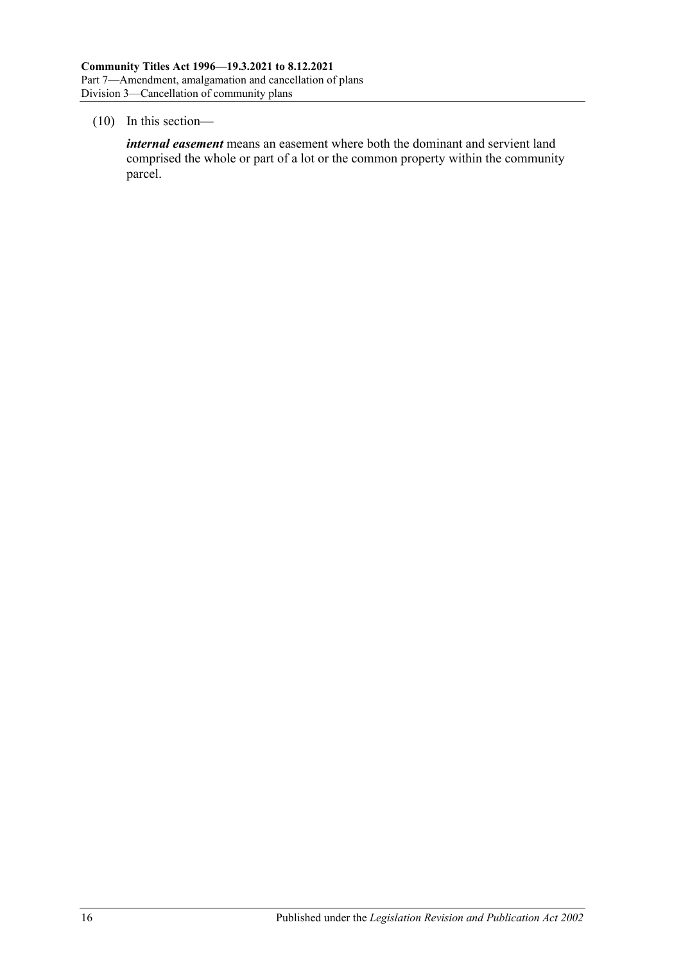#### (10) In this section—

*internal easement* means an easement where both the dominant and servient land comprised the whole or part of a lot or the common property within the community parcel.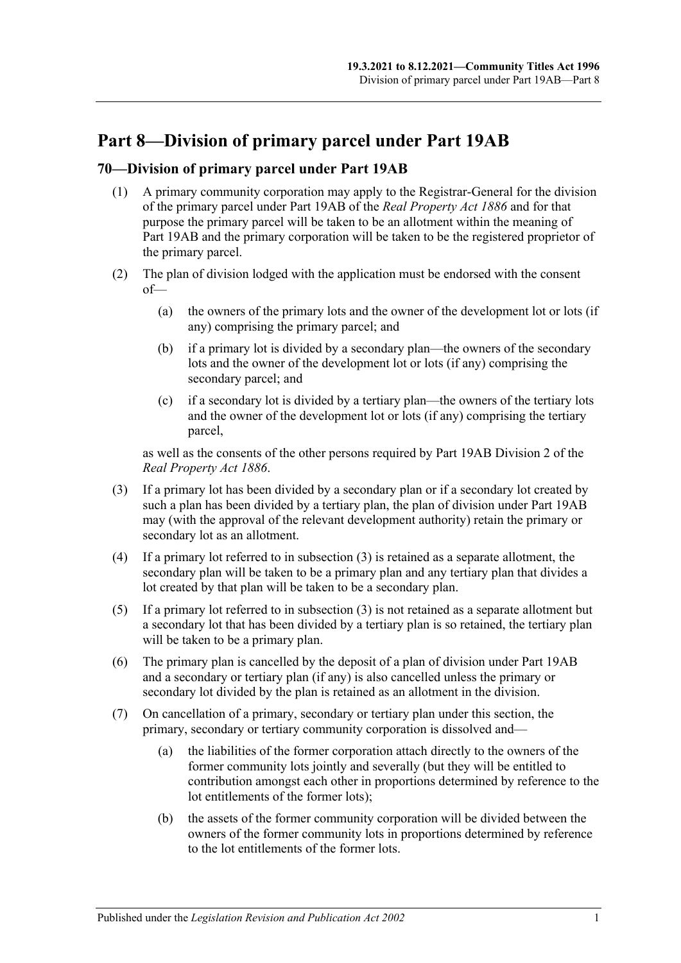# **Part 8—Division of primary parcel under Part 19AB**

## **70—Division of primary parcel under Part 19AB**

- (1) A primary community corporation may apply to the Registrar-General for the division of the primary parcel under Part 19AB of the *[Real Property Act](http://www.legislation.sa.gov.au/index.aspx?action=legref&type=act&legtitle=Real%20Property%20Act%201886) 1886* and for that purpose the primary parcel will be taken to be an allotment within the meaning of Part 19AB and the primary corporation will be taken to be the registered proprietor of the primary parcel.
- (2) The plan of division lodged with the application must be endorsed with the consent of—
	- (a) the owners of the primary lots and the owner of the development lot or lots (if any) comprising the primary parcel; and
	- (b) if a primary lot is divided by a secondary plan—the owners of the secondary lots and the owner of the development lot or lots (if any) comprising the secondary parcel; and
	- (c) if a secondary lot is divided by a tertiary plan—the owners of the tertiary lots and the owner of the development lot or lots (if any) comprising the tertiary parcel,

as well as the consents of the other persons required by Part 19AB Division 2 of the *[Real Property Act](http://www.legislation.sa.gov.au/index.aspx?action=legref&type=act&legtitle=Real%20Property%20Act%201886) 1886*.

- <span id="page-66-0"></span>(3) If a primary lot has been divided by a secondary plan or if a secondary lot created by such a plan has been divided by a tertiary plan, the plan of division under Part 19AB may (with the approval of the relevant development authority) retain the primary or secondary lot as an allotment.
- (4) If a primary lot referred to in [subsection](#page-66-0) (3) is retained as a separate allotment, the secondary plan will be taken to be a primary plan and any tertiary plan that divides a lot created by that plan will be taken to be a secondary plan.
- (5) If a primary lot referred to in [subsection](#page-66-0) (3) is not retained as a separate allotment but a secondary lot that has been divided by a tertiary plan is so retained, the tertiary plan will be taken to be a primary plan.
- (6) The primary plan is cancelled by the deposit of a plan of division under Part 19AB and a secondary or tertiary plan (if any) is also cancelled unless the primary or secondary lot divided by the plan is retained as an allotment in the division.
- (7) On cancellation of a primary, secondary or tertiary plan under this section, the primary, secondary or tertiary community corporation is dissolved and—
	- (a) the liabilities of the former corporation attach directly to the owners of the former community lots jointly and severally (but they will be entitled to contribution amongst each other in proportions determined by reference to the lot entitlements of the former lots);
	- (b) the assets of the former community corporation will be divided between the owners of the former community lots in proportions determined by reference to the lot entitlements of the former lots.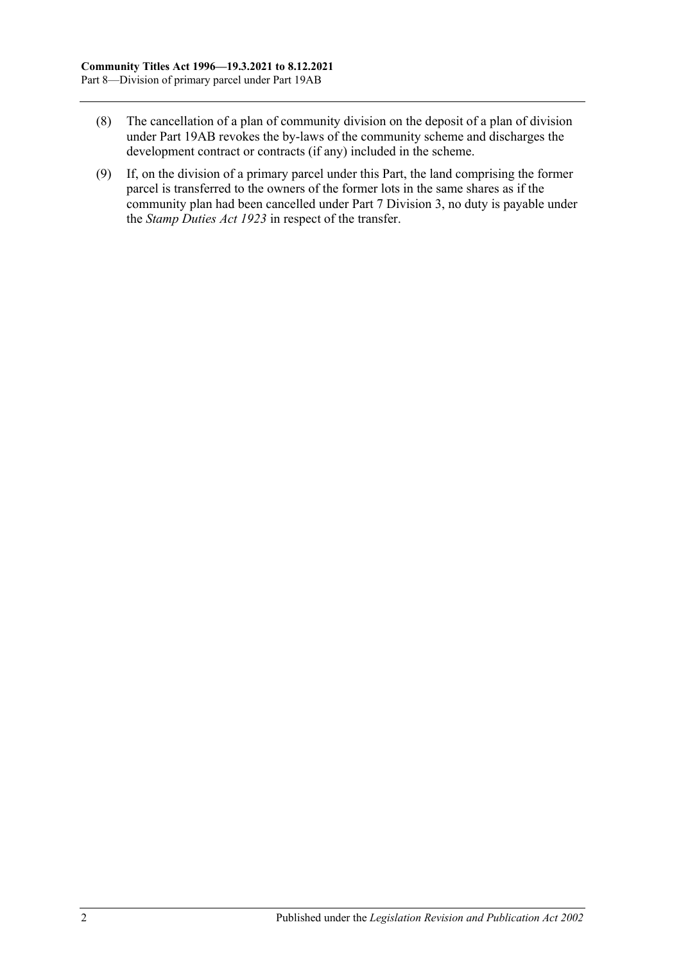- (8) The cancellation of a plan of community division on the deposit of a plan of division under Part 19AB revokes the by-laws of the community scheme and discharges the development contract or contracts (if any) included in the scheme.
- (9) If, on the division of a primary parcel under this Part, the land comprising the former parcel is transferred to the owners of the former lots in the same shares as if the community plan had been cancelled under [Part 7 Division 3,](#page-61-1) no duty is payable under the *[Stamp Duties Act](http://www.legislation.sa.gov.au/index.aspx?action=legref&type=act&legtitle=Stamp%20Duties%20Act%201923) 1923* in respect of the transfer.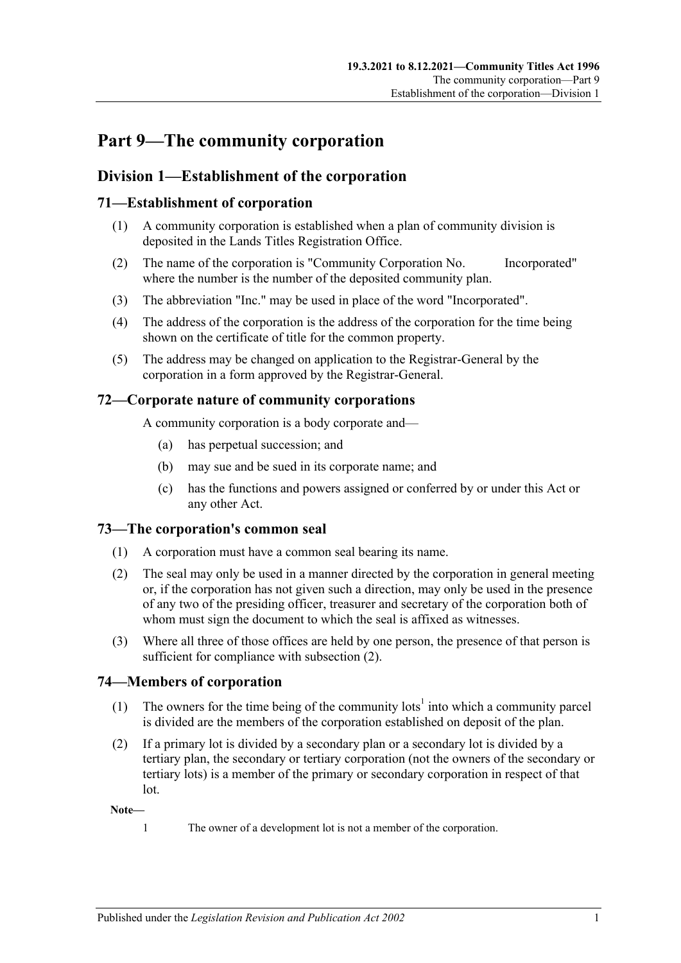# **Part 9—The community corporation**

## **Division 1—Establishment of the corporation**

## **71—Establishment of corporation**

- (1) A community corporation is established when a plan of community division is deposited in the Lands Titles Registration Office.
- (2) The name of the corporation is "Community Corporation No. Incorporated" where the number is the number of the deposited community plan.
- (3) The abbreviation "Inc." may be used in place of the word "Incorporated".
- (4) The address of the corporation is the address of the corporation for the time being shown on the certificate of title for the common property.
- (5) The address may be changed on application to the Registrar-General by the corporation in a form approved by the Registrar-General.

## **72—Corporate nature of community corporations**

A community corporation is a body corporate and—

- (a) has perpetual succession; and
- (b) may sue and be sued in its corporate name; and
- (c) has the functions and powers assigned or conferred by or under this Act or any other Act.

## **73—The corporation's common seal**

- (1) A corporation must have a common seal bearing its name.
- <span id="page-68-0"></span>(2) The seal may only be used in a manner directed by the corporation in general meeting or, if the corporation has not given such a direction, may only be used in the presence of any two of the presiding officer, treasurer and secretary of the corporation both of whom must sign the document to which the seal is affixed as witnesses.
- (3) Where all three of those offices are held by one person, the presence of that person is sufficient for compliance with [subsection](#page-68-0)  $(2)$ .

## **74—Members of corporation**

- (1) The owners for the time being of the community lots<sup>1</sup> into which a community parcel is divided are the members of the corporation established on deposit of the plan.
- (2) If a primary lot is divided by a secondary plan or a secondary lot is divided by a tertiary plan, the secondary or tertiary corporation (not the owners of the secondary or tertiary lots) is a member of the primary or secondary corporation in respect of that lot.

**Note—**

- 
- 1 The owner of a development lot is not a member of the corporation.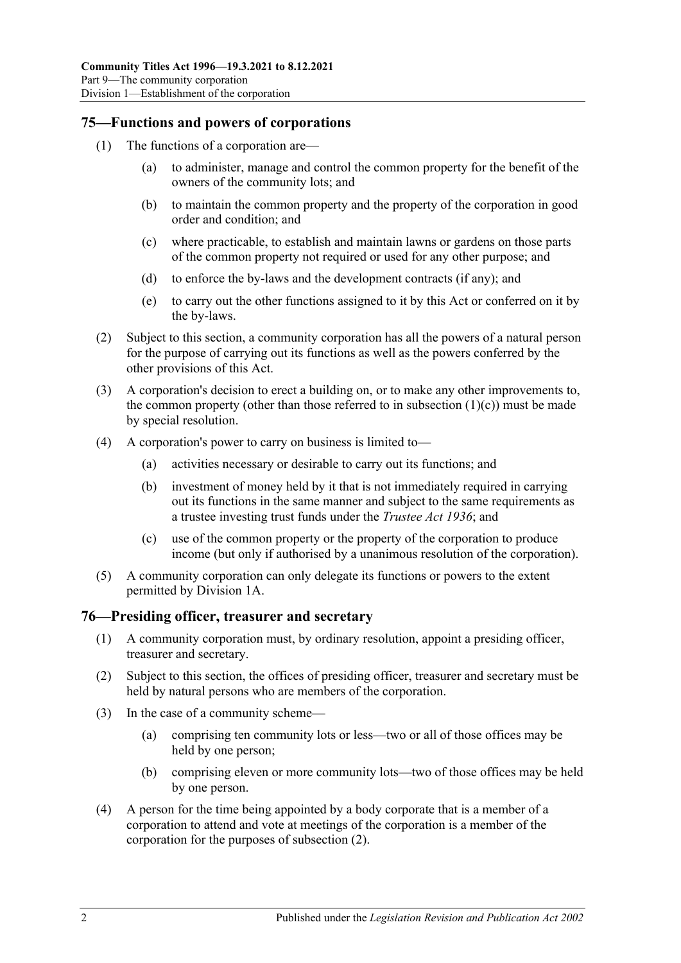### **75—Functions and powers of corporations**

- <span id="page-69-0"></span>(1) The functions of a corporation are—
	- (a) to administer, manage and control the common property for the benefit of the owners of the community lots; and
	- (b) to maintain the common property and the property of the corporation in good order and condition; and
	- (c) where practicable, to establish and maintain lawns or gardens on those parts of the common property not required or used for any other purpose; and
	- (d) to enforce the by-laws and the development contracts (if any); and
	- (e) to carry out the other functions assigned to it by this Act or conferred on it by the by-laws.
- (2) Subject to this section, a community corporation has all the powers of a natural person for the purpose of carrying out its functions as well as the powers conferred by the other provisions of this Act.
- (3) A corporation's decision to erect a building on, or to make any other improvements to, the common property (other than those referred to in [subsection](#page-69-0)  $(1)(c)$ ) must be made by special resolution.
- (4) A corporation's power to carry on business is limited to—
	- (a) activities necessary or desirable to carry out its functions; and
	- (b) investment of money held by it that is not immediately required in carrying out its functions in the same manner and subject to the same requirements as a trustee investing trust funds under the *[Trustee Act](http://www.legislation.sa.gov.au/index.aspx?action=legref&type=act&legtitle=Trustee%20Act%201936) 1936*; and
	- (c) use of the common property or the property of the corporation to produce income (but only if authorised by a unanimous resolution of the corporation).
- (5) A community corporation can only delegate its functions or powers to the extent permitted by [Division 1A.](#page-71-0)

## **76—Presiding officer, treasurer and secretary**

- (1) A community corporation must, by ordinary resolution, appoint a presiding officer, treasurer and secretary.
- <span id="page-69-1"></span>(2) Subject to this section, the offices of presiding officer, treasurer and secretary must be held by natural persons who are members of the corporation.
- (3) In the case of a community scheme—
	- (a) comprising ten community lots or less—two or all of those offices may be held by one person;
	- (b) comprising eleven or more community lots—two of those offices may be held by one person.
- (4) A person for the time being appointed by a body corporate that is a member of a corporation to attend and vote at meetings of the corporation is a member of the corporation for the purposes of [subsection](#page-69-1) (2).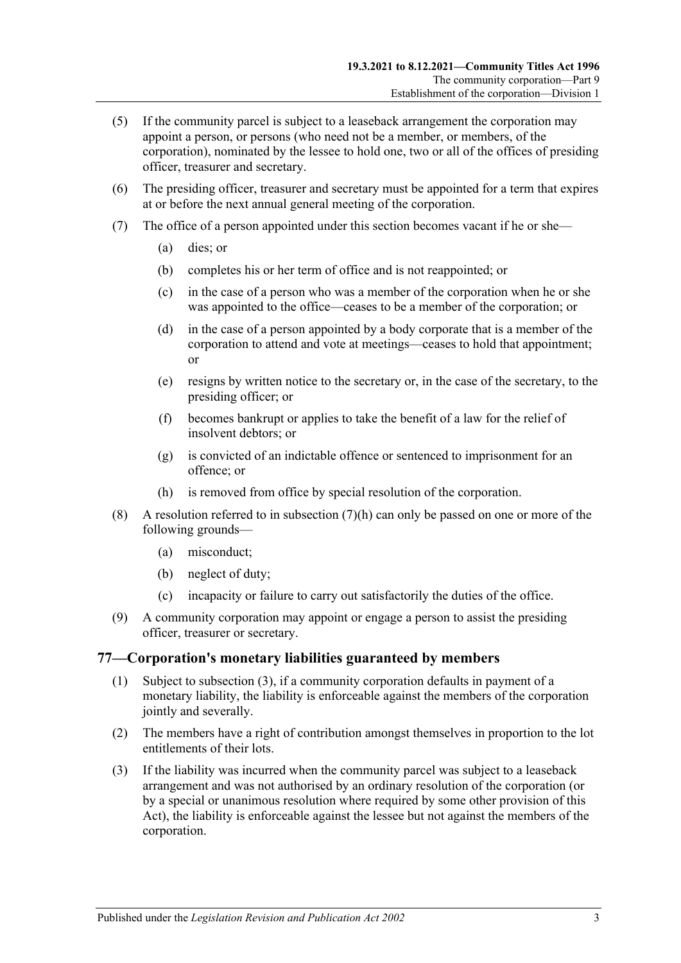- (5) If the community parcel is subject to a leaseback arrangement the corporation may appoint a person, or persons (who need not be a member, or members, of the corporation), nominated by the lessee to hold one, two or all of the offices of presiding officer, treasurer and secretary.
- (6) The presiding officer, treasurer and secretary must be appointed for a term that expires at or before the next annual general meeting of the corporation.
- (7) The office of a person appointed under this section becomes vacant if he or she—
	- (a) dies; or
	- (b) completes his or her term of office and is not reappointed; or
	- (c) in the case of a person who was a member of the corporation when he or she was appointed to the office—ceases to be a member of the corporation; or
	- (d) in the case of a person appointed by a body corporate that is a member of the corporation to attend and vote at meetings—ceases to hold that appointment; or
	- (e) resigns by written notice to the secretary or, in the case of the secretary, to the presiding officer; or
	- (f) becomes bankrupt or applies to take the benefit of a law for the relief of insolvent debtors; or
	- (g) is convicted of an indictable offence or sentenced to imprisonment for an offence; or
	- (h) is removed from office by special resolution of the corporation.
- <span id="page-70-0"></span>(8) A resolution referred to in [subsection](#page-70-0)  $(7)(h)$  can only be passed on one or more of the following grounds—
	- (a) misconduct;
	- (b) neglect of duty;
	- (c) incapacity or failure to carry out satisfactorily the duties of the office.
- (9) A community corporation may appoint or engage a person to assist the presiding officer, treasurer or secretary.

### **77—Corporation's monetary liabilities guaranteed by members**

- (1) Subject to [subsection](#page-70-1) (3), if a community corporation defaults in payment of a monetary liability, the liability is enforceable against the members of the corporation jointly and severally.
- (2) The members have a right of contribution amongst themselves in proportion to the lot entitlements of their lots.
- <span id="page-70-1"></span>(3) If the liability was incurred when the community parcel was subject to a leaseback arrangement and was not authorised by an ordinary resolution of the corporation (or by a special or unanimous resolution where required by some other provision of this Act), the liability is enforceable against the lessee but not against the members of the corporation.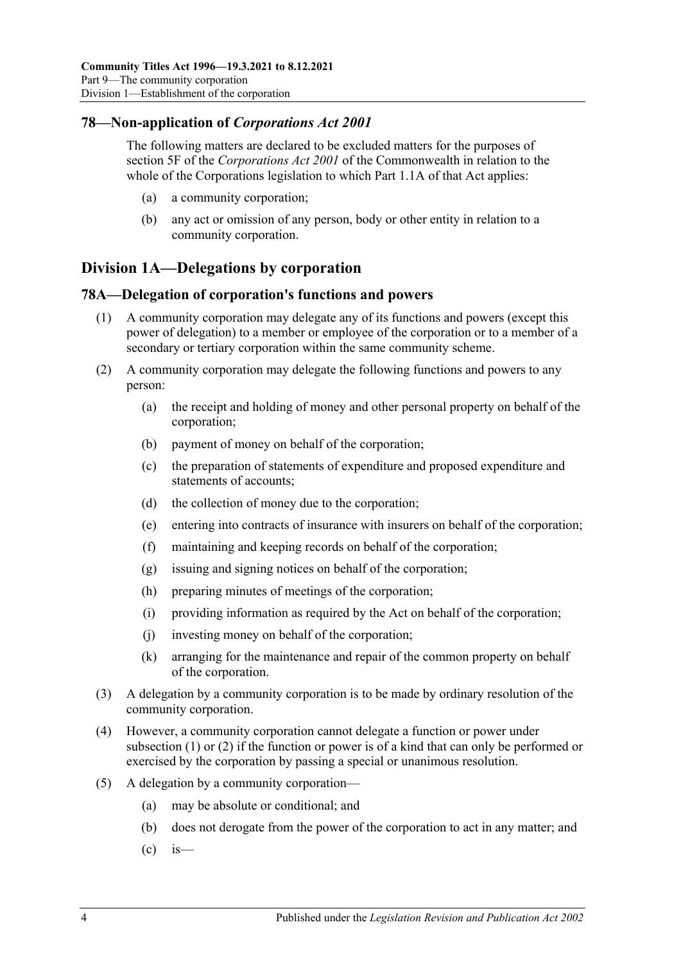## **78—Non-application of** *Corporations Act 2001*

The following matters are declared to be excluded matters for the purposes of section 5F of the *Corporations Act 2001* of the Commonwealth in relation to the whole of the Corporations legislation to which Part 1.1A of that Act applies:

- (a) a community corporation;
- (b) any act or omission of any person, body or other entity in relation to a community corporation.

## <span id="page-71-0"></span>**Division 1A—Delegations by corporation**

## <span id="page-71-1"></span>**78A—Delegation of corporation's functions and powers**

- (1) A community corporation may delegate any of its functions and powers (except this power of delegation) to a member or employee of the corporation or to a member of a secondary or tertiary corporation within the same community scheme.
- <span id="page-71-2"></span>(2) A community corporation may delegate the following functions and powers to any person:
	- (a) the receipt and holding of money and other personal property on behalf of the corporation;
	- (b) payment of money on behalf of the corporation;
	- (c) the preparation of statements of expenditure and proposed expenditure and statements of accounts;
	- (d) the collection of money due to the corporation;
	- (e) entering into contracts of insurance with insurers on behalf of the corporation;
	- (f) maintaining and keeping records on behalf of the corporation;
	- (g) issuing and signing notices on behalf of the corporation;
	- (h) preparing minutes of meetings of the corporation;
	- (i) providing information as required by the Act on behalf of the corporation;
	- (j) investing money on behalf of the corporation;
	- (k) arranging for the maintenance and repair of the common property on behalf of the corporation.
- (3) A delegation by a community corporation is to be made by ordinary resolution of the community corporation.
- (4) However, a community corporation cannot delegate a function or power under [subsection](#page-71-1) (1) or [\(2\)](#page-71-2) if the function or power is of a kind that can only be performed or exercised by the corporation by passing a special or unanimous resolution.
- (5) A delegation by a community corporation—
	- (a) may be absolute or conditional; and
	- (b) does not derogate from the power of the corporation to act in any matter; and
	- $\left( c \right)$  is —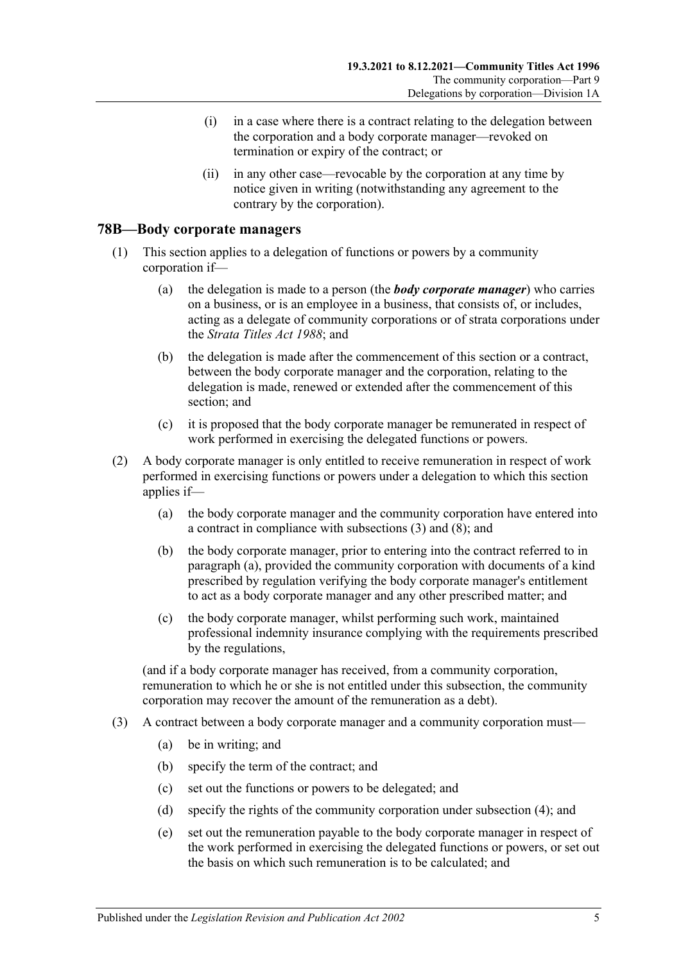- (i) in a case where there is a contract relating to the delegation between the corporation and a body corporate manager—revoked on termination or expiry of the contract; or
- (ii) in any other case—revocable by the corporation at any time by notice given in writing (notwithstanding any agreement to the contrary by the corporation).

#### **78B—Body corporate managers**

- (1) This section applies to a delegation of functions or powers by a community corporation if—
	- (a) the delegation is made to a person (the *body corporate manager*) who carries on a business, or is an employee in a business, that consists of, or includes, acting as a delegate of community corporations or of strata corporations under the *[Strata Titles Act](http://www.legislation.sa.gov.au/index.aspx?action=legref&type=act&legtitle=Strata%20Titles%20Act%201988) 1988*; and
	- (b) the delegation is made after the commencement of this section or a contract, between the body corporate manager and the corporation, relating to the delegation is made, renewed or extended after the commencement of this section; and
	- (c) it is proposed that the body corporate manager be remunerated in respect of work performed in exercising the delegated functions or powers.
- <span id="page-72-2"></span><span id="page-72-1"></span>(2) A body corporate manager is only entitled to receive remuneration in respect of work performed in exercising functions or powers under a delegation to which this section applies if—
	- (a) the body corporate manager and the community corporation have entered into a contract in compliance with [subsections](#page-72-0) (3) and [\(8\);](#page-73-0) and
	- (b) the body corporate manager, prior to entering into the contract referred to in [paragraph](#page-72-1) (a), provided the community corporation with documents of a kind prescribed by regulation verifying the body corporate manager's entitlement to act as a body corporate manager and any other prescribed matter; and
	- (c) the body corporate manager, whilst performing such work, maintained professional indemnity insurance complying with the requirements prescribed by the regulations,

<span id="page-72-3"></span>(and if a body corporate manager has received, from a community corporation, remuneration to which he or she is not entitled under this subsection, the community corporation may recover the amount of the remuneration as a debt).

- <span id="page-72-0"></span>(3) A contract between a body corporate manager and a community corporation must—
	- (a) be in writing; and
	- (b) specify the term of the contract; and
	- (c) set out the functions or powers to be delegated; and
	- (d) specify the rights of the community corporation under [subsection](#page-73-1) (4); and
	- (e) set out the remuneration payable to the body corporate manager in respect of the work performed in exercising the delegated functions or powers, or set out the basis on which such remuneration is to be calculated; and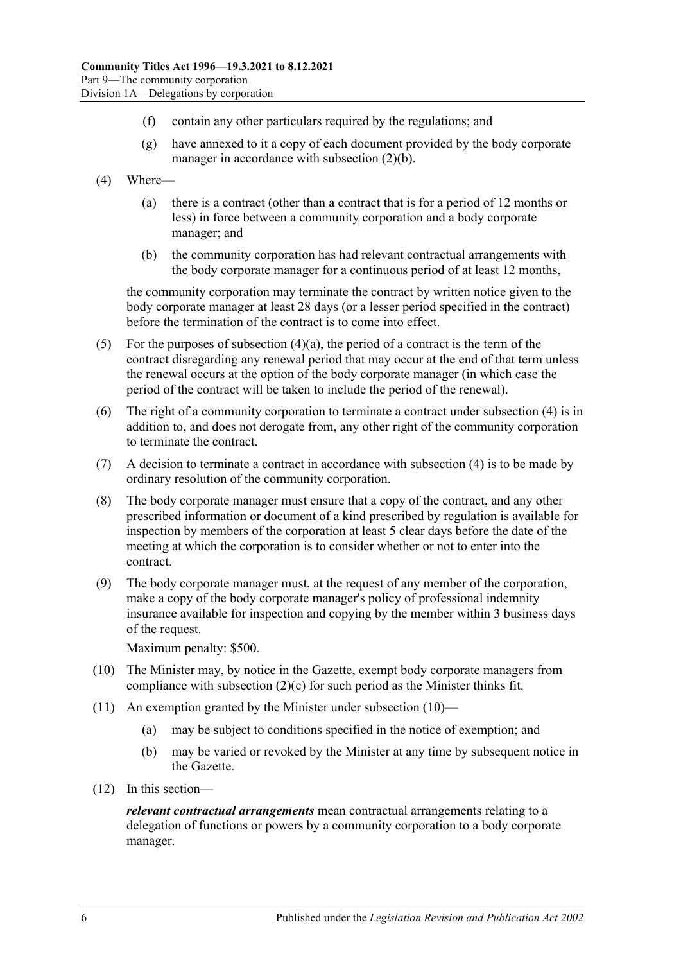- (f) contain any other particulars required by the regulations; and
- (g) have annexed to it a copy of each document provided by the body corporate manager in accordance with [subsection](#page-72-2) (2)(b).
- <span id="page-73-2"></span><span id="page-73-1"></span>(4) Where—
	- (a) there is a contract (other than a contract that is for a period of 12 months or less) in force between a community corporation and a body corporate manager; and
	- (b) the community corporation has had relevant contractual arrangements with the body corporate manager for a continuous period of at least 12 months,

the community corporation may terminate the contract by written notice given to the body corporate manager at least 28 days (or a lesser period specified in the contract) before the termination of the contract is to come into effect.

- (5) For the purposes of [subsection](#page-73-2)  $(4)(a)$ , the period of a contract is the term of the contract disregarding any renewal period that may occur at the end of that term unless the renewal occurs at the option of the body corporate manager (in which case the period of the contract will be taken to include the period of the renewal).
- (6) The right of a community corporation to terminate a contract under [subsection](#page-73-1) (4) is in addition to, and does not derogate from, any other right of the community corporation to terminate the contract.
- (7) A decision to terminate a contract in accordance with [subsection](#page-73-1) (4) is to be made by ordinary resolution of the community corporation.
- <span id="page-73-0"></span>(8) The body corporate manager must ensure that a copy of the contract, and any other prescribed information or document of a kind prescribed by regulation is available for inspection by members of the corporation at least 5 clear days before the date of the meeting at which the corporation is to consider whether or not to enter into the contract.
- (9) The body corporate manager must, at the request of any member of the corporation, make a copy of the body corporate manager's policy of professional indemnity insurance available for inspection and copying by the member within 3 business days of the request.

Maximum penalty: \$500.

- <span id="page-73-3"></span>(10) The Minister may, by notice in the Gazette, exempt body corporate managers from compliance with [subsection](#page-72-3)  $(2)(c)$  for such period as the Minister thinks fit.
- (11) An exemption granted by the Minister under [subsection](#page-73-3) (10)—
	- (a) may be subject to conditions specified in the notice of exemption; and
	- (b) may be varied or revoked by the Minister at any time by subsequent notice in the Gazette.
- (12) In this section—

*relevant contractual arrangements* mean contractual arrangements relating to a delegation of functions or powers by a community corporation to a body corporate manager.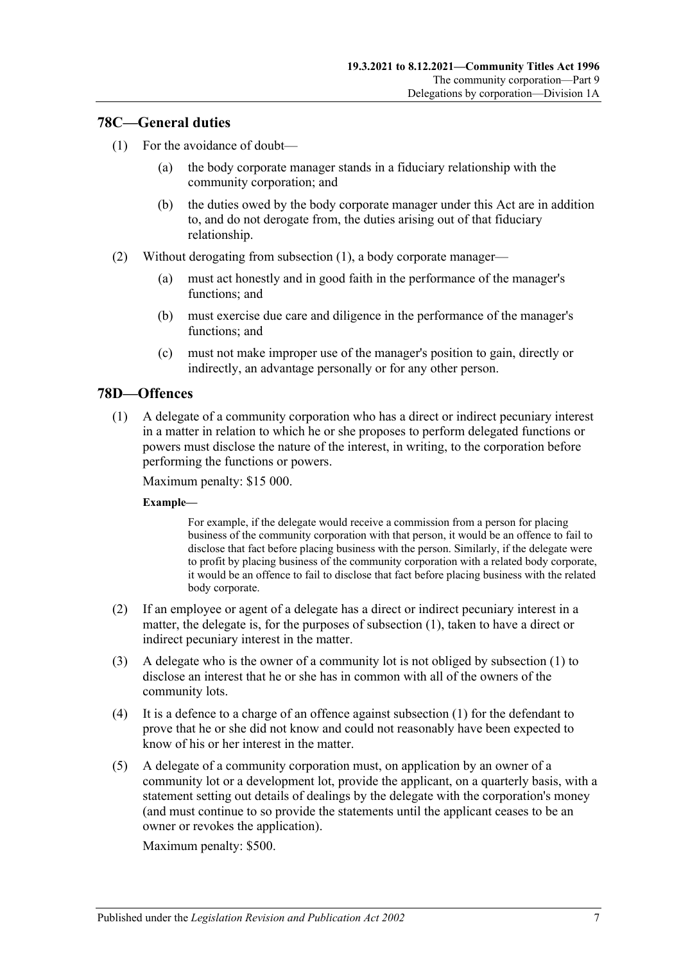# <span id="page-74-0"></span>**78C—General duties**

- (1) For the avoidance of doubt—
	- (a) the body corporate manager stands in a fiduciary relationship with the community corporation; and
	- (b) the duties owed by the body corporate manager under this Act are in addition to, and do not derogate from, the duties arising out of that fiduciary relationship.
- (2) Without derogating from [subsection](#page-74-0) (1), a body corporate manager—
	- (a) must act honestly and in good faith in the performance of the manager's functions; and
	- (b) must exercise due care and diligence in the performance of the manager's functions; and
	- (c) must not make improper use of the manager's position to gain, directly or indirectly, an advantage personally or for any other person.

# <span id="page-74-1"></span>**78D—Offences**

(1) A delegate of a community corporation who has a direct or indirect pecuniary interest in a matter in relation to which he or she proposes to perform delegated functions or powers must disclose the nature of the interest, in writing, to the corporation before performing the functions or powers.

Maximum penalty: \$15 000.

#### **Example—**

For example, if the delegate would receive a commission from a person for placing business of the community corporation with that person, it would be an offence to fail to disclose that fact before placing business with the person. Similarly, if the delegate were to profit by placing business of the community corporation with a related body corporate, it would be an offence to fail to disclose that fact before placing business with the related body corporate.

- (2) If an employee or agent of a delegate has a direct or indirect pecuniary interest in a matter, the delegate is, for the purposes of [subsection](#page-74-1) (1), taken to have a direct or indirect pecuniary interest in the matter.
- (3) A delegate who is the owner of a community lot is not obliged by [subsection](#page-74-1) (1) to disclose an interest that he or she has in common with all of the owners of the community lots.
- (4) It is a defence to a charge of an offence against [subsection](#page-74-1) (1) for the defendant to prove that he or she did not know and could not reasonably have been expected to know of his or her interest in the matter.
- (5) A delegate of a community corporation must, on application by an owner of a community lot or a development lot, provide the applicant, on a quarterly basis, with a statement setting out details of dealings by the delegate with the corporation's money (and must continue to so provide the statements until the applicant ceases to be an owner or revokes the application).

Maximum penalty: \$500.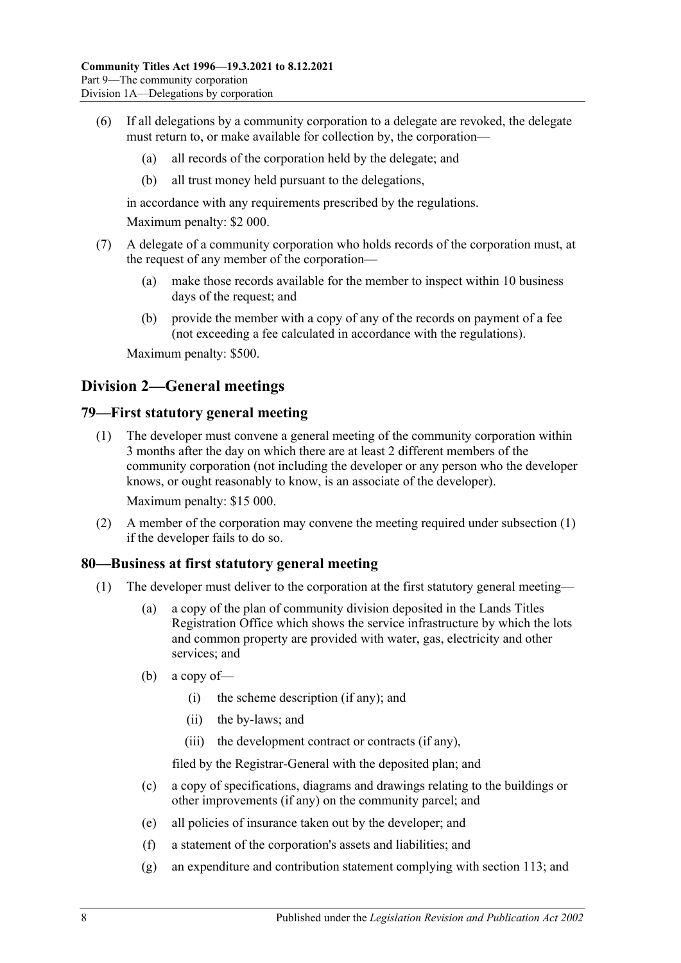- (6) If all delegations by a community corporation to a delegate are revoked, the delegate must return to, or make available for collection by, the corporation—
	- (a) all records of the corporation held by the delegate; and
	- (b) all trust money held pursuant to the delegations,

in accordance with any requirements prescribed by the regulations.

Maximum penalty: \$2 000.

- (7) A delegate of a community corporation who holds records of the corporation must, at the request of any member of the corporation—
	- (a) make those records available for the member to inspect within 10 business days of the request; and
	- (b) provide the member with a copy of any of the records on payment of a fee (not exceeding a fee calculated in accordance with the regulations).

Maximum penalty: \$500.

# **Division 2—General meetings**

#### <span id="page-75-0"></span>**79—First statutory general meeting**

(1) The developer must convene a general meeting of the community corporation within 3 months after the day on which there are at least 2 different members of the community corporation (not including the developer or any person who the developer knows, or ought reasonably to know, is an associate of the developer).

Maximum penalty: \$15 000.

(2) A member of the corporation may convene the meeting required under [subsection](#page-75-0) (1) if the developer fails to do so.

#### <span id="page-75-1"></span>**80—Business at first statutory general meeting**

- (1) The developer must deliver to the corporation at the first statutory general meeting—
	- (a) a copy of the plan of community division deposited in the Lands Titles Registration Office which shows the service infrastructure by which the lots and common property are provided with water, gas, electricity and other services; and
	- (b) a copy of—
		- (i) the scheme description (if any); and
		- (ii) the by-laws; and
		- (iii) the development contract or contracts (if any),

filed by the Registrar-General with the deposited plan; and

- (c) a copy of specifications, diagrams and drawings relating to the buildings or other improvements (if any) on the community parcel; and
- (e) all policies of insurance taken out by the developer; and
- (f) a statement of the corporation's assets and liabilities; and
- (g) an expenditure and contribution statement complying with [section](#page-98-0) 113; and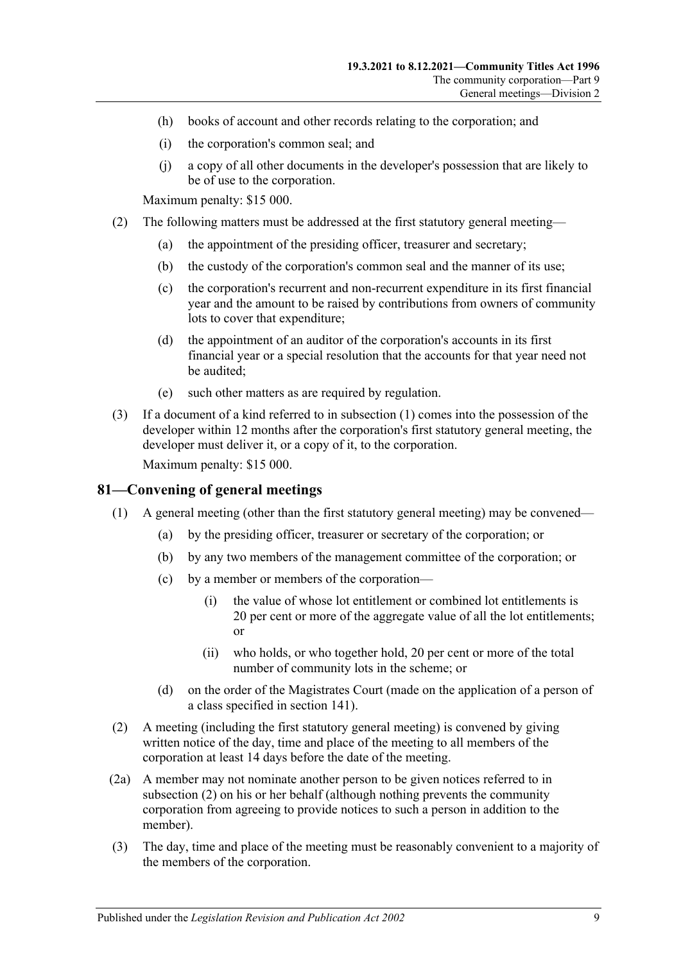- (h) books of account and other records relating to the corporation; and
- (i) the corporation's common seal; and
- (j) a copy of all other documents in the developer's possession that are likely to be of use to the corporation.

Maximum penalty: \$15 000.

- <span id="page-76-1"></span>(2) The following matters must be addressed at the first statutory general meeting—
	- (a) the appointment of the presiding officer, treasurer and secretary;
	- (b) the custody of the corporation's common seal and the manner of its use;
	- (c) the corporation's recurrent and non-recurrent expenditure in its first financial year and the amount to be raised by contributions from owners of community lots to cover that expenditure;
	- (d) the appointment of an auditor of the corporation's accounts in its first financial year or a special resolution that the accounts for that year need not be audited;
	- (e) such other matters as are required by regulation.
- (3) If a document of a kind referred to in [subsection](#page-75-1) (1) comes into the possession of the developer within 12 months after the corporation's first statutory general meeting, the developer must deliver it, or a copy of it, to the corporation.

Maximum penalty: \$15 000.

## **81—Convening of general meetings**

- (1) A general meeting (other than the first statutory general meeting) may be convened—
	- (a) by the presiding officer, treasurer or secretary of the corporation; or
	- (b) by any two members of the management committee of the corporation; or
	- (c) by a member or members of the corporation—
		- (i) the value of whose lot entitlement or combined lot entitlements is 20 per cent or more of the aggregate value of all the lot entitlements; or
		- (ii) who holds, or who together hold, 20 per cent or more of the total number of community lots in the scheme; or
	- (d) on the order of the Magistrates Court (made on the application of a person of a class specified in [section](#page-112-0) 141).
- <span id="page-76-0"></span>(2) A meeting (including the first statutory general meeting) is convened by giving written notice of the day, time and place of the meeting to all members of the corporation at least 14 days before the date of the meeting.
- (2a) A member may not nominate another person to be given notices referred to in [subsection](#page-76-0) (2) on his or her behalf (although nothing prevents the community corporation from agreeing to provide notices to such a person in addition to the member).
- (3) The day, time and place of the meeting must be reasonably convenient to a majority of the members of the corporation.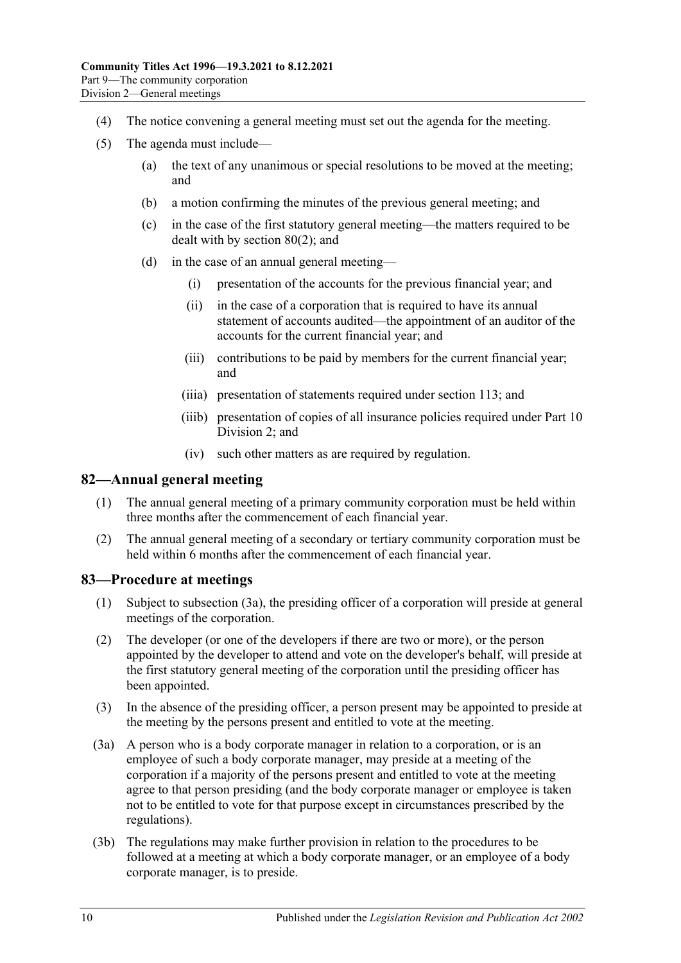- (4) The notice convening a general meeting must set out the agenda for the meeting.
- (5) The agenda must include—
	- (a) the text of any unanimous or special resolutions to be moved at the meeting; and
	- (b) a motion confirming the minutes of the previous general meeting; and
	- (c) in the case of the first statutory general meeting—the matters required to be dealt with by [section](#page-76-1) 80(2); and
	- (d) in the case of an annual general meeting—
		- (i) presentation of the accounts for the previous financial year; and
		- (ii) in the case of a corporation that is required to have its annual statement of accounts audited—the appointment of an auditor of the accounts for the current financial year; and
		- (iii) contributions to be paid by members for the current financial year; and
		- (iiia) presentation of statements required under [section](#page-98-0) 113; and
		- (iiib) presentation of copies of all insurance policies required under [Part](#page-91-0) 10 [Division 2;](#page-91-0) and
		- (iv) such other matters as are required by regulation.

#### **82—Annual general meeting**

- (1) The annual general meeting of a primary community corporation must be held within three months after the commencement of each financial year.
- (2) The annual general meeting of a secondary or tertiary community corporation must be held within 6 months after the commencement of each financial year.

## **83—Procedure at meetings**

- (1) Subject to [subsection](#page-77-0) (3a), the presiding officer of a corporation will preside at general meetings of the corporation.
- (2) The developer (or one of the developers if there are two or more), or the person appointed by the developer to attend and vote on the developer's behalf, will preside at the first statutory general meeting of the corporation until the presiding officer has been appointed.
- (3) In the absence of the presiding officer, a person present may be appointed to preside at the meeting by the persons present and entitled to vote at the meeting.
- <span id="page-77-0"></span>(3a) A person who is a body corporate manager in relation to a corporation, or is an employee of such a body corporate manager, may preside at a meeting of the corporation if a majority of the persons present and entitled to vote at the meeting agree to that person presiding (and the body corporate manager or employee is taken not to be entitled to vote for that purpose except in circumstances prescribed by the regulations).
- (3b) The regulations may make further provision in relation to the procedures to be followed at a meeting at which a body corporate manager, or an employee of a body corporate manager, is to preside.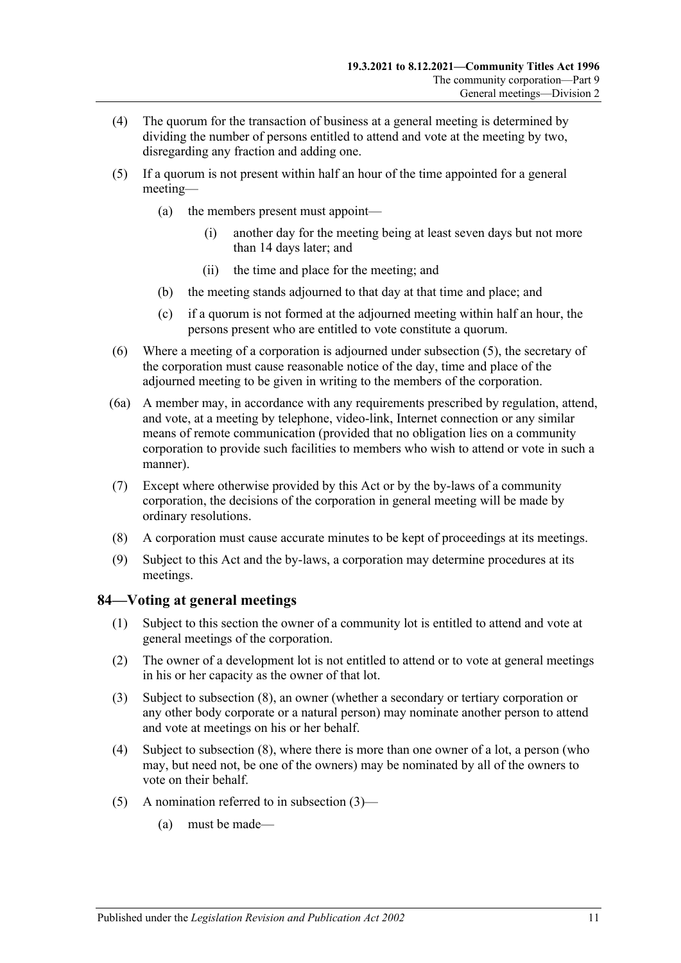- (4) The quorum for the transaction of business at a general meeting is determined by dividing the number of persons entitled to attend and vote at the meeting by two, disregarding any fraction and adding one.
- <span id="page-78-0"></span>(5) If a quorum is not present within half an hour of the time appointed for a general meeting—
	- (a) the members present must appoint—
		- (i) another day for the meeting being at least seven days but not more than 14 days later; and
		- (ii) the time and place for the meeting; and
	- (b) the meeting stands adjourned to that day at that time and place; and
	- (c) if a quorum is not formed at the adjourned meeting within half an hour, the persons present who are entitled to vote constitute a quorum.
- (6) Where a meeting of a corporation is adjourned under [subsection](#page-78-0) (5), the secretary of the corporation must cause reasonable notice of the day, time and place of the adjourned meeting to be given in writing to the members of the corporation.
- (6a) A member may, in accordance with any requirements prescribed by regulation, attend, and vote, at a meeting by telephone, video-link, Internet connection or any similar means of remote communication (provided that no obligation lies on a community corporation to provide such facilities to members who wish to attend or vote in such a manner).
- (7) Except where otherwise provided by this Act or by the by-laws of a community corporation, the decisions of the corporation in general meeting will be made by ordinary resolutions.
- (8) A corporation must cause accurate minutes to be kept of proceedings at its meetings.
- (9) Subject to this Act and the by-laws, a corporation may determine procedures at its meetings.

## **84—Voting at general meetings**

- (1) Subject to this section the owner of a community lot is entitled to attend and vote at general meetings of the corporation.
- (2) The owner of a development lot is not entitled to attend or to vote at general meetings in his or her capacity as the owner of that lot.
- <span id="page-78-1"></span>(3) Subject to [subsection](#page-80-0) (8), an owner (whether a secondary or tertiary corporation or any other body corporate or a natural person) may nominate another person to attend and vote at meetings on his or her behalf.
- <span id="page-78-3"></span>(4) Subject to [subsection](#page-80-0) (8), where there is more than one owner of a lot, a person (who may, but need not, be one of the owners) may be nominated by all of the owners to vote on their behalf.
- <span id="page-78-2"></span>(5) A nomination referred to in [subsection](#page-78-1)  $(3)$ —
	- (a) must be made—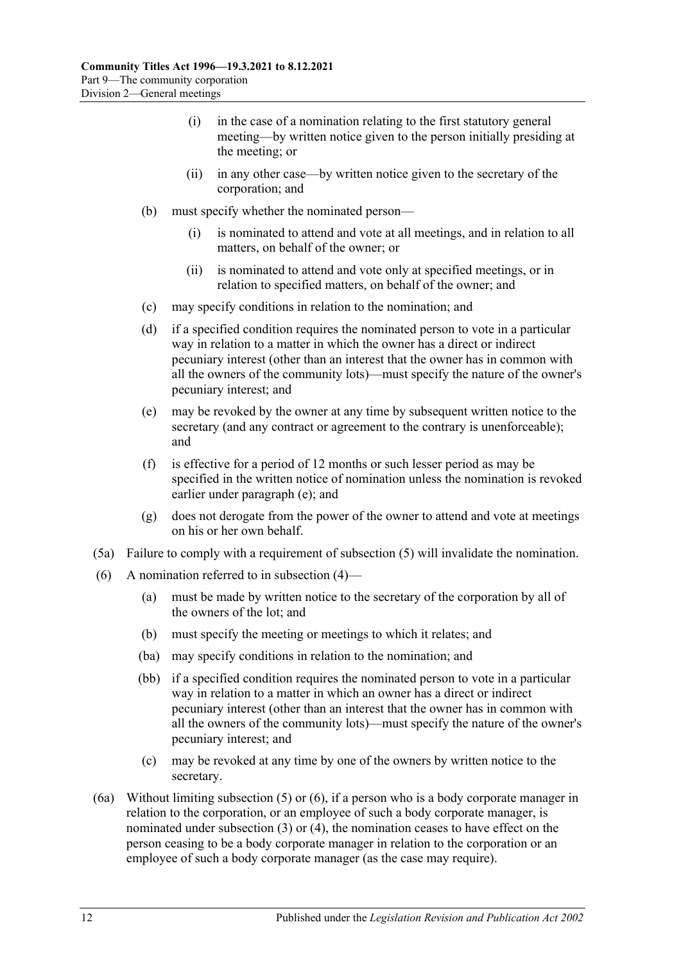- (i) in the case of a nomination relating to the first statutory general meeting—by written notice given to the person initially presiding at the meeting; or
- (ii) in any other case—by written notice given to the secretary of the corporation; and
- (b) must specify whether the nominated person—
	- (i) is nominated to attend and vote at all meetings, and in relation to all matters, on behalf of the owner; or
	- (ii) is nominated to attend and vote only at specified meetings, or in relation to specified matters, on behalf of the owner; and
- (c) may specify conditions in relation to the nomination; and
- <span id="page-79-2"></span>(d) if a specified condition requires the nominated person to vote in a particular way in relation to a matter in which the owner has a direct or indirect pecuniary interest (other than an interest that the owner has in common with all the owners of the community lots)—must specify the nature of the owner's pecuniary interest; and
- <span id="page-79-0"></span>(e) may be revoked by the owner at any time by subsequent written notice to the secretary (and any contract or agreement to the contrary is unenforceable); and
- (f) is effective for a period of 12 months or such lesser period as may be specified in the written notice of nomination unless the nomination is revoked earlier under [paragraph](#page-79-0) (e); and
- (g) does not derogate from the power of the owner to attend and vote at meetings on his or her own behalf.
- (5a) Failure to comply with a requirement of [subsection](#page-78-2) (5) will invalidate the nomination.
- <span id="page-79-3"></span><span id="page-79-1"></span>(6) A nomination referred to in [subsection](#page-78-3)  $(4)$ —
	- (a) must be made by written notice to the secretary of the corporation by all of the owners of the lot; and
	- (b) must specify the meeting or meetings to which it relates; and
	- (ba) may specify conditions in relation to the nomination; and
	- (bb) if a specified condition requires the nominated person to vote in a particular way in relation to a matter in which an owner has a direct or indirect pecuniary interest (other than an interest that the owner has in common with all the owners of the community lots)—must specify the nature of the owner's pecuniary interest; and
	- (c) may be revoked at any time by one of the owners by written notice to the secretary.
- (6a) Without limiting [subsection](#page-78-2) (5) or [\(6\),](#page-79-1) if a person who is a body corporate manager in relation to the corporation, or an employee of such a body corporate manager, is nominated under [subsection](#page-78-1) (3) or [\(4\),](#page-78-3) the nomination ceases to have effect on the person ceasing to be a body corporate manager in relation to the corporation or an employee of such a body corporate manager (as the case may require).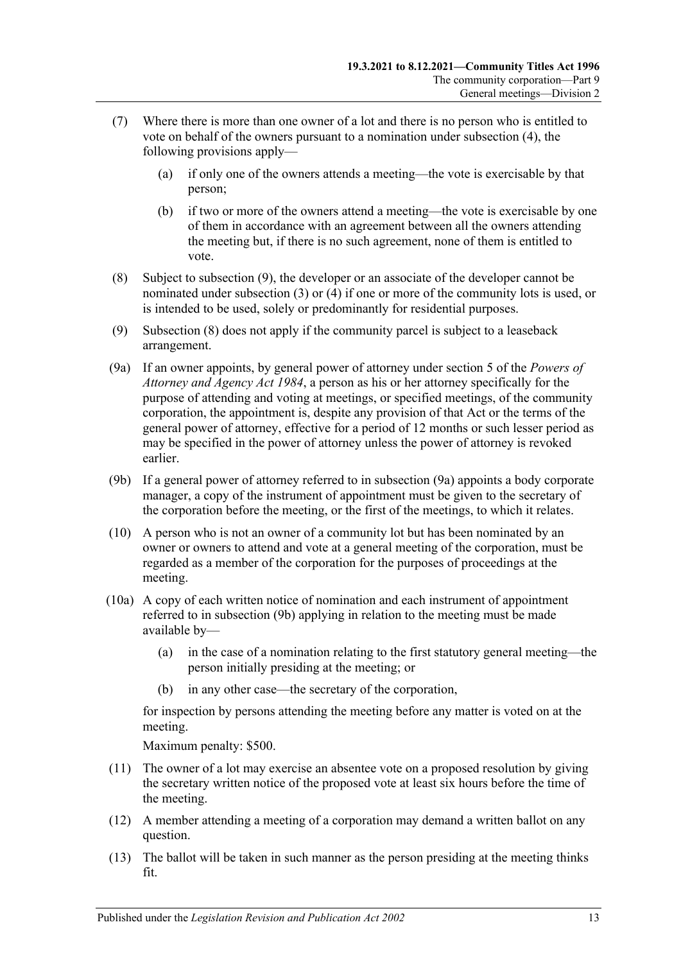- (7) Where there is more than one owner of a lot and there is no person who is entitled to vote on behalf of the owners pursuant to a nomination under [subsection](#page-78-3) (4), the following provisions apply—
	- (a) if only one of the owners attends a meeting—the vote is exercisable by that person;
	- (b) if two or more of the owners attend a meeting—the vote is exercisable by one of them in accordance with an agreement between all the owners attending the meeting but, if there is no such agreement, none of them is entitled to vote.
- <span id="page-80-0"></span>(8) Subject to [subsection](#page-80-1) (9), the developer or an associate of the developer cannot be nominated under [subsection](#page-78-1) (3) or [\(4\)](#page-78-3) if one or more of the community lots is used, or is intended to be used, solely or predominantly for residential purposes.
- <span id="page-80-1"></span>(9) [Subsection](#page-80-0) (8) does not apply if the community parcel is subject to a leaseback arrangement.
- <span id="page-80-2"></span>(9a) If an owner appoints, by general power of attorney under section 5 of the *[Powers of](http://www.legislation.sa.gov.au/index.aspx?action=legref&type=act&legtitle=Powers%20of%20Attorney%20and%20Agency%20Act%201984)  [Attorney and Agency Act](http://www.legislation.sa.gov.au/index.aspx?action=legref&type=act&legtitle=Powers%20of%20Attorney%20and%20Agency%20Act%201984) 1984*, a person as his or her attorney specifically for the purpose of attending and voting at meetings, or specified meetings, of the community corporation, the appointment is, despite any provision of that Act or the terms of the general power of attorney, effective for a period of 12 months or such lesser period as may be specified in the power of attorney unless the power of attorney is revoked earlier.
- <span id="page-80-3"></span>(9b) If a general power of attorney referred to in [subsection](#page-80-2) (9a) appoints a body corporate manager, a copy of the instrument of appointment must be given to the secretary of the corporation before the meeting, or the first of the meetings, to which it relates.
- (10) A person who is not an owner of a community lot but has been nominated by an owner or owners to attend and vote at a general meeting of the corporation, must be regarded as a member of the corporation for the purposes of proceedings at the meeting.
- (10a) A copy of each written notice of nomination and each instrument of appointment referred to in [subsection](#page-80-3) (9b) applying in relation to the meeting must be made available by—
	- (a) in the case of a nomination relating to the first statutory general meeting—the person initially presiding at the meeting; or
	- in any other case—the secretary of the corporation,

for inspection by persons attending the meeting before any matter is voted on at the meeting.

Maximum penalty: \$500.

- (11) The owner of a lot may exercise an absentee vote on a proposed resolution by giving the secretary written notice of the proposed vote at least six hours before the time of the meeting.
- (12) A member attending a meeting of a corporation may demand a written ballot on any question.
- (13) The ballot will be taken in such manner as the person presiding at the meeting thinks fit.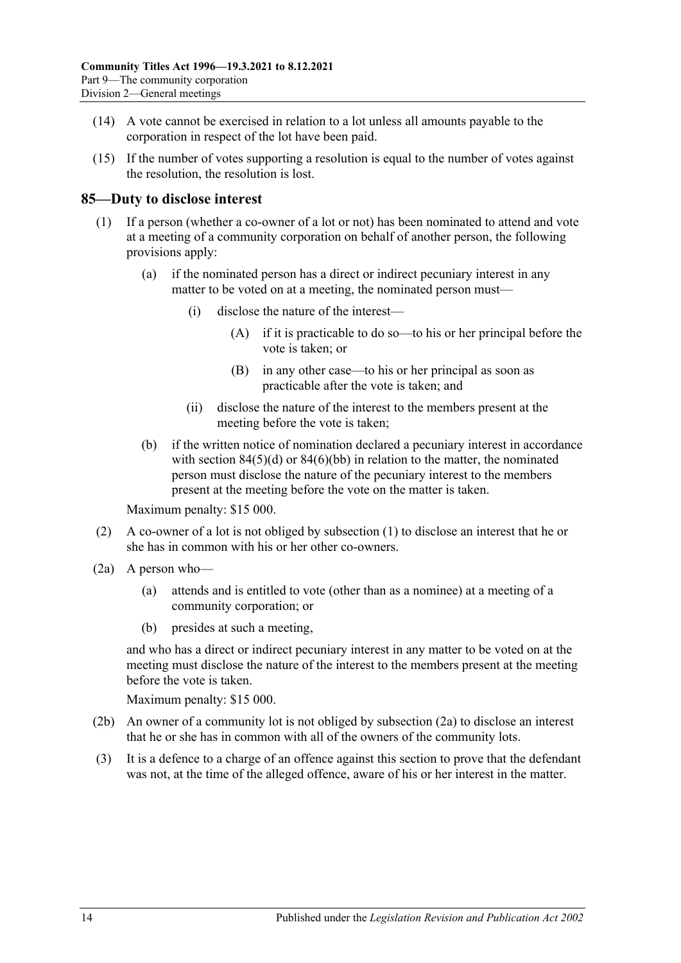- (14) A vote cannot be exercised in relation to a lot unless all amounts payable to the corporation in respect of the lot have been paid.
- (15) If the number of votes supporting a resolution is equal to the number of votes against the resolution, the resolution is lost.

## <span id="page-81-0"></span>**85—Duty to disclose interest**

- (1) If a person (whether a co-owner of a lot or not) has been nominated to attend and vote at a meeting of a community corporation on behalf of another person, the following provisions apply:
	- (a) if the nominated person has a direct or indirect pecuniary interest in any matter to be voted on at a meeting, the nominated person must—
		- (i) disclose the nature of the interest—
			- (A) if it is practicable to do so—to his or her principal before the vote is taken; or
			- (B) in any other case—to his or her principal as soon as practicable after the vote is taken; and
		- (ii) disclose the nature of the interest to the members present at the meeting before the vote is taken;
	- (b) if the written notice of nomination declared a pecuniary interest in accordance with section  $84(5)(d)$  or  $84(6)(bb)$  in relation to the matter, the nominated person must disclose the nature of the pecuniary interest to the members present at the meeting before the vote on the matter is taken.

Maximum penalty: \$15 000.

- (2) A co-owner of a lot is not obliged by [subsection](#page-81-0) (1) to disclose an interest that he or she has in common with his or her other co-owners.
- <span id="page-81-1"></span>(2a) A person who—
	- (a) attends and is entitled to vote (other than as a nominee) at a meeting of a community corporation; or
	- (b) presides at such a meeting,

and who has a direct or indirect pecuniary interest in any matter to be voted on at the meeting must disclose the nature of the interest to the members present at the meeting before the vote is taken.

Maximum penalty: \$15 000.

- (2b) An owner of a community lot is not obliged by [subsection](#page-81-1) (2a) to disclose an interest that he or she has in common with all of the owners of the community lots.
- (3) It is a defence to a charge of an offence against this section to prove that the defendant was not, at the time of the alleged offence, aware of his or her interest in the matter.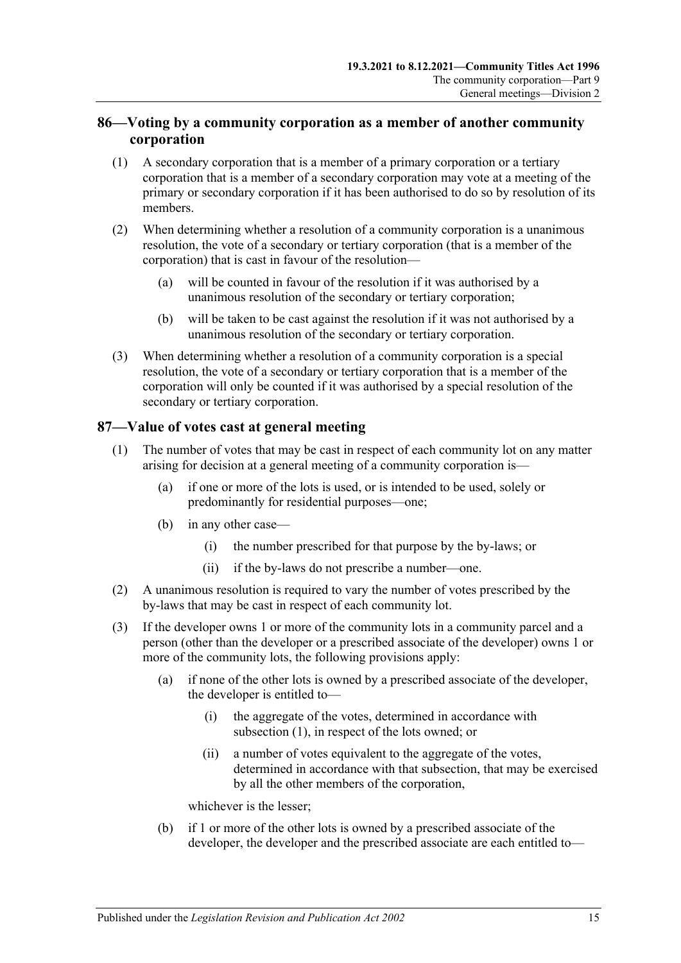# **86—Voting by a community corporation as a member of another community corporation**

- (1) A secondary corporation that is a member of a primary corporation or a tertiary corporation that is a member of a secondary corporation may vote at a meeting of the primary or secondary corporation if it has been authorised to do so by resolution of its members.
- (2) When determining whether a resolution of a community corporation is a unanimous resolution, the vote of a secondary or tertiary corporation (that is a member of the corporation) that is cast in favour of the resolution—
	- (a) will be counted in favour of the resolution if it was authorised by a unanimous resolution of the secondary or tertiary corporation;
	- (b) will be taken to be cast against the resolution if it was not authorised by a unanimous resolution of the secondary or tertiary corporation.
- (3) When determining whether a resolution of a community corporation is a special resolution, the vote of a secondary or tertiary corporation that is a member of the corporation will only be counted if it was authorised by a special resolution of the secondary or tertiary corporation.

# <span id="page-82-0"></span>**87—Value of votes cast at general meeting**

- (1) The number of votes that may be cast in respect of each community lot on any matter arising for decision at a general meeting of a community corporation is—
	- (a) if one or more of the lots is used, or is intended to be used, solely or predominantly for residential purposes—one;
	- (b) in any other case—
		- (i) the number prescribed for that purpose by the by-laws; or
		- (ii) if the by-laws do not prescribe a number—one.
- (2) A unanimous resolution is required to vary the number of votes prescribed by the by-laws that may be cast in respect of each community lot.
- (3) If the developer owns 1 or more of the community lots in a community parcel and a person (other than the developer or a prescribed associate of the developer) owns 1 or more of the community lots, the following provisions apply:
	- (a) if none of the other lots is owned by a prescribed associate of the developer, the developer is entitled to—
		- (i) the aggregate of the votes, determined in accordance with [subsection](#page-82-0) (1), in respect of the lots owned; or
		- (ii) a number of votes equivalent to the aggregate of the votes, determined in accordance with that subsection, that may be exercised by all the other members of the corporation,

whichever is the lesser;

(b) if 1 or more of the other lots is owned by a prescribed associate of the developer, the developer and the prescribed associate are each entitled to—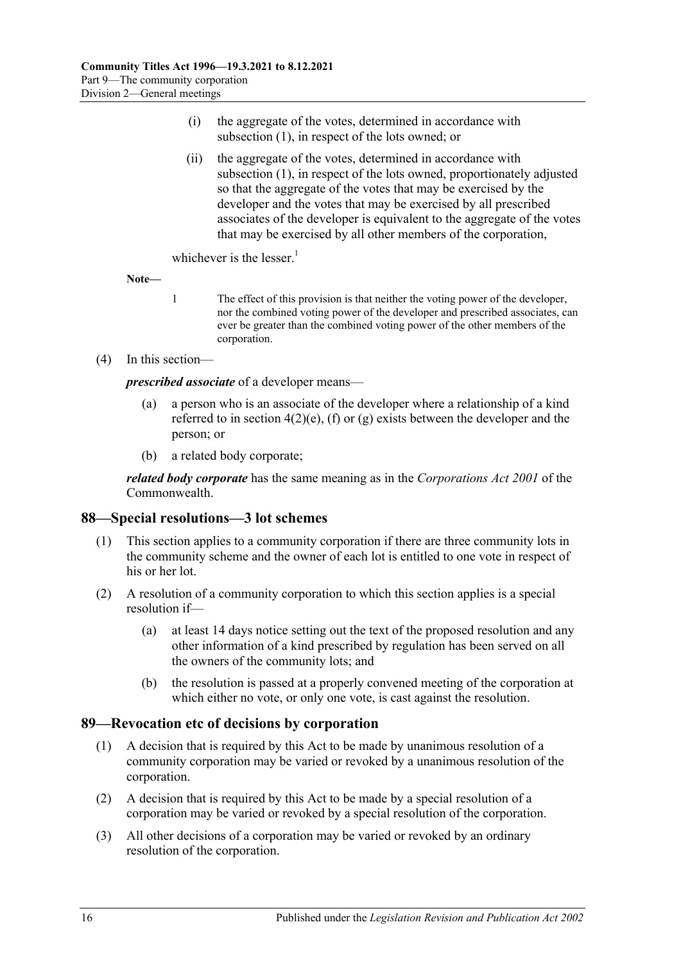- (i) the aggregate of the votes, determined in accordance with [subsection](#page-82-0) (1), in respect of the lots owned; or
- (ii) the aggregate of the votes, determined in accordance with [subsection](#page-82-0) (1), in respect of the lots owned, proportionately adjusted so that the aggregate of the votes that may be exercised by the developer and the votes that may be exercised by all prescribed associates of the developer is equivalent to the aggregate of the votes that may be exercised by all other members of the corporation,

whichever is the lesser. $1$ 

**Note—**

- 1 The effect of this provision is that neither the voting power of the developer, nor the combined voting power of the developer and prescribed associates, can ever be greater than the combined voting power of the other members of the corporation.
- (4) In this section—

*prescribed associate* of a developer means—

- (a) a person who is an associate of the developer where a relationship of a kind referred to in [section](#page-13-0)  $4(2)(e)$ , [\(f\)](#page-13-1) or [\(g\)](#page-13-2) exists between the developer and the person; or
- (b) a related body corporate;

*related body corporate* has the same meaning as in the *Corporations Act 2001* of the Commonwealth.

## **88—Special resolutions—3 lot schemes**

- (1) This section applies to a community corporation if there are three community lots in the community scheme and the owner of each lot is entitled to one vote in respect of his or her lot.
- (2) A resolution of a community corporation to which this section applies is a special resolution if—
	- (a) at least 14 days notice setting out the text of the proposed resolution and any other information of a kind prescribed by regulation has been served on all the owners of the community lots; and
	- (b) the resolution is passed at a properly convened meeting of the corporation at which either no vote, or only one vote, is cast against the resolution.

## **89—Revocation etc of decisions by corporation**

- (1) A decision that is required by this Act to be made by unanimous resolution of a community corporation may be varied or revoked by a unanimous resolution of the corporation.
- (2) A decision that is required by this Act to be made by a special resolution of a corporation may be varied or revoked by a special resolution of the corporation.
- (3) All other decisions of a corporation may be varied or revoked by an ordinary resolution of the corporation.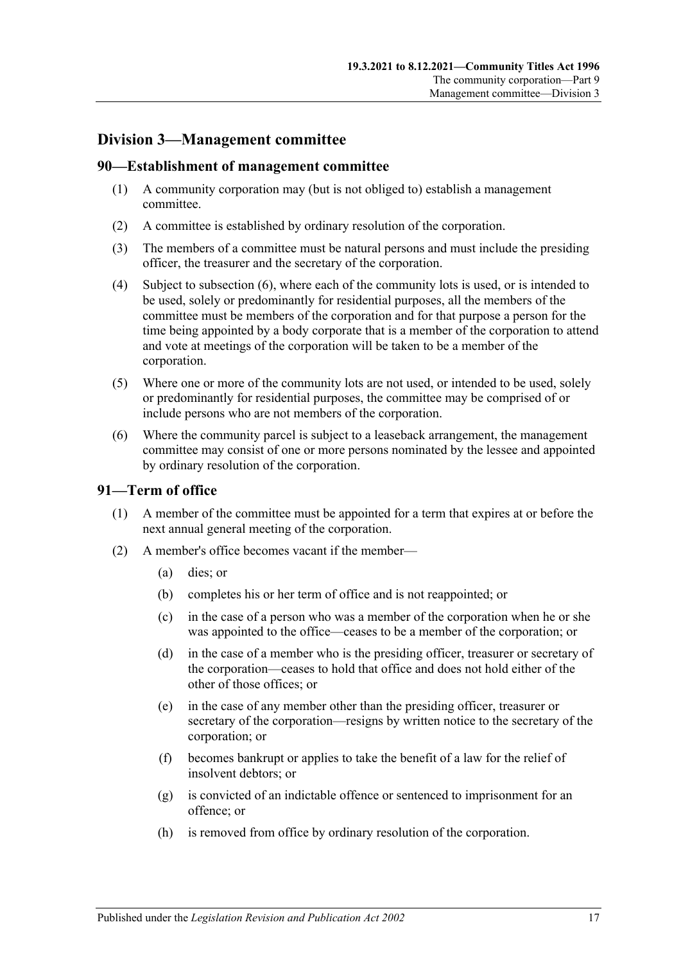# **Division 3—Management committee**

#### **90—Establishment of management committee**

- (1) A community corporation may (but is not obliged to) establish a management committee.
- (2) A committee is established by ordinary resolution of the corporation.
- (3) The members of a committee must be natural persons and must include the presiding officer, the treasurer and the secretary of the corporation.
- (4) Subject to [subsection](#page-84-0) (6), where each of the community lots is used, or is intended to be used, solely or predominantly for residential purposes, all the members of the committee must be members of the corporation and for that purpose a person for the time being appointed by a body corporate that is a member of the corporation to attend and vote at meetings of the corporation will be taken to be a member of the corporation.
- (5) Where one or more of the community lots are not used, or intended to be used, solely or predominantly for residential purposes, the committee may be comprised of or include persons who are not members of the corporation.
- <span id="page-84-0"></span>(6) Where the community parcel is subject to a leaseback arrangement, the management committee may consist of one or more persons nominated by the lessee and appointed by ordinary resolution of the corporation.

## **91—Term of office**

- (1) A member of the committee must be appointed for a term that expires at or before the next annual general meeting of the corporation.
- <span id="page-84-1"></span>(2) A member's office becomes vacant if the member—
	- (a) dies; or
	- (b) completes his or her term of office and is not reappointed; or
	- (c) in the case of a person who was a member of the corporation when he or she was appointed to the office—ceases to be a member of the corporation; or
	- (d) in the case of a member who is the presiding officer, treasurer or secretary of the corporation—ceases to hold that office and does not hold either of the other of those offices; or
	- (e) in the case of any member other than the presiding officer, treasurer or secretary of the corporation—resigns by written notice to the secretary of the corporation; or
	- (f) becomes bankrupt or applies to take the benefit of a law for the relief of insolvent debtors; or
	- (g) is convicted of an indictable offence or sentenced to imprisonment for an offence; or
	- (h) is removed from office by ordinary resolution of the corporation.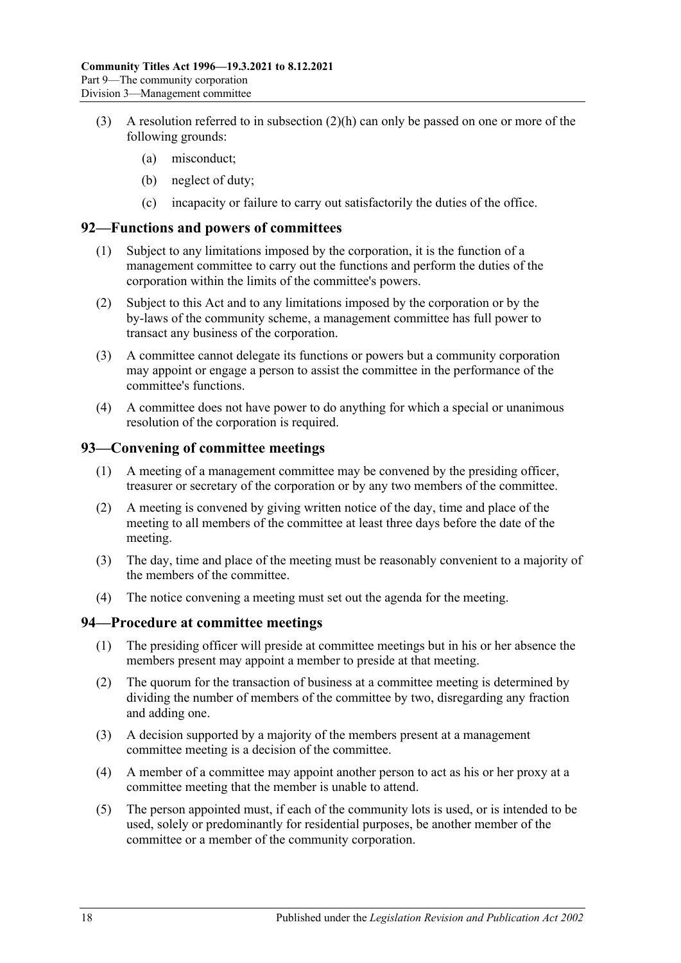- (3) A resolution referred to in [subsection](#page-84-1)  $(2)(h)$  can only be passed on one or more of the following grounds:
	- (a) misconduct;
	- (b) neglect of duty;
	- (c) incapacity or failure to carry out satisfactorily the duties of the office.

#### **92—Functions and powers of committees**

- (1) Subject to any limitations imposed by the corporation, it is the function of a management committee to carry out the functions and perform the duties of the corporation within the limits of the committee's powers.
- (2) Subject to this Act and to any limitations imposed by the corporation or by the by-laws of the community scheme, a management committee has full power to transact any business of the corporation.
- (3) A committee cannot delegate its functions or powers but a community corporation may appoint or engage a person to assist the committee in the performance of the committee's functions.
- (4) A committee does not have power to do anything for which a special or unanimous resolution of the corporation is required.

## **93—Convening of committee meetings**

- (1) A meeting of a management committee may be convened by the presiding officer, treasurer or secretary of the corporation or by any two members of the committee.
- (2) A meeting is convened by giving written notice of the day, time and place of the meeting to all members of the committee at least three days before the date of the meeting.
- (3) The day, time and place of the meeting must be reasonably convenient to a majority of the members of the committee.
- (4) The notice convening a meeting must set out the agenda for the meeting.

#### **94—Procedure at committee meetings**

- (1) The presiding officer will preside at committee meetings but in his or her absence the members present may appoint a member to preside at that meeting.
- (2) The quorum for the transaction of business at a committee meeting is determined by dividing the number of members of the committee by two, disregarding any fraction and adding one.
- (3) A decision supported by a majority of the members present at a management committee meeting is a decision of the committee.
- (4) A member of a committee may appoint another person to act as his or her proxy at a committee meeting that the member is unable to attend.
- (5) The person appointed must, if each of the community lots is used, or is intended to be used, solely or predominantly for residential purposes, be another member of the committee or a member of the community corporation.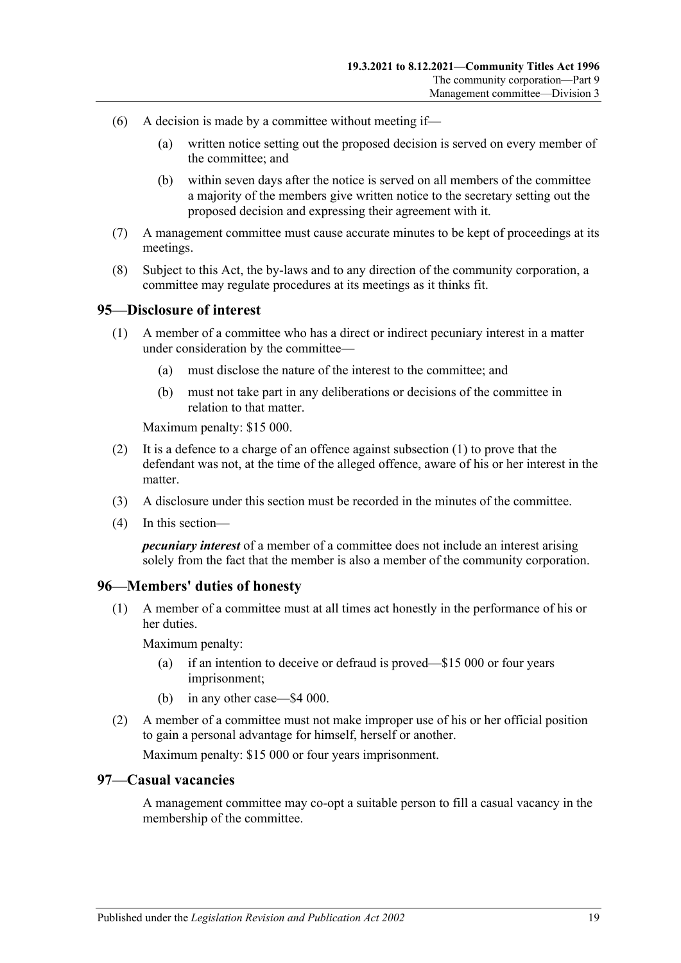- (6) A decision is made by a committee without meeting if—
	- (a) written notice setting out the proposed decision is served on every member of the committee; and
	- (b) within seven days after the notice is served on all members of the committee a majority of the members give written notice to the secretary setting out the proposed decision and expressing their agreement with it.
- (7) A management committee must cause accurate minutes to be kept of proceedings at its meetings.
- (8) Subject to this Act, the by-laws and to any direction of the community corporation, a committee may regulate procedures at its meetings as it thinks fit.

#### <span id="page-86-0"></span>**95—Disclosure of interest**

- (1) A member of a committee who has a direct or indirect pecuniary interest in a matter under consideration by the committee—
	- (a) must disclose the nature of the interest to the committee; and
	- (b) must not take part in any deliberations or decisions of the committee in relation to that matter.

Maximum penalty: \$15 000.

- (2) It is a defence to a charge of an offence against [subsection](#page-86-0) (1) to prove that the defendant was not, at the time of the alleged offence, aware of his or her interest in the matter.
- (3) A disclosure under this section must be recorded in the minutes of the committee.
- (4) In this section—

*pecuniary interest* of a member of a committee does not include an interest arising solely from the fact that the member is also a member of the community corporation.

#### **96—Members' duties of honesty**

(1) A member of a committee must at all times act honestly in the performance of his or her duties.

Maximum penalty:

- (a) if an intention to deceive or defraud is proved—\$15 000 or four years imprisonment;
- (b) in any other case—\$4 000.
- (2) A member of a committee must not make improper use of his or her official position to gain a personal advantage for himself, herself or another.

Maximum penalty: \$15 000 or four years imprisonment.

#### **97—Casual vacancies**

A management committee may co-opt a suitable person to fill a casual vacancy in the membership of the committee.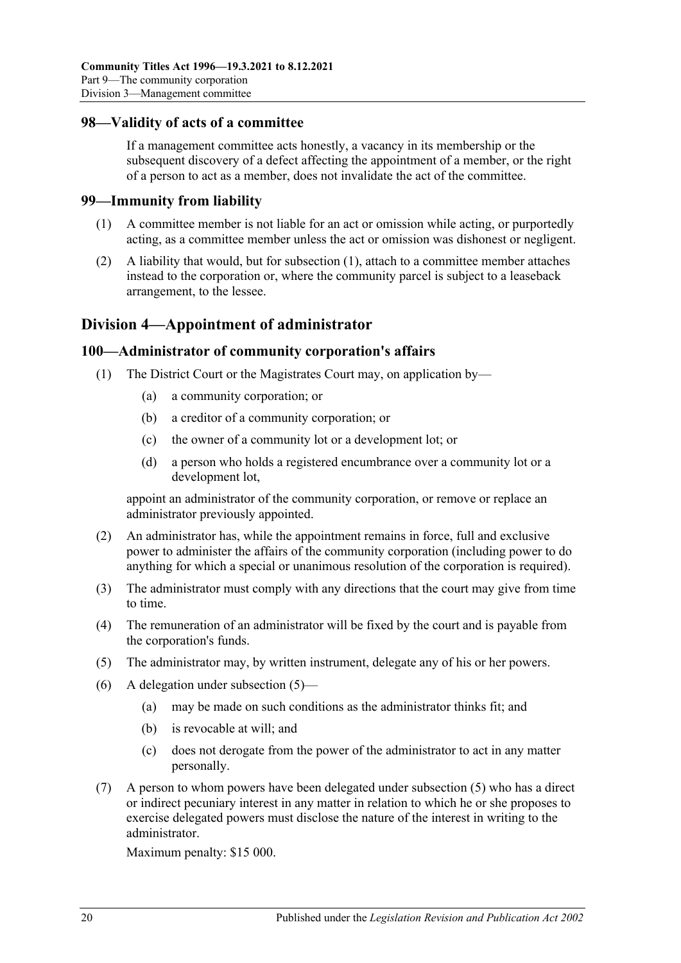#### **98—Validity of acts of a committee**

If a management committee acts honestly, a vacancy in its membership or the subsequent discovery of a defect affecting the appointment of a member, or the right of a person to act as a member, does not invalidate the act of the committee.

#### <span id="page-87-0"></span>**99—Immunity from liability**

- (1) A committee member is not liable for an act or omission while acting, or purportedly acting, as a committee member unless the act or omission was dishonest or negligent.
- (2) A liability that would, but for [subsection](#page-87-0) (1), attach to a committee member attaches instead to the corporation or, where the community parcel is subject to a leaseback arrangement, to the lessee.

# **Division 4—Appointment of administrator**

#### **100—Administrator of community corporation's affairs**

- (1) The District Court or the Magistrates Court may, on application by—
	- (a) a community corporation; or
	- (b) a creditor of a community corporation; or
	- (c) the owner of a community lot or a development lot; or
	- (d) a person who holds a registered encumbrance over a community lot or a development lot,

appoint an administrator of the community corporation, or remove or replace an administrator previously appointed.

- (2) An administrator has, while the appointment remains in force, full and exclusive power to administer the affairs of the community corporation (including power to do anything for which a special or unanimous resolution of the corporation is required).
- (3) The administrator must comply with any directions that the court may give from time to time.
- (4) The remuneration of an administrator will be fixed by the court and is payable from the corporation's funds.
- <span id="page-87-1"></span>(5) The administrator may, by written instrument, delegate any of his or her powers.
- (6) A delegation under [subsection](#page-87-1) (5)—
	- (a) may be made on such conditions as the administrator thinks fit; and
	- (b) is revocable at will; and
	- (c) does not derogate from the power of the administrator to act in any matter personally.
- <span id="page-87-2"></span>(7) A person to whom powers have been delegated under [subsection](#page-87-1) (5) who has a direct or indirect pecuniary interest in any matter in relation to which he or she proposes to exercise delegated powers must disclose the nature of the interest in writing to the administrator.

Maximum penalty: \$15 000.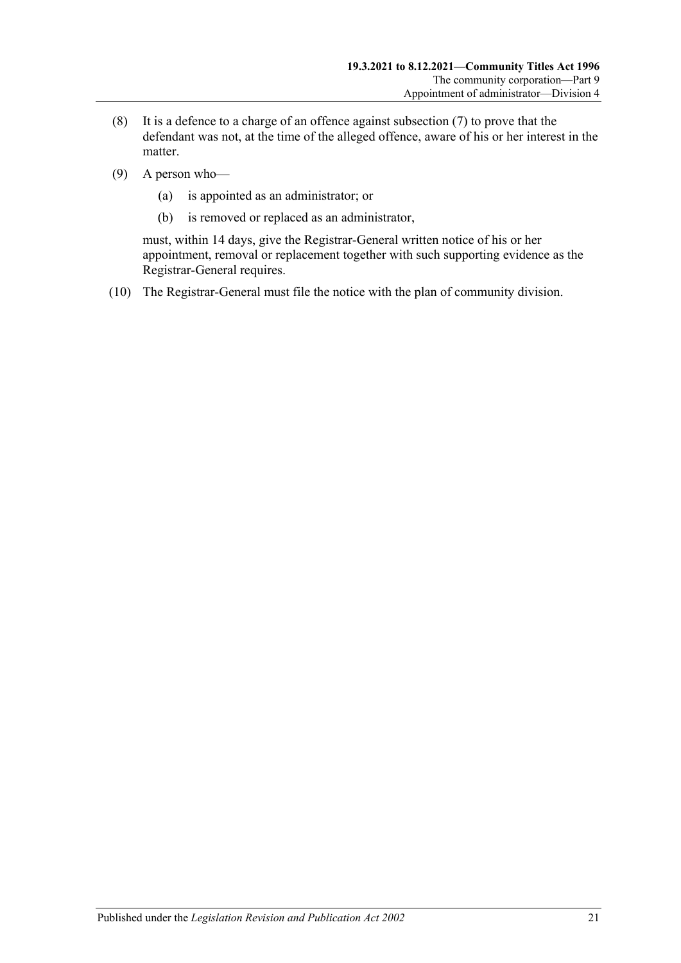- (8) It is a defence to a charge of an offence against [subsection](#page-87-2) (7) to prove that the defendant was not, at the time of the alleged offence, aware of his or her interest in the matter.
- (9) A person who—
	- (a) is appointed as an administrator; or
	- (b) is removed or replaced as an administrator,

must, within 14 days, give the Registrar-General written notice of his or her appointment, removal or replacement together with such supporting evidence as the Registrar-General requires.

(10) The Registrar-General must file the notice with the plan of community division.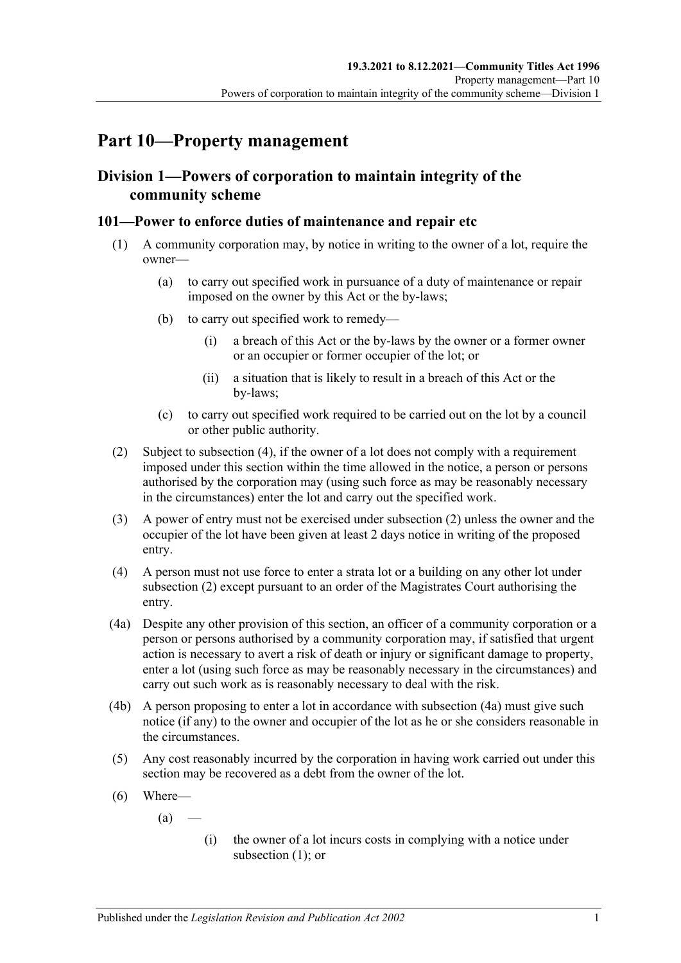# **Part 10—Property management**

# **Division 1—Powers of corporation to maintain integrity of the community scheme**

## <span id="page-90-3"></span>**101—Power to enforce duties of maintenance and repair etc**

- (1) A community corporation may, by notice in writing to the owner of a lot, require the owner—
	- (a) to carry out specified work in pursuance of a duty of maintenance or repair imposed on the owner by this Act or the by-laws;
	- (b) to carry out specified work to remedy—
		- (i) a breach of this Act or the by-laws by the owner or a former owner or an occupier or former occupier of the lot; or
		- (ii) a situation that is likely to result in a breach of this Act or the by-laws;
	- (c) to carry out specified work required to be carried out on the lot by a council or other public authority.
- <span id="page-90-1"></span>(2) Subject to [subsection](#page-90-0) (4), if the owner of a lot does not comply with a requirement imposed under this section within the time allowed in the notice, a person or persons authorised by the corporation may (using such force as may be reasonably necessary in the circumstances) enter the lot and carry out the specified work.
- (3) A power of entry must not be exercised under [subsection](#page-90-1) (2) unless the owner and the occupier of the lot have been given at least 2 days notice in writing of the proposed entry.
- <span id="page-90-0"></span>(4) A person must not use force to enter a strata lot or a building on any other lot under [subsection](#page-90-1) (2) except pursuant to an order of the Magistrates Court authorising the entry.
- <span id="page-90-2"></span>(4a) Despite any other provision of this section, an officer of a community corporation or a person or persons authorised by a community corporation may, if satisfied that urgent action is necessary to avert a risk of death or injury or significant damage to property, enter a lot (using such force as may be reasonably necessary in the circumstances) and carry out such work as is reasonably necessary to deal with the risk.
- (4b) A person proposing to enter a lot in accordance with [subsection](#page-90-2) (4a) must give such notice (if any) to the owner and occupier of the lot as he or she considers reasonable in the circumstances.
- <span id="page-90-4"></span>(5) Any cost reasonably incurred by the corporation in having work carried out under this section may be recovered as a debt from the owner of the lot.
- (6) Where—

 $(a)$ 

(i) the owner of a lot incurs costs in complying with a notice under [subsection](#page-90-3) (1); or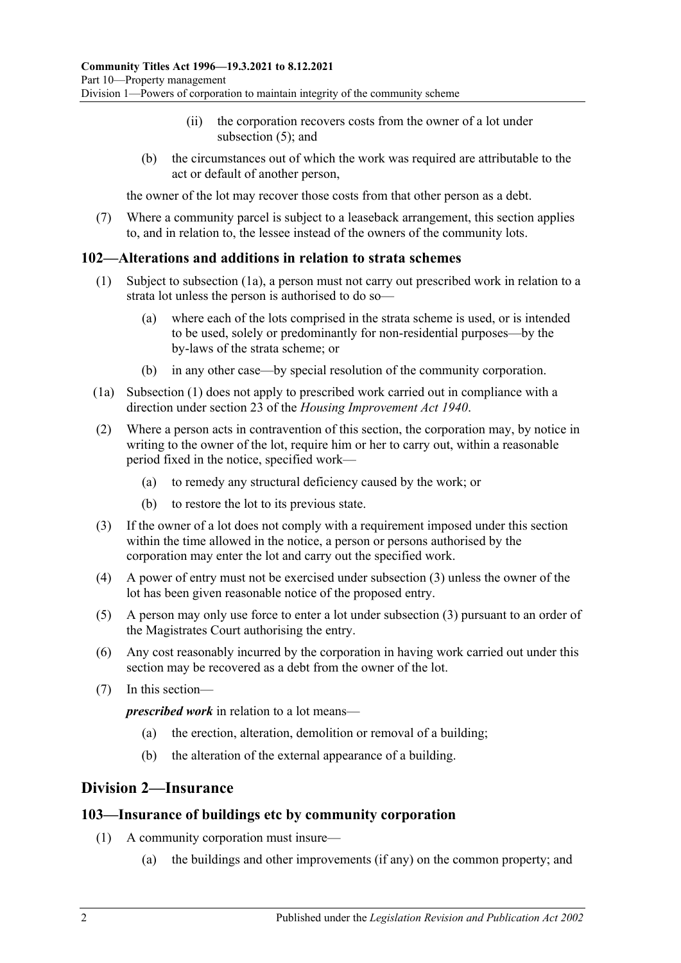- (ii) the corporation recovers costs from the owner of a lot under [subsection](#page-90-4) (5); and
- (b) the circumstances out of which the work was required are attributable to the act or default of another person,

the owner of the lot may recover those costs from that other person as a debt.

(7) Where a community parcel is subject to a leaseback arrangement, this section applies to, and in relation to, the lessee instead of the owners of the community lots.

## <span id="page-91-2"></span>**102—Alterations and additions in relation to strata schemes**

- (1) Subject to [subsection](#page-91-1) (1a), a person must not carry out prescribed work in relation to a strata lot unless the person is authorised to do so—
	- (a) where each of the lots comprised in the strata scheme is used, or is intended to be used, solely or predominantly for non-residential purposes—by the by-laws of the strata scheme; or
	- (b) in any other case—by special resolution of the community corporation.
- <span id="page-91-1"></span>(1a) [Subsection](#page-91-2) (1) does not apply to prescribed work carried out in compliance with a direction under section 23 of the *[Housing Improvement Act](http://www.legislation.sa.gov.au/index.aspx?action=legref&type=act&legtitle=Housing%20Improvement%20Act%201940) 1940*.
- (2) Where a person acts in contravention of this section, the corporation may, by notice in writing to the owner of the lot, require him or her to carry out, within a reasonable period fixed in the notice, specified work—
	- (a) to remedy any structural deficiency caused by the work; or
	- (b) to restore the lot to its previous state.
- <span id="page-91-3"></span>(3) If the owner of a lot does not comply with a requirement imposed under this section within the time allowed in the notice, a person or persons authorised by the corporation may enter the lot and carry out the specified work.
- (4) A power of entry must not be exercised under [subsection](#page-91-3) (3) unless the owner of the lot has been given reasonable notice of the proposed entry.
- (5) A person may only use force to enter a lot under [subsection](#page-91-3) (3) pursuant to an order of the Magistrates Court authorising the entry.
- (6) Any cost reasonably incurred by the corporation in having work carried out under this section may be recovered as a debt from the owner of the lot.
- (7) In this section—

*prescribed work* in relation to a lot means—

- (a) the erection, alteration, demolition or removal of a building;
- (b) the alteration of the external appearance of a building.

# <span id="page-91-0"></span>**Division 2—Insurance**

#### **103—Insurance of buildings etc by community corporation**

- (1) A community corporation must insure—
	- (a) the buildings and other improvements (if any) on the common property; and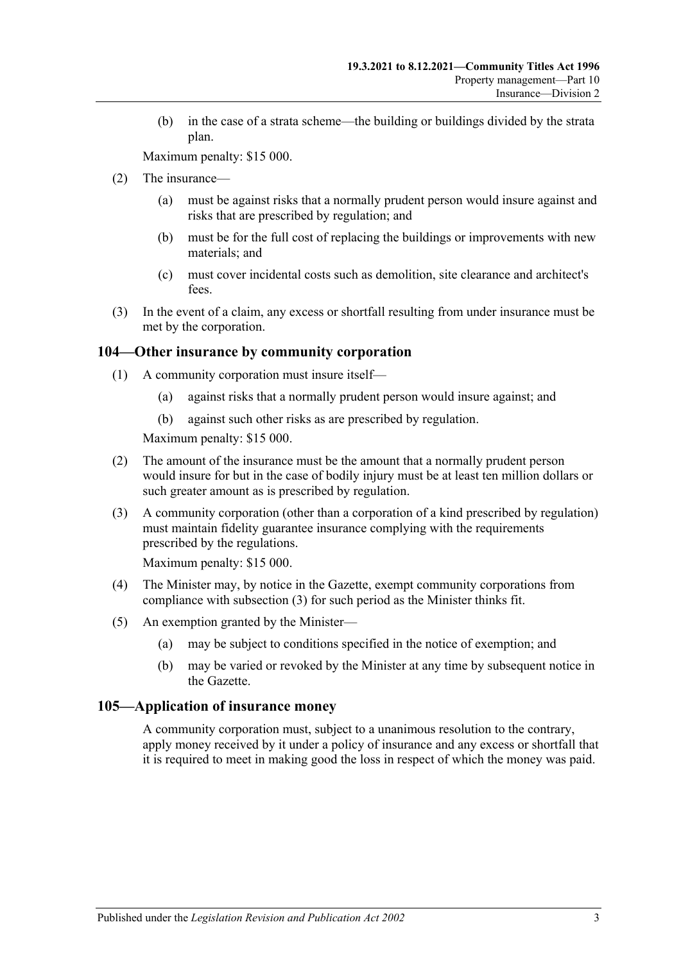(b) in the case of a strata scheme—the building or buildings divided by the strata plan.

Maximum penalty: \$15 000.

- (2) The insurance—
	- (a) must be against risks that a normally prudent person would insure against and risks that are prescribed by regulation; and
	- (b) must be for the full cost of replacing the buildings or improvements with new materials; and
	- (c) must cover incidental costs such as demolition, site clearance and architect's fees.
- (3) In the event of a claim, any excess or shortfall resulting from under insurance must be met by the corporation.

#### **104—Other insurance by community corporation**

- (1) A community corporation must insure itself—
	- (a) against risks that a normally prudent person would insure against; and
	- (b) against such other risks as are prescribed by regulation.

Maximum penalty: \$15 000.

- (2) The amount of the insurance must be the amount that a normally prudent person would insure for but in the case of bodily injury must be at least ten million dollars or such greater amount as is prescribed by regulation.
- <span id="page-92-0"></span>(3) A community corporation (other than a corporation of a kind prescribed by regulation) must maintain fidelity guarantee insurance complying with the requirements prescribed by the regulations.

Maximum penalty: \$15 000.

- (4) The Minister may, by notice in the Gazette, exempt community corporations from compliance with [subsection](#page-92-0) (3) for such period as the Minister thinks fit.
- (5) An exemption granted by the Minister—
	- (a) may be subject to conditions specified in the notice of exemption; and
	- (b) may be varied or revoked by the Minister at any time by subsequent notice in the Gazette.

#### **105—Application of insurance money**

A community corporation must, subject to a unanimous resolution to the contrary, apply money received by it under a policy of insurance and any excess or shortfall that it is required to meet in making good the loss in respect of which the money was paid.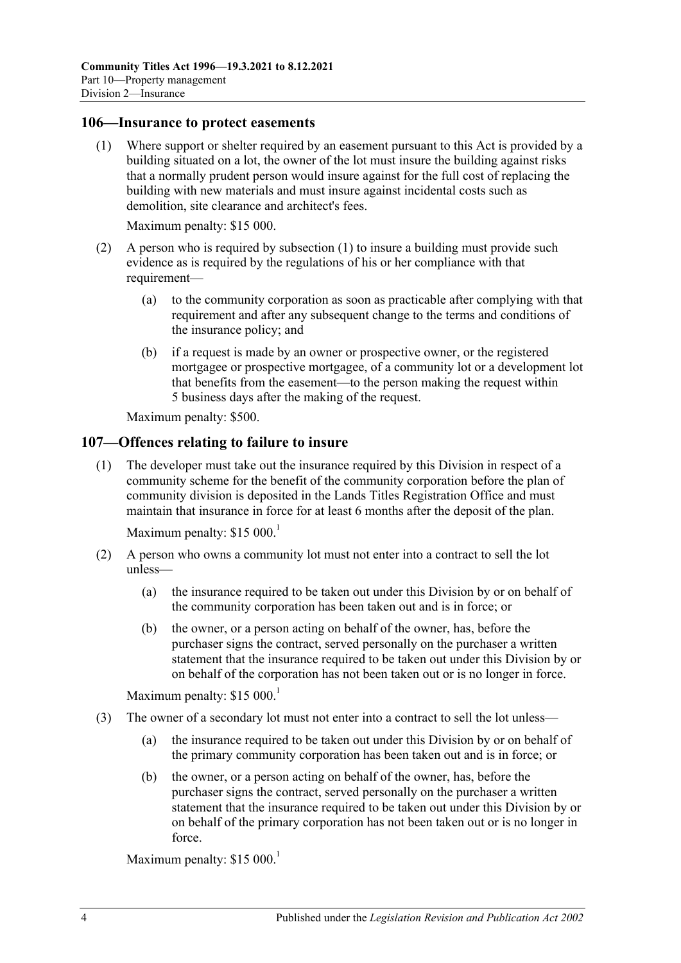#### <span id="page-93-0"></span>**106—Insurance to protect easements**

(1) Where support or shelter required by an easement pursuant to this Act is provided by a building situated on a lot, the owner of the lot must insure the building against risks that a normally prudent person would insure against for the full cost of replacing the building with new materials and must insure against incidental costs such as demolition, site clearance and architect's fees.

Maximum penalty: \$15 000.

- (2) A person who is required by [subsection](#page-93-0) (1) to insure a building must provide such evidence as is required by the regulations of his or her compliance with that requirement—
	- (a) to the community corporation as soon as practicable after complying with that requirement and after any subsequent change to the terms and conditions of the insurance policy; and
	- (b) if a request is made by an owner or prospective owner, or the registered mortgagee or prospective mortgagee, of a community lot or a development lot that benefits from the easement—to the person making the request within 5 business days after the making of the request.

Maximum penalty: \$500.

#### **107—Offences relating to failure to insure**

(1) The developer must take out the insurance required by this Division in respect of a community scheme for the benefit of the community corporation before the plan of community division is deposited in the Lands Titles Registration Office and must maintain that insurance in force for at least 6 months after the deposit of the plan.

Maximum penalty:  $$15,000$ <sup>1</sup>

- (2) A person who owns a community lot must not enter into a contract to sell the lot unless—
	- (a) the insurance required to be taken out under this Division by or on behalf of the community corporation has been taken out and is in force; or
	- (b) the owner, or a person acting on behalf of the owner, has, before the purchaser signs the contract, served personally on the purchaser a written statement that the insurance required to be taken out under this Division by or on behalf of the corporation has not been taken out or is no longer in force.

Maximum penalty:  $$15,000$ <sup>1</sup>

- (3) The owner of a secondary lot must not enter into a contract to sell the lot unless—
	- (a) the insurance required to be taken out under this Division by or on behalf of the primary community corporation has been taken out and is in force; or
	- (b) the owner, or a person acting on behalf of the owner, has, before the purchaser signs the contract, served personally on the purchaser a written statement that the insurance required to be taken out under this Division by or on behalf of the primary corporation has not been taken out or is no longer in force.

Maximum penalty:  $$15\,000$ <sup>1</sup>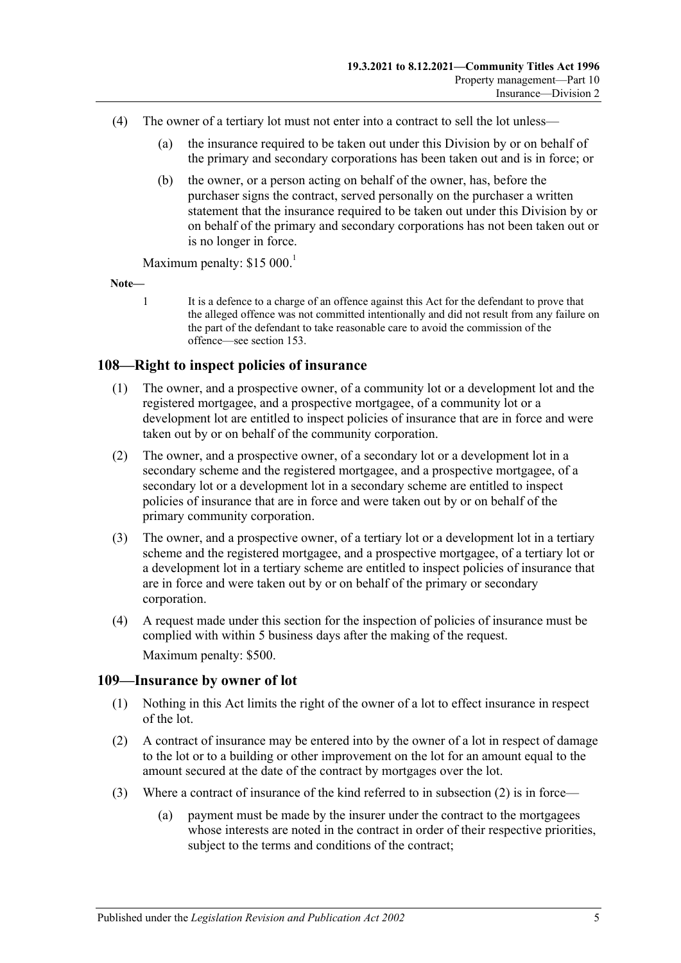- (4) The owner of a tertiary lot must not enter into a contract to sell the lot unless—
	- (a) the insurance required to be taken out under this Division by or on behalf of the primary and secondary corporations has been taken out and is in force; or
	- (b) the owner, or a person acting on behalf of the owner, has, before the purchaser signs the contract, served personally on the purchaser a written statement that the insurance required to be taken out under this Division by or on behalf of the primary and secondary corporations has not been taken out or is no longer in force.

Maximum penalty:  $$15\,000$ <sup>1</sup>

**Note—**

1 It is a defence to a charge of an offence against this Act for the defendant to prove that the alleged offence was not committed intentionally and did not result from any failure on the part of the defendant to take reasonable care to avoid the commission of the offence—se[e section](#page-121-0) 153.

# **108—Right to inspect policies of insurance**

- (1) The owner, and a prospective owner, of a community lot or a development lot and the registered mortgagee, and a prospective mortgagee, of a community lot or a development lot are entitled to inspect policies of insurance that are in force and were taken out by or on behalf of the community corporation.
- (2) The owner, and a prospective owner, of a secondary lot or a development lot in a secondary scheme and the registered mortgagee, and a prospective mortgagee, of a secondary lot or a development lot in a secondary scheme are entitled to inspect policies of insurance that are in force and were taken out by or on behalf of the primary community corporation.
- (3) The owner, and a prospective owner, of a tertiary lot or a development lot in a tertiary scheme and the registered mortgagee, and a prospective mortgagee, of a tertiary lot or a development lot in a tertiary scheme are entitled to inspect policies of insurance that are in force and were taken out by or on behalf of the primary or secondary corporation.
- (4) A request made under this section for the inspection of policies of insurance must be complied with within 5 business days after the making of the request. Maximum penalty: \$500.

## **109—Insurance by owner of lot**

- (1) Nothing in this Act limits the right of the owner of a lot to effect insurance in respect of the lot.
- <span id="page-94-0"></span>(2) A contract of insurance may be entered into by the owner of a lot in respect of damage to the lot or to a building or other improvement on the lot for an amount equal to the amount secured at the date of the contract by mortgages over the lot.
- (3) Where a contract of insurance of the kind referred to in [subsection](#page-94-0) (2) is in force—
	- (a) payment must be made by the insurer under the contract to the mortgagees whose interests are noted in the contract in order of their respective priorities, subject to the terms and conditions of the contract;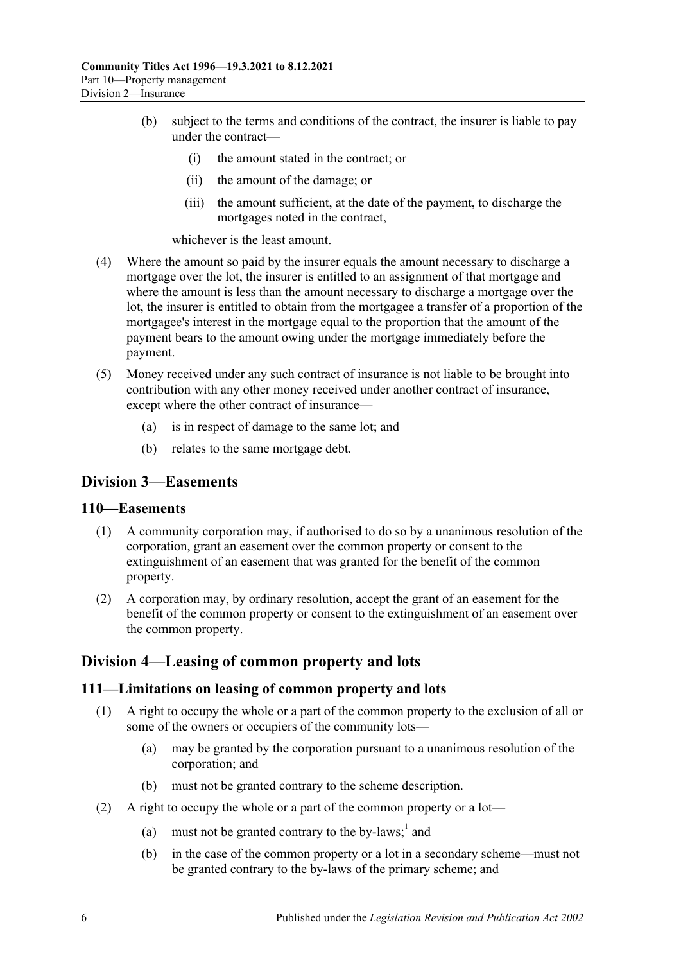- (b) subject to the terms and conditions of the contract, the insurer is liable to pay under the contract—
	- (i) the amount stated in the contract; or
	- (ii) the amount of the damage; or
	- (iii) the amount sufficient, at the date of the payment, to discharge the mortgages noted in the contract,

whichever is the least amount.

- (4) Where the amount so paid by the insurer equals the amount necessary to discharge a mortgage over the lot, the insurer is entitled to an assignment of that mortgage and where the amount is less than the amount necessary to discharge a mortgage over the lot, the insurer is entitled to obtain from the mortgagee a transfer of a proportion of the mortgagee's interest in the mortgage equal to the proportion that the amount of the payment bears to the amount owing under the mortgage immediately before the payment.
- (5) Money received under any such contract of insurance is not liable to be brought into contribution with any other money received under another contract of insurance, except where the other contract of insurance—
	- (a) is in respect of damage to the same lot; and
	- (b) relates to the same mortgage debt.

# **Division 3—Easements**

#### **110—Easements**

- (1) A community corporation may, if authorised to do so by a unanimous resolution of the corporation, grant an easement over the common property or consent to the extinguishment of an easement that was granted for the benefit of the common property.
- (2) A corporation may, by ordinary resolution, accept the grant of an easement for the benefit of the common property or consent to the extinguishment of an easement over the common property.

# **Division 4—Leasing of common property and lots**

#### **111—Limitations on leasing of common property and lots**

- (1) A right to occupy the whole or a part of the common property to the exclusion of all or some of the owners or occupiers of the community lots—
	- (a) may be granted by the corporation pursuant to a unanimous resolution of the corporation; and
	- (b) must not be granted contrary to the scheme description.
- (2) A right to occupy the whole or a part of the common property or a lot—
	- (a) must not be granted contrary to the by-laws; $<sup>1</sup>$  and</sup>
	- (b) in the case of the common property or a lot in a secondary scheme—must not be granted contrary to the by-laws of the primary scheme; and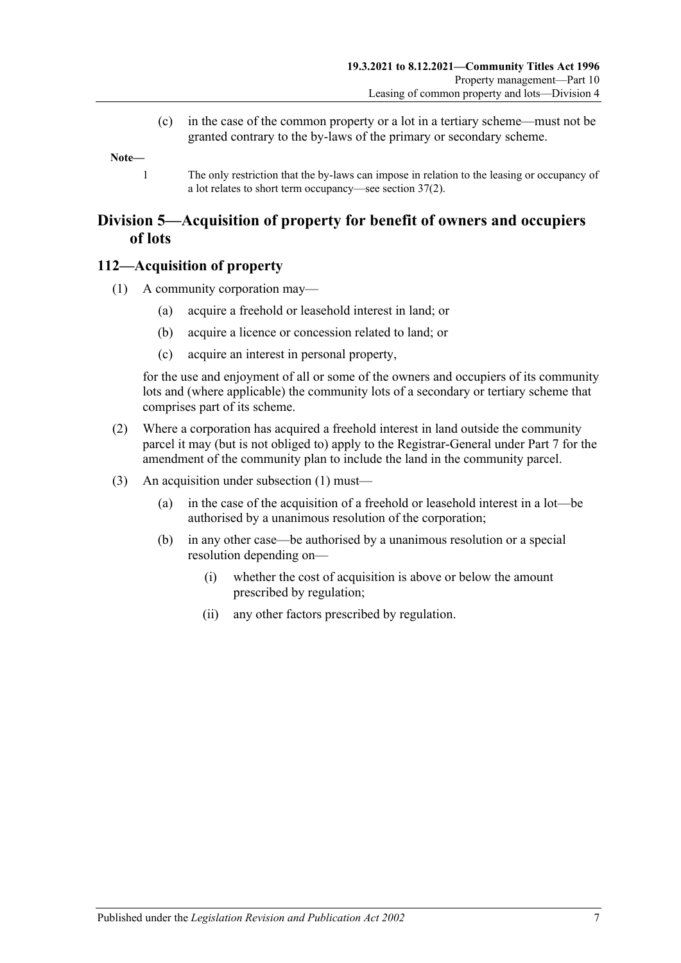(c) in the case of the common property or a lot in a tertiary scheme—must not be granted contrary to the by-laws of the primary or secondary scheme.

**Note—**

1 The only restriction that the by-laws can impose in relation to the leasing or occupancy of a lot relates to short term occupancy—se[e section](#page-39-0) 37(2).

# **Division 5—Acquisition of property for benefit of owners and occupiers of lots**

## <span id="page-96-0"></span>**112—Acquisition of property**

- (1) A community corporation may—
	- (a) acquire a freehold or leasehold interest in land; or
	- (b) acquire a licence or concession related to land; or
	- (c) acquire an interest in personal property,

for the use and enjoyment of all or some of the owners and occupiers of its community lots and (where applicable) the community lots of a secondary or tertiary scheme that comprises part of its scheme.

- (2) Where a corporation has acquired a freehold interest in land outside the community parcel it may (but is not obliged to) apply to the Registrar-General under [Part 7](#page-50-0) for the amendment of the community plan to include the land in the community parcel.
- (3) An acquisition under [subsection](#page-96-0) (1) must—
	- (a) in the case of the acquisition of a freehold or leasehold interest in a lot—be authorised by a unanimous resolution of the corporation;
	- (b) in any other case—be authorised by a unanimous resolution or a special resolution depending on—
		- (i) whether the cost of acquisition is above or below the amount prescribed by regulation;
		- (ii) any other factors prescribed by regulation.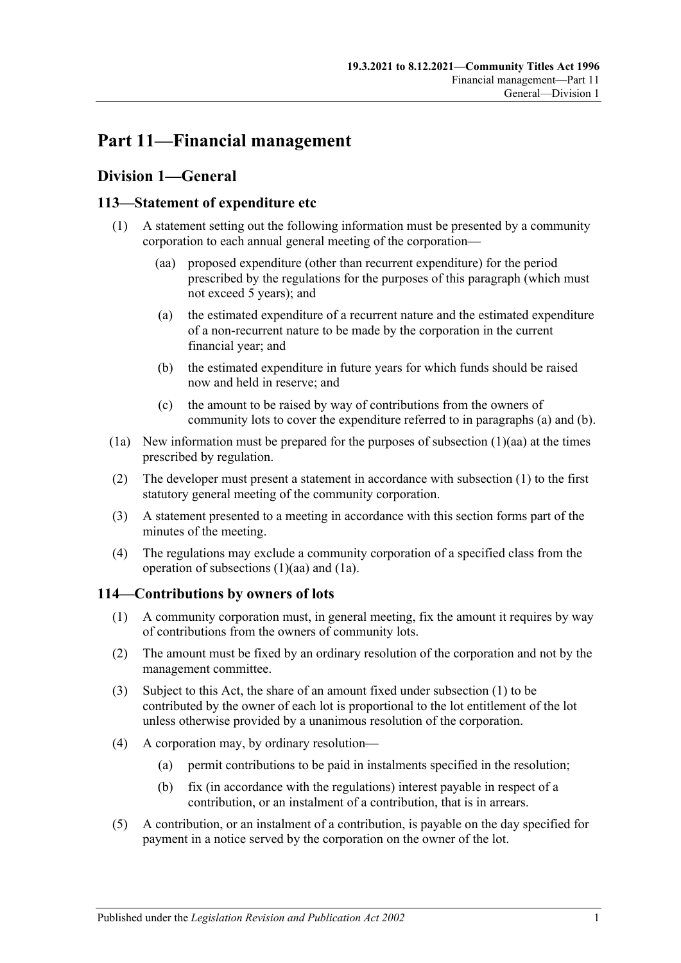# **Part 11—Financial management**

# **Division 1—General**

# <span id="page-98-4"></span><span id="page-98-0"></span>**113—Statement of expenditure etc**

- <span id="page-98-3"></span><span id="page-98-1"></span>(1) A statement setting out the following information must be presented by a community corporation to each annual general meeting of the corporation—
	- (aa) proposed expenditure (other than recurrent expenditure) for the period prescribed by the regulations for the purposes of this paragraph (which must not exceed 5 years); and
	- (a) the estimated expenditure of a recurrent nature and the estimated expenditure of a non-recurrent nature to be made by the corporation in the current financial year; and
	- (b) the estimated expenditure in future years for which funds should be raised now and held in reserve; and
	- (c) the amount to be raised by way of contributions from the owners of community lots to cover the expenditure referred to in [paragraphs](#page-98-1) (a) and [\(b\).](#page-98-2)
- <span id="page-98-5"></span><span id="page-98-2"></span>(1a) New information must be prepared for the purposes of [subsection](#page-98-3)  $(1)(aa)$  at the times prescribed by regulation.
- (2) The developer must present a statement in accordance with [subsection](#page-98-4) (1) to the first statutory general meeting of the community corporation.
- (3) A statement presented to a meeting in accordance with this section forms part of the minutes of the meeting.
- (4) The regulations may exclude a community corporation of a specified class from the operation of [subsections](#page-98-3) (1)(aa) and [\(1a\).](#page-98-5)

# <span id="page-98-6"></span>**114—Contributions by owners of lots**

- (1) A community corporation must, in general meeting, fix the amount it requires by way of contributions from the owners of community lots.
- (2) The amount must be fixed by an ordinary resolution of the corporation and not by the management committee.
- (3) Subject to this Act, the share of an amount fixed under [subsection](#page-98-6) (1) to be contributed by the owner of each lot is proportional to the lot entitlement of the lot unless otherwise provided by a unanimous resolution of the corporation.
- (4) A corporation may, by ordinary resolution—
	- (a) permit contributions to be paid in instalments specified in the resolution;
	- (b) fix (in accordance with the regulations) interest payable in respect of a contribution, or an instalment of a contribution, that is in arrears.
- (5) A contribution, or an instalment of a contribution, is payable on the day specified for payment in a notice served by the corporation on the owner of the lot.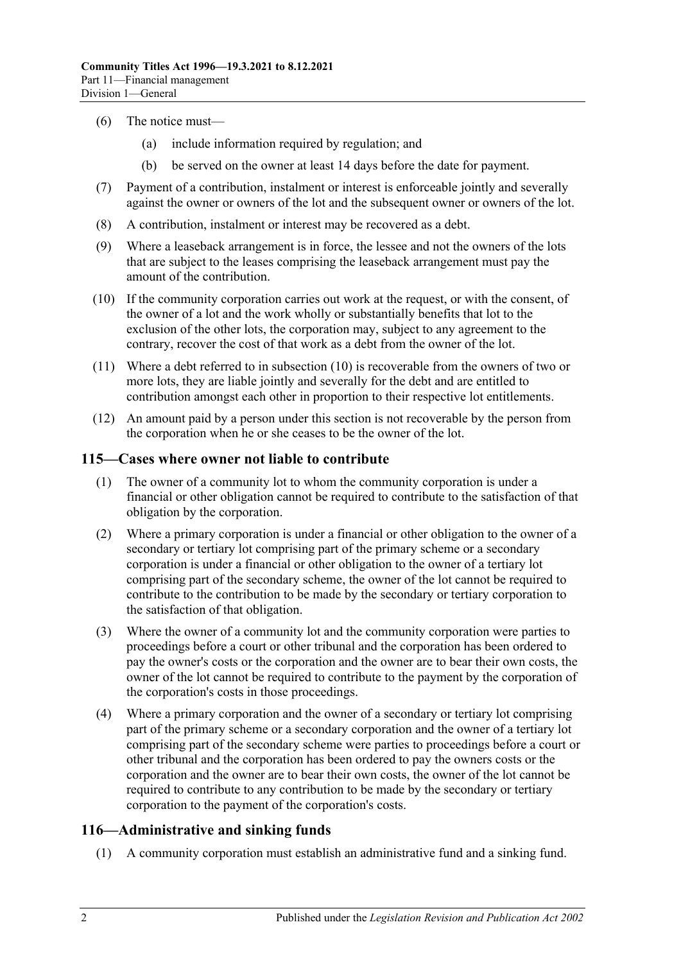- (6) The notice must—
	- (a) include information required by regulation; and
	- (b) be served on the owner at least 14 days before the date for payment.
- (7) Payment of a contribution, instalment or interest is enforceable jointly and severally against the owner or owners of the lot and the subsequent owner or owners of the lot.
- (8) A contribution, instalment or interest may be recovered as a debt.
- (9) Where a leaseback arrangement is in force, the lessee and not the owners of the lots that are subject to the leases comprising the leaseback arrangement must pay the amount of the contribution.
- <span id="page-99-0"></span>(10) If the community corporation carries out work at the request, or with the consent, of the owner of a lot and the work wholly or substantially benefits that lot to the exclusion of the other lots, the corporation may, subject to any agreement to the contrary, recover the cost of that work as a debt from the owner of the lot.
- (11) Where a debt referred to in [subsection](#page-99-0) (10) is recoverable from the owners of two or more lots, they are liable jointly and severally for the debt and are entitled to contribution amongst each other in proportion to their respective lot entitlements.
- (12) An amount paid by a person under this section is not recoverable by the person from the corporation when he or she ceases to be the owner of the lot.

#### <span id="page-99-1"></span>**115—Cases where owner not liable to contribute**

- (1) The owner of a community lot to whom the community corporation is under a financial or other obligation cannot be required to contribute to the satisfaction of that obligation by the corporation.
- (2) Where a primary corporation is under a financial or other obligation to the owner of a secondary or tertiary lot comprising part of the primary scheme or a secondary corporation is under a financial or other obligation to the owner of a tertiary lot comprising part of the secondary scheme, the owner of the lot cannot be required to contribute to the contribution to be made by the secondary or tertiary corporation to the satisfaction of that obligation.
- <span id="page-99-2"></span>(3) Where the owner of a community lot and the community corporation were parties to proceedings before a court or other tribunal and the corporation has been ordered to pay the owner's costs or the corporation and the owner are to bear their own costs, the owner of the lot cannot be required to contribute to the payment by the corporation of the corporation's costs in those proceedings.
- (4) Where a primary corporation and the owner of a secondary or tertiary lot comprising part of the primary scheme or a secondary corporation and the owner of a tertiary lot comprising part of the secondary scheme were parties to proceedings before a court or other tribunal and the corporation has been ordered to pay the owners costs or the corporation and the owner are to bear their own costs, the owner of the lot cannot be required to contribute to any contribution to be made by the secondary or tertiary corporation to the payment of the corporation's costs.

## **116—Administrative and sinking funds**

(1) A community corporation must establish an administrative fund and a sinking fund.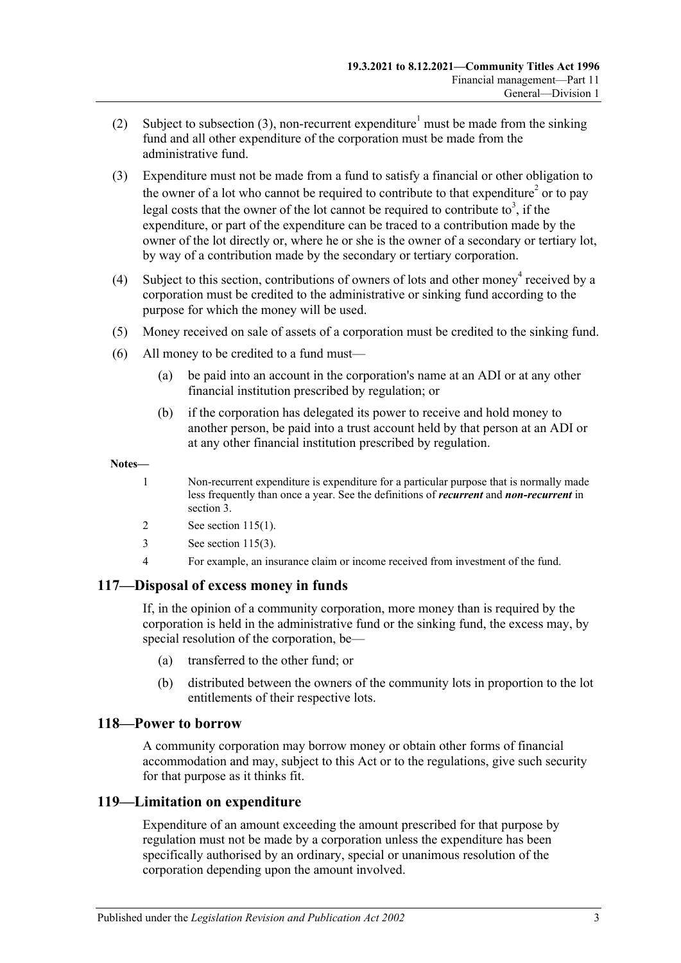- (2) Subject to [subsection](#page-100-0) (3), non-recurrent expenditure<sup>1</sup> must be made from the sinking fund and all other expenditure of the corporation must be made from the administrative fund.
- <span id="page-100-0"></span>(3) Expenditure must not be made from a fund to satisfy a financial or other obligation to the owner of a lot who cannot be required to contribute to that expenditure<sup>2</sup> or to pay legal costs that the owner of the lot cannot be required to contribute to<sup>3</sup>, if the expenditure, or part of the expenditure can be traced to a contribution made by the owner of the lot directly or, where he or she is the owner of a secondary or tertiary lot, by way of a contribution made by the secondary or tertiary corporation.
- (4) Subject to this section, contributions of owners of lots and other money<sup>4</sup> received by a corporation must be credited to the administrative or sinking fund according to the purpose for which the money will be used.
- (5) Money received on sale of assets of a corporation must be credited to the sinking fund.
- (6) All money to be credited to a fund must—
	- (a) be paid into an account in the corporation's name at an ADI or at any other financial institution prescribed by regulation; or
	- (b) if the corporation has delegated its power to receive and hold money to another person, be paid into a trust account held by that person at an ADI or at any other financial institution prescribed by regulation.

#### **Notes—**

- 1 Non-recurrent expenditure is expenditure for a particular purpose that is normally made less frequently than once a year. See the definitions of *recurrent* and *non-recurrent* in [section](#page-6-0) 3.
- 2 See [section](#page-99-1) 115(1).
- 3 See [section](#page-99-2) 115(3).
- 4 For example, an insurance claim or income received from investment of the fund.

## **117—Disposal of excess money in funds**

If, in the opinion of a community corporation, more money than is required by the corporation is held in the administrative fund or the sinking fund, the excess may, by special resolution of the corporation, be—

- (a) transferred to the other fund; or
- (b) distributed between the owners of the community lots in proportion to the lot entitlements of their respective lots.

#### **118—Power to borrow**

A community corporation may borrow money or obtain other forms of financial accommodation and may, subject to this Act or to the regulations, give such security for that purpose as it thinks fit.

## **119—Limitation on expenditure**

Expenditure of an amount exceeding the amount prescribed for that purpose by regulation must not be made by a corporation unless the expenditure has been specifically authorised by an ordinary, special or unanimous resolution of the corporation depending upon the amount involved.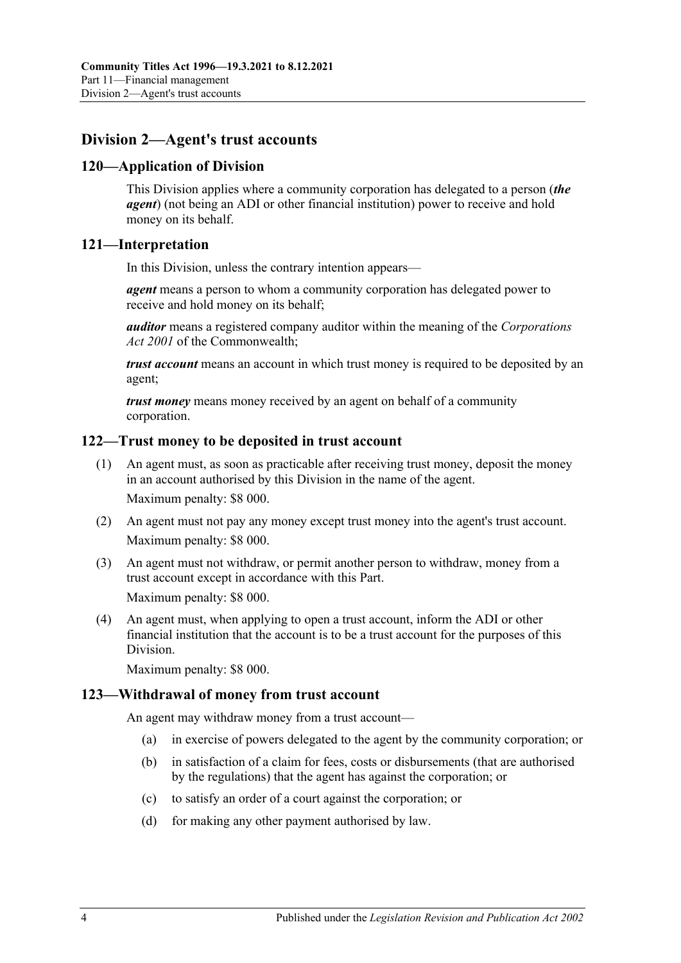# **Division 2—Agent's trust accounts**

## **120—Application of Division**

This Division applies where a community corporation has delegated to a person (*the agent*) (not being an ADI or other financial institution) power to receive and hold money on its behalf.

## **121—Interpretation**

In this Division, unless the contrary intention appears—

*agent* means a person to whom a community corporation has delegated power to receive and hold money on its behalf;

*auditor* means a registered company auditor within the meaning of the *Corporations Act 2001* of the Commonwealth;

*trust account* means an account in which trust money is required to be deposited by an agent;

*trust money* means money received by an agent on behalf of a community corporation.

## **122—Trust money to be deposited in trust account**

- (1) An agent must, as soon as practicable after receiving trust money, deposit the money in an account authorised by this Division in the name of the agent. Maximum penalty: \$8 000.
- (2) An agent must not pay any money except trust money into the agent's trust account. Maximum penalty: \$8 000.
- (3) An agent must not withdraw, or permit another person to withdraw, money from a trust account except in accordance with this Part. Maximum penalty: \$8 000.

(4) An agent must, when applying to open a trust account, inform the ADI or other financial institution that the account is to be a trust account for the purposes of this Division.

Maximum penalty: \$8 000.

## **123—Withdrawal of money from trust account**

An agent may withdraw money from a trust account—

- (a) in exercise of powers delegated to the agent by the community corporation; or
- (b) in satisfaction of a claim for fees, costs or disbursements (that are authorised by the regulations) that the agent has against the corporation; or
- (c) to satisfy an order of a court against the corporation; or
- (d) for making any other payment authorised by law.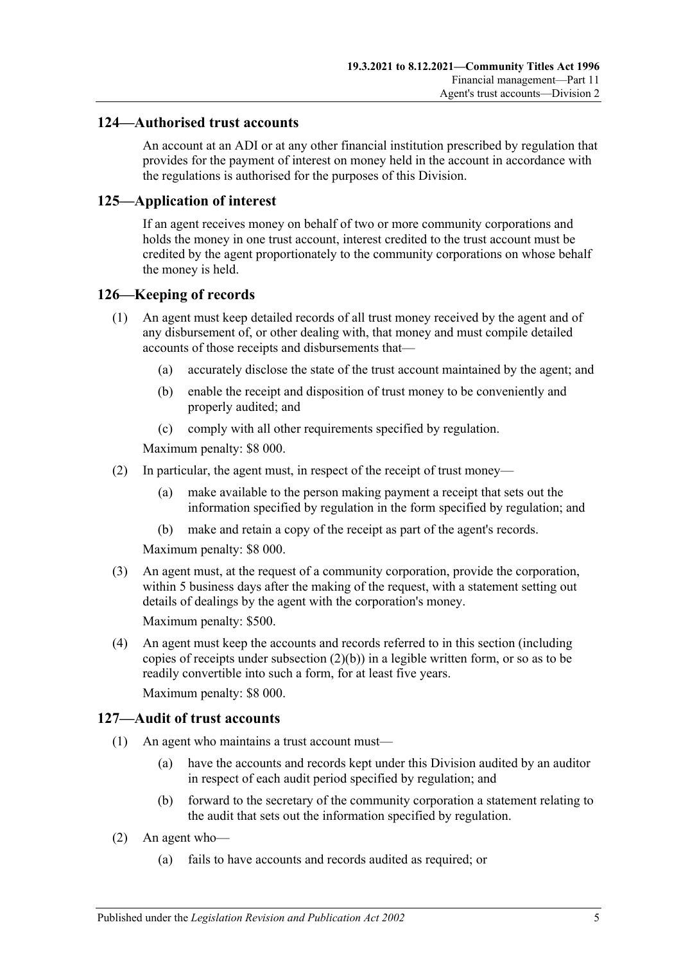## **124—Authorised trust accounts**

An account at an ADI or at any other financial institution prescribed by regulation that provides for the payment of interest on money held in the account in accordance with the regulations is authorised for the purposes of this Division.

## **125—Application of interest**

If an agent receives money on behalf of two or more community corporations and holds the money in one trust account, interest credited to the trust account must be credited by the agent proportionately to the community corporations on whose behalf the money is held.

#### **126—Keeping of records**

- (1) An agent must keep detailed records of all trust money received by the agent and of any disbursement of, or other dealing with, that money and must compile detailed accounts of those receipts and disbursements that—
	- (a) accurately disclose the state of the trust account maintained by the agent; and
	- (b) enable the receipt and disposition of trust money to be conveniently and properly audited; and
	- (c) comply with all other requirements specified by regulation.

Maximum penalty: \$8 000.

- <span id="page-102-0"></span>(2) In particular, the agent must, in respect of the receipt of trust money—
	- (a) make available to the person making payment a receipt that sets out the information specified by regulation in the form specified by regulation; and
	- (b) make and retain a copy of the receipt as part of the agent's records.

Maximum penalty: \$8 000.

(3) An agent must, at the request of a community corporation, provide the corporation, within 5 business days after the making of the request, with a statement setting out details of dealings by the agent with the corporation's money.

Maximum penalty: \$500.

(4) An agent must keep the accounts and records referred to in this section (including copies of receipts under [subsection](#page-102-0)  $(2)(b)$ ) in a legible written form, or so as to be readily convertible into such a form, for at least five years.

Maximum penalty: \$8 000.

#### **127—Audit of trust accounts**

- (1) An agent who maintains a trust account must—
	- (a) have the accounts and records kept under this Division audited by an auditor in respect of each audit period specified by regulation; and
	- (b) forward to the secretary of the community corporation a statement relating to the audit that sets out the information specified by regulation.
- (2) An agent who—
	- (a) fails to have accounts and records audited as required; or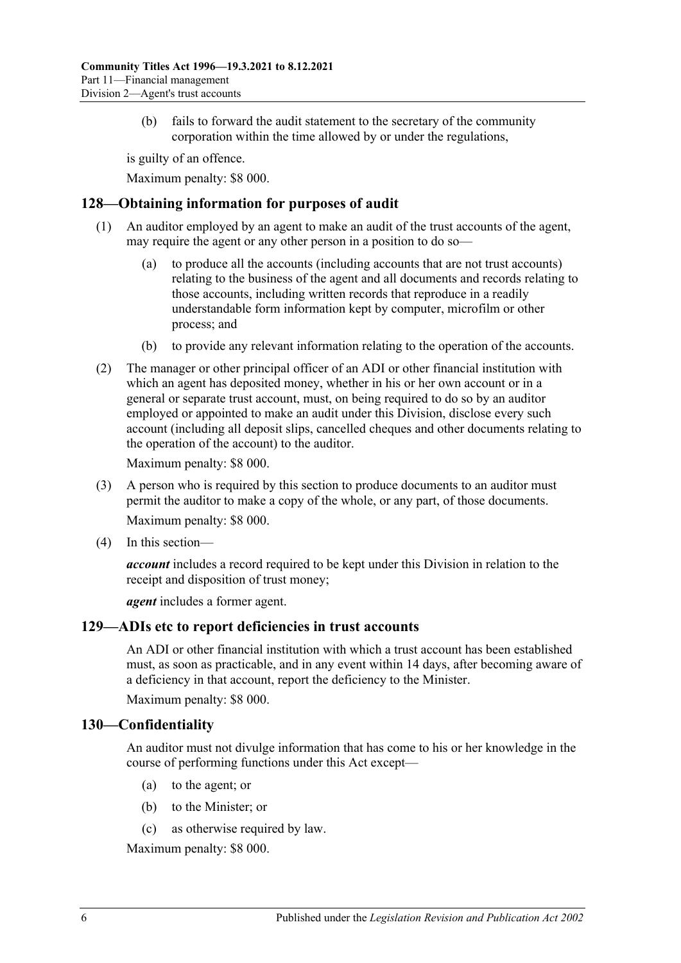(b) fails to forward the audit statement to the secretary of the community corporation within the time allowed by or under the regulations,

is guilty of an offence.

Maximum penalty: \$8 000.

# **128—Obtaining information for purposes of audit**

- (1) An auditor employed by an agent to make an audit of the trust accounts of the agent, may require the agent or any other person in a position to do so
	- to produce all the accounts (including accounts that are not trust accounts) relating to the business of the agent and all documents and records relating to those accounts, including written records that reproduce in a readily understandable form information kept by computer, microfilm or other process; and
	- (b) to provide any relevant information relating to the operation of the accounts.
- (2) The manager or other principal officer of an ADI or other financial institution with which an agent has deposited money, whether in his or her own account or in a general or separate trust account, must, on being required to do so by an auditor employed or appointed to make an audit under this Division, disclose every such account (including all deposit slips, cancelled cheques and other documents relating to the operation of the account) to the auditor.

Maximum penalty: \$8 000.

- (3) A person who is required by this section to produce documents to an auditor must permit the auditor to make a copy of the whole, or any part, of those documents. Maximum penalty: \$8 000.
- (4) In this section—

*account* includes a record required to be kept under this Division in relation to the receipt and disposition of trust money;

*agent* includes a former agent.

## **129—ADIs etc to report deficiencies in trust accounts**

An ADI or other financial institution with which a trust account has been established must, as soon as practicable, and in any event within 14 days, after becoming aware of a deficiency in that account, report the deficiency to the Minister.

Maximum penalty: \$8 000.

## **130—Confidentiality**

An auditor must not divulge information that has come to his or her knowledge in the course of performing functions under this Act except—

- (a) to the agent; or
- (b) to the Minister; or
- (c) as otherwise required by law.

Maximum penalty: \$8 000.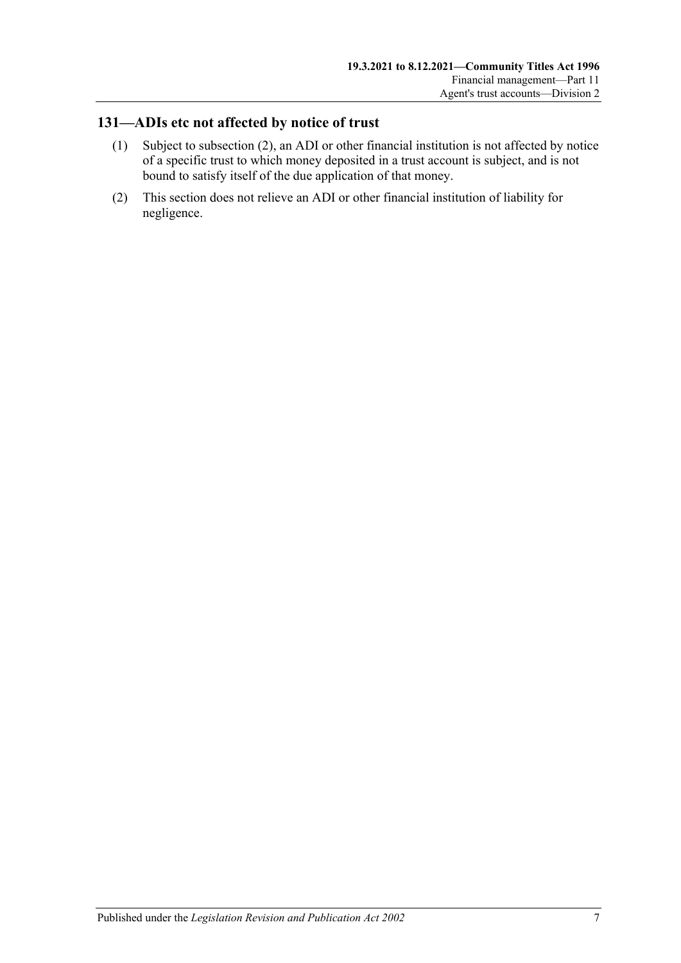# **131—ADIs etc not affected by notice of trust**

- (1) Subject to [subsection](#page-104-0) (2), an ADI or other financial institution is not affected by notice of a specific trust to which money deposited in a trust account is subject, and is not bound to satisfy itself of the due application of that money.
- <span id="page-104-0"></span>(2) This section does not relieve an ADI or other financial institution of liability for negligence.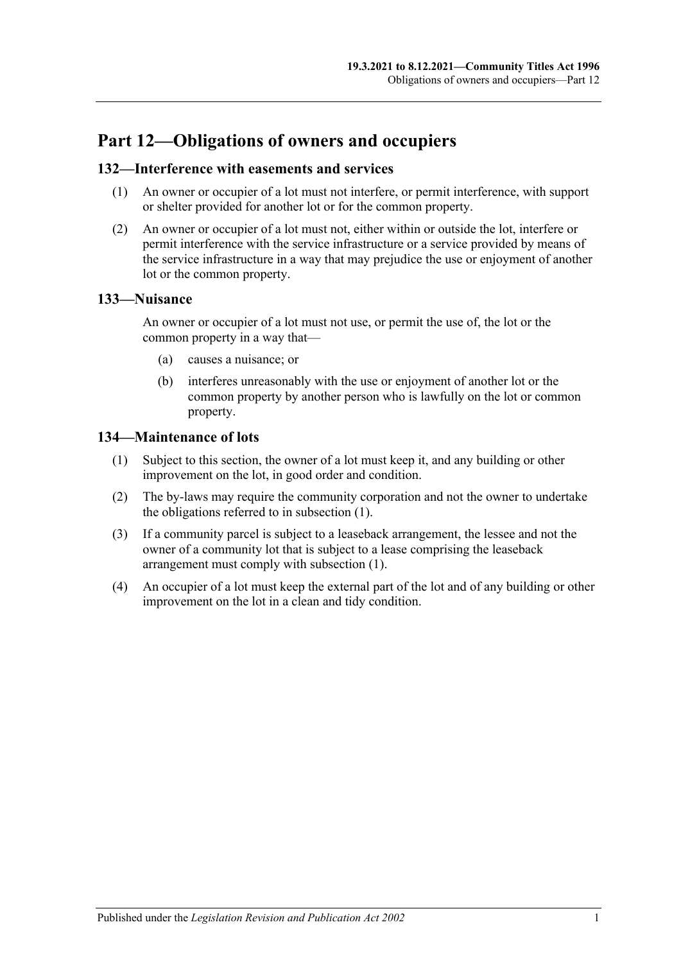# **Part 12—Obligations of owners and occupiers**

## **132—Interference with easements and services**

- (1) An owner or occupier of a lot must not interfere, or permit interference, with support or shelter provided for another lot or for the common property.
- (2) An owner or occupier of a lot must not, either within or outside the lot, interfere or permit interference with the service infrastructure or a service provided by means of the service infrastructure in a way that may prejudice the use or enjoyment of another lot or the common property.

# **133—Nuisance**

An owner or occupier of a lot must not use, or permit the use of, the lot or the common property in a way that—

- (a) causes a nuisance; or
- (b) interferes unreasonably with the use or enjoyment of another lot or the common property by another person who is lawfully on the lot or common property.

# <span id="page-106-0"></span>**134—Maintenance of lots**

- (1) Subject to this section, the owner of a lot must keep it, and any building or other improvement on the lot, in good order and condition.
- (2) The by-laws may require the community corporation and not the owner to undertake the obligations referred to in [subsection](#page-106-0) (1).
- (3) If a community parcel is subject to a leaseback arrangement, the lessee and not the owner of a community lot that is subject to a lease comprising the leaseback arrangement must comply with [subsection](#page-106-0) (1).
- (4) An occupier of a lot must keep the external part of the lot and of any building or other improvement on the lot in a clean and tidy condition.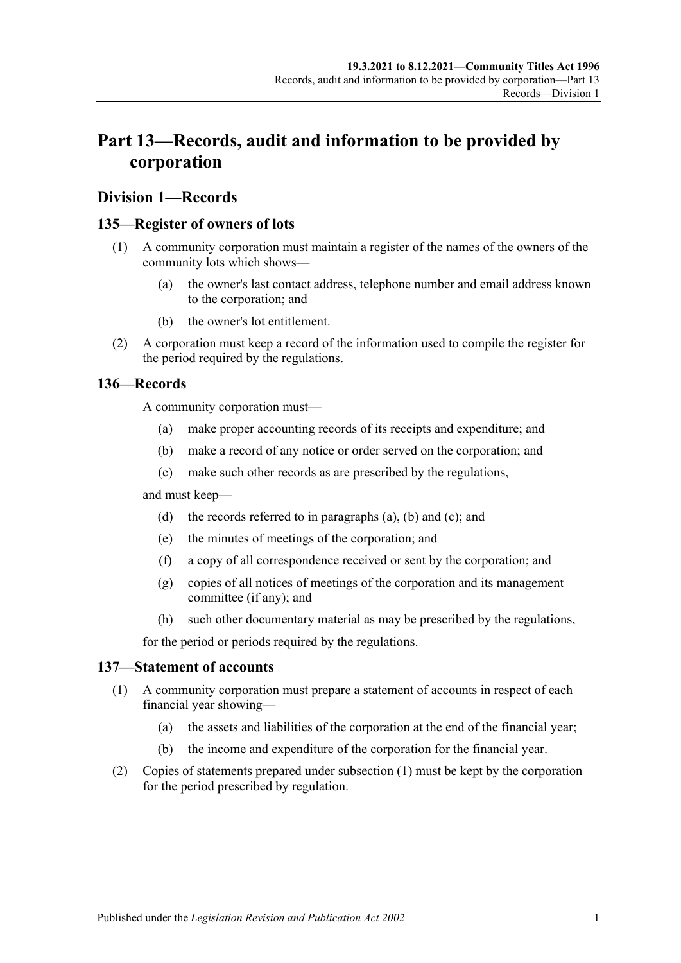# **Part 13—Records, audit and information to be provided by corporation**

### **Division 1—Records**

#### <span id="page-108-4"></span>**135—Register of owners of lots**

- (1) A community corporation must maintain a register of the names of the owners of the community lots which shows—
	- (a) the owner's last contact address, telephone number and email address known to the corporation; and
	- (b) the owner's lot entitlement.
- (2) A corporation must keep a record of the information used to compile the register for the period required by the regulations.

#### <span id="page-108-1"></span><span id="page-108-0"></span>**136—Records**

A community corporation must—

- (a) make proper accounting records of its receipts and expenditure; and
- (b) make a record of any notice or order served on the corporation; and
- (c) make such other records as are prescribed by the regulations,

<span id="page-108-2"></span>and must keep—

- (d) the records referred to in [paragraphs](#page-108-0) (a), [\(b\)](#page-108-1) and [\(c\);](#page-108-2) and
- (e) the minutes of meetings of the corporation; and
- (f) a copy of all correspondence received or sent by the corporation; and
- (g) copies of all notices of meetings of the corporation and its management committee (if any); and
- (h) such other documentary material as may be prescribed by the regulations,

for the period or periods required by the regulations.

#### <span id="page-108-3"></span>**137—Statement of accounts**

- (1) A community corporation must prepare a statement of accounts in respect of each financial year showing—
	- (a) the assets and liabilities of the corporation at the end of the financial year;
	- (b) the income and expenditure of the corporation for the financial year.
- (2) Copies of statements prepared under [subsection](#page-108-3) (1) must be kept by the corporation for the period prescribed by regulation.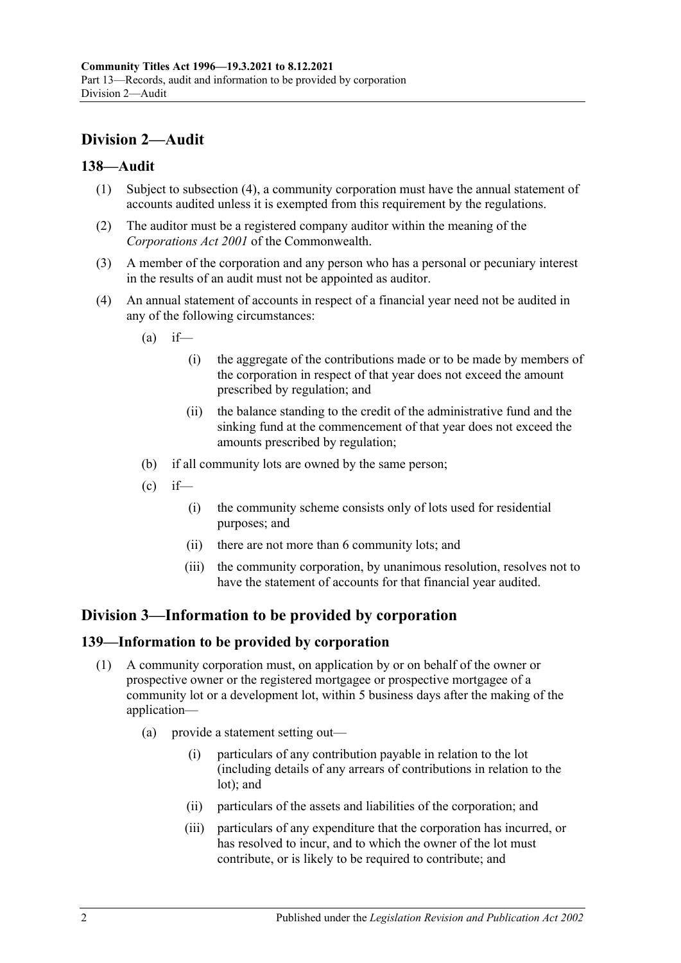# **Division 2—Audit**

#### **138—Audit**

- (1) Subject to [subsection](#page-109-0) (4), a community corporation must have the annual statement of accounts audited unless it is exempted from this requirement by the regulations.
- (2) The auditor must be a registered company auditor within the meaning of the *Corporations Act 2001* of the Commonwealth.
- (3) A member of the corporation and any person who has a personal or pecuniary interest in the results of an audit must not be appointed as auditor.
- <span id="page-109-0"></span>(4) An annual statement of accounts in respect of a financial year need not be audited in any of the following circumstances:
	- $(a)$  if—
		- (i) the aggregate of the contributions made or to be made by members of the corporation in respect of that year does not exceed the amount prescribed by regulation; and
		- (ii) the balance standing to the credit of the administrative fund and the sinking fund at the commencement of that year does not exceed the amounts prescribed by regulation;
	- (b) if all community lots are owned by the same person;
	- $(c)$  if—
		- (i) the community scheme consists only of lots used for residential purposes; and
		- (ii) there are not more than 6 community lots; and
		- (iii) the community corporation, by unanimous resolution, resolves not to have the statement of accounts for that financial year audited.

# **Division 3—Information to be provided by corporation**

### <span id="page-109-2"></span>**139—Information to be provided by corporation**

- <span id="page-109-1"></span>(1) A community corporation must, on application by or on behalf of the owner or prospective owner or the registered mortgagee or prospective mortgagee of a community lot or a development lot, within 5 business days after the making of the application—
	- (a) provide a statement setting out—
		- (i) particulars of any contribution payable in relation to the lot (including details of any arrears of contributions in relation to the lot); and
		- (ii) particulars of the assets and liabilities of the corporation; and
		- (iii) particulars of any expenditure that the corporation has incurred, or has resolved to incur, and to which the owner of the lot must contribute, or is likely to be required to contribute; and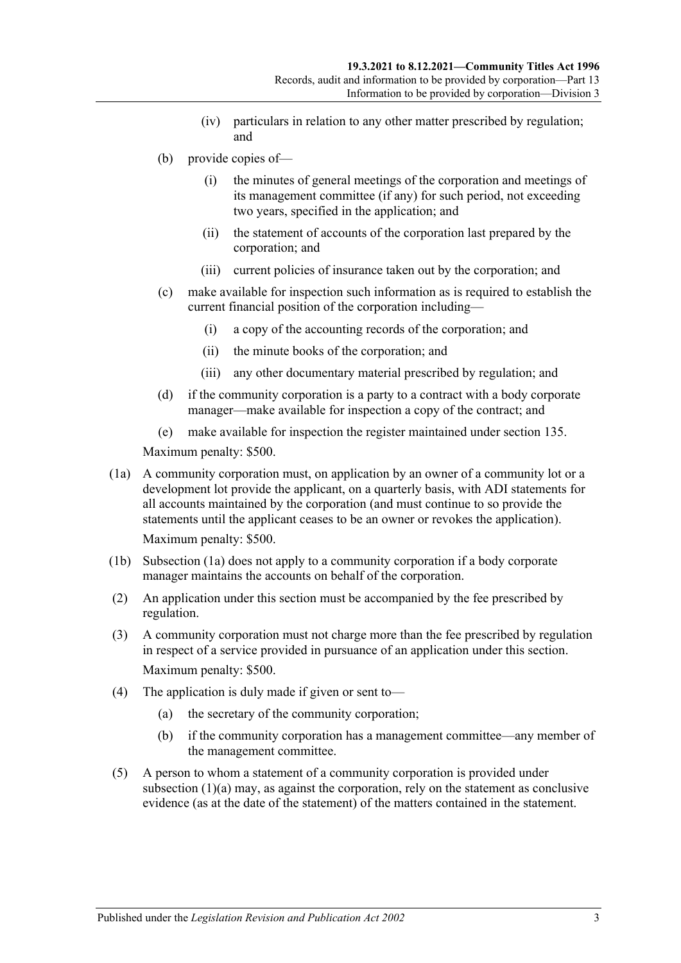- (iv) particulars in relation to any other matter prescribed by regulation; and
- (b) provide copies of—
	- (i) the minutes of general meetings of the corporation and meetings of its management committee (if any) for such period, not exceeding two years, specified in the application; and
	- (ii) the statement of accounts of the corporation last prepared by the corporation; and
	- (iii) current policies of insurance taken out by the corporation; and
- (c) make available for inspection such information as is required to establish the current financial position of the corporation including—
	- (i) a copy of the accounting records of the corporation; and
	- (ii) the minute books of the corporation; and
	- (iii) any other documentary material prescribed by regulation; and
- (d) if the community corporation is a party to a contract with a body corporate manager—make available for inspection a copy of the contract; and
- (e) make available for inspection the register maintained under [section](#page-108-4) 135.

Maximum penalty: \$500.

<span id="page-110-0"></span>(1a) A community corporation must, on application by an owner of a community lot or a development lot provide the applicant, on a quarterly basis, with ADI statements for all accounts maintained by the corporation (and must continue to so provide the statements until the applicant ceases to be an owner or revokes the application).

Maximum penalty: \$500.

- (1b) [Subsection](#page-110-0) (1a) does not apply to a community corporation if a body corporate manager maintains the accounts on behalf of the corporation.
- (2) An application under this section must be accompanied by the fee prescribed by regulation.
- (3) A community corporation must not charge more than the fee prescribed by regulation in respect of a service provided in pursuance of an application under this section. Maximum penalty: \$500.
- (4) The application is duly made if given or sent to—
	- (a) the secretary of the community corporation;
	- (b) if the community corporation has a management committee—any member of the management committee.
- (5) A person to whom a statement of a community corporation is provided under [subsection](#page-109-1) (1)(a) may, as against the corporation, rely on the statement as conclusive evidence (as at the date of the statement) of the matters contained in the statement.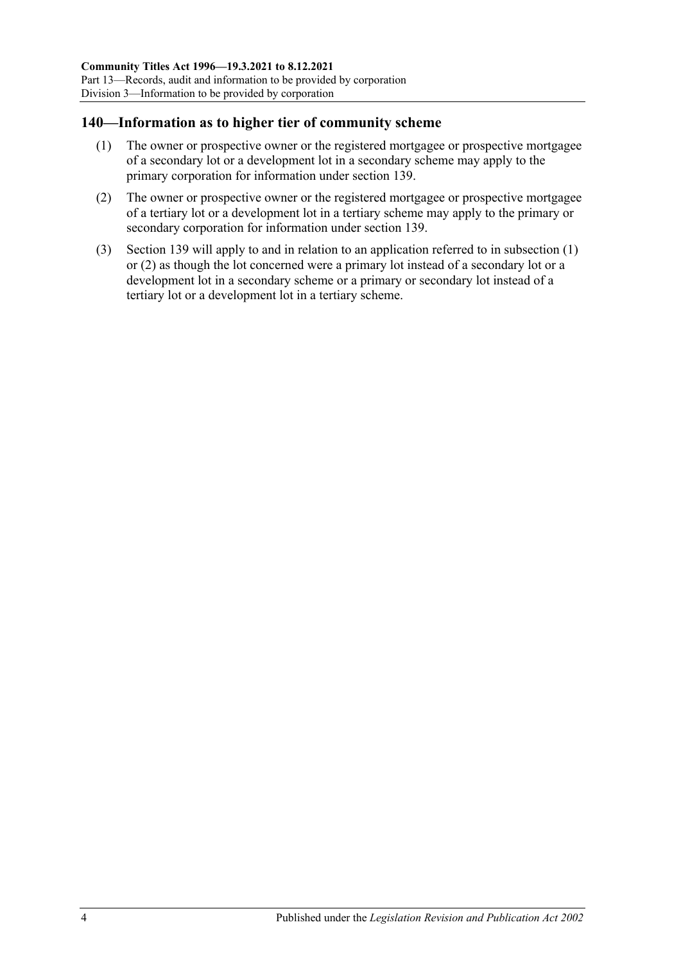### <span id="page-111-0"></span>**140—Information as to higher tier of community scheme**

- (1) The owner or prospective owner or the registered mortgagee or prospective mortgagee of a secondary lot or a development lot in a secondary scheme may apply to the primary corporation for information under [section](#page-109-2) 139.
- <span id="page-111-1"></span>(2) The owner or prospective owner or the registered mortgagee or prospective mortgagee of a tertiary lot or a development lot in a tertiary scheme may apply to the primary or secondary corporation for information under [section](#page-109-2) 139.
- (3) [Section](#page-109-2) 139 will apply to and in relation to an application referred to in [subsection](#page-111-0) (1) or [\(2\)](#page-111-1) as though the lot concerned were a primary lot instead of a secondary lot or a development lot in a secondary scheme or a primary or secondary lot instead of a tertiary lot or a development lot in a tertiary scheme.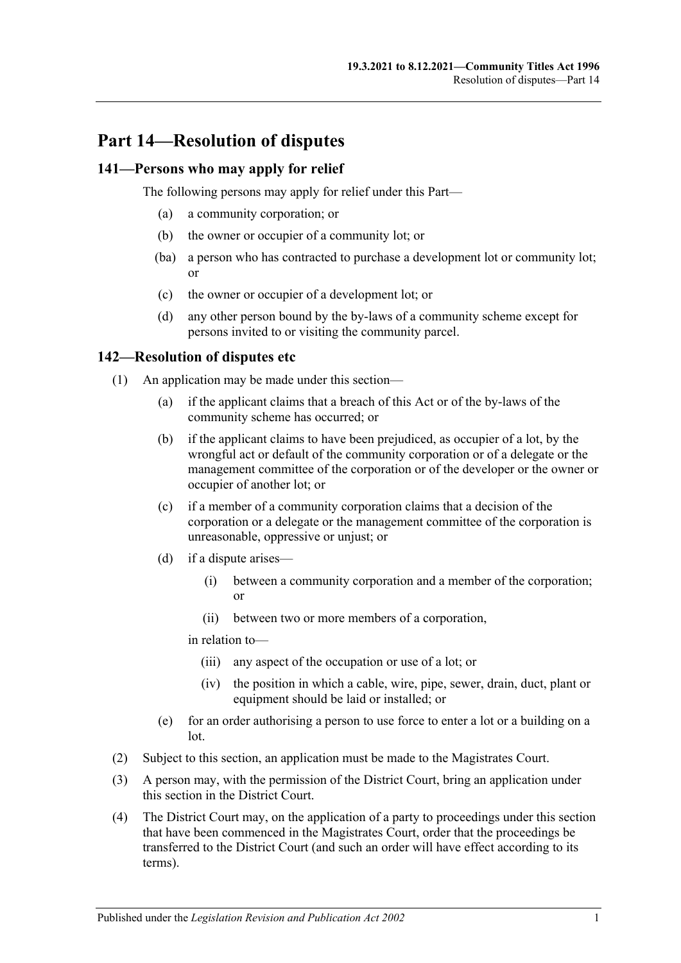# **Part 14—Resolution of disputes**

#### **141—Persons who may apply for relief**

The following persons may apply for relief under this Part—

- (a) a community corporation; or
- (b) the owner or occupier of a community lot; or
- (ba) a person who has contracted to purchase a development lot or community lot; or
- (c) the owner or occupier of a development lot; or
- (d) any other person bound by the by-laws of a community scheme except for persons invited to or visiting the community parcel.

#### <span id="page-112-2"></span>**142—Resolution of disputes etc**

- (1) An application may be made under this section—
	- (a) if the applicant claims that a breach of this Act or of the by-laws of the community scheme has occurred; or
	- (b) if the applicant claims to have been prejudiced, as occupier of a lot, by the wrongful act or default of the community corporation or of a delegate or the management committee of the corporation or of the developer or the owner or occupier of another lot; or
	- (c) if a member of a community corporation claims that a decision of the corporation or a delegate or the management committee of the corporation is unreasonable, oppressive or unjust; or
	- (d) if a dispute arises—
		- (i) between a community corporation and a member of the corporation; or
		- (ii) between two or more members of a corporation,

in relation to—

- (iii) any aspect of the occupation or use of a lot; or
- (iv) the position in which a cable, wire, pipe, sewer, drain, duct, plant or equipment should be laid or installed; or
- (e) for an order authorising a person to use force to enter a lot or a building on a lot.
- (2) Subject to this section, an application must be made to the Magistrates Court.
- <span id="page-112-0"></span>(3) A person may, with the permission of the District Court, bring an application under this section in the District Court.
- <span id="page-112-1"></span>(4) The District Court may, on the application of a party to proceedings under this section that have been commenced in the Magistrates Court, order that the proceedings be transferred to the District Court (and such an order will have effect according to its terms).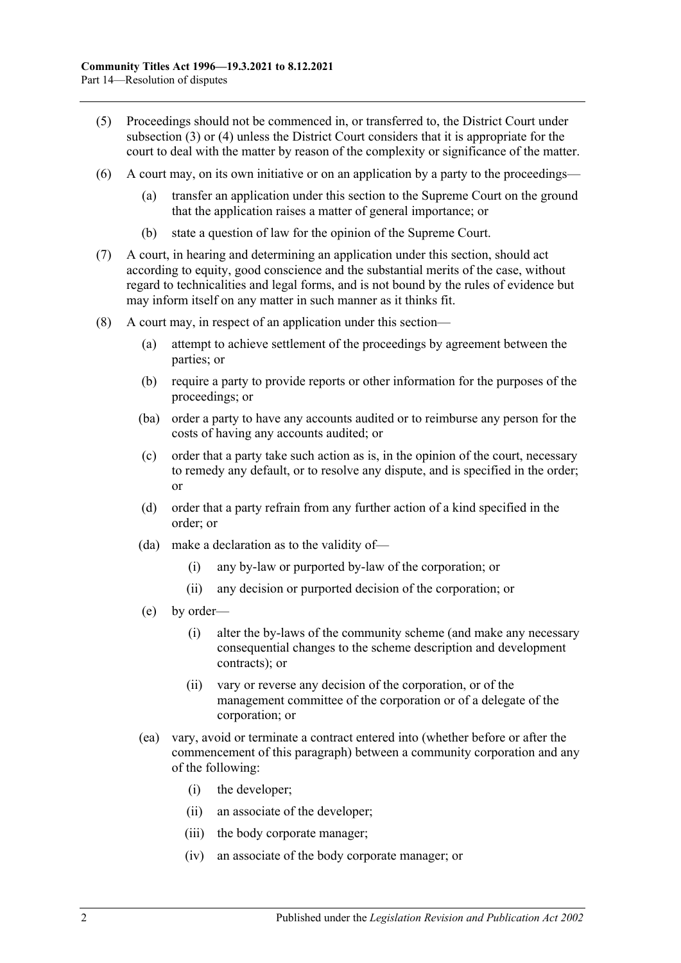- (5) Proceedings should not be commenced in, or transferred to, the District Court under [subsection](#page-112-0) (3) or [\(4\)](#page-112-1) unless the District Court considers that it is appropriate for the court to deal with the matter by reason of the complexity or significance of the matter.
- (6) A court may, on its own initiative or on an application by a party to the proceedings
	- transfer an application under this section to the Supreme Court on the ground that the application raises a matter of general importance; or
	- (b) state a question of law for the opinion of the Supreme Court.
- (7) A court, in hearing and determining an application under this section, should act according to equity, good conscience and the substantial merits of the case, without regard to technicalities and legal forms, and is not bound by the rules of evidence but may inform itself on any matter in such manner as it thinks fit.
- (8) A court may, in respect of an application under this section—
	- (a) attempt to achieve settlement of the proceedings by agreement between the parties; or
	- (b) require a party to provide reports or other information for the purposes of the proceedings; or
	- (ba) order a party to have any accounts audited or to reimburse any person for the costs of having any accounts audited; or
	- (c) order that a party take such action as is, in the opinion of the court, necessary to remedy any default, or to resolve any dispute, and is specified in the order; or
	- (d) order that a party refrain from any further action of a kind specified in the order; or
	- (da) make a declaration as to the validity of—
		- (i) any by-law or purported by-law of the corporation; or
		- (ii) any decision or purported decision of the corporation; or
	- (e) by order—
		- (i) alter the by-laws of the community scheme (and make any necessary consequential changes to the scheme description and development contracts); or
		- (ii) vary or reverse any decision of the corporation, or of the management committee of the corporation or of a delegate of the corporation; or
	- (ea) vary, avoid or terminate a contract entered into (whether before or after the commencement of this paragraph) between a community corporation and any of the following:
		- (i) the developer;
		- (ii) an associate of the developer;
		- (iii) the body corporate manager;
		- (iv) an associate of the body corporate manager; or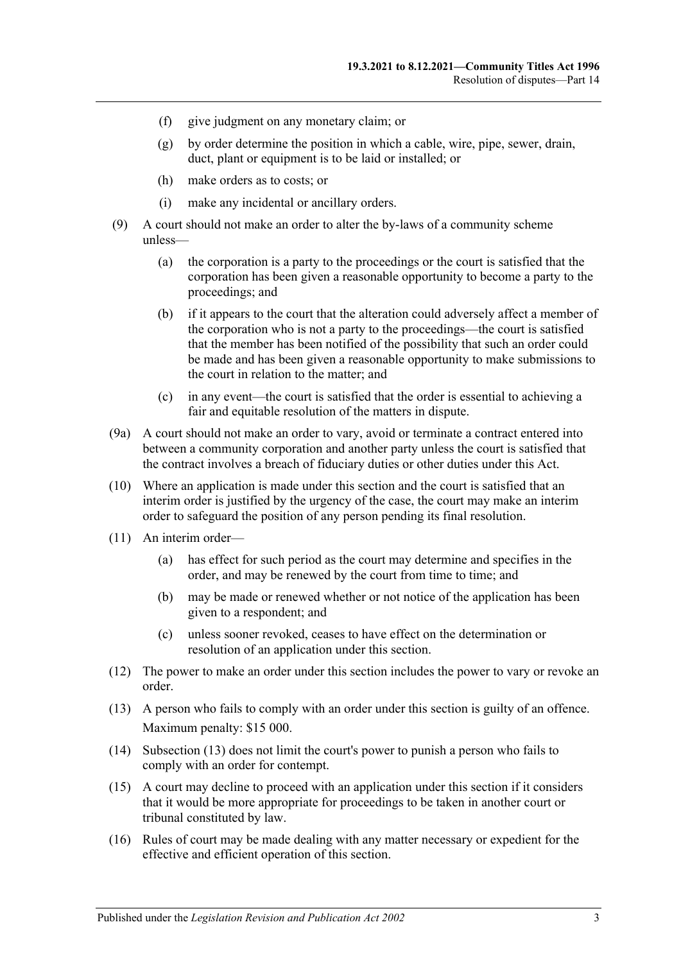- (f) give judgment on any monetary claim; or
- (g) by order determine the position in which a cable, wire, pipe, sewer, drain, duct, plant or equipment is to be laid or installed; or
- (h) make orders as to costs; or
- (i) make any incidental or ancillary orders.
- (9) A court should not make an order to alter the by-laws of a community scheme unless—
	- (a) the corporation is a party to the proceedings or the court is satisfied that the corporation has been given a reasonable opportunity to become a party to the proceedings; and
	- (b) if it appears to the court that the alteration could adversely affect a member of the corporation who is not a party to the proceedings—the court is satisfied that the member has been notified of the possibility that such an order could be made and has been given a reasonable opportunity to make submissions to the court in relation to the matter; and
	- (c) in any event—the court is satisfied that the order is essential to achieving a fair and equitable resolution of the matters in dispute.
- (9a) A court should not make an order to vary, avoid or terminate a contract entered into between a community corporation and another party unless the court is satisfied that the contract involves a breach of fiduciary duties or other duties under this Act.
- (10) Where an application is made under this section and the court is satisfied that an interim order is justified by the urgency of the case, the court may make an interim order to safeguard the position of any person pending its final resolution.
- (11) An interim order—
	- (a) has effect for such period as the court may determine and specifies in the order, and may be renewed by the court from time to time; and
	- (b) may be made or renewed whether or not notice of the application has been given to a respondent; and
	- (c) unless sooner revoked, ceases to have effect on the determination or resolution of an application under this section.
- (12) The power to make an order under this section includes the power to vary or revoke an order.
- <span id="page-114-0"></span>(13) A person who fails to comply with an order under this section is guilty of an offence. Maximum penalty: \$15 000.
- (14) [Subsection](#page-114-0) (13) does not limit the court's power to punish a person who fails to comply with an order for contempt.
- (15) A court may decline to proceed with an application under this section if it considers that it would be more appropriate for proceedings to be taken in another court or tribunal constituted by law.
- (16) Rules of court may be made dealing with any matter necessary or expedient for the effective and efficient operation of this section.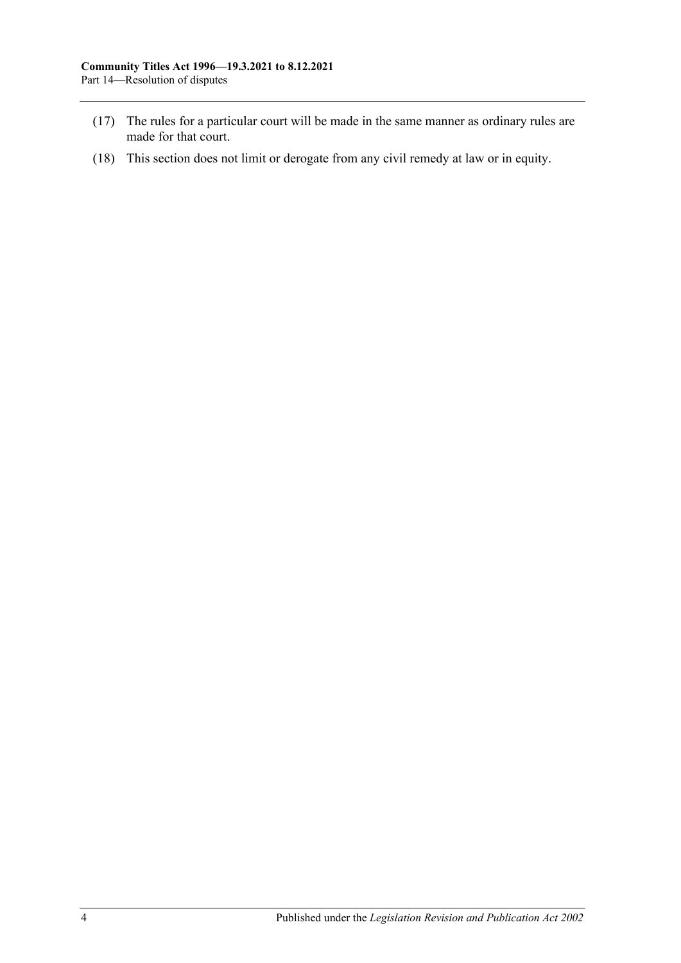- (17) The rules for a particular court will be made in the same manner as ordinary rules are made for that court.
- (18) This section does not limit or derogate from any civil remedy at law or in equity.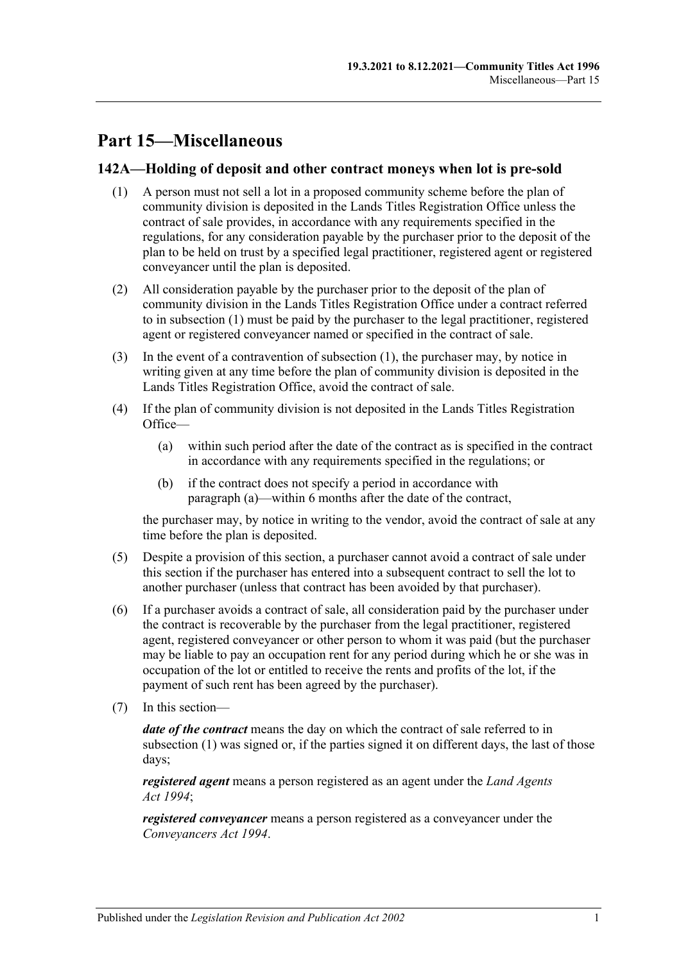# **Part 15—Miscellaneous**

#### <span id="page-116-0"></span>**142A—Holding of deposit and other contract moneys when lot is pre-sold**

- (1) A person must not sell a lot in a proposed community scheme before the plan of community division is deposited in the Lands Titles Registration Office unless the contract of sale provides, in accordance with any requirements specified in the regulations, for any consideration payable by the purchaser prior to the deposit of the plan to be held on trust by a specified legal practitioner, registered agent or registered conveyancer until the plan is deposited.
- (2) All consideration payable by the purchaser prior to the deposit of the plan of community division in the Lands Titles Registration Office under a contract referred to in [subsection](#page-116-0) (1) must be paid by the purchaser to the legal practitioner, registered agent or registered conveyancer named or specified in the contract of sale.
- (3) In the event of a contravention of [subsection](#page-116-0) (1), the purchaser may, by notice in writing given at any time before the plan of community division is deposited in the Lands Titles Registration Office, avoid the contract of sale.
- <span id="page-116-1"></span>(4) If the plan of community division is not deposited in the Lands Titles Registration Office—
	- (a) within such period after the date of the contract as is specified in the contract in accordance with any requirements specified in the regulations; or
	- (b) if the contract does not specify a period in accordance with [paragraph](#page-116-1) (a)—within 6 months after the date of the contract,

the purchaser may, by notice in writing to the vendor, avoid the contract of sale at any time before the plan is deposited.

- (5) Despite a provision of this section, a purchaser cannot avoid a contract of sale under this section if the purchaser has entered into a subsequent contract to sell the lot to another purchaser (unless that contract has been avoided by that purchaser).
- (6) If a purchaser avoids a contract of sale, all consideration paid by the purchaser under the contract is recoverable by the purchaser from the legal practitioner, registered agent, registered conveyancer or other person to whom it was paid (but the purchaser may be liable to pay an occupation rent for any period during which he or she was in occupation of the lot or entitled to receive the rents and profits of the lot, if the payment of such rent has been agreed by the purchaser).
- (7) In this section—

*date of the contract* means the day on which the contract of sale referred to in [subsection](#page-116-0) (1) was signed or, if the parties signed it on different days, the last of those days;

*registered agent* means a person registered as an agent under the *[Land Agents](http://www.legislation.sa.gov.au/index.aspx?action=legref&type=act&legtitle=Land%20Agents%20Act%201994)  Act [1994](http://www.legislation.sa.gov.au/index.aspx?action=legref&type=act&legtitle=Land%20Agents%20Act%201994)*;

*registered conveyancer* means a person registered as a conveyancer under the *[Conveyancers Act](http://www.legislation.sa.gov.au/index.aspx?action=legref&type=act&legtitle=Conveyancers%20Act%201994) 1994*.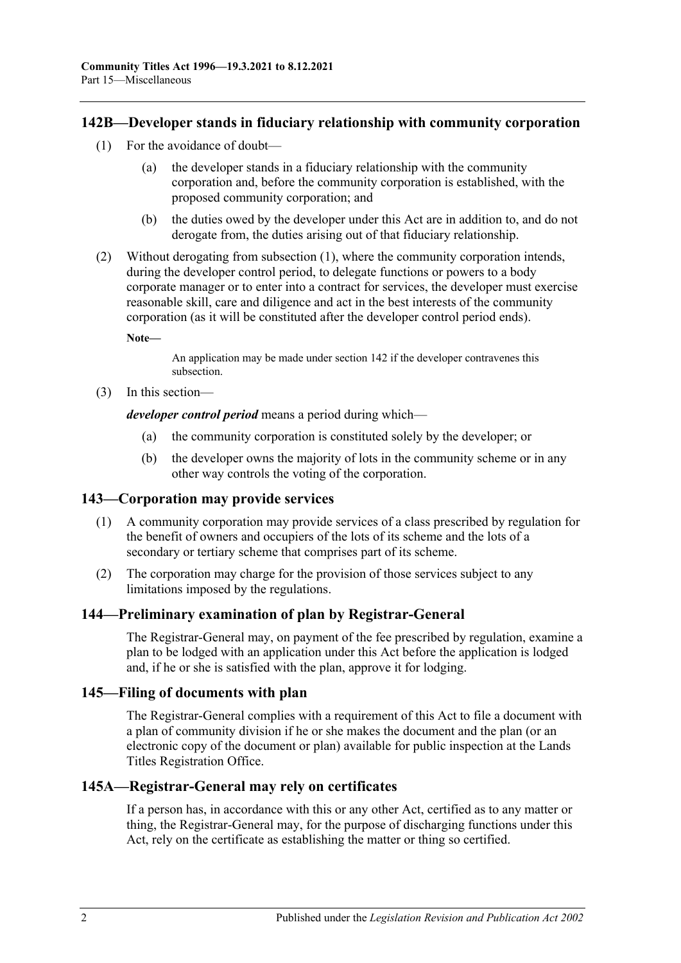#### <span id="page-117-0"></span>**142B—Developer stands in fiduciary relationship with community corporation**

- (1) For the avoidance of doubt
	- the developer stands in a fiduciary relationship with the community corporation and, before the community corporation is established, with the proposed community corporation; and
	- (b) the duties owed by the developer under this Act are in addition to, and do not derogate from, the duties arising out of that fiduciary relationship.
- (2) Without derogating from [subsection](#page-117-0) (1), where the community corporation intends, during the developer control period, to delegate functions or powers to a body corporate manager or to enter into a contract for services, the developer must exercise reasonable skill, care and diligence and act in the best interests of the community corporation (as it will be constituted after the developer control period ends).

**Note—**

An application may be made under [section](#page-112-2) 142 if the developer contravenes this subsection.

(3) In this section—

*developer control period* means a period during which—

- (a) the community corporation is constituted solely by the developer; or
- (b) the developer owns the majority of lots in the community scheme or in any other way controls the voting of the corporation.

#### **143—Corporation may provide services**

- (1) A community corporation may provide services of a class prescribed by regulation for the benefit of owners and occupiers of the lots of its scheme and the lots of a secondary or tertiary scheme that comprises part of its scheme.
- (2) The corporation may charge for the provision of those services subject to any limitations imposed by the regulations.

### **144—Preliminary examination of plan by Registrar-General**

The Registrar-General may, on payment of the fee prescribed by regulation, examine a plan to be lodged with an application under this Act before the application is lodged and, if he or she is satisfied with the plan, approve it for lodging.

#### **145—Filing of documents with plan**

The Registrar-General complies with a requirement of this Act to file a document with a plan of community division if he or she makes the document and the plan (or an electronic copy of the document or plan) available for public inspection at the Lands Titles Registration Office.

#### **145A—Registrar-General may rely on certificates**

If a person has, in accordance with this or any other Act, certified as to any matter or thing, the Registrar-General may, for the purpose of discharging functions under this Act, rely on the certificate as establishing the matter or thing so certified.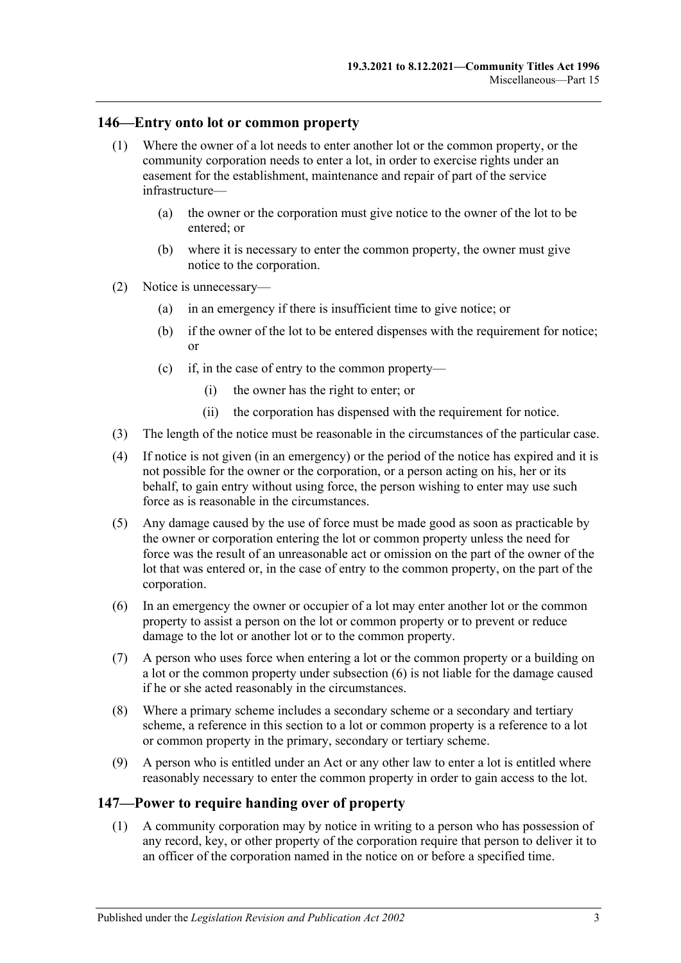#### **146—Entry onto lot or common property**

- (1) Where the owner of a lot needs to enter another lot or the common property, or the community corporation needs to enter a lot, in order to exercise rights under an easement for the establishment, maintenance and repair of part of the service infrastructure—
	- (a) the owner or the corporation must give notice to the owner of the lot to be entered; or
	- (b) where it is necessary to enter the common property, the owner must give notice to the corporation.
- (2) Notice is unnecessary—
	- (a) in an emergency if there is insufficient time to give notice; or
	- (b) if the owner of the lot to be entered dispenses with the requirement for notice; or
	- (c) if, in the case of entry to the common property—
		- (i) the owner has the right to enter; or
		- (ii) the corporation has dispensed with the requirement for notice.
- (3) The length of the notice must be reasonable in the circumstances of the particular case.
- (4) If notice is not given (in an emergency) or the period of the notice has expired and it is not possible for the owner or the corporation, or a person acting on his, her or its behalf, to gain entry without using force, the person wishing to enter may use such force as is reasonable in the circumstances.
- (5) Any damage caused by the use of force must be made good as soon as practicable by the owner or corporation entering the lot or common property unless the need for force was the result of an unreasonable act or omission on the part of the owner of the lot that was entered or, in the case of entry to the common property, on the part of the corporation.
- <span id="page-118-0"></span>(6) In an emergency the owner or occupier of a lot may enter another lot or the common property to assist a person on the lot or common property or to prevent or reduce damage to the lot or another lot or to the common property.
- (7) A person who uses force when entering a lot or the common property or a building on a lot or the common property under [subsection](#page-118-0) (6) is not liable for the damage caused if he or she acted reasonably in the circumstances.
- (8) Where a primary scheme includes a secondary scheme or a secondary and tertiary scheme, a reference in this section to a lot or common property is a reference to a lot or common property in the primary, secondary or tertiary scheme.
- (9) A person who is entitled under an Act or any other law to enter a lot is entitled where reasonably necessary to enter the common property in order to gain access to the lot.

#### <span id="page-118-1"></span>**147—Power to require handing over of property**

(1) A community corporation may by notice in writing to a person who has possession of any record, key, or other property of the corporation require that person to deliver it to an officer of the corporation named in the notice on or before a specified time.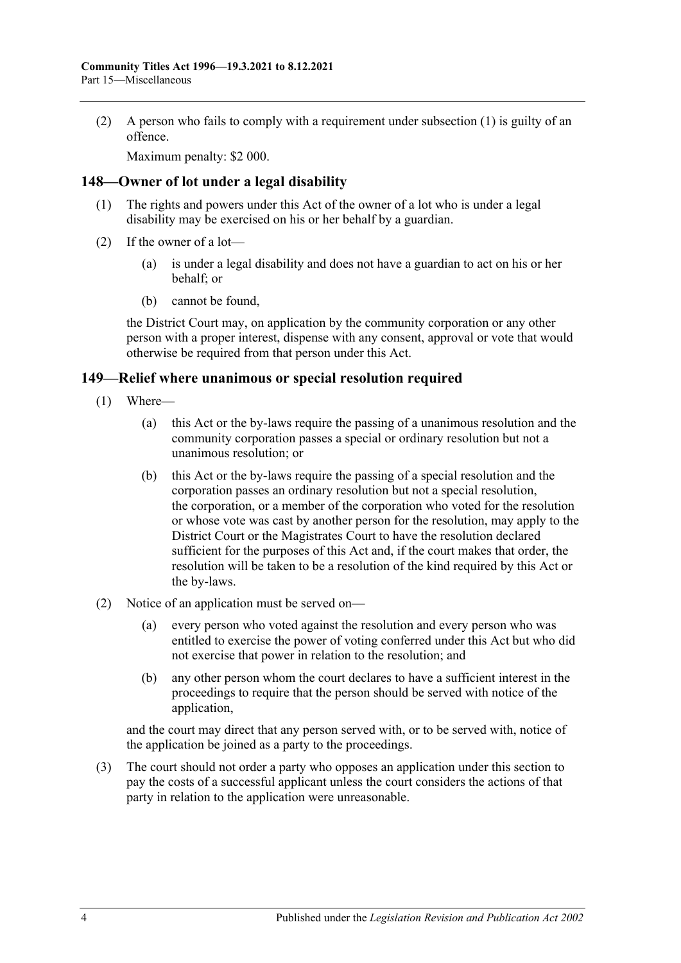(2) A person who fails to comply with a requirement under [subsection](#page-118-1) (1) is guilty of an offence.

Maximum penalty: \$2 000.

#### **148—Owner of lot under a legal disability**

- (1) The rights and powers under this Act of the owner of a lot who is under a legal disability may be exercised on his or her behalf by a guardian.
- (2) If the owner of a lot—
	- (a) is under a legal disability and does not have a guardian to act on his or her behalf; or
	- (b) cannot be found,

the District Court may, on application by the community corporation or any other person with a proper interest, dispense with any consent, approval or vote that would otherwise be required from that person under this Act.

#### **149—Relief where unanimous or special resolution required**

- (1) Where—
	- (a) this Act or the by-laws require the passing of a unanimous resolution and the community corporation passes a special or ordinary resolution but not a unanimous resolution; or
	- (b) this Act or the by-laws require the passing of a special resolution and the corporation passes an ordinary resolution but not a special resolution, the corporation, or a member of the corporation who voted for the resolution or whose vote was cast by another person for the resolution, may apply to the District Court or the Magistrates Court to have the resolution declared sufficient for the purposes of this Act and, if the court makes that order, the resolution will be taken to be a resolution of the kind required by this Act or the by-laws.
- (2) Notice of an application must be served on—
	- (a) every person who voted against the resolution and every person who was entitled to exercise the power of voting conferred under this Act but who did not exercise that power in relation to the resolution; and
	- (b) any other person whom the court declares to have a sufficient interest in the proceedings to require that the person should be served with notice of the application,

and the court may direct that any person served with, or to be served with, notice of the application be joined as a party to the proceedings.

(3) The court should not order a party who opposes an application under this section to pay the costs of a successful applicant unless the court considers the actions of that party in relation to the application were unreasonable.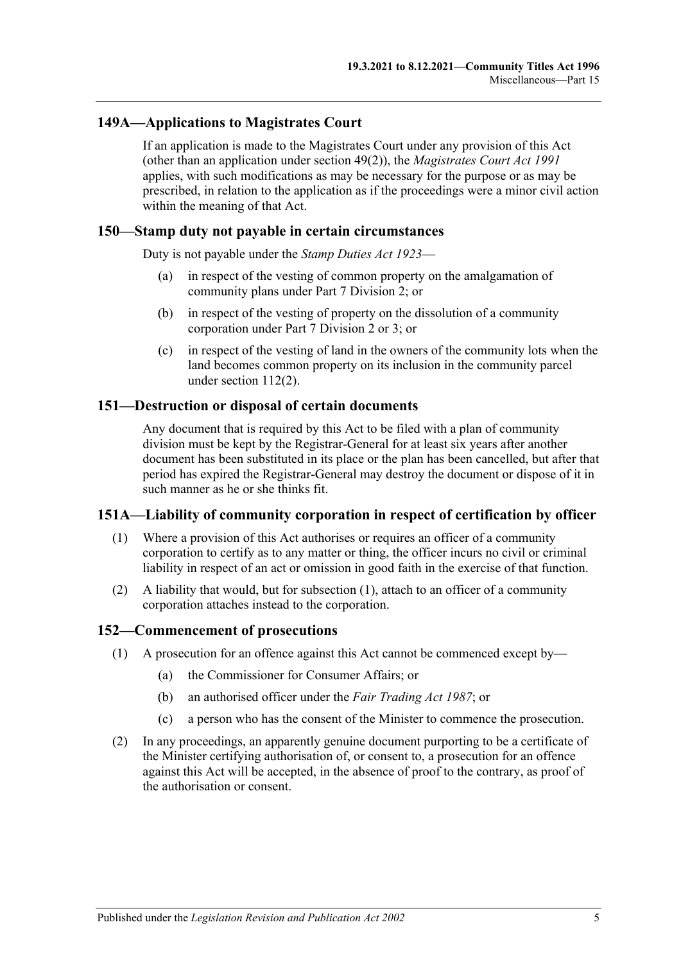### **149A—Applications to Magistrates Court**

If an application is made to the Magistrates Court under any provision of this Act (other than an application under [section](#page-46-0) 49(2)), the *[Magistrates Court Act](http://www.legislation.sa.gov.au/index.aspx?action=legref&type=act&legtitle=Magistrates%20Court%20Act%201991) 1991* applies, with such modifications as may be necessary for the purpose or as may be prescribed, in relation to the application as if the proceedings were a minor civil action within the meaning of that Act.

#### **150—Stamp duty not payable in certain circumstances**

Duty is not payable under the *[Stamp Duties Act](http://www.legislation.sa.gov.au/index.aspx?action=legref&type=act&legtitle=Stamp%20Duties%20Act%201923) 1923*—

- (a) in respect of the vesting of common property on the amalgamation of community plans under [Part 7 Division 2;](#page-57-0) or
- (b) in respect of the vesting of property on the dissolution of a community corporation under [Part 7 Division 2](#page-57-0) or [3;](#page-61-0) or
- (c) in respect of the vesting of land in the owners of the community lots when the land becomes common property on its inclusion in the community parcel under [section](#page-96-0) 112(2).

#### **151—Destruction or disposal of certain documents**

Any document that is required by this Act to be filed with a plan of community division must be kept by the Registrar-General for at least six years after another document has been substituted in its place or the plan has been cancelled, but after that period has expired the Registrar-General may destroy the document or dispose of it in such manner as he or she thinks fit.

#### <span id="page-120-0"></span>**151A—Liability of community corporation in respect of certification by officer**

- (1) Where a provision of this Act authorises or requires an officer of a community corporation to certify as to any matter or thing, the officer incurs no civil or criminal liability in respect of an act or omission in good faith in the exercise of that function.
- (2) A liability that would, but for [subsection](#page-120-0) (1), attach to an officer of a community corporation attaches instead to the corporation.

#### **152—Commencement of prosecutions**

- (1) A prosecution for an offence against this Act cannot be commenced except by—
	- (a) the Commissioner for Consumer Affairs; or
	- (b) an authorised officer under the *[Fair Trading Act](http://www.legislation.sa.gov.au/index.aspx?action=legref&type=act&legtitle=Fair%20Trading%20Act%201987) 1987*; or
	- (c) a person who has the consent of the Minister to commence the prosecution.
- (2) In any proceedings, an apparently genuine document purporting to be a certificate of the Minister certifying authorisation of, or consent to, a prosecution for an offence against this Act will be accepted, in the absence of proof to the contrary, as proof of the authorisation or consent.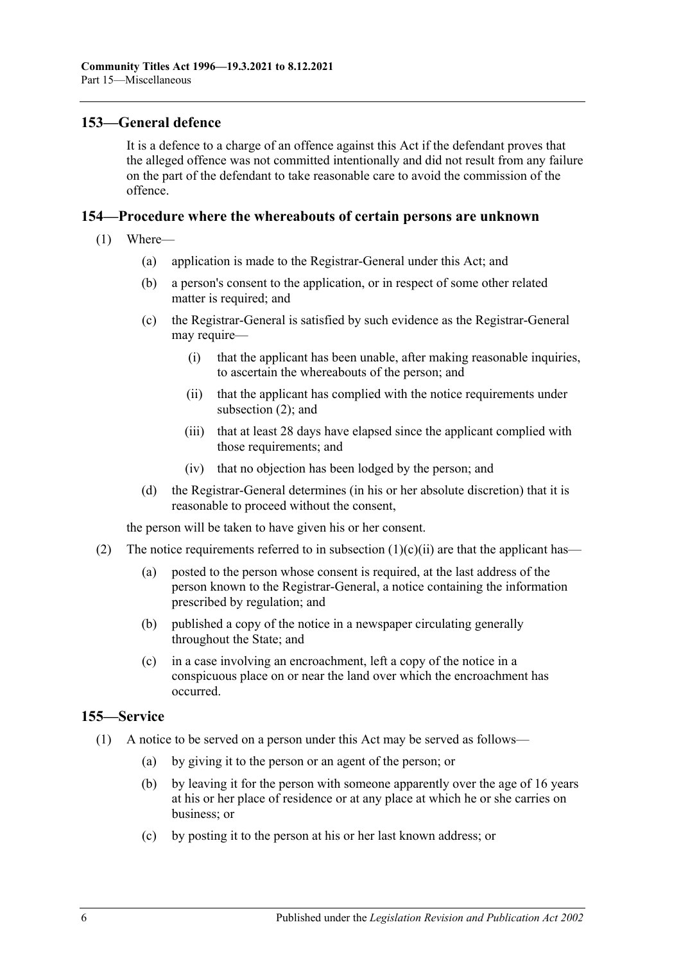#### **153—General defence**

It is a defence to a charge of an offence against this Act if the defendant proves that the alleged offence was not committed intentionally and did not result from any failure on the part of the defendant to take reasonable care to avoid the commission of the offence.

#### **154—Procedure where the whereabouts of certain persons are unknown**

- <span id="page-121-1"></span>(1) Where—
	- (a) application is made to the Registrar-General under this Act; and
	- (b) a person's consent to the application, or in respect of some other related matter is required; and
	- (c) the Registrar-General is satisfied by such evidence as the Registrar-General may require—
		- (i) that the applicant has been unable, after making reasonable inquiries, to ascertain the whereabouts of the person; and
		- (ii) that the applicant has complied with the notice requirements under [subsection](#page-121-0) (2); and
		- (iii) that at least 28 days have elapsed since the applicant complied with those requirements; and
		- (iv) that no objection has been lodged by the person; and
	- (d) the Registrar-General determines (in his or her absolute discretion) that it is reasonable to proceed without the consent,

the person will be taken to have given his or her consent.

- <span id="page-121-0"></span>(2) The notice requirements referred to in [subsection](#page-121-1)  $(1)(c)(ii)$  are that the applicant has—
	- (a) posted to the person whose consent is required, at the last address of the person known to the Registrar-General, a notice containing the information prescribed by regulation; and
	- (b) published a copy of the notice in a newspaper circulating generally throughout the State; and
	- (c) in a case involving an encroachment, left a copy of the notice in a conspicuous place on or near the land over which the encroachment has occurred.

#### **155—Service**

- (1) A notice to be served on a person under this Act may be served as follows—
	- (a) by giving it to the person or an agent of the person; or
	- (b) by leaving it for the person with someone apparently over the age of 16 years at his or her place of residence or at any place at which he or she carries on business; or
	- (c) by posting it to the person at his or her last known address; or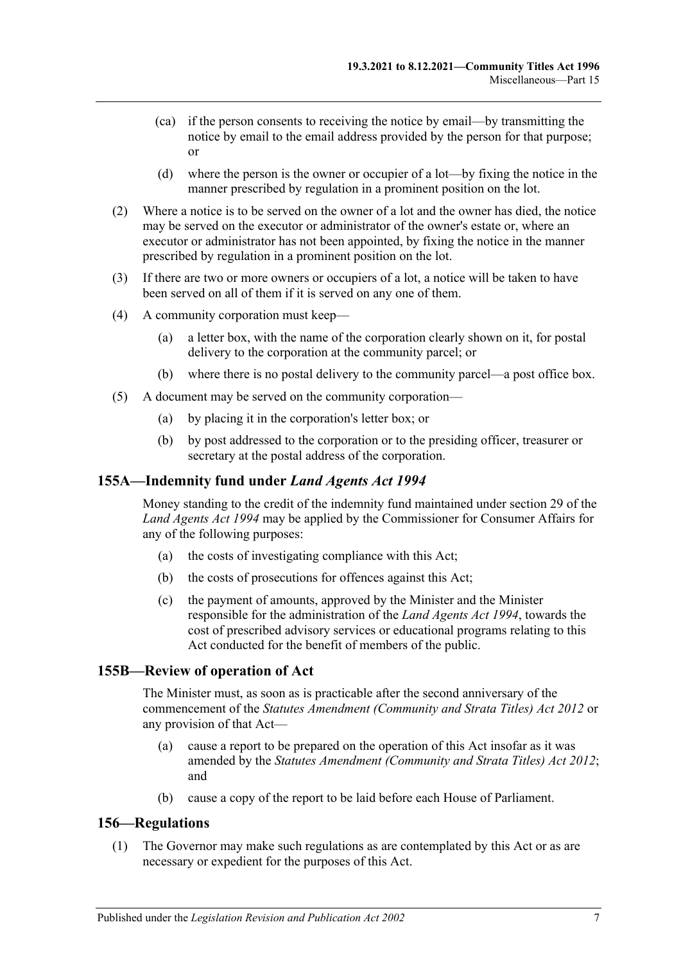- (ca) if the person consents to receiving the notice by email—by transmitting the notice by email to the email address provided by the person for that purpose; or
- (d) where the person is the owner or occupier of a lot—by fixing the notice in the manner prescribed by regulation in a prominent position on the lot.
- (2) Where a notice is to be served on the owner of a lot and the owner has died, the notice may be served on the executor or administrator of the owner's estate or, where an executor or administrator has not been appointed, by fixing the notice in the manner prescribed by regulation in a prominent position on the lot.
- (3) If there are two or more owners or occupiers of a lot, a notice will be taken to have been served on all of them if it is served on any one of them.
- (4) A community corporation must keep—
	- (a) a letter box, with the name of the corporation clearly shown on it, for postal delivery to the corporation at the community parcel; or
	- (b) where there is no postal delivery to the community parcel—a post office box.
- (5) A document may be served on the community corporation—
	- (a) by placing it in the corporation's letter box; or
	- (b) by post addressed to the corporation or to the presiding officer, treasurer or secretary at the postal address of the corporation.

#### **155A—Indemnity fund under** *Land Agents Act 1994*

Money standing to the credit of the indemnity fund maintained under section 29 of the *[Land Agents Act](http://www.legislation.sa.gov.au/index.aspx?action=legref&type=act&legtitle=Land%20Agents%20Act%201994) 1994* may be applied by the Commissioner for Consumer Affairs for any of the following purposes:

- (a) the costs of investigating compliance with this Act;
- (b) the costs of prosecutions for offences against this Act;
- (c) the payment of amounts, approved by the Minister and the Minister responsible for the administration of the *[Land Agents Act](http://www.legislation.sa.gov.au/index.aspx?action=legref&type=act&legtitle=Land%20Agents%20Act%201994) 1994*, towards the cost of prescribed advisory services or educational programs relating to this Act conducted for the benefit of members of the public.

#### **155B—Review of operation of Act**

The Minister must, as soon as is practicable after the second anniversary of the commencement of the *[Statutes Amendment \(Community and Strata Titles\) Act](http://www.legislation.sa.gov.au/index.aspx?action=legref&type=act&legtitle=Statutes%20Amendment%20(Community%20and%20Strata%20Titles)%20Act%202012) 2012* or any provision of that Act—

- (a) cause a report to be prepared on the operation of this Act insofar as it was amended by the *[Statutes Amendment \(Community and Strata Titles\) Act](http://www.legislation.sa.gov.au/index.aspx?action=legref&type=act&legtitle=Statutes%20Amendment%20(Community%20and%20Strata%20Titles)%20Act%202012) 2012*; and
- (b) cause a copy of the report to be laid before each House of Parliament.

#### <span id="page-122-0"></span>**156—Regulations**

(1) The Governor may make such regulations as are contemplated by this Act or as are necessary or expedient for the purposes of this Act.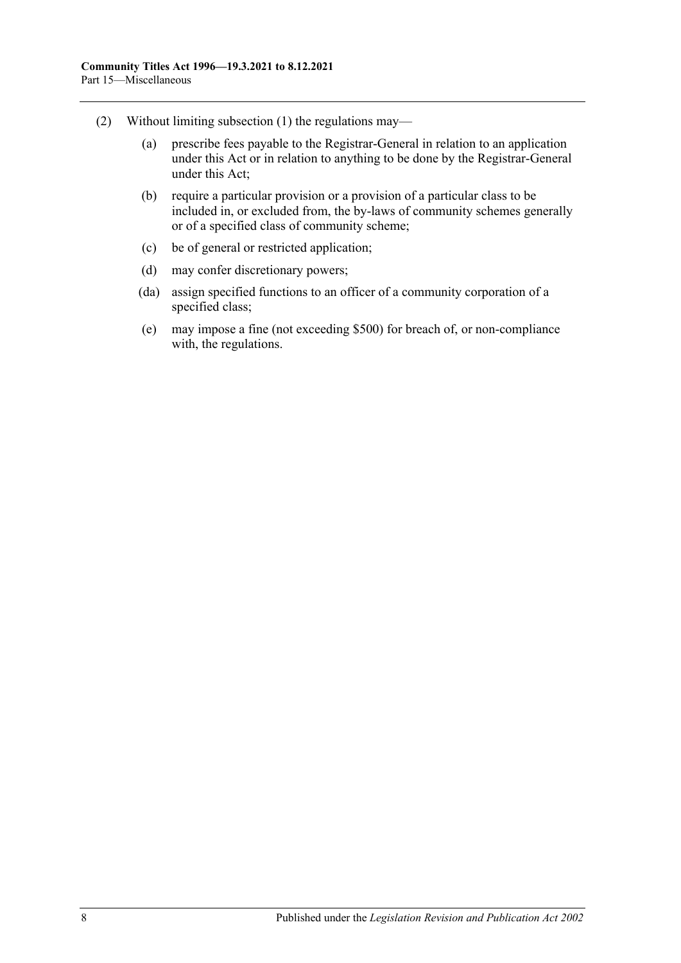- (2) Without limiting [subsection](#page-122-0) (1) the regulations may—
	- (a) prescribe fees payable to the Registrar-General in relation to an application under this Act or in relation to anything to be done by the Registrar-General under this Act;
	- (b) require a particular provision or a provision of a particular class to be included in, or excluded from, the by-laws of community schemes generally or of a specified class of community scheme;
	- (c) be of general or restricted application;
	- (d) may confer discretionary powers;
	- (da) assign specified functions to an officer of a community corporation of a specified class;
	- (e) may impose a fine (not exceeding \$500) for breach of, or non-compliance with, the regulations.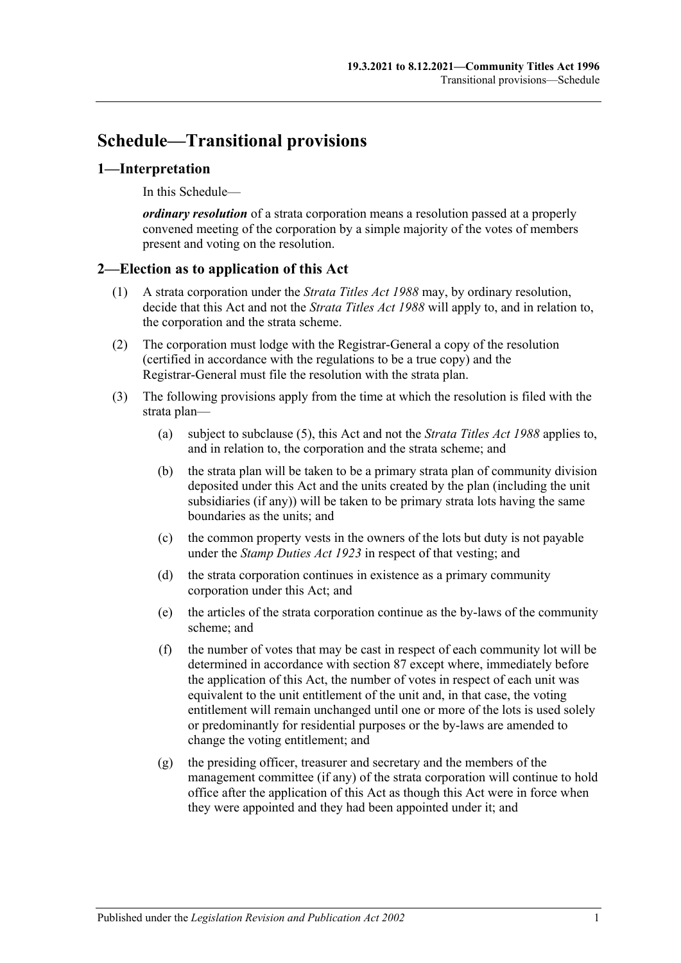# **Schedule—Transitional provisions**

#### **1—Interpretation**

In this Schedule—

*ordinary resolution* of a strata corporation means a resolution passed at a properly convened meeting of the corporation by a simple majority of the votes of members present and voting on the resolution.

### **2—Election as to application of this Act**

- (1) A strata corporation under the *[Strata Titles Act](http://www.legislation.sa.gov.au/index.aspx?action=legref&type=act&legtitle=Strata%20Titles%20Act%201988) 1988* may, by ordinary resolution, decide that this Act and not the *[Strata Titles Act](http://www.legislation.sa.gov.au/index.aspx?action=legref&type=act&legtitle=Strata%20Titles%20Act%201988) 1988* will apply to, and in relation to, the corporation and the strata scheme.
- (2) The corporation must lodge with the Registrar-General a copy of the resolution (certified in accordance with the regulations to be a true copy) and the Registrar-General must file the resolution with the strata plan.
- (3) The following provisions apply from the time at which the resolution is filed with the strata plan—
	- (a) subject to [subclause](#page-125-0) (5), this Act and not the *[Strata Titles Act](http://www.legislation.sa.gov.au/index.aspx?action=legref&type=act&legtitle=Strata%20Titles%20Act%201988) 1988* applies to, and in relation to, the corporation and the strata scheme; and
	- (b) the strata plan will be taken to be a primary strata plan of community division deposited under this Act and the units created by the plan (including the unit subsidiaries (if any)) will be taken to be primary strata lots having the same boundaries as the units; and
	- (c) the common property vests in the owners of the lots but duty is not payable under the *[Stamp Duties](http://www.legislation.sa.gov.au/index.aspx?action=legref&type=act&legtitle=Stamp%20Duties%20Act%201923) Act 1923* in respect of that vesting; and
	- (d) the strata corporation continues in existence as a primary community corporation under this Act; and
	- (e) the articles of the strata corporation continue as the by-laws of the community scheme; and
	- (f) the number of votes that may be cast in respect of each community lot will be determined in accordance with [section](#page-82-0) 87 except where, immediately before the application of this Act, the number of votes in respect of each unit was equivalent to the unit entitlement of the unit and, in that case, the voting entitlement will remain unchanged until one or more of the lots is used solely or predominantly for residential purposes or the by-laws are amended to change the voting entitlement; and
	- (g) the presiding officer, treasurer and secretary and the members of the management committee (if any) of the strata corporation will continue to hold office after the application of this Act as though this Act were in force when they were appointed and they had been appointed under it; and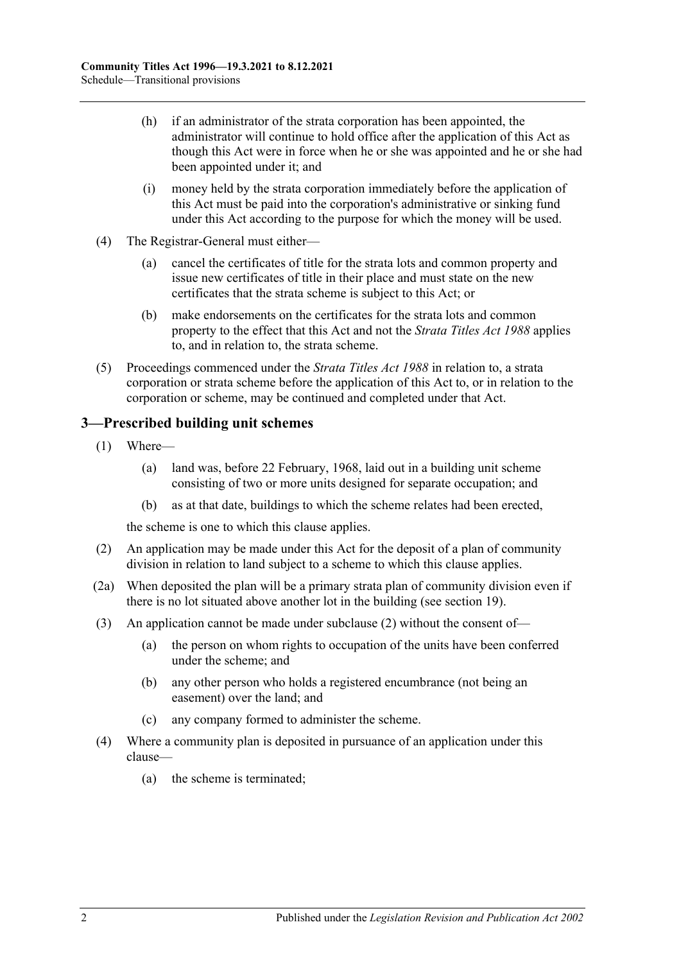- (h) if an administrator of the strata corporation has been appointed, the administrator will continue to hold office after the application of this Act as though this Act were in force when he or she was appointed and he or she had been appointed under it; and
- (i) money held by the strata corporation immediately before the application of this Act must be paid into the corporation's administrative or sinking fund under this Act according to the purpose for which the money will be used.
- (4) The Registrar-General must either—
	- (a) cancel the certificates of title for the strata lots and common property and issue new certificates of title in their place and must state on the new certificates that the strata scheme is subject to this Act; or
	- (b) make endorsements on the certificates for the strata lots and common property to the effect that this Act and not the *[Strata Titles Act](http://www.legislation.sa.gov.au/index.aspx?action=legref&type=act&legtitle=Strata%20Titles%20Act%201988) 1988* applies to, and in relation to, the strata scheme.
- <span id="page-125-0"></span>(5) Proceedings commenced under the *[Strata Titles Act](http://www.legislation.sa.gov.au/index.aspx?action=legref&type=act&legtitle=Strata%20Titles%20Act%201988) 1988* in relation to, a strata corporation or strata scheme before the application of this Act to, or in relation to the corporation or scheme, may be continued and completed under that Act.

### **3—Prescribed building unit schemes**

- (1) Where—
	- (a) land was, before 22 February, 1968, laid out in a building unit scheme consisting of two or more units designed for separate occupation; and
	- (b) as at that date, buildings to which the scheme relates had been erected,

the scheme is one to which this clause applies.

- <span id="page-125-1"></span>(2) An application may be made under this Act for the deposit of a plan of community division in relation to land subject to a scheme to which this clause applies.
- (2a) When deposited the plan will be a primary strata plan of community division even if there is no lot situated above another lot in the building (see [section](#page-21-0) 19).
- (3) An application cannot be made under [subclause](#page-125-1) (2) without the consent of—
	- (a) the person on whom rights to occupation of the units have been conferred under the scheme; and
	- (b) any other person who holds a registered encumbrance (not being an easement) over the land; and
	- (c) any company formed to administer the scheme.
- (4) Where a community plan is deposited in pursuance of an application under this clause—
	- (a) the scheme is terminated;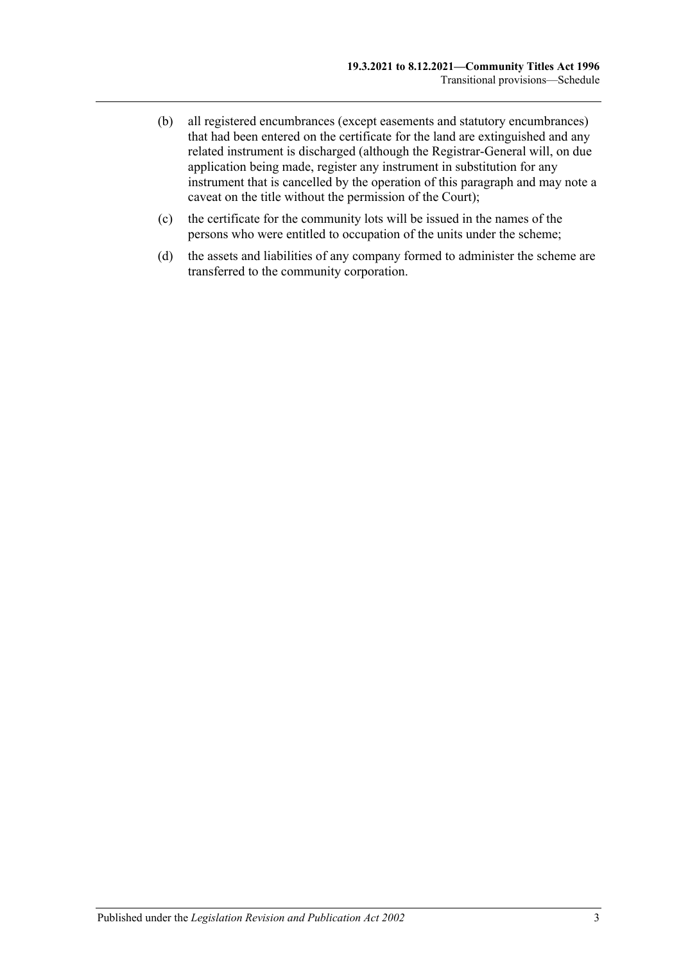- (b) all registered encumbrances (except easements and statutory encumbrances) that had been entered on the certificate for the land are extinguished and any related instrument is discharged (although the Registrar-General will, on due application being made, register any instrument in substitution for any instrument that is cancelled by the operation of this paragraph and may note a caveat on the title without the permission of the Court);
- (c) the certificate for the community lots will be issued in the names of the persons who were entitled to occupation of the units under the scheme;
- (d) the assets and liabilities of any company formed to administer the scheme are transferred to the community corporation.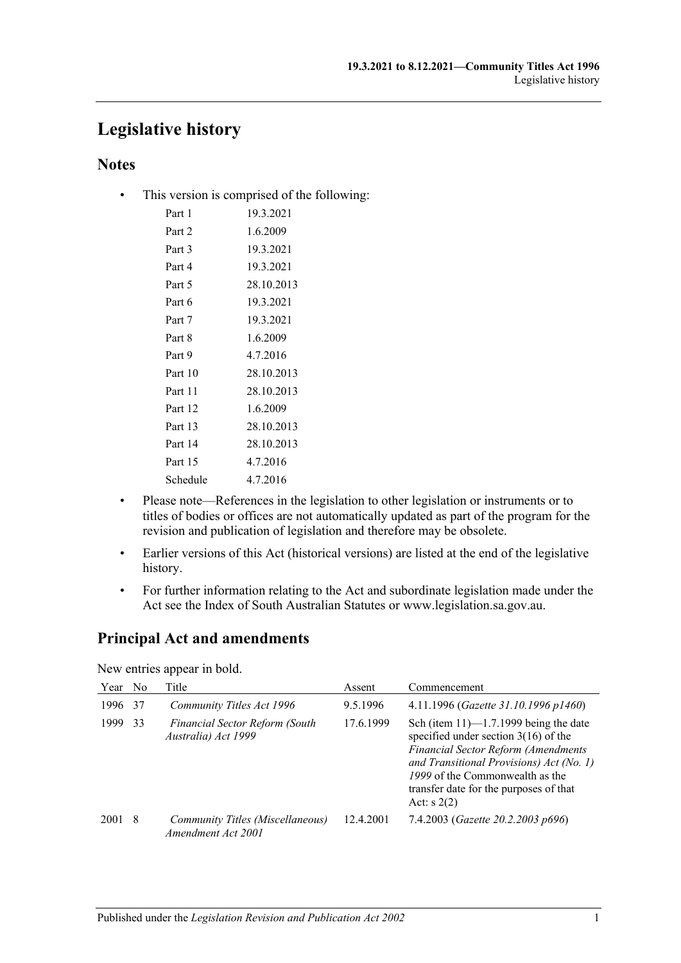# **Legislative history**

## **Notes**

• This version is comprised of the following:

| Part 1   | 19.3.2021  |
|----------|------------|
| Part 2   | 1.6.2009   |
| Part 3   | 19.3.2021  |
| Part 4   | 19.3.2021  |
| Part 5   | 28.10.2013 |
| Part 6   | 19.3.2021  |
| Part 7   | 19.3.2021  |
| Part 8   | 1.6.2009   |
| Part 9   | 4.7.2016   |
| Part 10  | 28.10.2013 |
| Part 11  | 28.10.2013 |
| Part 12  | 1.6.2009   |
| Part 13  | 28.10.2013 |
| Part 14  | 28.10.2013 |
| Part 15  | 4.7.2016   |
| Schedule | 4.7.2016   |

- Please note—References in the legislation to other legislation or instruments or to titles of bodies or offices are not automatically updated as part of the program for the revision and publication of legislation and therefore may be obsolete.
- Earlier versions of this Act (historical versions) are listed at the end of the legislative history.
- For further information relating to the Act and subordinate legislation made under the Act see the Index of South Australian Statutes or www.legislation.sa.gov.au.

# **Principal Act and amendments**

New entries appear in bold.

| Year | N <sub>0</sub> | Title                                                        | Assent    | Commencement                                                                                                                                                                                                                                                                |
|------|----------------|--------------------------------------------------------------|-----------|-----------------------------------------------------------------------------------------------------------------------------------------------------------------------------------------------------------------------------------------------------------------------------|
| 1996 | 37             | Community Titles Act 1996                                    | 9.5.1996  | 4.11.1996 (Gazette 31.10.1996 p1460)                                                                                                                                                                                                                                        |
| 1999 | 33             | <b>Financial Sector Reform (South</b><br>Australia) Act 1999 | 17.6.1999 | Sch (item $11$ )— $1.7.1999$ being the date<br>specified under section $3(16)$ of the<br><b>Financial Sector Reform (Amendments</b><br>and Transitional Provisions) Act (No. 1)<br>1999 of the Commonwealth as the<br>transfer date for the purposes of that<br>Act: $s(2)$ |
| 2001 | -8             | Community Titles (Miscellaneous)<br>Amendment Act 2001       | 12.4.2001 | 7.4.2003 (Gazette 20.2.2003 p696)                                                                                                                                                                                                                                           |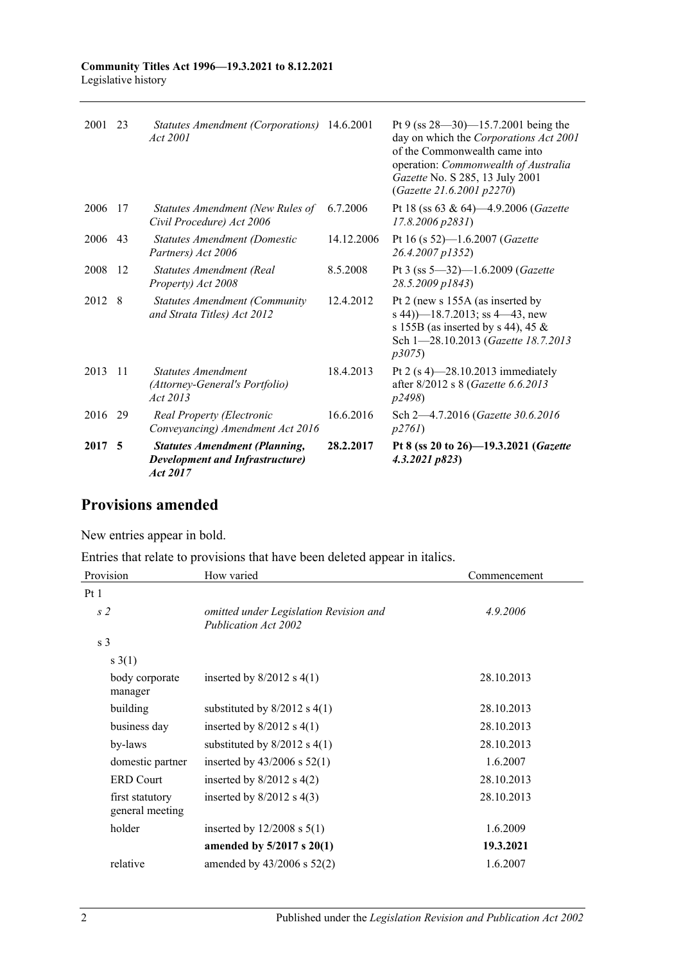| 2017 5  |     | <b>Statutes Amendment (Planning,</b><br><b>Development and Infrastructure</b> )<br>Act 2017 | 28.2.2017  | Pt 8 (ss 20 to 26)-19.3.2021 (Gazette<br>4.3.2021 p823                                                                                                                                                                       |
|---------|-----|---------------------------------------------------------------------------------------------|------------|------------------------------------------------------------------------------------------------------------------------------------------------------------------------------------------------------------------------------|
| 2016 29 |     | Real Property (Electronic<br>Conveyancing) Amendment Act 2016                               | 16.6.2016  | Sch 2-4.7.2016 (Gazette 30.6.2016)<br>p2761                                                                                                                                                                                  |
| 2013    | -11 | Statutes Amendment<br>(Attorney-General's Portfolio)<br>Act 2013                            | 18.4.2013  | Pt 2 $(s 4)$ -28.10.2013 immediately<br>after 8/2012 s 8 (Gazette 6.6.2013<br><i>p</i> 2498)                                                                                                                                 |
| 2012    | - 8 | <b>Statutes Amendment (Community)</b><br>and Strata Titles) Act 2012                        | 12.4.2012  | Pt 2 (new s 155A (as inserted by<br>s 44) $-18.7.2013$ ; ss 4 $-43$ , new<br>s 155B (as inserted by s 44), 45 $\&$<br>Sch 1-28.10.2013 (Gazette 18.7.2013<br>p3075                                                           |
| 2008    | -12 | <b>Statutes Amendment (Real</b><br>Property) Act 2008                                       | 8.5.2008   | Pt 3 (ss 5-32)-1.6.2009 (Gazette<br>28.5.2009 p1843)                                                                                                                                                                         |
| 2006    | 43  | Statutes Amendment (Domestic<br>Partners) Act 2006                                          | 14.12.2006 | Pt 16 (s 52)-1.6.2007 (Gazette<br>26.4.2007 p1352)                                                                                                                                                                           |
| 2006    | -17 | Statutes Amendment (New Rules of<br>Civil Procedure) Act 2006                               | 6.7.2006   | Pt 18 (ss 63 & 64)-4.9.2006 (Gazette<br>$17.8.2006$ $p2831$ )                                                                                                                                                                |
| 2001    | 23  | Statutes Amendment (Corporations) 14.6.2001<br>Act 2001                                     |            | Pt 9 (ss $28 - 30$ ) -15.7.2001 being the<br>day on which the Corporations Act 2001<br>of the Commonwealth came into<br>operation: Commonwealth of Australia<br>Gazette No. S 285, 13 July 2001<br>(Gazette 21.6.2001 p2270) |

# **Provisions amended**

New entries appear in bold.

Entries that relate to provisions that have been deleted appear in italics.

| Provision                          | How varied                                                     | Commencement |
|------------------------------------|----------------------------------------------------------------|--------------|
| Pt 1                               |                                                                |              |
| s <sub>2</sub>                     | omitted under Legislation Revision and<br>Publication Act 2002 | 4.9.2006     |
| s <sub>3</sub>                     |                                                                |              |
| $s \; 3(1)$                        |                                                                |              |
| body corporate<br>manager          | inserted by $8/2012$ s $4(1)$                                  | 28.10.2013   |
| building                           | substituted by $8/2012$ s $4(1)$                               | 28.10.2013   |
| business day                       | inserted by $8/2012$ s $4(1)$                                  | 28.10.2013   |
| by-laws                            | substituted by $8/2012$ s $4(1)$                               | 28.10.2013   |
| domestic partner                   | inserted by $43/2006$ s $52(1)$                                | 1.6.2007     |
| <b>ERD</b> Court                   | inserted by $8/2012$ s $4(2)$                                  | 28.10.2013   |
| first statutory<br>general meeting | inserted by $8/2012$ s $4(3)$                                  | 28.10.2013   |
| holder                             | inserted by $12/2008$ s $5(1)$                                 | 1.6.2009     |
|                                    | amended by $5/2017$ s $20(1)$                                  | 19.3.2021    |
| relative                           | amended by 43/2006 s 52(2)                                     | 1.6.2007     |
|                                    |                                                                |              |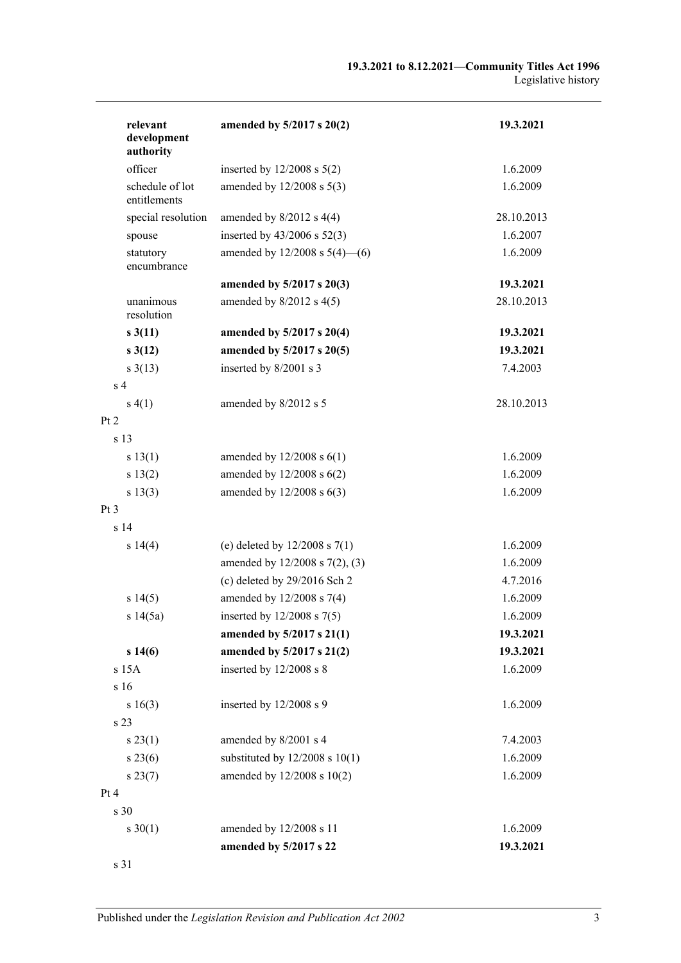| relevant<br>development<br>authority | amended by 5/2017 s 20(2)                         | 19.3.2021             |
|--------------------------------------|---------------------------------------------------|-----------------------|
| officer                              | inserted by $12/2008$ s $5(2)$                    | 1.6.2009              |
| schedule of lot<br>entitlements      | amended by 12/2008 s 5(3)                         | 1.6.2009              |
| special resolution                   | amended by $8/2012$ s $4(4)$                      | 28.10.2013            |
| spouse                               | inserted by 43/2006 s 52(3)                       | 1.6.2007              |
| statutory<br>encumbrance             | amended by $12/2008$ s $5(4)$ —(6)                | 1.6.2009              |
|                                      | amended by 5/2017 s 20(3)                         | 19.3.2021             |
| unanimous<br>resolution              | amended by $8/2012$ s $4(5)$                      | 28.10.2013            |
| s3(11)                               | amended by 5/2017 s 20(4)                         | 19.3.2021             |
| $s \, 3(12)$                         | amended by 5/2017 s 20(5)                         | 19.3.2021             |
| $s \frac{3(13)}{2}$                  | inserted by 8/2001 s 3                            | 7.4.2003              |
| s <sub>4</sub>                       |                                                   |                       |
| s(4(1))                              | amended by 8/2012 s 5                             | 28.10.2013            |
| Pt 2                                 |                                                   |                       |
| s 13                                 |                                                   |                       |
| s 13(1)                              | amended by $12/2008$ s $6(1)$                     | 1.6.2009              |
| s 13(2)                              | amended by $12/2008$ s $6(2)$                     | 1.6.2009              |
| s 13(3)                              | amended by $12/2008$ s $6(3)$                     | 1.6.2009              |
| Pt <sub>3</sub>                      |                                                   |                       |
| s <sub>14</sub>                      |                                                   |                       |
| s 14(4)                              | (e) deleted by $12/2008$ s $7(1)$                 | 1.6.2009              |
|                                      | amended by 12/2008 s 7(2), (3)                    | 1.6.2009              |
|                                      | (c) deleted by $29/2016$ Sch 2                    | 4.7.2016              |
| s 14(5)                              | amended by 12/2008 s 7(4)                         | 1.6.2009              |
| s 14(5a)                             | inserted by $12/2008$ s $7(5)$                    | 1.6.2009              |
|                                      | amended by 5/2017 s 21(1)                         | 19.3.2021             |
| s 14(6)                              | amended by 5/2017 s 21(2)                         | 19.3.2021             |
| s 15A                                | inserted by 12/2008 s 8                           | 1.6.2009              |
| s 16                                 |                                                   |                       |
| s 16(3)                              | inserted by 12/2008 s 9                           | 1.6.2009              |
| s 23                                 |                                                   |                       |
| s 23(1)                              | amended by 8/2001 s 4                             | 7.4.2003              |
| $s\,23(6)$                           | substituted by $12/2008$ s $10(1)$                | 1.6.2009              |
| $s\,23(7)$                           | amended by 12/2008 s 10(2)                        | 1.6.2009              |
| Pt 4                                 |                                                   |                       |
| s 30                                 |                                                   |                       |
| $s \ 30(1)$                          | amended by 12/2008 s 11<br>amended by 5/2017 s 22 | 1.6.2009<br>19.3.2021 |
| s 31                                 |                                                   |                       |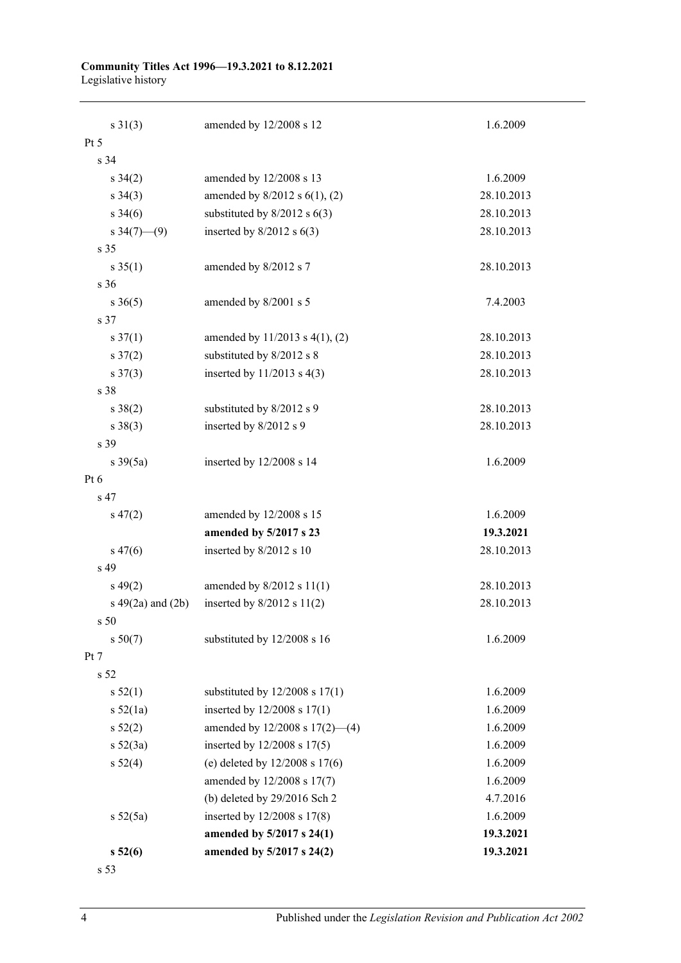#### **Community Titles Act 1996—19.3.2021 to 8.12.2021** Legislative history

| $s \ 31(3)$            | amended by 12/2008 s 12             | 1.6.2009   |
|------------------------|-------------------------------------|------------|
| Pt <sub>5</sub>        |                                     |            |
| s 34                   |                                     |            |
| $s \; 34(2)$           | amended by 12/2008 s 13             | 1.6.2009   |
| $s \; 34(3)$           | amended by 8/2012 s 6(1), (2)       | 28.10.2013 |
| $s \; 34(6)$           | substituted by $8/2012$ s $6(3)$    | 28.10.2013 |
| s $34(7)$ (9)          | inserted by $8/2012$ s $6(3)$       | 28.10.2013 |
| s 35                   |                                     |            |
| $s \; 35(1)$           | amended by 8/2012 s 7               | 28.10.2013 |
| s 36                   |                                     |            |
| $s \; 36(5)$           | amended by 8/2001 s 5               | 7.4.2003   |
| s 37                   |                                     |            |
| $s \frac{37(1)}{2}$    | amended by $11/2013$ s $4(1)$ , (2) | 28.10.2013 |
| $s \frac{37(2)}{2}$    | substituted by 8/2012 s 8           | 28.10.2013 |
| $s \frac{37(3)}{2}$    | inserted by $11/2013$ s 4(3)        | 28.10.2013 |
| s 38                   |                                     |            |
| $s \ 38(2)$            | substituted by 8/2012 s 9           | 28.10.2013 |
| $s \ 38(3)$            | inserted by 8/2012 s 9              | 28.10.2013 |
| s 39                   |                                     |            |
| $s \frac{39(5a)}{2}$   | inserted by 12/2008 s 14            | 1.6.2009   |
| Pt 6                   |                                     |            |
| s 47                   |                                     |            |
| $s\,47(2)$             | amended by 12/2008 s 15             | 1.6.2009   |
|                        | amended by 5/2017 s 23              | 19.3.2021  |
| $s\,47(6)$             | inserted by 8/2012 s 10             | 28.10.2013 |
| s 49                   |                                     |            |
| $s\,49(2)$             | amended by 8/2012 s 11(1)           | 28.10.2013 |
| $s\ 49(2a)$ and $(2b)$ | inserted by $8/2012$ s $11(2)$      | 28.10.2013 |
| s <sub>50</sub>        |                                     |            |
| s 50(7)                | substituted by 12/2008 s 16         | 1.6.2009   |
| Pt 7                   |                                     |            |
| s <sub>52</sub>        |                                     |            |
| s 52(1)                | substituted by $12/2008$ s $17(1)$  | 1.6.2009   |
| s 52(1a)               | inserted by 12/2008 s 17(1)         | 1.6.2009   |
| $s\,52(2)$             | amended by $12/2008$ s $17(2)$ —(4) | 1.6.2009   |
| $s\ 52(3a)$            | inserted by 12/2008 s 17(5)         | 1.6.2009   |
| $s\,52(4)$             | (e) deleted by $12/2008$ s $17(6)$  | 1.6.2009   |
|                        | amended by 12/2008 s 17(7)          | 1.6.2009   |
|                        | (b) deleted by $29/2016$ Sch 2      | 4.7.2016   |
| s 52(5a)               | inserted by 12/2008 s 17(8)         | 1.6.2009   |
|                        | amended by 5/2017 s 24(1)           | 19.3.2021  |
| $s\,52(6)$             | amended by 5/2017 s 24(2)           | 19.3.2021  |
| s 53                   |                                     |            |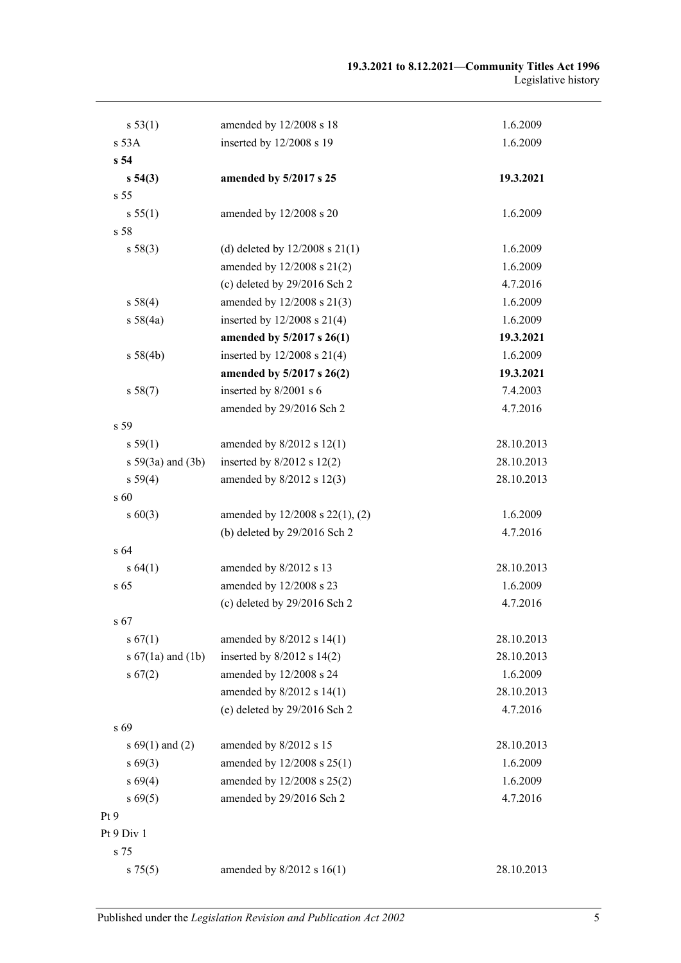| s 53(1)               | amended by 12/2008 s 18            | 1.6.2009   |
|-----------------------|------------------------------------|------------|
| s 53A                 | inserted by 12/2008 s 19           | 1.6.2009   |
| s <sub>54</sub>       |                                    |            |
| $s\,54(3)$            | amended by 5/2017 s 25             | 19.3.2021  |
| s 55                  |                                    |            |
| s 55(1)               | amended by 12/2008 s 20            | 1.6.2009   |
| s 58                  |                                    |            |
| s 58(3)               | (d) deleted by $12/2008$ s $21(1)$ | 1.6.2009   |
|                       | amended by 12/2008 s 21(2)         | 1.6.2009   |
|                       | (c) deleted by $29/2016$ Sch 2     | 4.7.2016   |
| s 58(4)               | amended by 12/2008 s 21(3)         | 1.6.2009   |
| s 58(4a)              | inserted by $12/2008$ s $21(4)$    | 1.6.2009   |
|                       | amended by 5/2017 s 26(1)          | 19.3.2021  |
| s 58(4b)              | inserted by $12/2008$ s $21(4)$    | 1.6.2009   |
|                       | amended by 5/2017 s 26(2)          | 19.3.2021  |
| s 58(7)               | inserted by 8/2001 s 6             | 7.4.2003   |
|                       | amended by 29/2016 Sch 2           | 4.7.2016   |
| s 59                  |                                    |            |
| s 59(1)               | amended by $8/2012$ s $12(1)$      | 28.10.2013 |
| s $59(3a)$ and $(3b)$ | inserted by $8/2012$ s 12(2)       | 28.10.2013 |
| s 59(4)               | amended by 8/2012 s 12(3)          | 28.10.2013 |
| s 60                  |                                    |            |
| $s\ 60(3)$            | amended by 12/2008 s 22(1), (2)    | 1.6.2009   |
|                       | (b) deleted by 29/2016 Sch 2       | 4.7.2016   |
| s64                   |                                    |            |
| s 64(1)               | amended by 8/2012 s 13             | 28.10.2013 |
| s <sub>65</sub>       | amended by 12/2008 s 23            | 1.6.2009   |
|                       | (c) deleted by $29/2016$ Sch 2     | 4.7.2016   |
| s 67                  |                                    |            |
| s 67(1)               | amended by $8/2012$ s $14(1)$      | 28.10.2013 |
| s $67(1a)$ and $(1b)$ | inserted by $8/2012$ s $14(2)$     | 28.10.2013 |
| s 67(2)               | amended by 12/2008 s 24            | 1.6.2009   |
|                       | amended by 8/2012 s 14(1)          | 28.10.2013 |
|                       | (e) deleted by 29/2016 Sch 2       | 4.7.2016   |
| s 69                  |                                    |            |
| s $69(1)$ and $(2)$   | amended by 8/2012 s 15             | 28.10.2013 |
| $s\,69(3)$            | amended by 12/2008 s 25(1)         | 1.6.2009   |
| s 69(4)               | amended by 12/2008 s 25(2)         | 1.6.2009   |
| $s\,69(5)$            | amended by 29/2016 Sch 2           | 4.7.2016   |
| Pt 9                  |                                    |            |
| Pt 9 Div 1            |                                    |            |
| s 75                  |                                    |            |
| $s \, 75(5)$          | amended by $8/2012$ s $16(1)$      | 28.10.2013 |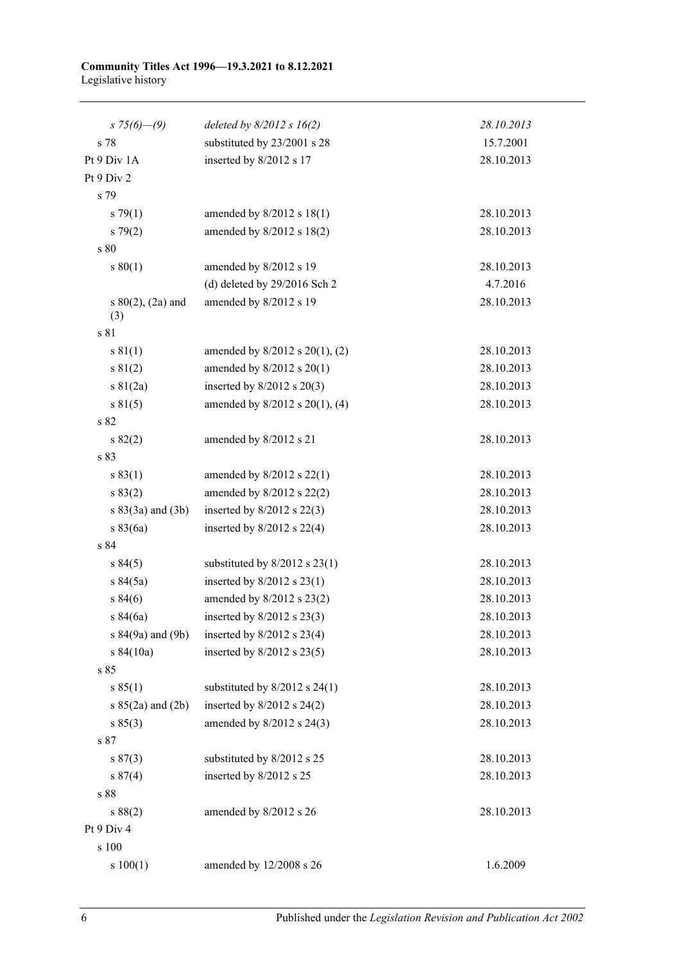#### **Community Titles Act 1996—19.3.2021 to 8.12.2021** Legislative history

| s $75(6)$ —(9)         | deleted by $8/2012$ s $16(2)$     | 28.10.2013 |
|------------------------|-----------------------------------|------------|
| s 78                   | substituted by 23/2001 s 28       | 15.7.2001  |
| Pt 9 Div 1A            | inserted by 8/2012 s 17           | 28.10.2013 |
| Pt 9 Div 2             |                                   |            |
| s 79                   |                                   |            |
| $s \, 79(1)$           | amended by $8/2012$ s $18(1)$     | 28.10.2013 |
| $s \, 79(2)$           | amended by $8/2012$ s $18(2)$     | 28.10.2013 |
| s 80                   |                                   |            |
| s 80(1)                | amended by 8/2012 s 19            | 28.10.2013 |
|                        | (d) deleted by $29/2016$ Sch 2    | 4.7.2016   |
| s $80(2)$ , $(2a)$ and | amended by 8/2012 s 19            | 28.10.2013 |
| (3)                    |                                   |            |
| s 81                   |                                   |            |
| s 81(1)                | amended by 8/2012 s 20(1), (2)    | 28.10.2013 |
| s 81(2)                | amended by $8/2012$ s $20(1)$     | 28.10.2013 |
| $s \ 81(2a)$           | inserted by $8/2012$ s $20(3)$    | 28.10.2013 |
| s 81(5)                | amended by 8/2012 s 20(1), (4)    | 28.10.2013 |
| s 82                   |                                   |            |
| s 82(2)                | amended by 8/2012 s 21            | 28.10.2013 |
| s 83                   |                                   |            |
| s 83(1)                | amended by $8/2012$ s $22(1)$     | 28.10.2013 |
| s 83(2)                | amended by $8/2012$ s $22(2)$     | 28.10.2013 |
| $s 83(3a)$ and $(3b)$  | inserted by $8/2012$ s $22(3)$    | 28.10.2013 |
| s 83(6a)               | inserted by $8/2012$ s 22(4)      | 28.10.2013 |
| s 84                   |                                   |            |
| s 84(5)                | substituted by $8/2012$ s $23(1)$ | 28.10.2013 |
| s 84(5a)               | inserted by $8/2012$ s $23(1)$    | 28.10.2013 |
| s 84(6)                | amended by 8/2012 s 23(2)         | 28.10.2013 |
| s 84(6a)               | inserted by 8/2012 s 23(3)        | 28.10.2013 |
| s 84(9a) and (9b)      | inserted by $8/2012$ s $23(4)$    | 28.10.2013 |
| s 84(10a)              | inserted by $8/2012$ s $23(5)$    | 28.10.2013 |
| s 85                   |                                   |            |
| s 85(1)                | substituted by $8/2012$ s $24(1)$ | 28.10.2013 |
| s $85(2a)$ and $(2b)$  | inserted by $8/2012$ s $24(2)$    | 28.10.2013 |
| s 85(3)                | amended by 8/2012 s 24(3)         | 28.10.2013 |
| s 87                   |                                   |            |
| s 87(3)                | substituted by 8/2012 s 25        | 28.10.2013 |
| s 87(4)                | inserted by 8/2012 s 25           | 28.10.2013 |
| s 88                   |                                   |            |
| s 88(2)                | amended by 8/2012 s 26            | 28.10.2013 |
| Pt 9 Div 4             |                                   |            |
| s 100                  |                                   |            |
| s 100(1)               | amended by 12/2008 s 26           | 1.6.2009   |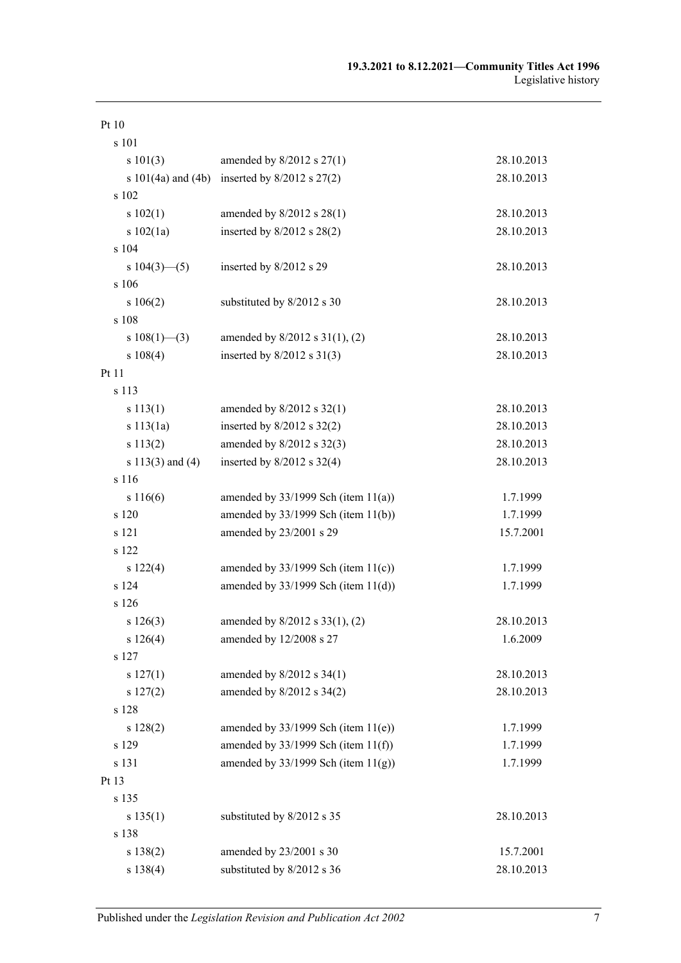| Pt10                   |                                          |            |
|------------------------|------------------------------------------|------------|
| s 101                  |                                          |            |
| s 101(3)               | amended by $8/2012$ s $27(1)$            | 28.10.2013 |
| s $101(4a)$ and $(4b)$ | inserted by $8/2012$ s $27(2)$           | 28.10.2013 |
| s 102                  |                                          |            |
| s 102(1)               | amended by 8/2012 s 28(1)                | 28.10.2013 |
| s 102(1a)              | inserted by $8/2012$ s $28(2)$           | 28.10.2013 |
| s 104                  |                                          |            |
| s $104(3)$ (5)         | inserted by 8/2012 s 29                  | 28.10.2013 |
| s 106                  |                                          |            |
| s 106(2)               | substituted by 8/2012 s 30               | 28.10.2013 |
| s 108                  |                                          |            |
| s $108(1)$ —(3)        | amended by $8/2012$ s $31(1)$ , (2)      | 28.10.2013 |
| s 108(4)               | inserted by $8/2012$ s $31(3)$           | 28.10.2013 |
| Pt 11                  |                                          |            |
| s 113                  |                                          |            |
| s 113(1)               | amended by $8/2012$ s $32(1)$            | 28.10.2013 |
| s 113(1a)              | inserted by $8/2012$ s $32(2)$           | 28.10.2013 |
| s 113(2)               | amended by 8/2012 s 32(3)                | 28.10.2013 |
| s $113(3)$ and $(4)$   | inserted by $8/2012$ s $32(4)$           | 28.10.2013 |
| s 116                  |                                          |            |
| s 116(6)               | amended by $33/1999$ Sch (item $11(a)$ ) | 1.7.1999   |
| s 120                  | amended by $33/1999$ Sch (item $11(b)$ ) | 1.7.1999   |
| s 121                  | amended by 23/2001 s 29                  | 15.7.2001  |
| s 122                  |                                          |            |
| s 122(4)               | amended by $33/1999$ Sch (item $11(c)$ ) | 1.7.1999   |
| s 124                  | amended by $33/1999$ Sch (item $11(d)$ ) | 1.7.1999   |
| s 126                  |                                          |            |
| s 126(3)               | amended by 8/2012 s 33(1), (2)           | 28.10.2013 |
| s 126(4)               | amended by 12/2008 s 27                  | 1.6.2009   |
| s 127                  |                                          |            |
| s 127(1)               | amended by 8/2012 s 34(1)                | 28.10.2013 |
| s 127(2)               | amended by 8/2012 s 34(2)                | 28.10.2013 |
| s 128                  |                                          |            |
| s 128(2)               | amended by $33/1999$ Sch (item $11(e)$ ) | 1.7.1999   |
| s 129                  | amended by $33/1999$ Sch (item $11(f)$ ) | 1.7.1999   |
| s 131                  | amended by $33/1999$ Sch (item $11(g)$ ) | 1.7.1999   |
| Pt 13                  |                                          |            |
| s 135                  |                                          |            |
| s 135(1)               | substituted by 8/2012 s 35               | 28.10.2013 |
| s 138                  |                                          |            |
| s 138(2)               | amended by 23/2001 s 30                  | 15.7.2001  |
| s 138(4)               | substituted by 8/2012 s 36               | 28.10.2013 |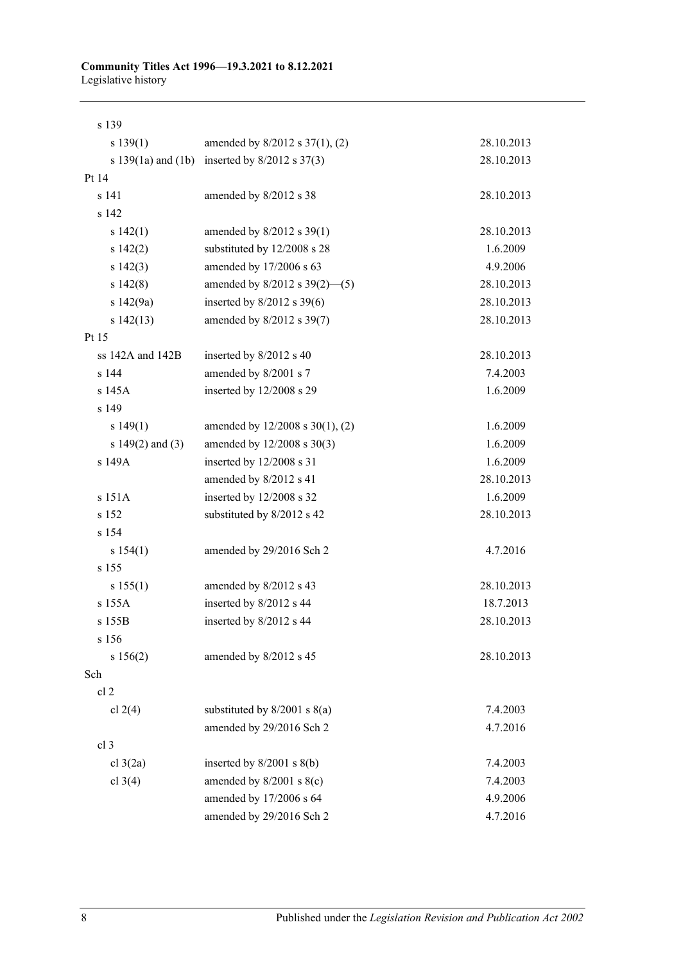#### **Community Titles Act 1996—19.3.2021 to 8.12.2021** Legislative history

| s 139                  |                                    |            |
|------------------------|------------------------------------|------------|
| s 139(1)               | amended by 8/2012 s 37(1), (2)     | 28.10.2013 |
| s $139(1a)$ and $(1b)$ | inserted by $8/2012$ s $37(3)$     | 28.10.2013 |
| Pt 14                  |                                    |            |
| s 141                  | amended by 8/2012 s 38             | 28.10.2013 |
| s 142                  |                                    |            |
| s 142(1)               | amended by $8/2012$ s 39(1)        | 28.10.2013 |
| s 142(2)               | substituted by 12/2008 s 28        | 1.6.2009   |
| s 142(3)               | amended by 17/2006 s 63            | 4.9.2006   |
| s142(8)                | amended by $8/2012$ s $39(2)$ —(5) | 28.10.2013 |
| s 142(9a)              | inserted by $8/2012$ s 39(6)       | 28.10.2013 |
| s142(13)               | amended by 8/2012 s 39(7)          | 28.10.2013 |
| Pt 15                  |                                    |            |
| ss 142A and 142B       | inserted by 8/2012 s 40            | 28.10.2013 |
| s 144                  | amended by 8/2001 s 7              | 7.4.2003   |
| s 145A                 | inserted by 12/2008 s 29           | 1.6.2009   |
| s 149                  |                                    |            |
| s 149(1)               | amended by 12/2008 s 30(1), (2)    | 1.6.2009   |
| s $149(2)$ and $(3)$   | amended by 12/2008 s 30(3)         | 1.6.2009   |
| s 149A                 | inserted by 12/2008 s 31           | 1.6.2009   |
|                        | amended by 8/2012 s 41             | 28.10.2013 |
| s 151A                 | inserted by 12/2008 s 32           | 1.6.2009   |
| s 152                  | substituted by 8/2012 s 42         | 28.10.2013 |
| s 154                  |                                    |            |
| s 154(1)               | amended by 29/2016 Sch 2           | 4.7.2016   |
| s 155                  |                                    |            |
| s 155(1)               | amended by 8/2012 s 43             | 28.10.2013 |
| s 155A                 | inserted by 8/2012 s 44            | 18.7.2013  |
| s 155B                 | inserted by 8/2012 s 44            | 28.10.2013 |
| s 156                  |                                    |            |
| s 156(2)               | amended by 8/2012 s 45             | 28.10.2013 |
| Sch                    |                                    |            |
| cl <sub>2</sub>        |                                    |            |
| cl $2(4)$              | substituted by $8/2001$ s $8(a)$   | 7.4.2003   |
|                        | amended by 29/2016 Sch 2           | 4.7.2016   |
| cl 3                   |                                    |            |
| cl $3(2a)$             | inserted by $8/2001$ s $8(b)$      | 7.4.2003   |
| cl $3(4)$              | amended by $8/2001$ s $8(c)$       | 7.4.2003   |
|                        | amended by 17/2006 s 64            | 4.9.2006   |
|                        | amended by 29/2016 Sch 2           | 4.7.2016   |